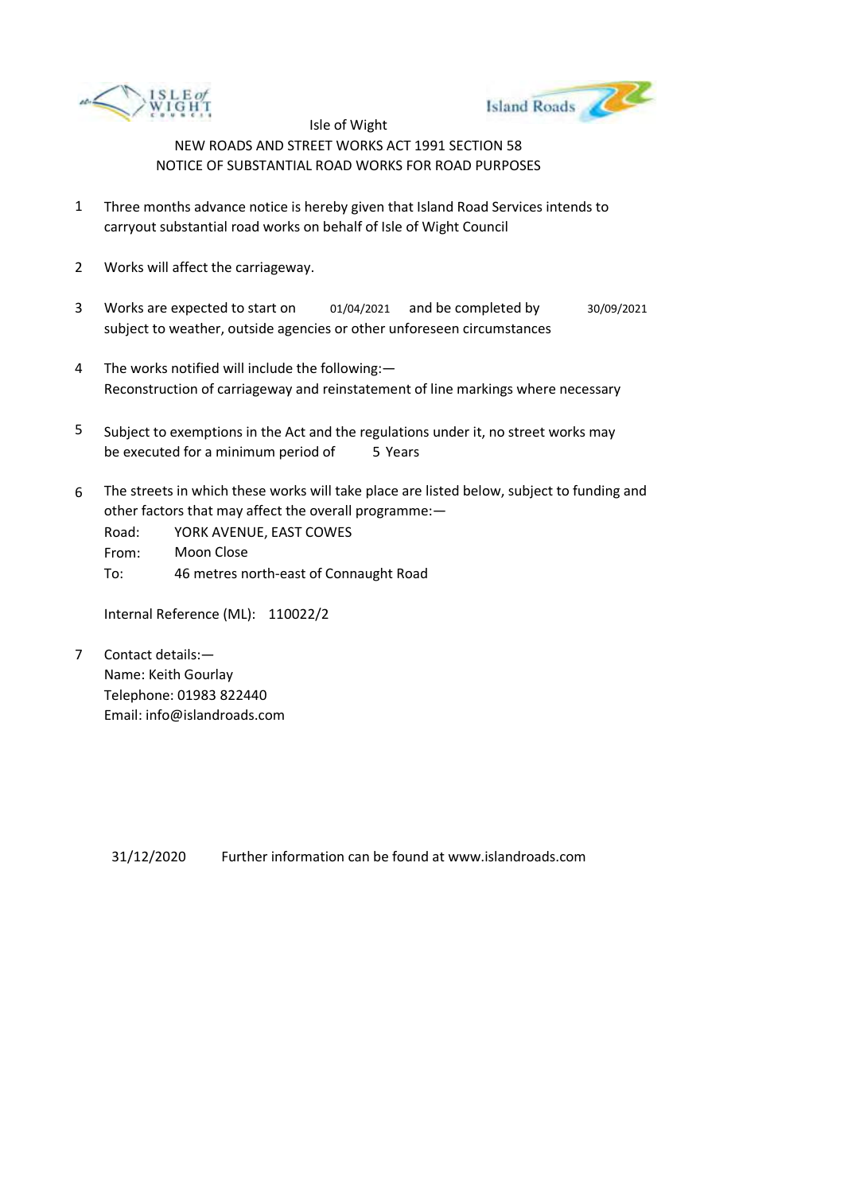



- 1 Three months advance notice is hereby given that Island Road Services intends to carryout substantial road works on behalf of Isle of Wight Council
- 2 Works will affect the carriageway.
- 3 Works are expected to start on 01/04/2021 and be completed by 30/09/2021 subject to weather, outside agencies or other unforeseen circumstances
- 4 The works notified will include the following:— Reconstruction of carriageway and reinstatement of line markings where necessary
- 5 be executed for a minimum period of 5 Years Subject to exemptions in the Act and the regulations under it, no street works may
- 6 The streets in which these works will take place are listed below, subject to funding and other factors that may affect the overall programme:—

Road: From: To: YORK AVENUE, EAST COWES Moon Close 46 metres north-east of Connaught Road

Internal Reference (ML): 110022/2

7 Contact details:— Name: Keith Gourlay Telephone: 01983 822440 Email: info@islandroads.com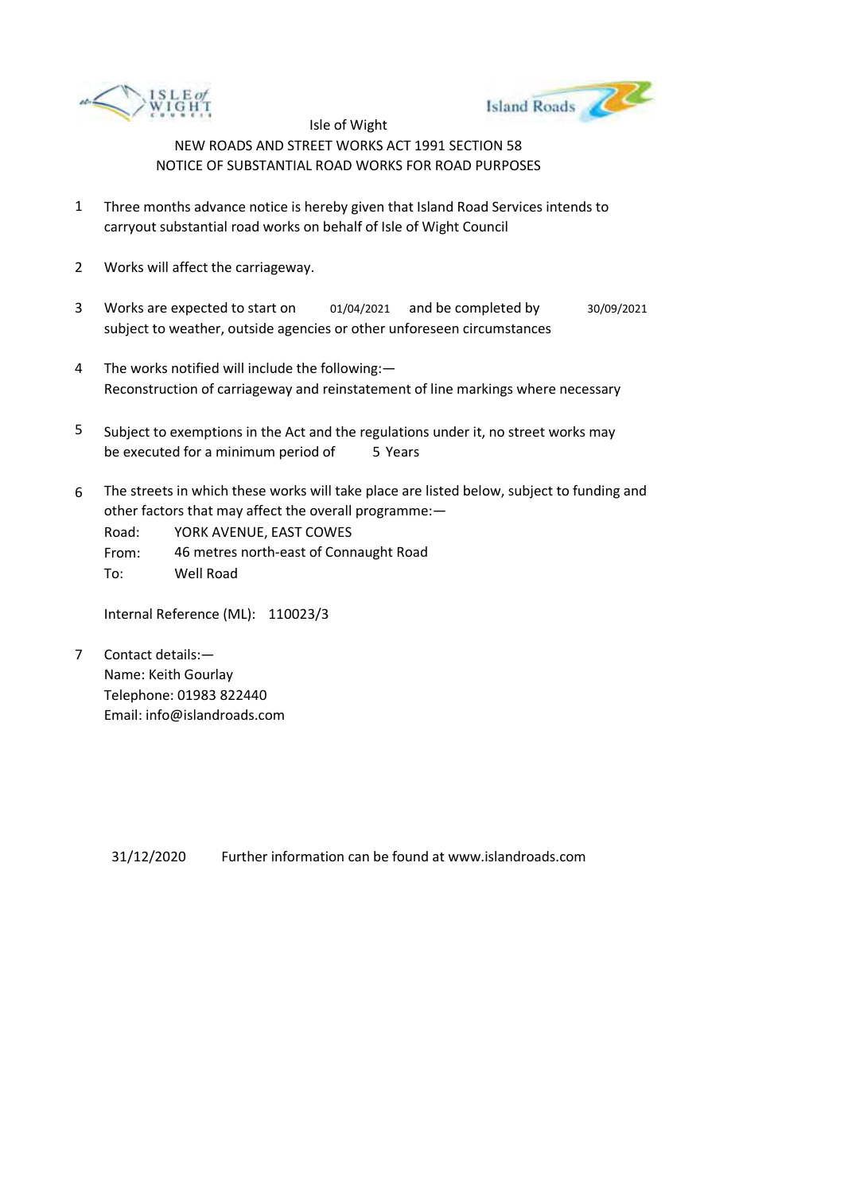



- 1 Three months advance notice is hereby given that Island Road Services intends to carryout substantial road works on behalf of Isle of Wight Council
- 2 Works will affect the carriageway.
- 3 Works are expected to start on subject to weather, outside agencies or other unforeseen circumstances 01/04/2021 and be completed by 30/09/2021
- 4 The works notified will include the following:— Reconstruction of carriageway and reinstatement of line markings where necessary
- 5 be executed for a minimum period of 5 Years Subject to exemptions in the Act and the regulations under it, no street works may
- 6 The streets in which these works will take place are listed below, subject to funding and other factors that may affect the overall programme:—

Road: From: To: YORK AVENUE, EAST COWES 46 metres north-east of Connaught Road Well Road

Internal Reference (ML): 110023/3

7 Contact details:— Name: Keith Gourlay Telephone: 01983 822440 Email: info@islandroads.com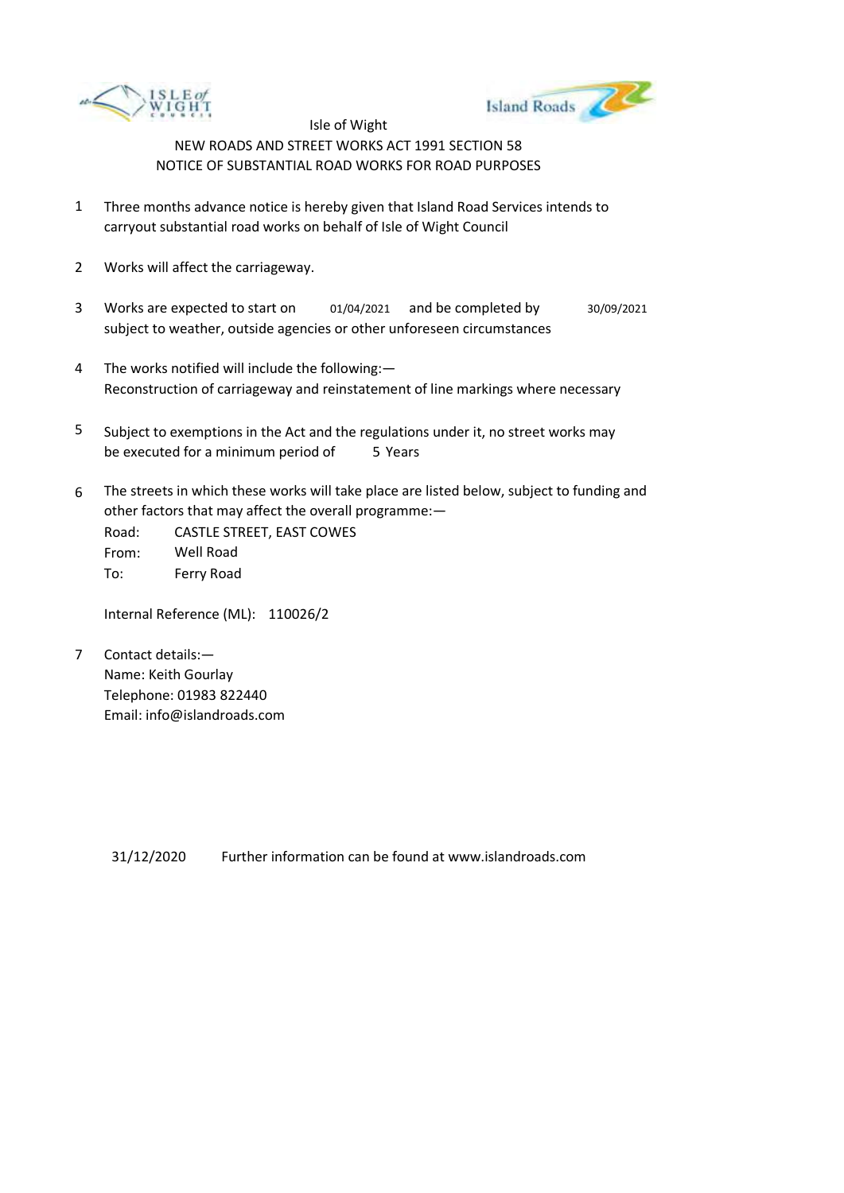



- 1 Three months advance notice is hereby given that Island Road Services intends to carryout substantial road works on behalf of Isle of Wight Council
- 2 Works will affect the carriageway.
- 3 Works are expected to start on subject to weather, outside agencies or other unforeseen circumstances 01/04/2021 and be completed by 30/09/2021
- 4 The works notified will include the following:— Reconstruction of carriageway and reinstatement of line markings where necessary
- 5 be executed for a minimum period of 5 Years Subject to exemptions in the Act and the regulations under it, no street works may
- 6 The streets in which these works will take place are listed below, subject to funding and other factors that may affect the overall programme:—

Road: From: To: CASTLE STREET, EAST COWES Well Road Ferry Road

Internal Reference (ML): 110026/2

7 Contact details:— Name: Keith Gourlay Telephone: 01983 822440 Email: info@islandroads.com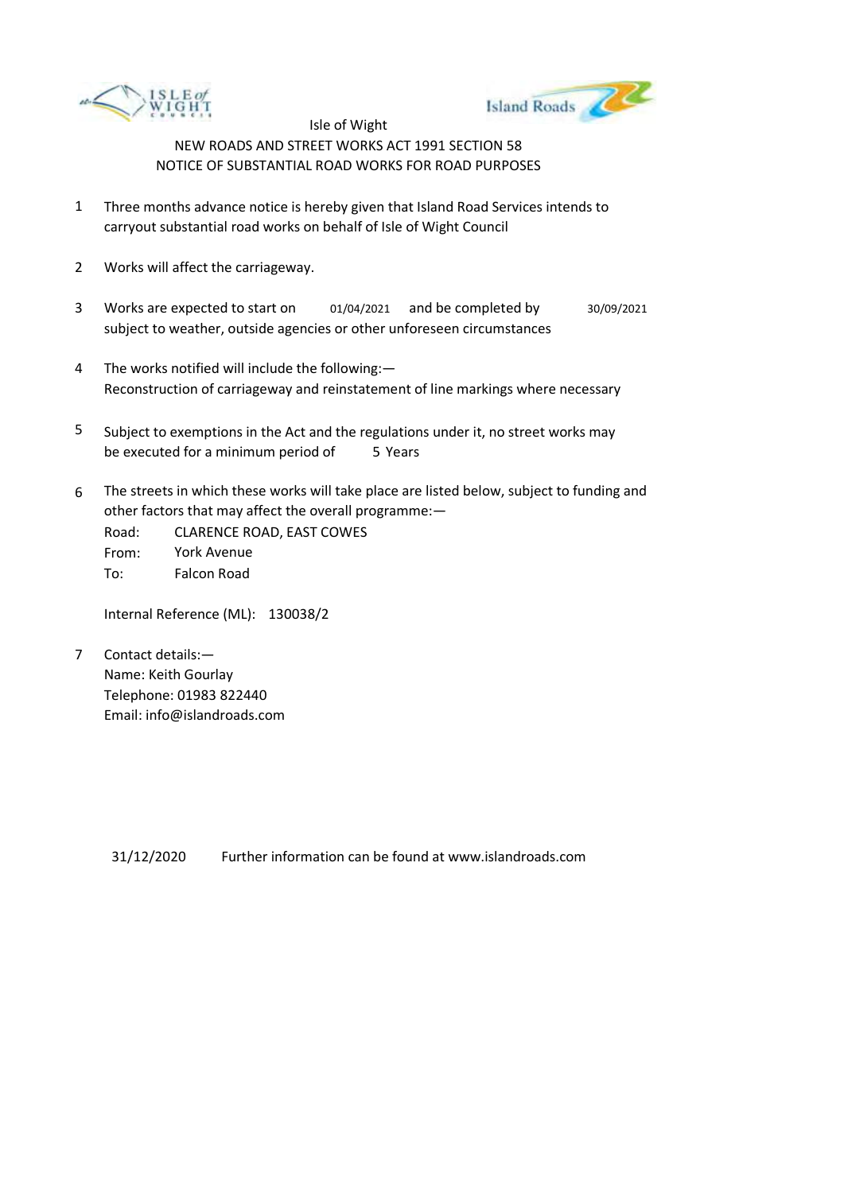



- 1 Three months advance notice is hereby given that Island Road Services intends to carryout substantial road works on behalf of Isle of Wight Council
- 2 Works will affect the carriageway.
- 3 Works are expected to start on subject to weather, outside agencies or other unforeseen circumstances 01/04/2021 and be completed by 30/09/2021
- 4 The works notified will include the following:— Reconstruction of carriageway and reinstatement of line markings where necessary
- 5 be executed for a minimum period of 5 Years Subject to exemptions in the Act and the regulations under it, no street works may
- 6 The streets in which these works will take place are listed below, subject to funding and other factors that may affect the overall programme:—

Road: From: To: CLARENCE ROAD, EAST COWES York Avenue Falcon Road

Internal Reference (ML): 130038/2

7 Contact details:— Name: Keith Gourlay Telephone: 01983 822440 Email: info@islandroads.com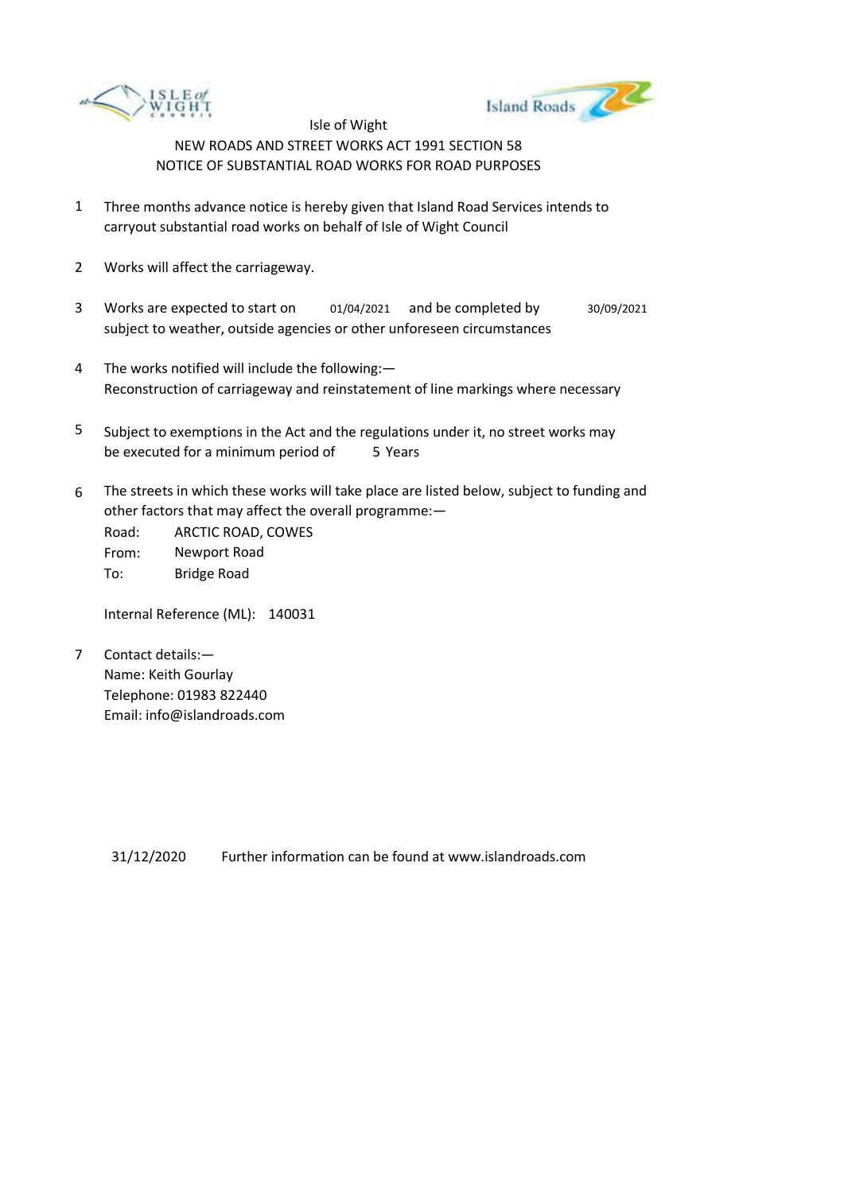



- 1 Three months advance notice is hereby given that Island Road Services intends to carryout substantial road works on behalf of Isle of Wight Council
- 2 Works will affect the carriageway.
- 3 Works are expected to start on subject to weather, outside agencies or other unforeseen circumstances 01/04/2021 and be completed by 30/09/2021
- 4 The works notified will include the following:— Reconstruction of carriageway and reinstatement of line markings where necessary
- 5 be executed for a minimum period of 5 Years Subject to exemptions in the Act and the regulations under it, no street works may
- 6 The streets in which these works will take place are listed below, subject to funding and other factors that may affect the overall programme:—

Road: From: To: ARCTIC ROAD, COWES Newport Road Bridge Road

Internal Reference (ML): 140031

7 Contact details:— Name: Keith Gourlay Telephone: 01983 822440 Email: info@islandroads.com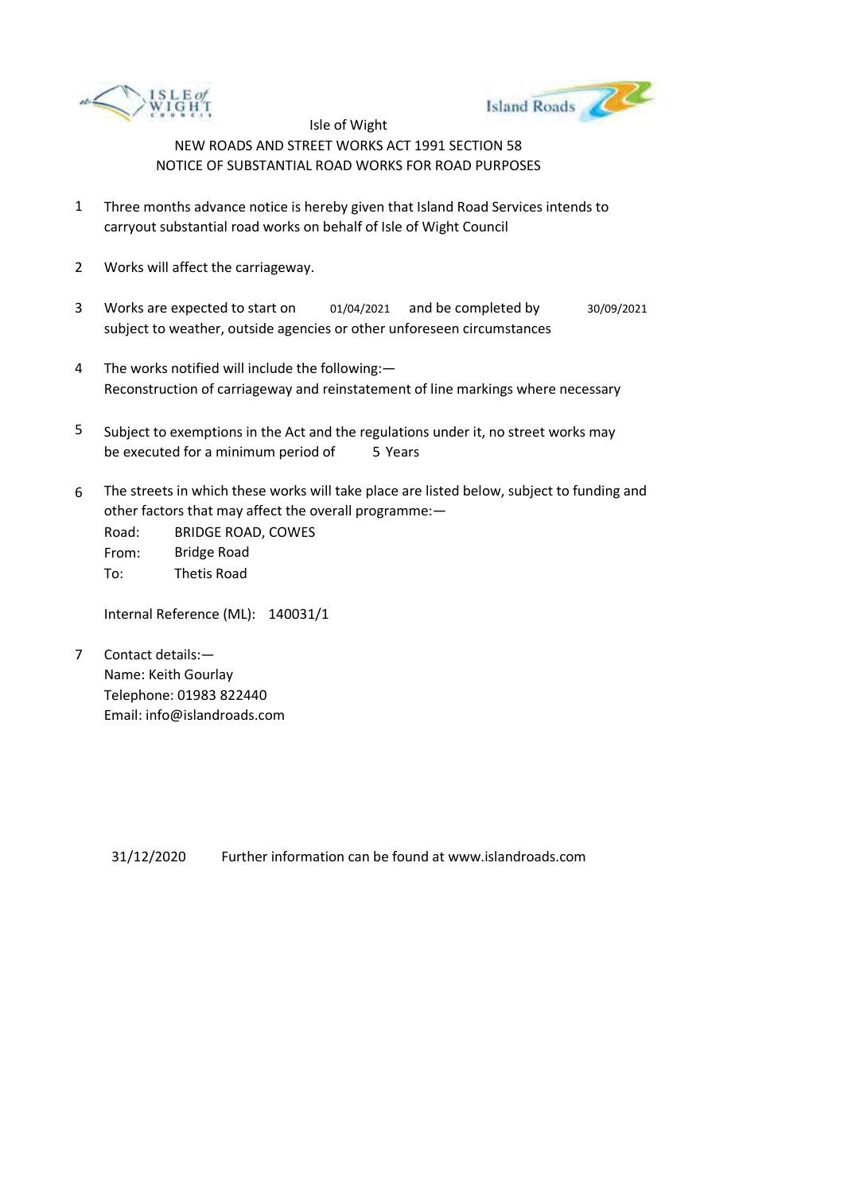



- 1 Three months advance notice is hereby given that Island Road Services intends to carryout substantial road works on behalf of Isle of Wight Council
- 2 Works will affect the carriageway.
- 3 Works are expected to start on subject to weather, outside agencies or other unforeseen circumstances 01/04/2021 and be completed by 30/09/2021
- 4 The works notified will include the following:— Reconstruction of carriageway and reinstatement of line markings where necessary
- 5 be executed for a minimum period of 5 Years Subject to exemptions in the Act and the regulations under it, no street works may
- 6 The streets in which these works will take place are listed below, subject to funding and other factors that may affect the overall programme:—

Road: From: To: BRIDGE ROAD, COWES Bridge Road Thetis Road

Internal Reference (ML): 140031/1

7 Contact details:— Name: Keith Gourlay Telephone: 01983 822440 Email: info@islandroads.com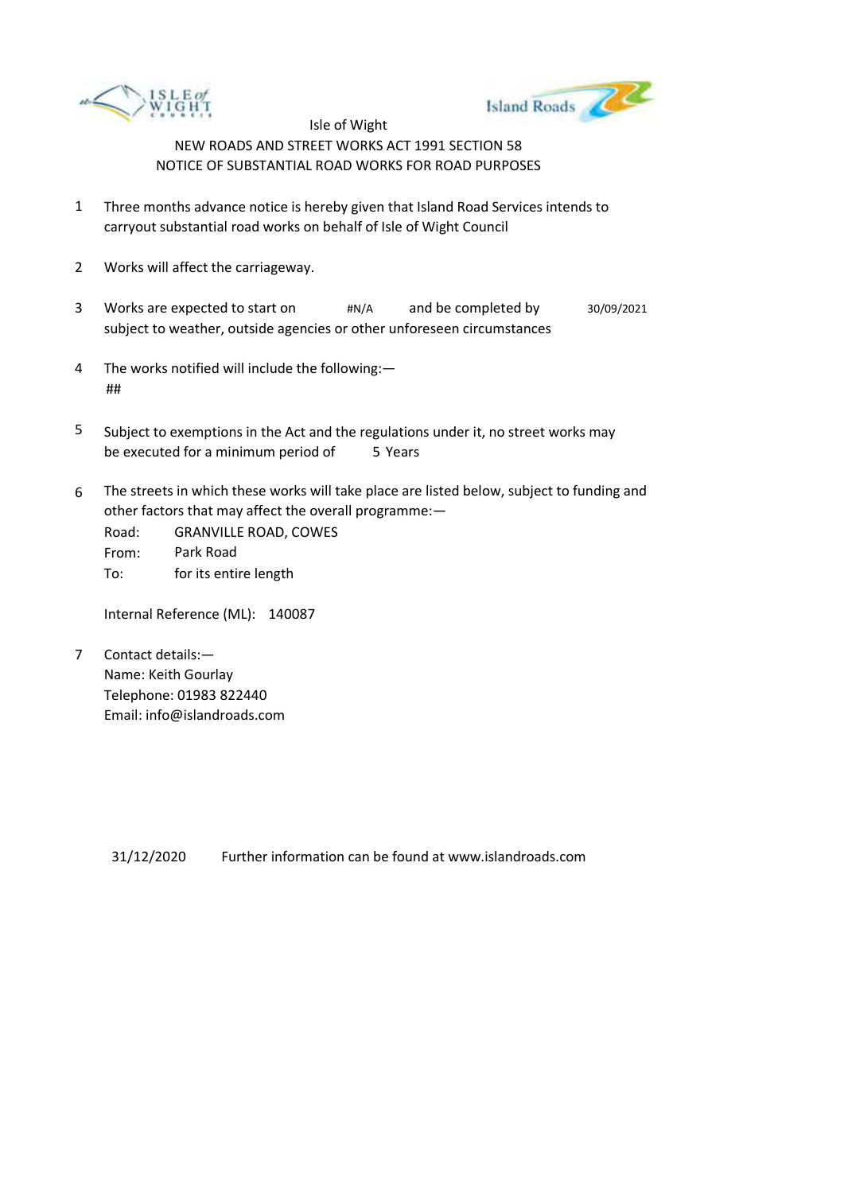



- 1 Three months advance notice is hereby given that Island Road Services intends to carryout substantial road works on behalf of Isle of Wight Council
- 2 Works will affect the carriageway.
- 3 Works are expected to start on  $\#N/A$ subject to weather, outside agencies or other unforeseen circumstances and be completed by  $30/09/2021$
- 4 The works notified will include the following:— ##
- 5 be executed for a minimum period of 5 Years Subject to exemptions in the Act and the regulations under it, no street works may
- 6 The streets in which these works will take place are listed below, subject to funding and other factors that may affect the overall programme:—

Road: From: To: GRANVILLE ROAD, COWES Park Road for its entire length

Internal Reference (ML): 140087

7 Contact details:— Name: Keith Gourlay Telephone: 01983 822440 Email: info@islandroads.com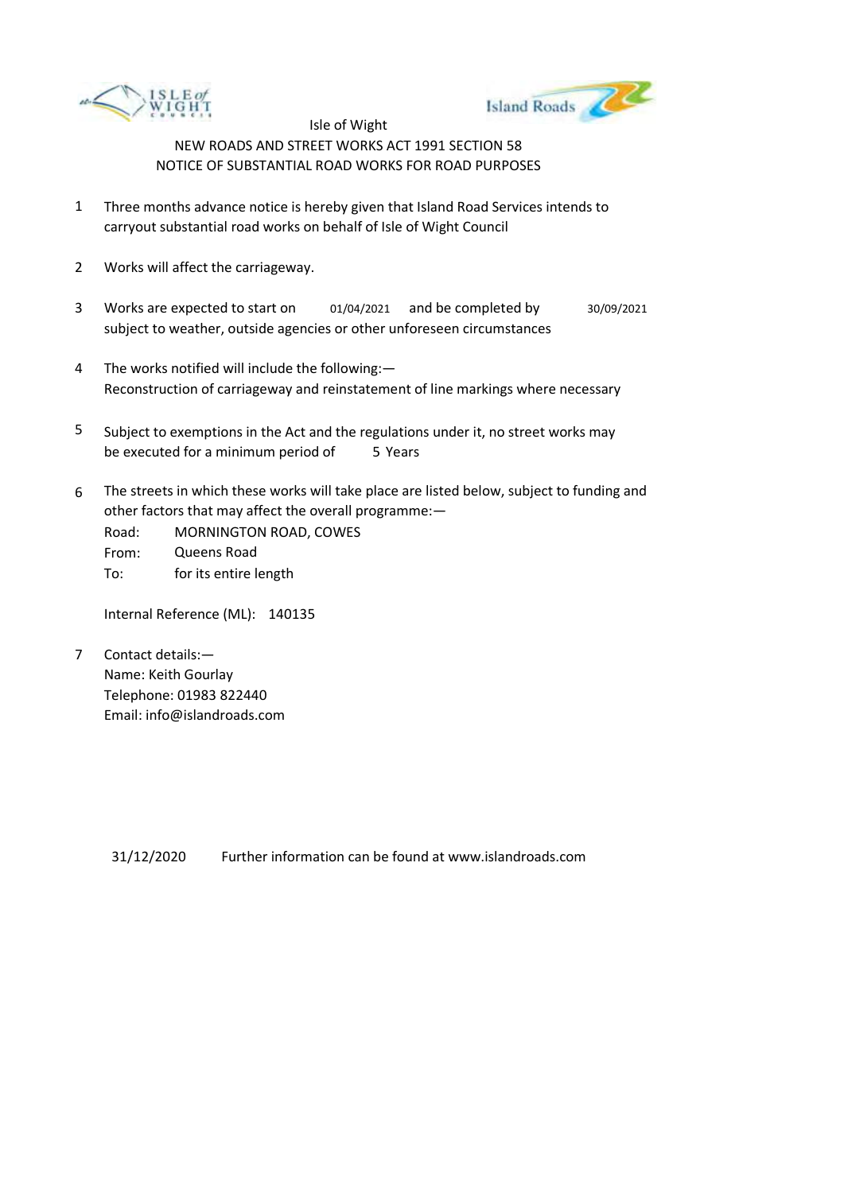



- 1 Three months advance notice is hereby given that Island Road Services intends to carryout substantial road works on behalf of Isle of Wight Council
- 2 Works will affect the carriageway.
- 3 Works are expected to start on subject to weather, outside agencies or other unforeseen circumstances 01/04/2021 and be completed by 30/09/2021
- 4 The works notified will include the following:— Reconstruction of carriageway and reinstatement of line markings where necessary
- 5 be executed for a minimum period of 5 Years Subject to exemptions in the Act and the regulations under it, no street works may
- 6 The streets in which these works will take place are listed below, subject to funding and other factors that may affect the overall programme:—
	- Road: From: To: MORNINGTON ROAD, COWES Queens Road for its entire length

Internal Reference (ML): 140135

7 Contact details:— Name: Keith Gourlay Telephone: 01983 822440 Email: info@islandroads.com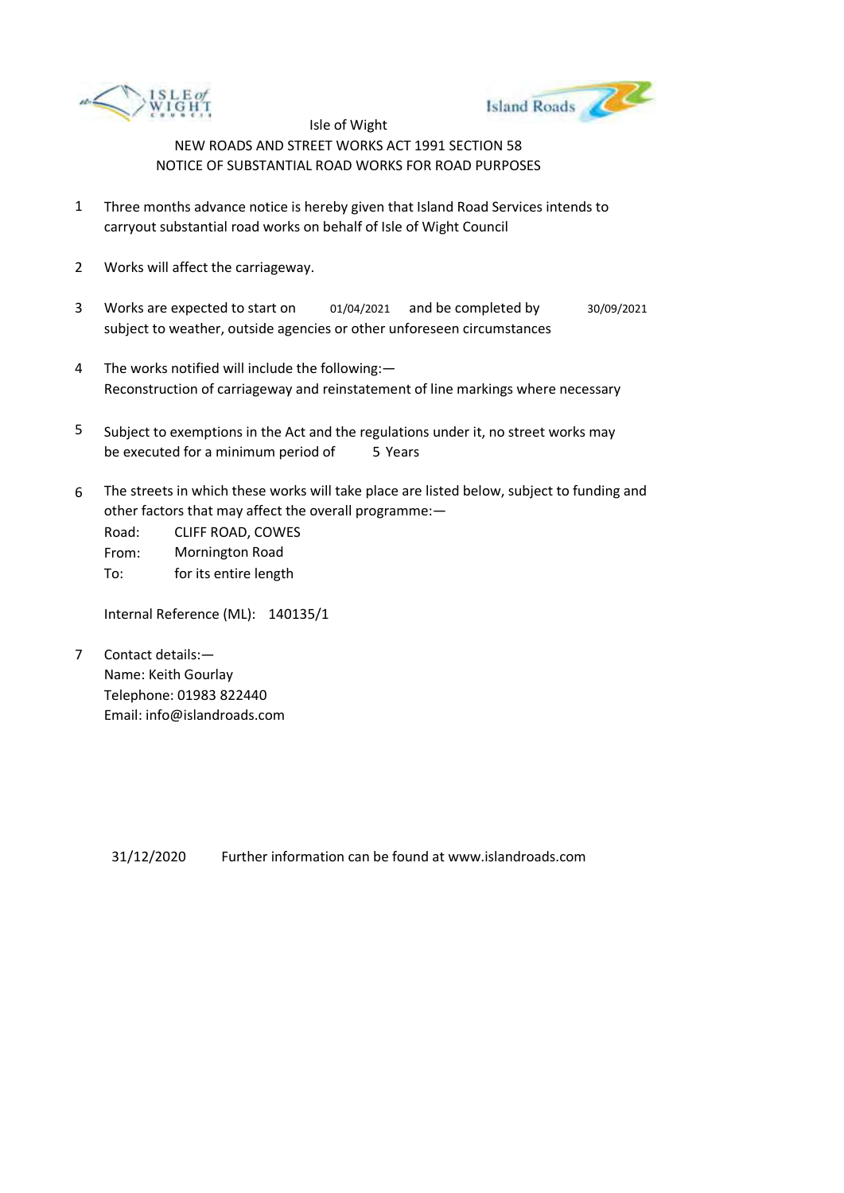



- 1 Three months advance notice is hereby given that Island Road Services intends to carryout substantial road works on behalf of Isle of Wight Council
- 2 Works will affect the carriageway.
- 3 Works are expected to start on subject to weather, outside agencies or other unforeseen circumstances 01/04/2021 and be completed by 30/09/2021
- 4 The works notified will include the following:— Reconstruction of carriageway and reinstatement of line markings where necessary
- 5 be executed for a minimum period of 5 Years Subject to exemptions in the Act and the regulations under it, no street works may
- 6 The streets in which these works will take place are listed below, subject to funding and other factors that may affect the overall programme:—

Road: From: To: CLIFF ROAD, COWES Mornington Road for its entire length

Internal Reference (ML): 140135/1

7 Contact details:— Name: Keith Gourlay Telephone: 01983 822440 Email: info@islandroads.com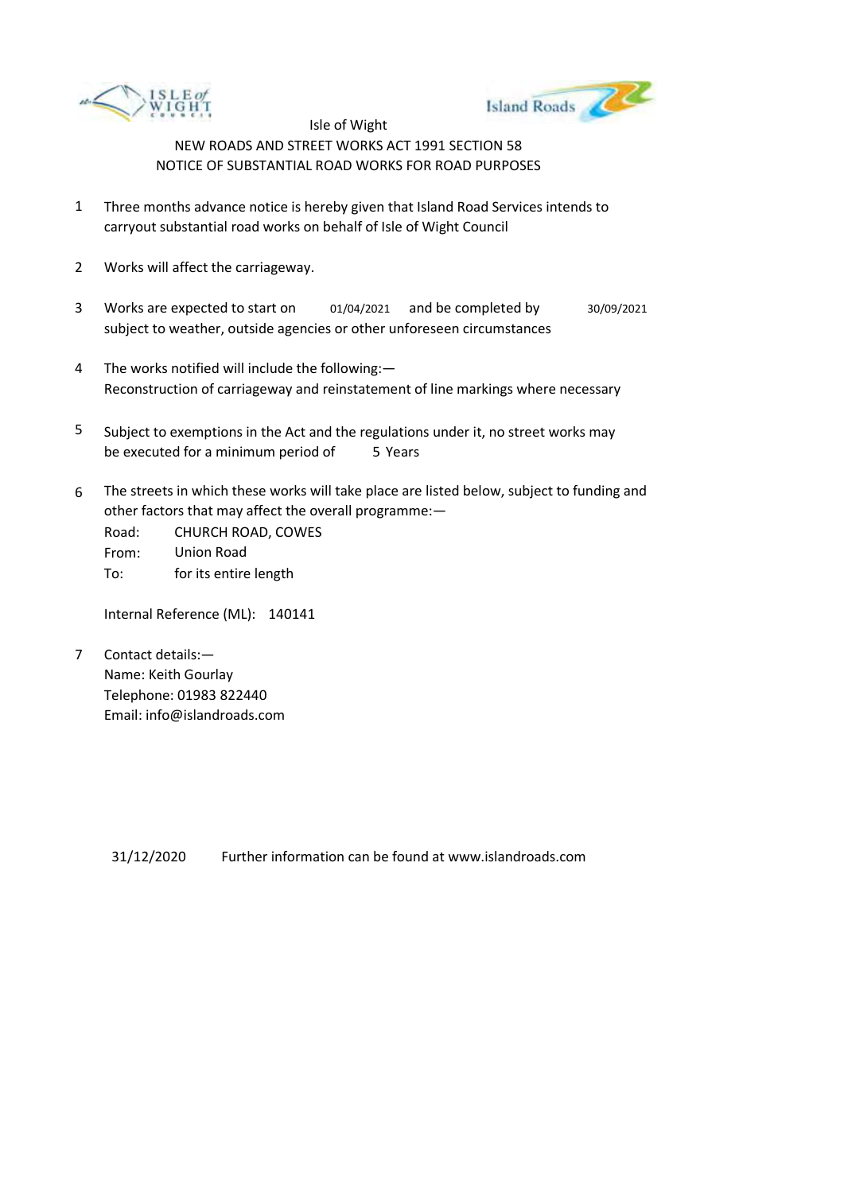



- 1 Three months advance notice is hereby given that Island Road Services intends to carryout substantial road works on behalf of Isle of Wight Council
- 2 Works will affect the carriageway.
- 3 Works are expected to start on subject to weather, outside agencies or other unforeseen circumstances 01/04/2021 and be completed by 30/09/2021
- 4 The works notified will include the following:— Reconstruction of carriageway and reinstatement of line markings where necessary
- 5 be executed for a minimum period of 5 Years Subject to exemptions in the Act and the regulations under it, no street works may
- 6 The streets in which these works will take place are listed below, subject to funding and other factors that may affect the overall programme:—

Road: From: To: CHURCH ROAD, COWES Union Road for its entire length

Internal Reference (ML): 140141

7 Contact details:— Name: Keith Gourlay Telephone: 01983 822440 Email: info@islandroads.com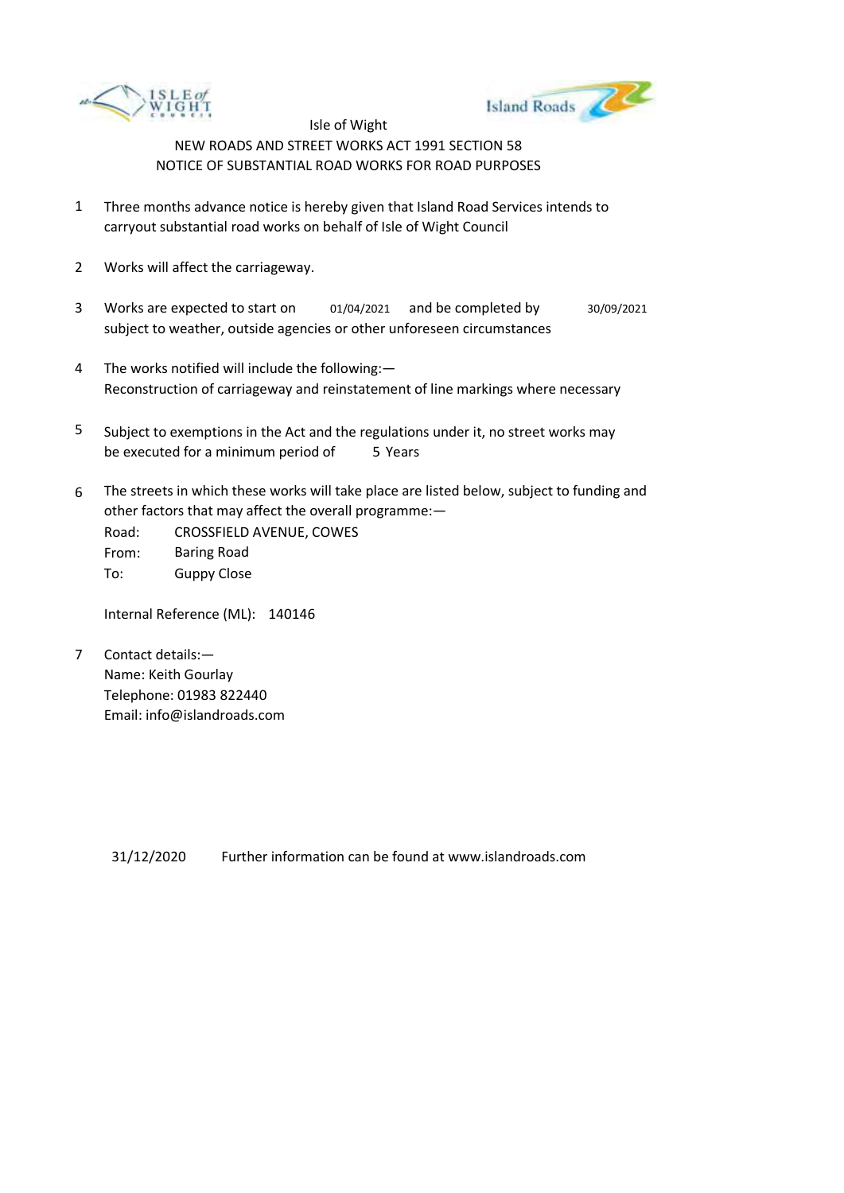



- 1 Three months advance notice is hereby given that Island Road Services intends to carryout substantial road works on behalf of Isle of Wight Council
- 2 Works will affect the carriageway.
- 3 Works are expected to start on subject to weather, outside agencies or other unforeseen circumstances 01/04/2021 and be completed by 30/09/2021
- 4 The works notified will include the following:— Reconstruction of carriageway and reinstatement of line markings where necessary
- 5 be executed for a minimum period of 5 Years Subject to exemptions in the Act and the regulations under it, no street works may
- 6 The streets in which these works will take place are listed below, subject to funding and other factors that may affect the overall programme:—

Road: From: To: CROSSFIELD AVENUE, COWES Baring Road Guppy Close

Internal Reference (ML): 140146

7 Contact details:— Name: Keith Gourlay Telephone: 01983 822440 Email: info@islandroads.com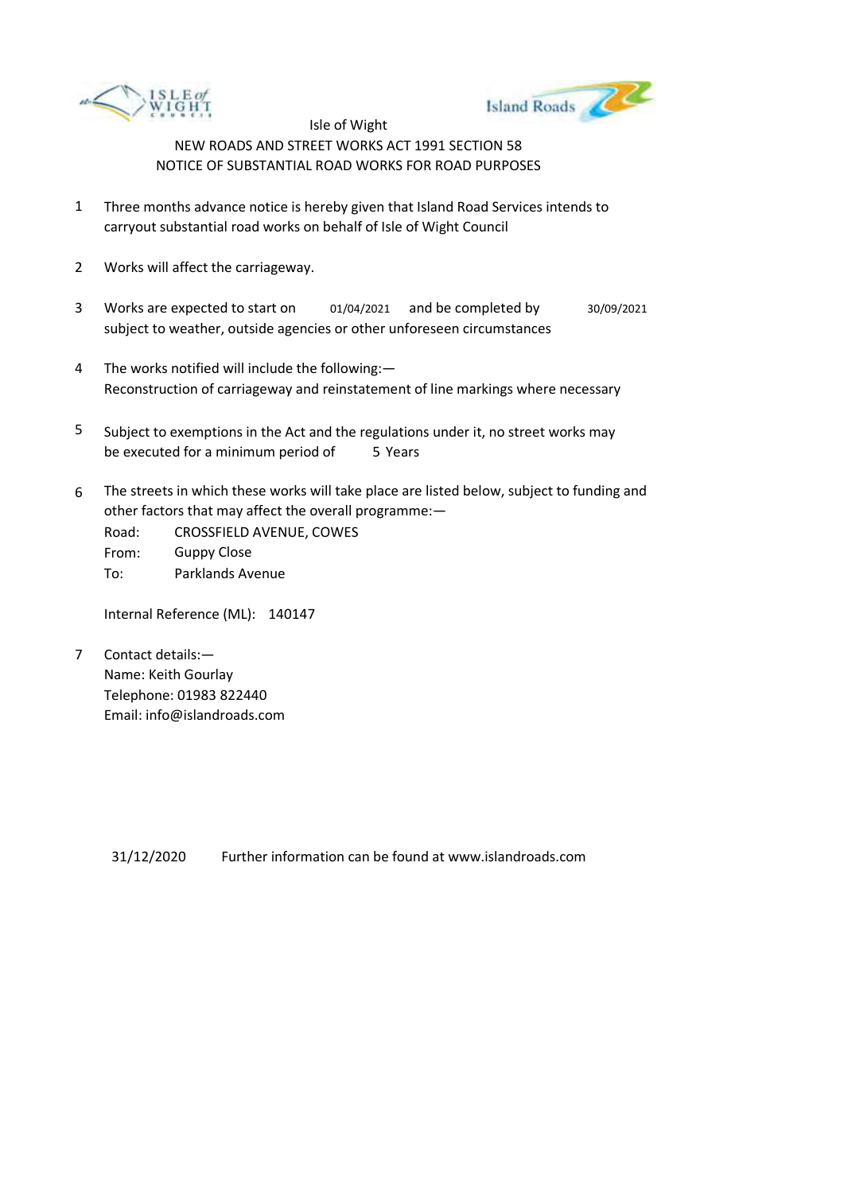



- 1 Three months advance notice is hereby given that Island Road Services intends to carryout substantial road works on behalf of Isle of Wight Council
- 2 Works will affect the carriageway.
- 3 Works are expected to start on subject to weather, outside agencies or other unforeseen circumstances 01/04/2021 and be completed by 30/09/2021
- 4 The works notified will include the following:— Reconstruction of carriageway and reinstatement of line markings where necessary
- 5 be executed for a minimum period of 5 Years Subject to exemptions in the Act and the regulations under it, no street works may
- 6 The streets in which these works will take place are listed below, subject to funding and other factors that may affect the overall programme:—

Road: From: To: CROSSFIELD AVENUE, COWES Guppy Close Parklands Avenue

Internal Reference (ML): 140147

7 Contact details:— Name: Keith Gourlay Telephone: 01983 822440 Email: info@islandroads.com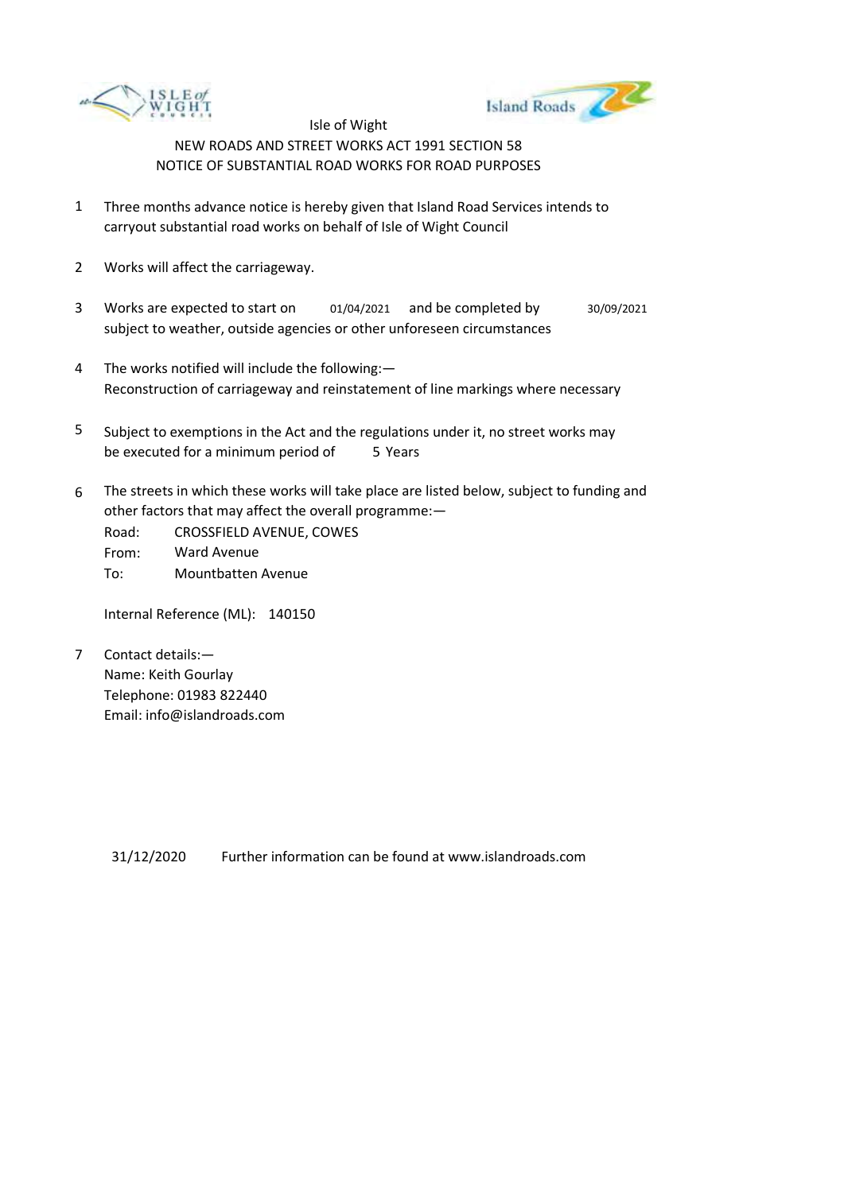



- 1 Three months advance notice is hereby given that Island Road Services intends to carryout substantial road works on behalf of Isle of Wight Council
- 2 Works will affect the carriageway.
- 3 Works are expected to start on subject to weather, outside agencies or other unforeseen circumstances 01/04/2021 and be completed by 30/09/2021
- 4 The works notified will include the following:— Reconstruction of carriageway and reinstatement of line markings where necessary
- 5 be executed for a minimum period of 5 Years Subject to exemptions in the Act and the regulations under it, no street works may
- 6 The streets in which these works will take place are listed below, subject to funding and other factors that may affect the overall programme:—
	- Road: From: To: CROSSFIELD AVENUE, COWES Ward Avenue Mountbatten Avenue

Internal Reference (ML): 140150

7 Contact details:— Name: Keith Gourlay Telephone: 01983 822440 Email: info@islandroads.com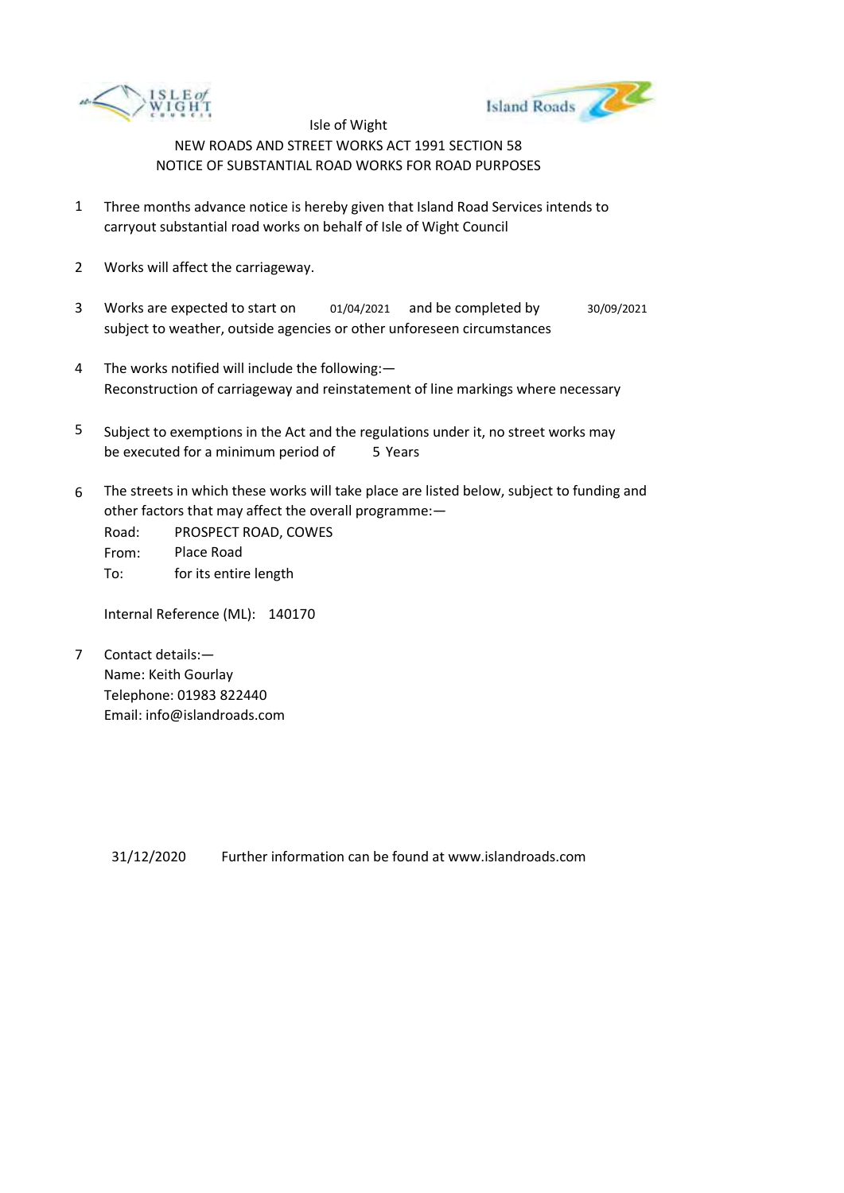



- 1 Three months advance notice is hereby given that Island Road Services intends to carryout substantial road works on behalf of Isle of Wight Council
- 2 Works will affect the carriageway.
- 3 Works are expected to start on subject to weather, outside agencies or other unforeseen circumstances 01/04/2021 and be completed by 30/09/2021
- 4 The works notified will include the following:— Reconstruction of carriageway and reinstatement of line markings where necessary
- 5 be executed for a minimum period of 5 Years Subject to exemptions in the Act and the regulations under it, no street works may
- 6 The streets in which these works will take place are listed below, subject to funding and other factors that may affect the overall programme:—

Road: From: To: PROSPECT ROAD, COWES Place Road for its entire length

Internal Reference (ML): 140170

7 Contact details:— Name: Keith Gourlay Telephone: 01983 822440 Email: info@islandroads.com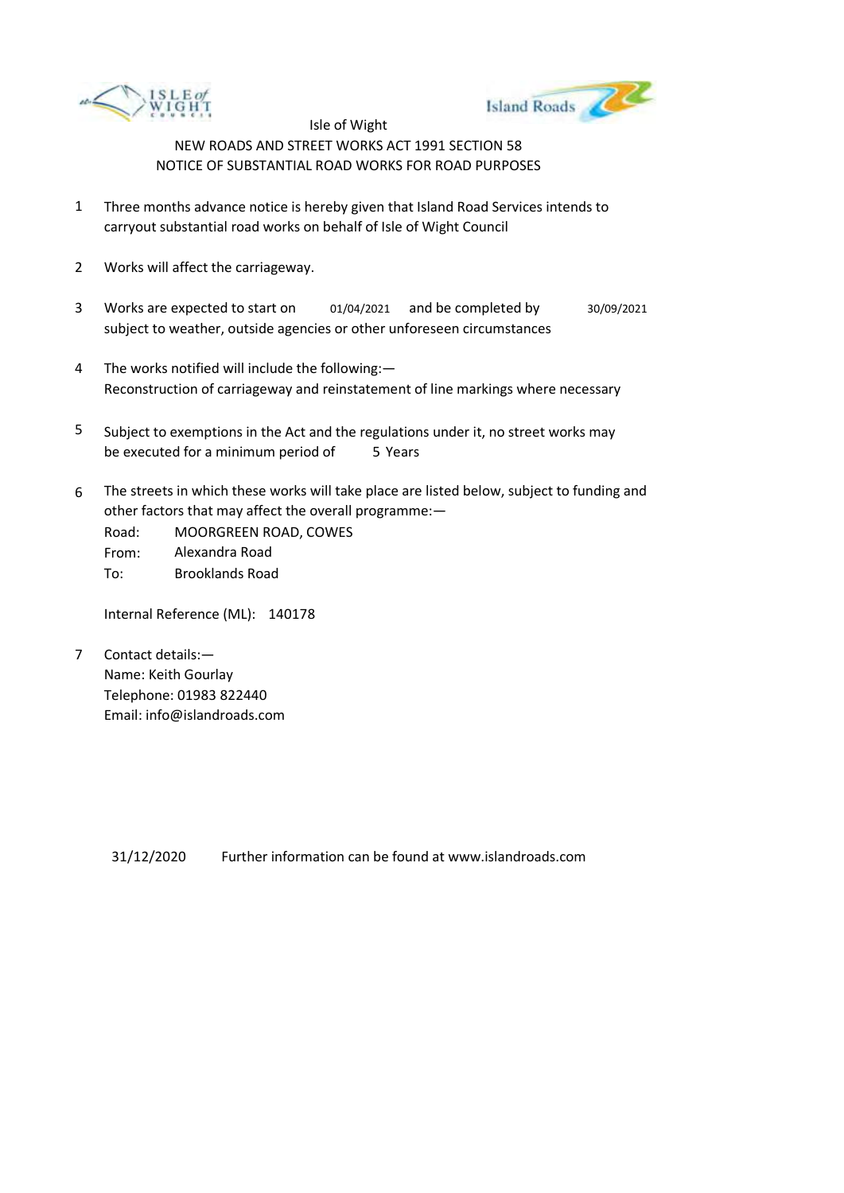



- 1 Three months advance notice is hereby given that Island Road Services intends to carryout substantial road works on behalf of Isle of Wight Council
- 2 Works will affect the carriageway.
- 3 Works are expected to start on subject to weather, outside agencies or other unforeseen circumstances 01/04/2021 and be completed by 30/09/2021
- 4 The works notified will include the following:— Reconstruction of carriageway and reinstatement of line markings where necessary
- 5 be executed for a minimum period of 5 Years Subject to exemptions in the Act and the regulations under it, no street works may
- 6 The streets in which these works will take place are listed below, subject to funding and other factors that may affect the overall programme:—

Road: From: To: MOORGREEN ROAD, COWES Alexandra Road Brooklands Road

Internal Reference (ML): 140178

7 Contact details:— Name: Keith Gourlay Telephone: 01983 822440 Email: info@islandroads.com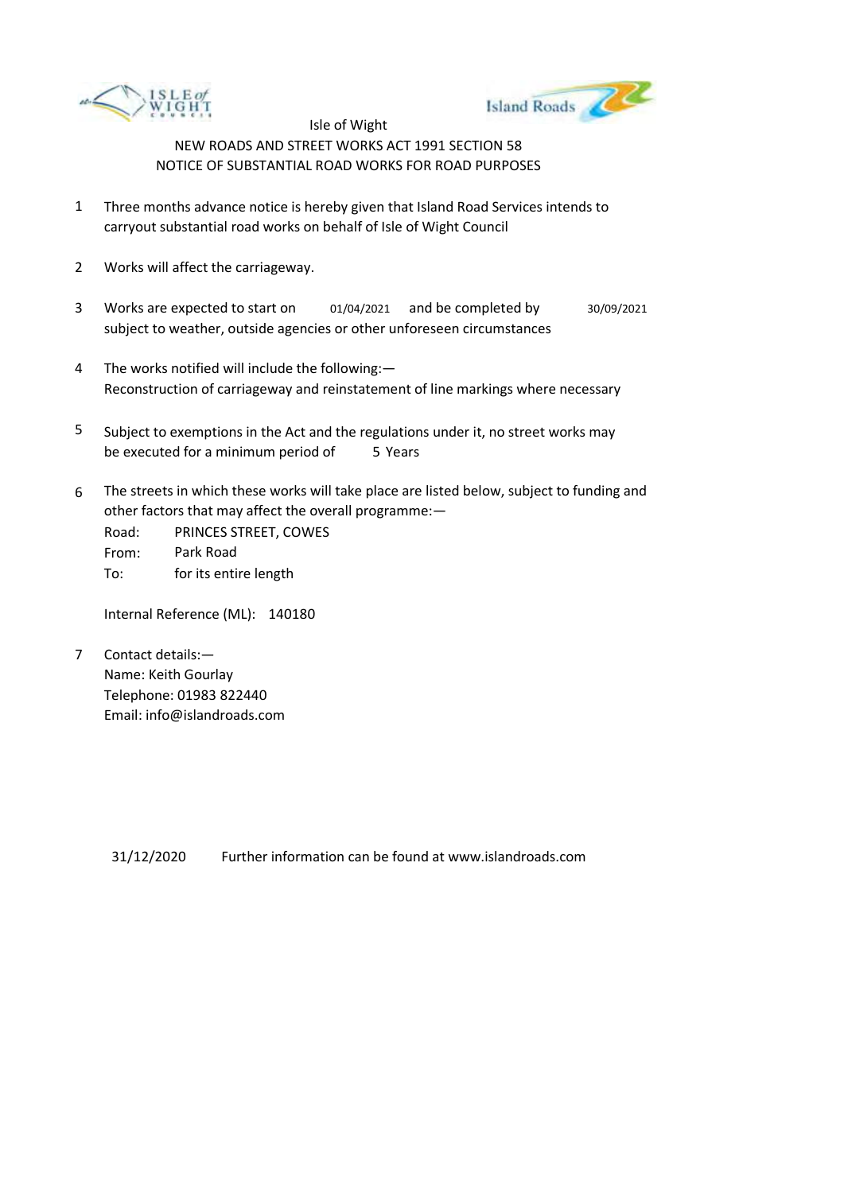



- 1 Three months advance notice is hereby given that Island Road Services intends to carryout substantial road works on behalf of Isle of Wight Council
- 2 Works will affect the carriageway.
- 3 Works are expected to start on subject to weather, outside agencies or other unforeseen circumstances 01/04/2021 and be completed by 30/09/2021
- 4 The works notified will include the following:— Reconstruction of carriageway and reinstatement of line markings where necessary
- 5 be executed for a minimum period of 5 Years Subject to exemptions in the Act and the regulations under it, no street works may
- 6 The streets in which these works will take place are listed below, subject to funding and other factors that may affect the overall programme:—

Road: From: To: PRINCES STREET, COWES Park Road for its entire length

Internal Reference (ML): 140180

7 Contact details:— Name: Keith Gourlay Telephone: 01983 822440 Email: info@islandroads.com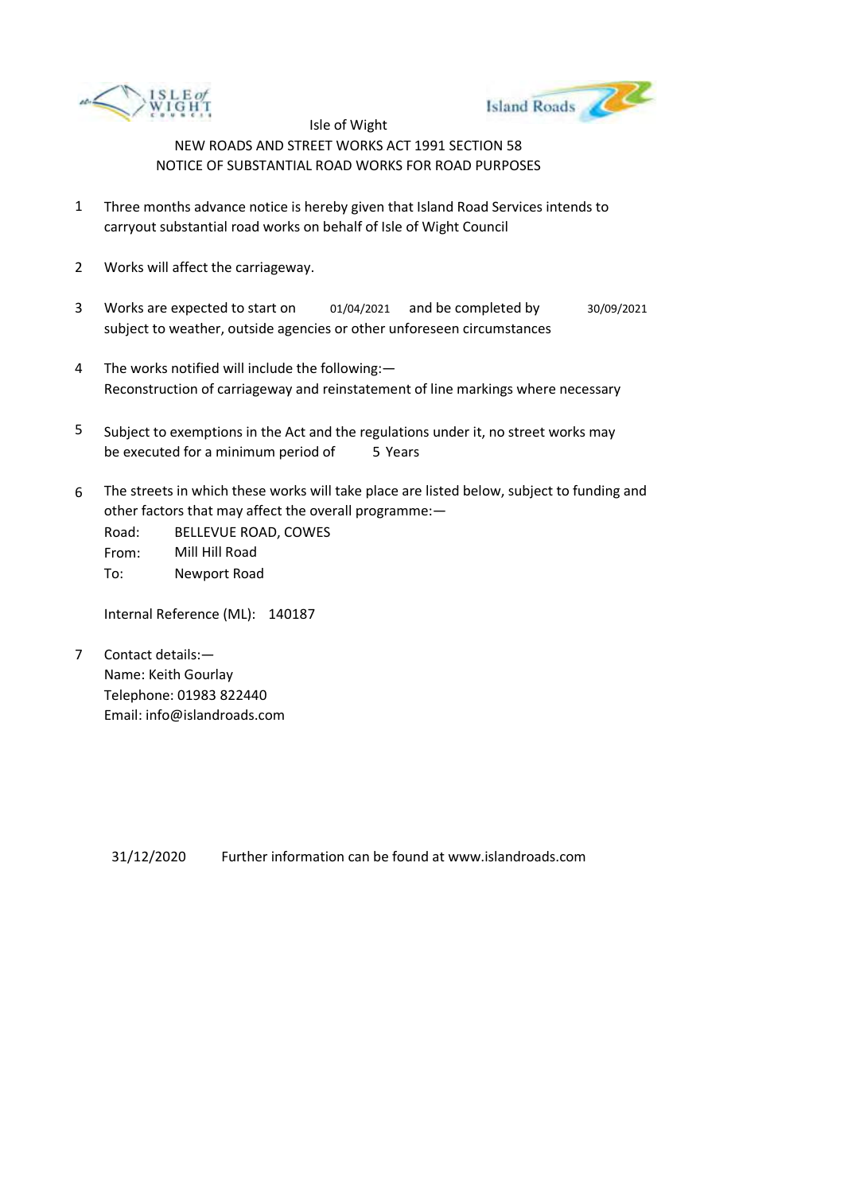



- 1 Three months advance notice is hereby given that Island Road Services intends to carryout substantial road works on behalf of Isle of Wight Council
- 2 Works will affect the carriageway.
- 3 Works are expected to start on subject to weather, outside agencies or other unforeseen circumstances 01/04/2021 and be completed by 30/09/2021
- 4 The works notified will include the following:— Reconstruction of carriageway and reinstatement of line markings where necessary
- 5 be executed for a minimum period of 5 Years Subject to exemptions in the Act and the regulations under it, no street works may
- 6 The streets in which these works will take place are listed below, subject to funding and other factors that may affect the overall programme:—

Road: From: To: BELLEVUE ROAD, COWES Mill Hill Road Newport Road

Internal Reference (ML): 140187

7 Contact details:— Name: Keith Gourlay Telephone: 01983 822440 Email: info@islandroads.com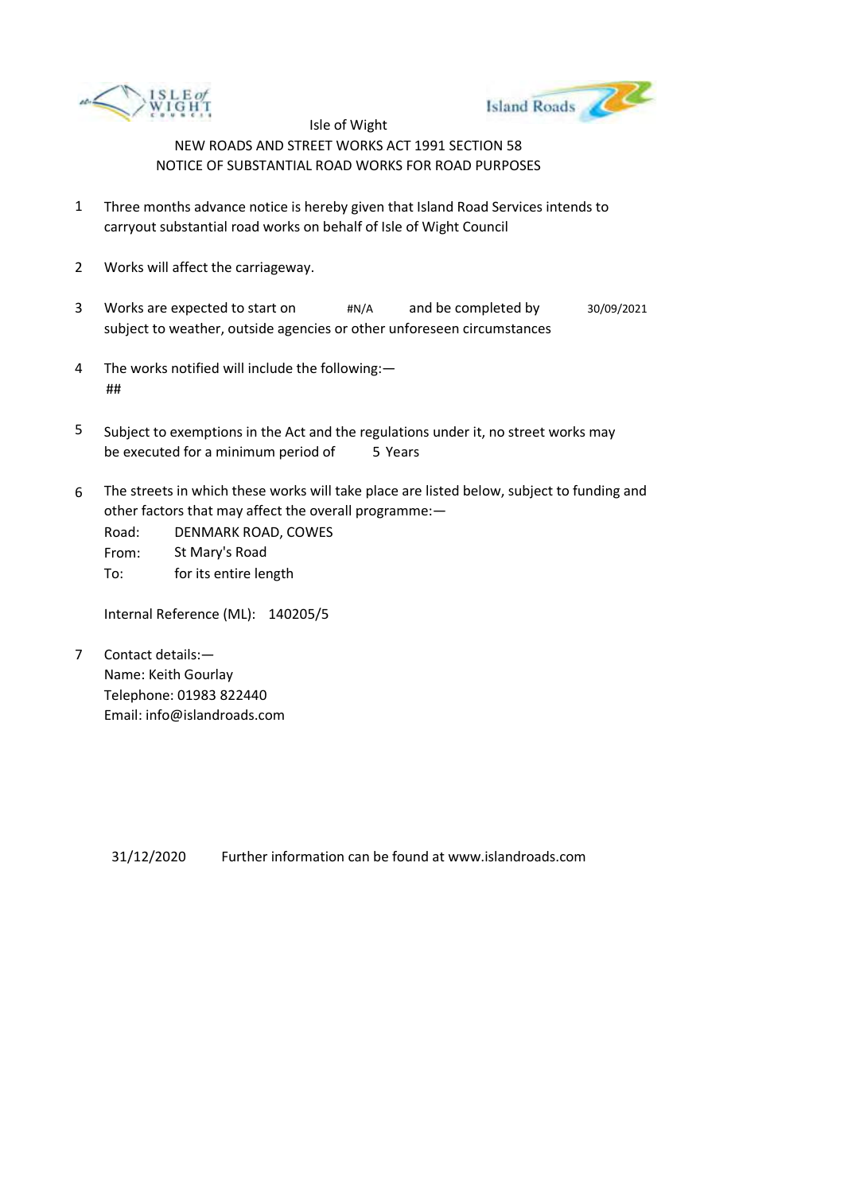



- 1 Three months advance notice is hereby given that Island Road Services intends to carryout substantial road works on behalf of Isle of Wight Council
- 2 Works will affect the carriageway.
- 3 Works are expected to start on  $\#N/A$ subject to weather, outside agencies or other unforeseen circumstances and be completed by  $30/09/2021$
- 4 The works notified will include the following:— ##
- 5 be executed for a minimum period of 5 Years Subject to exemptions in the Act and the regulations under it, no street works may
- 6 The streets in which these works will take place are listed below, subject to funding and other factors that may affect the overall programme:—

Road: From: To: DENMARK ROAD, COWES St Mary's Road for its entire length

Internal Reference (ML): 140205/5

7 Contact details:— Name: Keith Gourlay Telephone: 01983 822440 Email: info@islandroads.com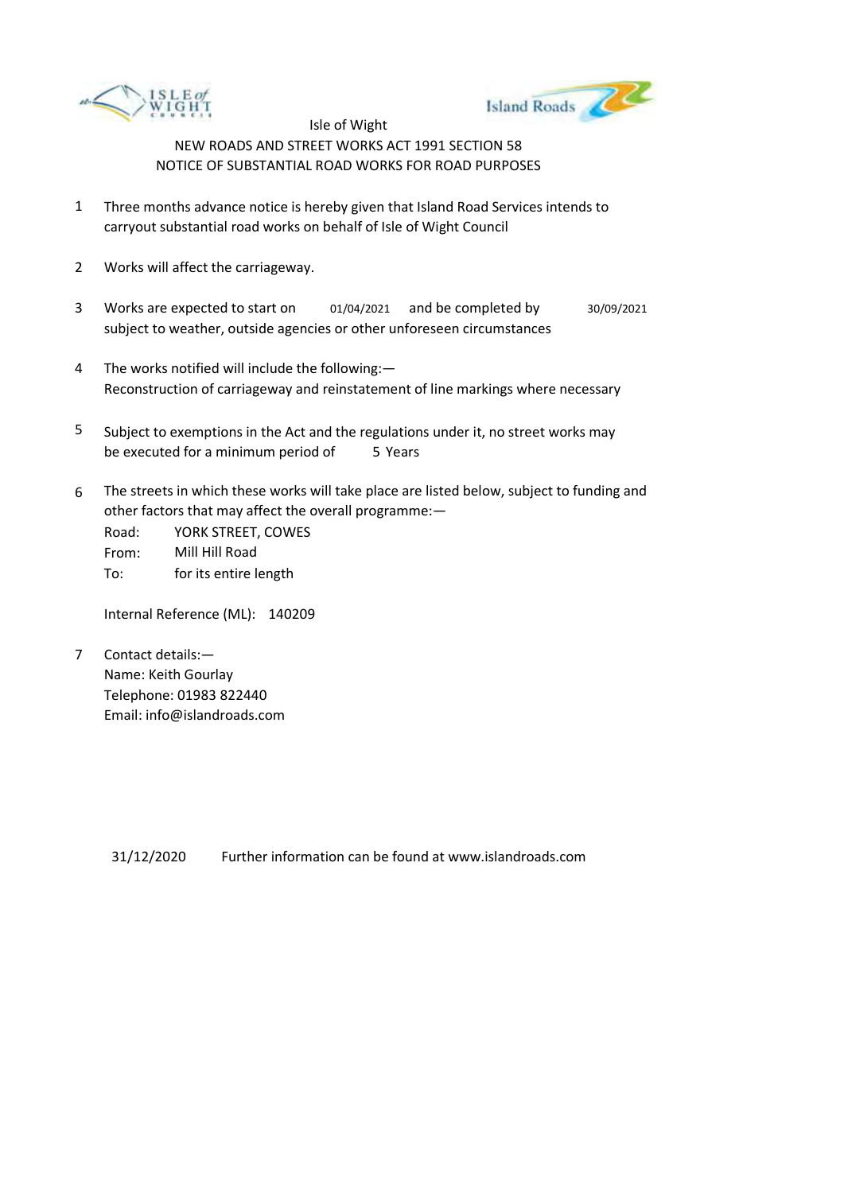



- 1 Three months advance notice is hereby given that Island Road Services intends to carryout substantial road works on behalf of Isle of Wight Council
- 2 Works will affect the carriageway.
- 3 Works are expected to start on subject to weather, outside agencies or other unforeseen circumstances 01/04/2021 and be completed by 30/09/2021
- 4 The works notified will include the following:— Reconstruction of carriageway and reinstatement of line markings where necessary
- 5 be executed for a minimum period of 5 Years Subject to exemptions in the Act and the regulations under it, no street works may
- 6 The streets in which these works will take place are listed below, subject to funding and other factors that may affect the overall programme:—

Road: From: To: YORK STREET, COWES Mill Hill Road for its entire length

Internal Reference (ML): 140209

7 Contact details:— Name: Keith Gourlay Telephone: 01983 822440 Email: info@islandroads.com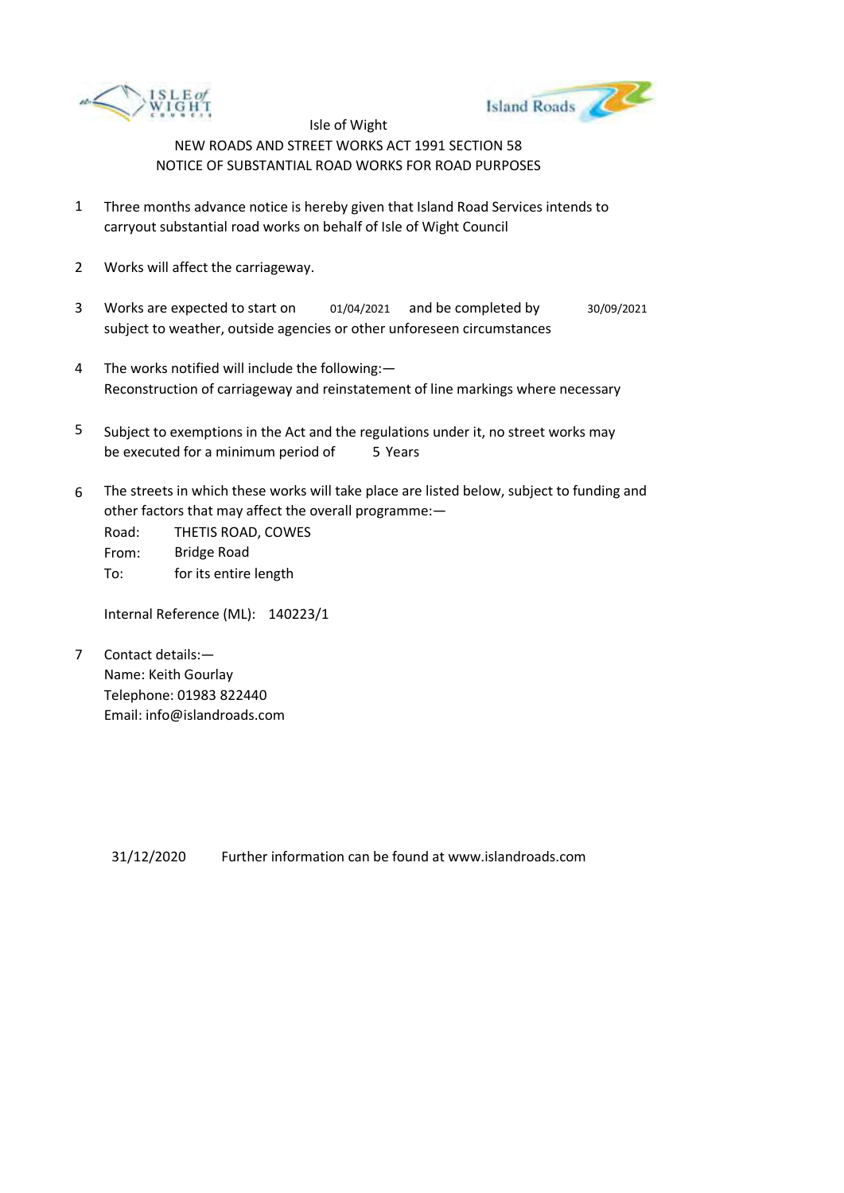



- 1 Three months advance notice is hereby given that Island Road Services intends to carryout substantial road works on behalf of Isle of Wight Council
- 2 Works will affect the carriageway.
- 3 Works are expected to start on subject to weather, outside agencies or other unforeseen circumstances 01/04/2021 and be completed by 30/09/2021
- 4 The works notified will include the following:— Reconstruction of carriageway and reinstatement of line markings where necessary
- 5 be executed for a minimum period of 5 Years Subject to exemptions in the Act and the regulations under it, no street works may
- 6 The streets in which these works will take place are listed below, subject to funding and other factors that may affect the overall programme:—

Road: From: To: THETIS ROAD, COWES Bridge Road for its entire length

Internal Reference (ML): 140223/1

7 Contact details:— Name: Keith Gourlay Telephone: 01983 822440 Email: info@islandroads.com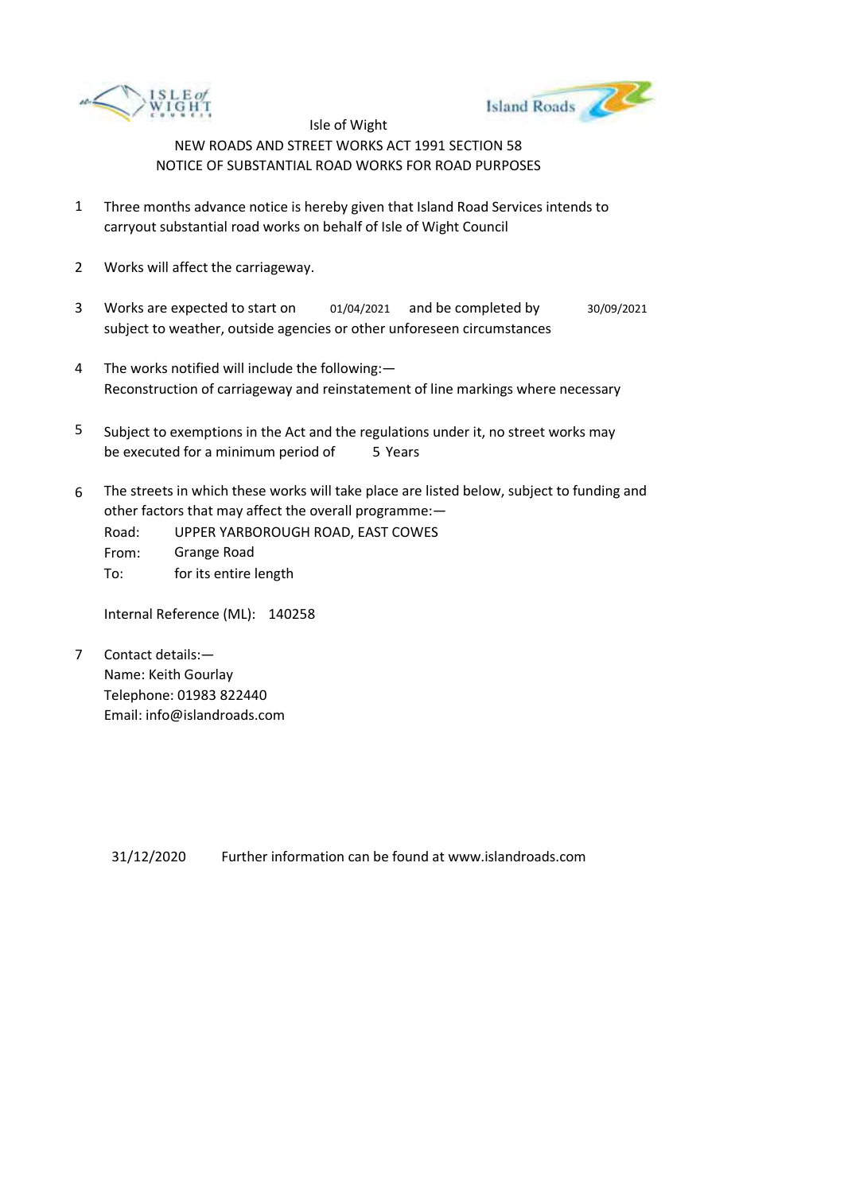



- 1 Three months advance notice is hereby given that Island Road Services intends to carryout substantial road works on behalf of Isle of Wight Council
- 2 Works will affect the carriageway.
- 3 Works are expected to start on subject to weather, outside agencies or other unforeseen circumstances 01/04/2021 and be completed by 30/09/2021
- 4 The works notified will include the following:— Reconstruction of carriageway and reinstatement of line markings where necessary
- 5 be executed for a minimum period of 5 Years Subject to exemptions in the Act and the regulations under it, no street works may
- 6 The streets in which these works will take place are listed below, subject to funding and other factors that may affect the overall programme:—
	- Road: UPPER YARBOROUGH ROAD, EAST COWES
	- From: Grange Road
	- To: for its entire length

Internal Reference (ML): 140258

7 Contact details:— Name: Keith Gourlay Telephone: 01983 822440 Email: info@islandroads.com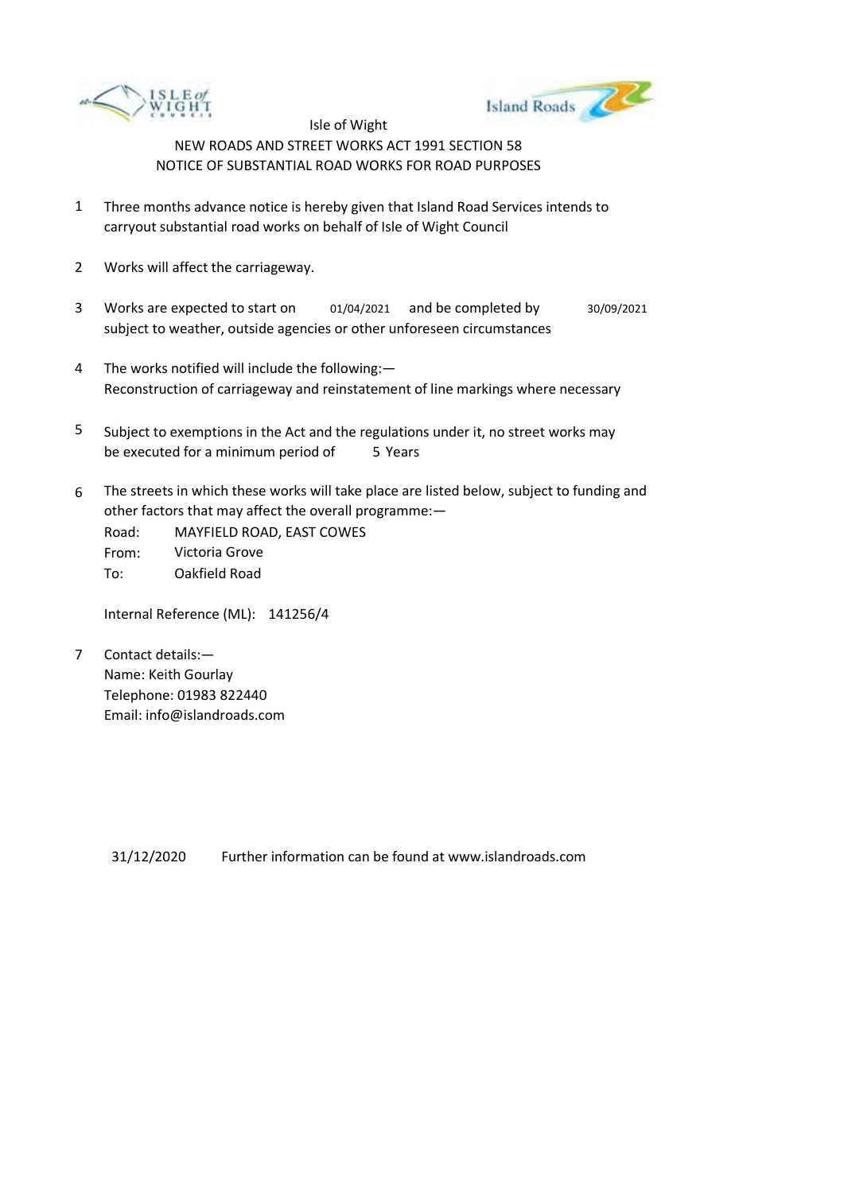



- 1 Three months advance notice is hereby given that Island Road Services intends to carryout substantial road works on behalf of Isle of Wight Council
- 2 Works will affect the carriageway.
- 3 Works are expected to start on subject to weather, outside agencies or other unforeseen circumstances 01/04/2021 and be completed by 30/09/2021
- 4 The works notified will include the following:— Reconstruction of carriageway and reinstatement of line markings where necessary
- 5 be executed for a minimum period of 5 Years Subject to exemptions in the Act and the regulations under it, no street works may
- 6 The streets in which these works will take place are listed below, subject to funding and other factors that may affect the overall programme:—

Road: From: To: MAYFIELD ROAD, EAST COWES Victoria Grove Oakfield Road

Internal Reference (ML): 141256/4

7 Contact details:— Name: Keith Gourlay Telephone: 01983 822440 Email: info@islandroads.com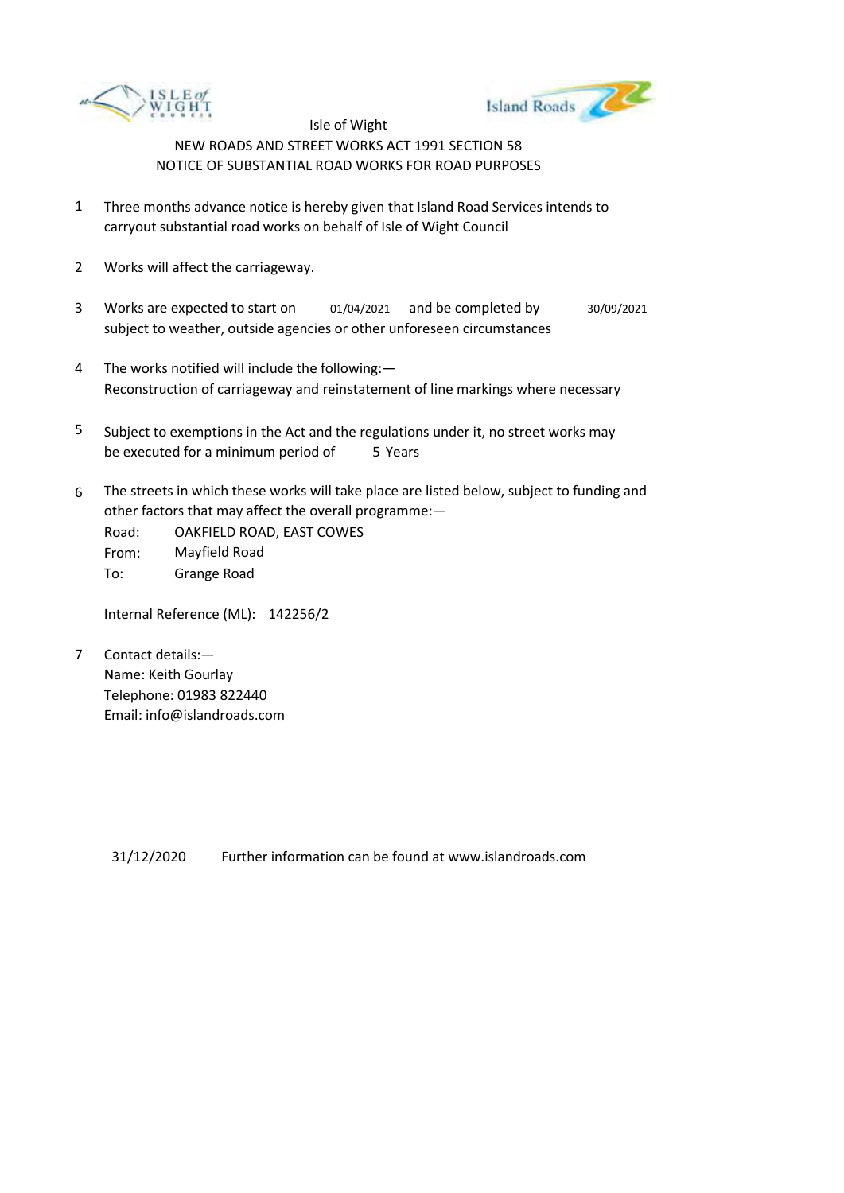



- 1 Three months advance notice is hereby given that Island Road Services intends to carryout substantial road works on behalf of Isle of Wight Council
- 2 Works will affect the carriageway.
- 3 Works are expected to start on subject to weather, outside agencies or other unforeseen circumstances 01/04/2021 and be completed by 30/09/2021
- 4 The works notified will include the following:— Reconstruction of carriageway and reinstatement of line markings where necessary
- 5 be executed for a minimum period of 5 Years Subject to exemptions in the Act and the regulations under it, no street works may
- 6 The streets in which these works will take place are listed below, subject to funding and other factors that may affect the overall programme:—
	- Road: From: To: OAKFIELD ROAD, EAST COWES Mayfield Road Grange Road

Internal Reference (ML): 142256/2

7 Contact details:— Name: Keith Gourlay Telephone: 01983 822440 Email: info@islandroads.com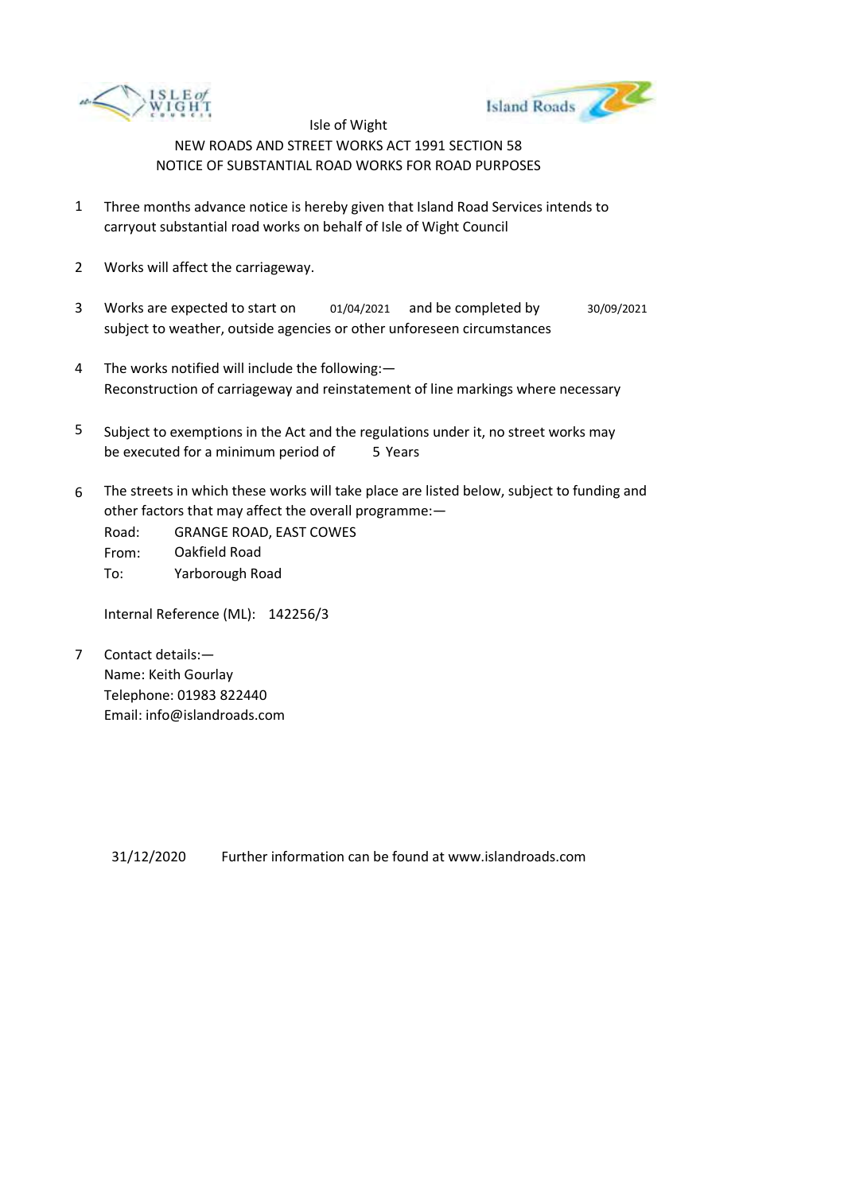



- 1 Three months advance notice is hereby given that Island Road Services intends to carryout substantial road works on behalf of Isle of Wight Council
- 2 Works will affect the carriageway.
- 3 Works are expected to start on subject to weather, outside agencies or other unforeseen circumstances 01/04/2021 and be completed by 30/09/2021
- 4 The works notified will include the following:— Reconstruction of carriageway and reinstatement of line markings where necessary
- 5 be executed for a minimum period of 5 Years Subject to exemptions in the Act and the regulations under it, no street works may
- 6 The streets in which these works will take place are listed below, subject to funding and other factors that may affect the overall programme:—

Road: From: To: GRANGE ROAD, EAST COWES Oakfield Road Yarborough Road

Internal Reference (ML): 142256/3

7 Contact details:— Name: Keith Gourlay Telephone: 01983 822440 Email: info@islandroads.com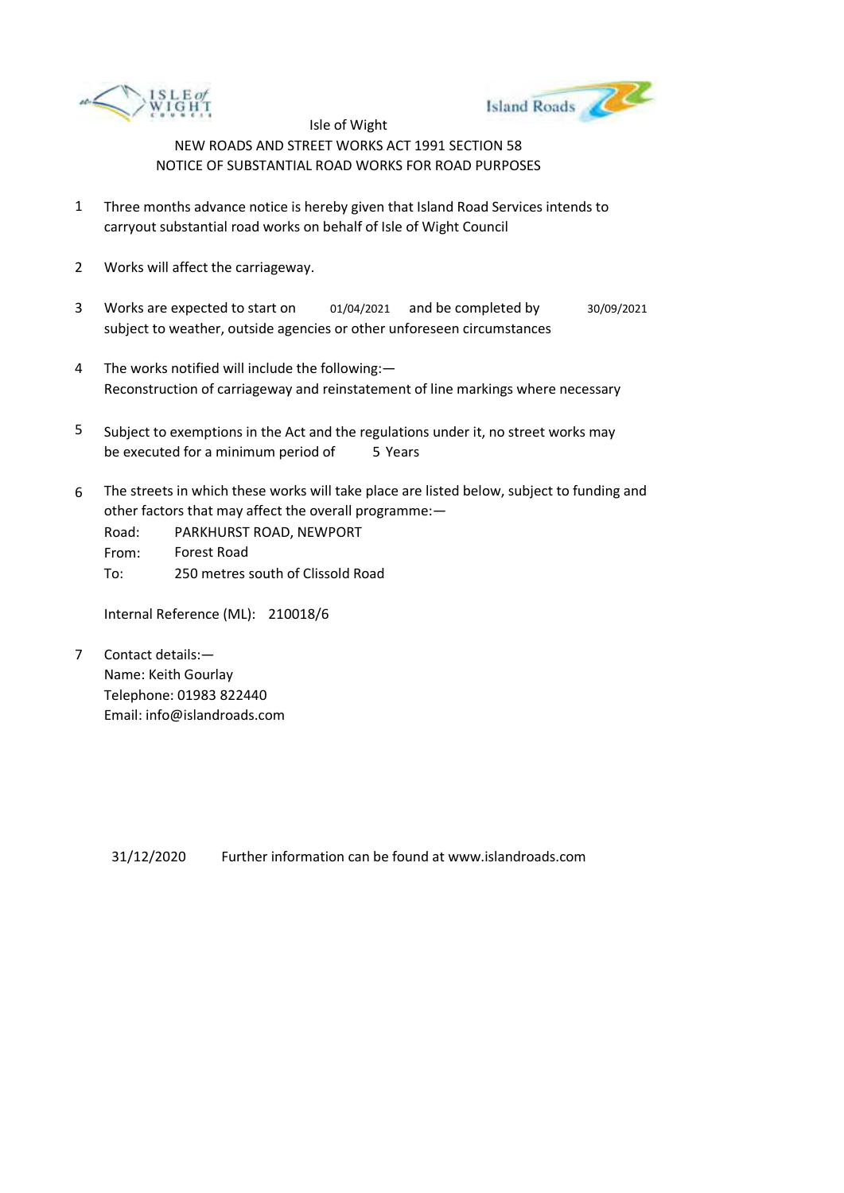



- 1 Three months advance notice is hereby given that Island Road Services intends to carryout substantial road works on behalf of Isle of Wight Council
- 2 Works will affect the carriageway.
- 3 Works are expected to start on subject to weather, outside agencies or other unforeseen circumstances 01/04/2021 and be completed by 30/09/2021
- 4 The works notified will include the following:— Reconstruction of carriageway and reinstatement of line markings where necessary
- 5 be executed for a minimum period of 5 Years Subject to exemptions in the Act and the regulations under it, no street works may
- 6 The streets in which these works will take place are listed below, subject to funding and other factors that may affect the overall programme:—
	- Road: From: To: PARKHURST ROAD, NEWPORT Forest Road 250 metres south of Clissold Road

Internal Reference (ML): 210018/6

7 Contact details:— Name: Keith Gourlay Telephone: 01983 822440 Email: info@islandroads.com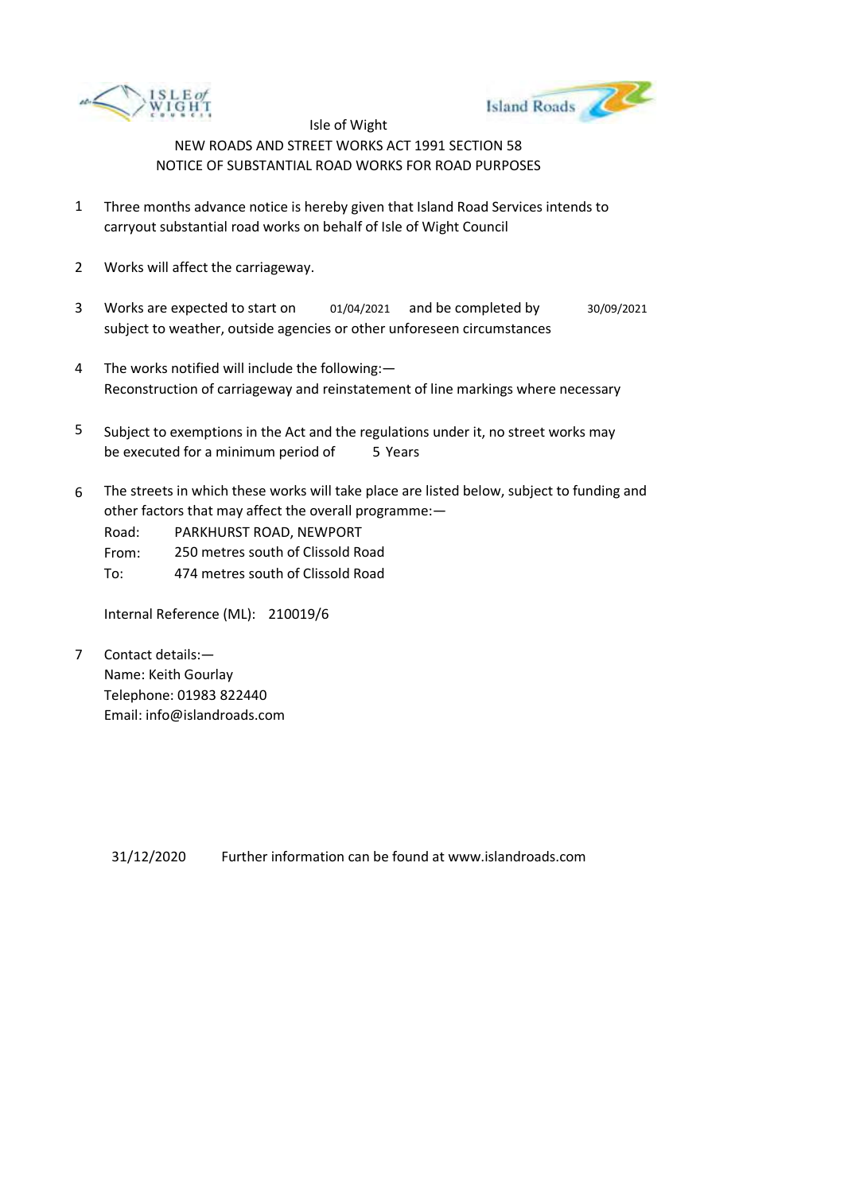



- 1 Three months advance notice is hereby given that Island Road Services intends to carryout substantial road works on behalf of Isle of Wight Council
- 2 Works will affect the carriageway.
- 3 Works are expected to start on subject to weather, outside agencies or other unforeseen circumstances 01/04/2021 and be completed by 30/09/2021
- 4 The works notified will include the following:— Reconstruction of carriageway and reinstatement of line markings where necessary
- 5 be executed for a minimum period of 5 Years Subject to exemptions in the Act and the regulations under it, no street works may
- 6 The streets in which these works will take place are listed below, subject to funding and other factors that may affect the overall programme:—

Road: PARKHURST ROAD, NEWPORT

- From: 250 metres south of Clissold Road
- To: 474 metres south of Clissold Road

Internal Reference (ML): 210019/6

7 Contact details:— Name: Keith Gourlay Telephone: 01983 822440 Email: info@islandroads.com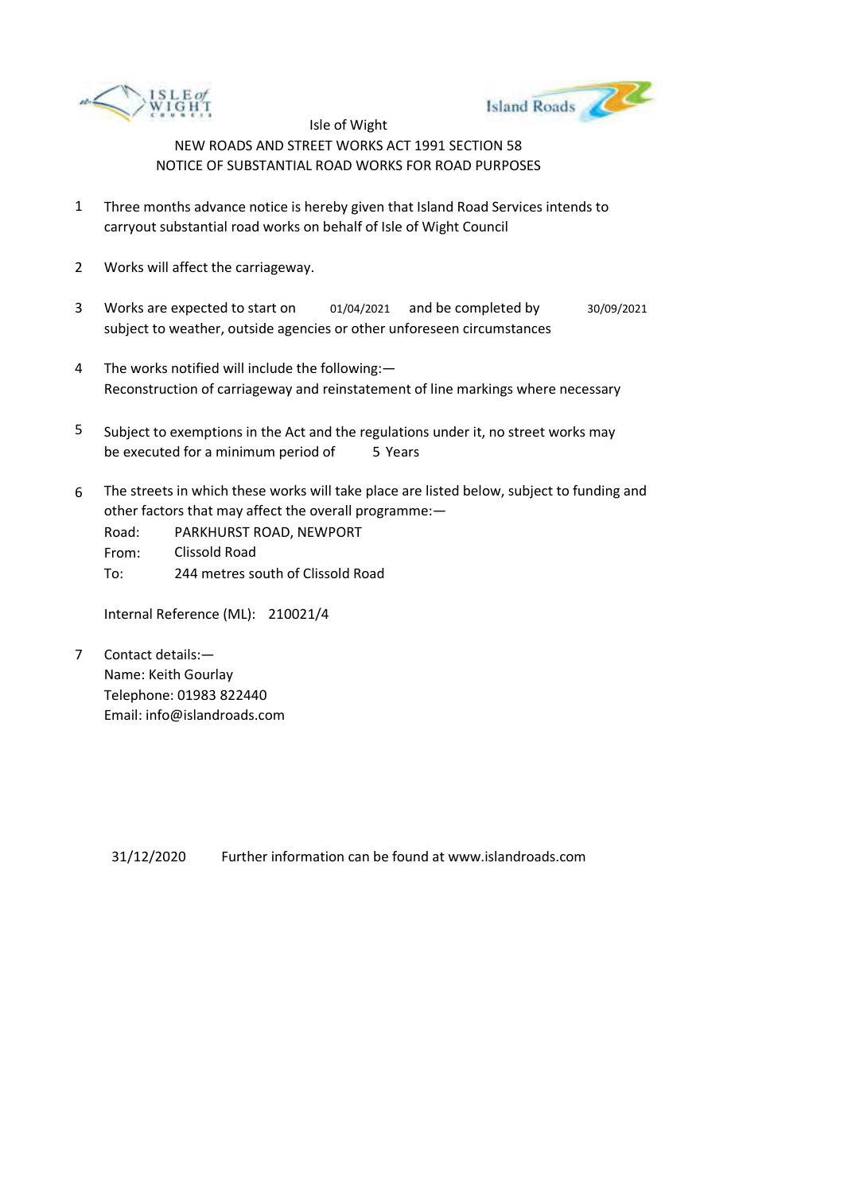



- 1 Three months advance notice is hereby given that Island Road Services intends to carryout substantial road works on behalf of Isle of Wight Council
- 2 Works will affect the carriageway.
- 3 Works are expected to start on subject to weather, outside agencies or other unforeseen circumstances 01/04/2021 and be completed by 30/09/2021
- 4 The works notified will include the following:— Reconstruction of carriageway and reinstatement of line markings where necessary
- 5 be executed for a minimum period of 5 Years Subject to exemptions in the Act and the regulations under it, no street works may
- 6 The streets in which these works will take place are listed below, subject to funding and other factors that may affect the overall programme:—
	- Road: From: To: PARKHURST ROAD, NEWPORT Clissold Road 244 metres south of Clissold Road

Internal Reference (ML): 210021/4

7 Contact details:— Name: Keith Gourlay Telephone: 01983 822440 Email: info@islandroads.com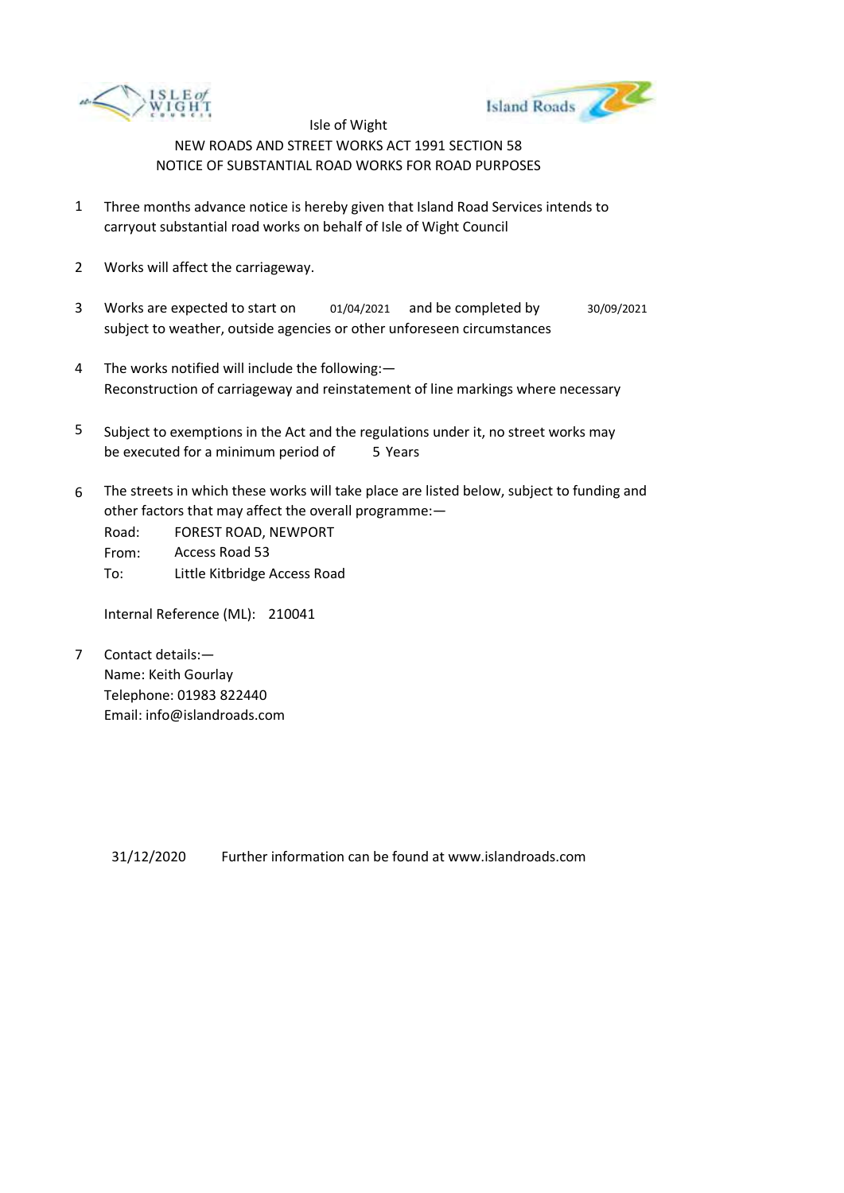



- 1 Three months advance notice is hereby given that Island Road Services intends to carryout substantial road works on behalf of Isle of Wight Council
- 2 Works will affect the carriageway.
- 3 Works are expected to start on subject to weather, outside agencies or other unforeseen circumstances 01/04/2021 and be completed by 30/09/2021
- 4 The works notified will include the following:— Reconstruction of carriageway and reinstatement of line markings where necessary
- 5 be executed for a minimum period of 5 Years Subject to exemptions in the Act and the regulations under it, no street works may
- 6 The streets in which these works will take place are listed below, subject to funding and other factors that may affect the overall programme:—

Road: From: To: FOREST ROAD, NEWPORT Access Road 53 Little Kitbridge Access Road

Internal Reference (ML): 210041

7 Contact details:— Name: Keith Gourlay Telephone: 01983 822440 Email: info@islandroads.com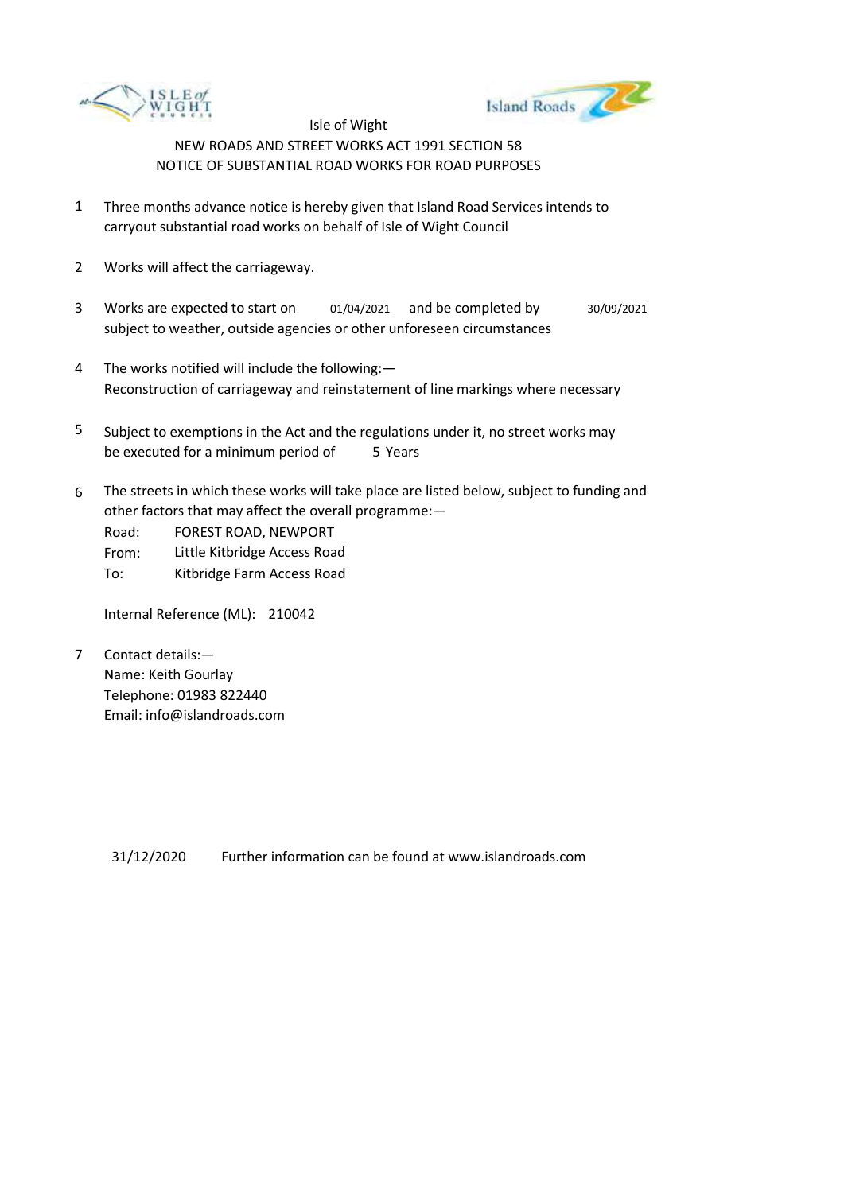



- 1 Three months advance notice is hereby given that Island Road Services intends to carryout substantial road works on behalf of Isle of Wight Council
- 2 Works will affect the carriageway.
- 3 Works are expected to start on subject to weather, outside agencies or other unforeseen circumstances 01/04/2021 and be completed by 30/09/2021
- 4 The works notified will include the following:— Reconstruction of carriageway and reinstatement of line markings where necessary
- 5 be executed for a minimum period of 5 Years Subject to exemptions in the Act and the regulations under it, no street works may
- 6 The streets in which these works will take place are listed below, subject to funding and other factors that may affect the overall programme:—

Road: FOREST ROAD, NEWPORT

From: Little Kitbridge Access Road

To: Kitbridge Farm Access Road

Internal Reference (ML): 210042

7 Contact details:— Name: Keith Gourlay Telephone: 01983 822440 Email: info@islandroads.com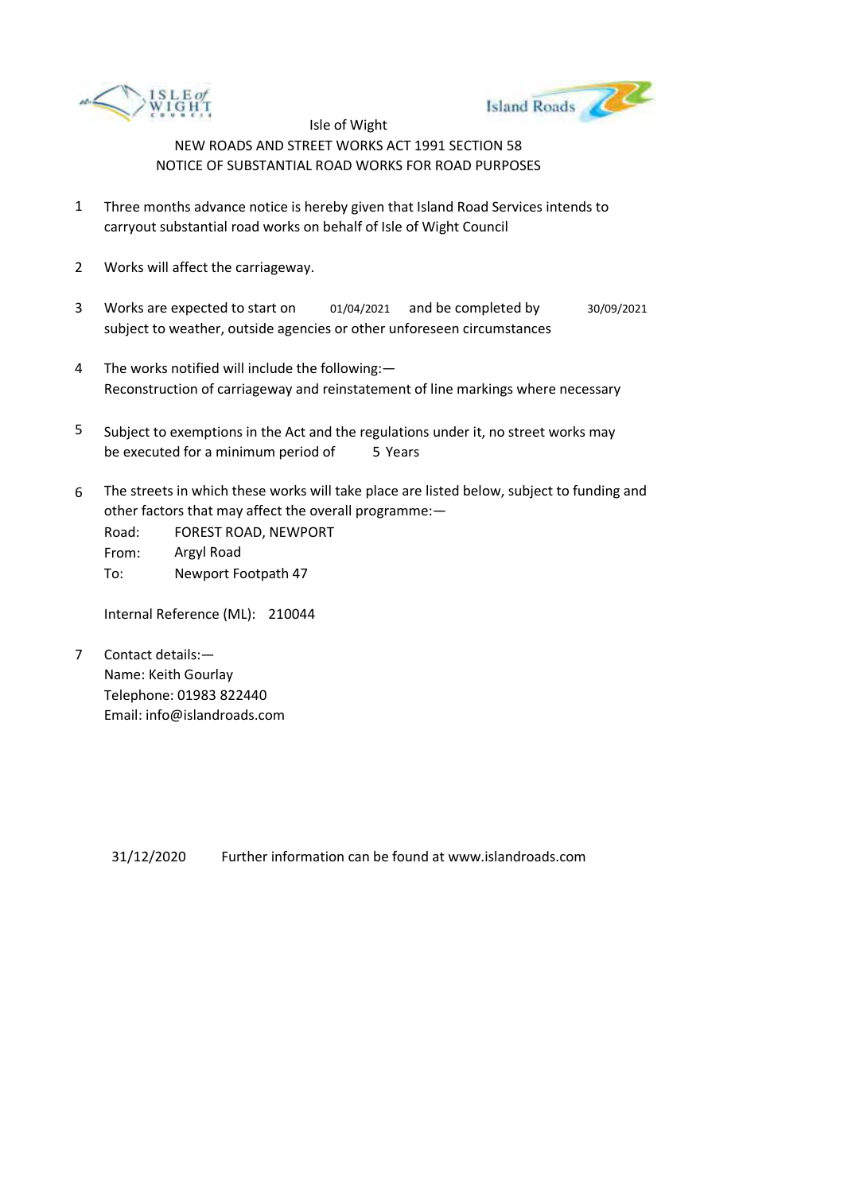



- 1 Three months advance notice is hereby given that Island Road Services intends to carryout substantial road works on behalf of Isle of Wight Council
- 2 Works will affect the carriageway.
- 3 Works are expected to start on subject to weather, outside agencies or other unforeseen circumstances 01/04/2021 and be completed by 30/09/2021
- 4 The works notified will include the following:— Reconstruction of carriageway and reinstatement of line markings where necessary
- 5 be executed for a minimum period of 5 Years Subject to exemptions in the Act and the regulations under it, no street works may
- 6 The streets in which these works will take place are listed below, subject to funding and other factors that may affect the overall programme:—

Road: From: To: FOREST ROAD, NEWPORT Argyl Road Newport Footpath 47

Internal Reference (ML): 210044

7 Contact details:— Name: Keith Gourlay Telephone: 01983 822440 Email: info@islandroads.com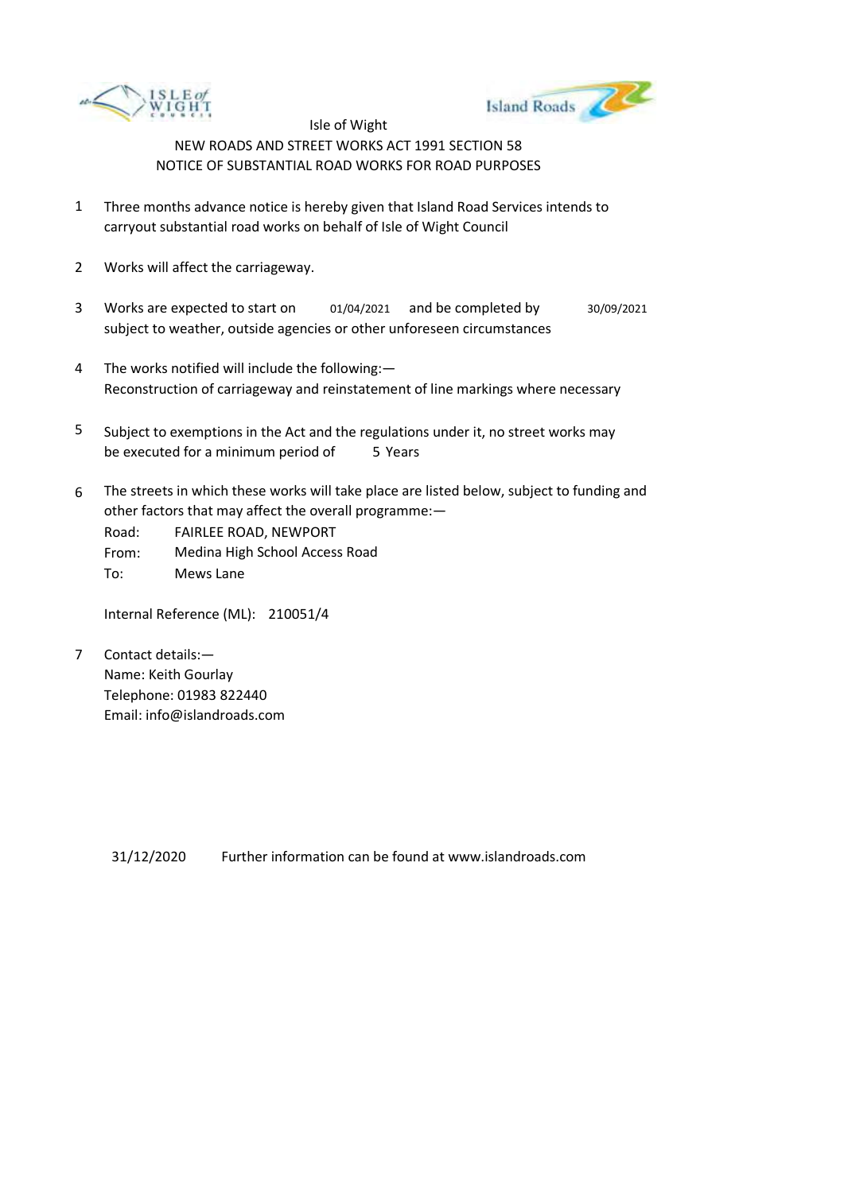



- 1 Three months advance notice is hereby given that Island Road Services intends to carryout substantial road works on behalf of Isle of Wight Council
- 2 Works will affect the carriageway.
- 3 Works are expected to start on subject to weather, outside agencies or other unforeseen circumstances 01/04/2021 and be completed by 30/09/2021
- 4 The works notified will include the following:— Reconstruction of carriageway and reinstatement of line markings where necessary
- 5 be executed for a minimum period of 5 Years Subject to exemptions in the Act and the regulations under it, no street works may
- 6 The streets in which these works will take place are listed below, subject to funding and other factors that may affect the overall programme:—

Road: From: To: FAIRLEE ROAD, NEWPORT Medina High School Access Road Mews Lane

Internal Reference (ML): 210051/4

7 Contact details:— Name: Keith Gourlay Telephone: 01983 822440 Email: info@islandroads.com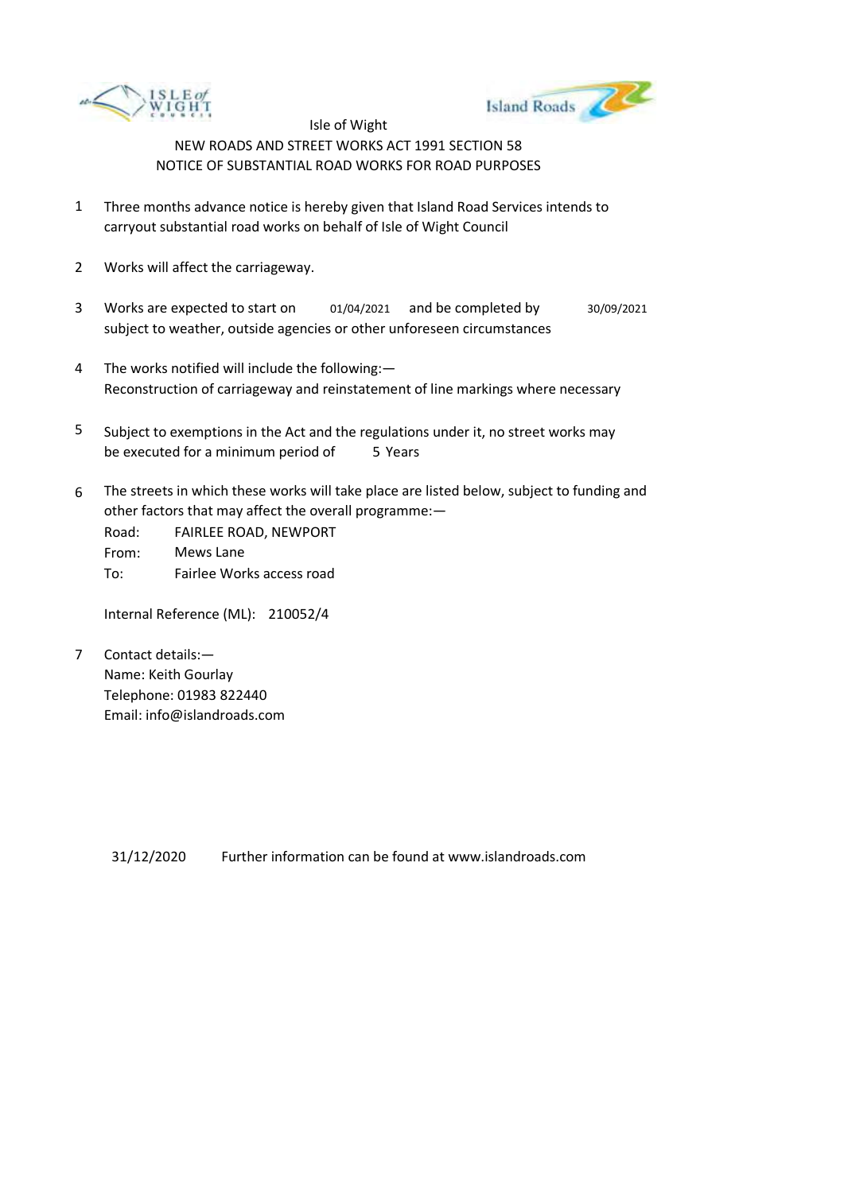



- 1 Three months advance notice is hereby given that Island Road Services intends to carryout substantial road works on behalf of Isle of Wight Council
- 2 Works will affect the carriageway.
- 3 Works are expected to start on subject to weather, outside agencies or other unforeseen circumstances 01/04/2021 and be completed by 30/09/2021
- 4 The works notified will include the following:— Reconstruction of carriageway and reinstatement of line markings where necessary
- 5 be executed for a minimum period of 5 Years Subject to exemptions in the Act and the regulations under it, no street works may
- 6 The streets in which these works will take place are listed below, subject to funding and other factors that may affect the overall programme:—

Road: From: To: FAIRLEE ROAD, NEWPORT Mews Lane Fairlee Works access road

Internal Reference (ML): 210052/4

7 Contact details:— Name: Keith Gourlay Telephone: 01983 822440 Email: info@islandroads.com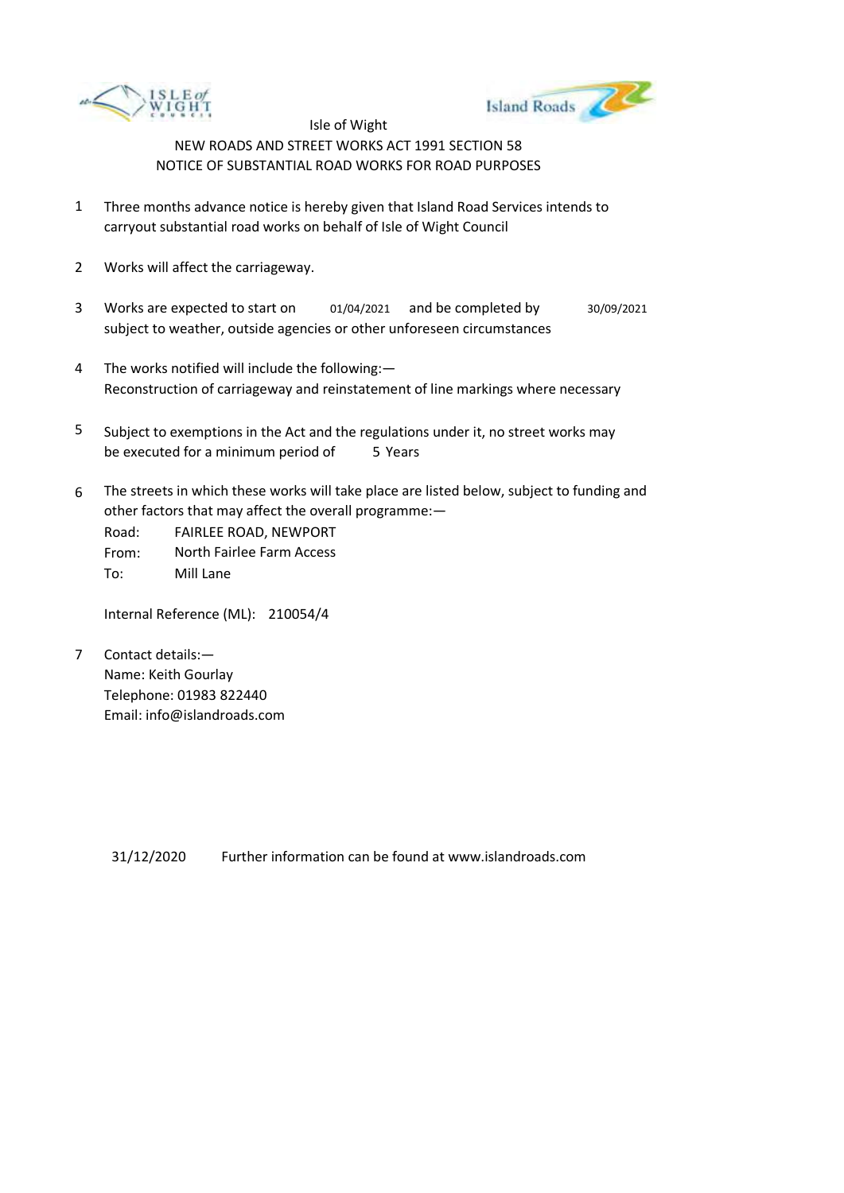



- 1 Three months advance notice is hereby given that Island Road Services intends to carryout substantial road works on behalf of Isle of Wight Council
- 2 Works will affect the carriageway.
- 3 Works are expected to start on subject to weather, outside agencies or other unforeseen circumstances 01/04/2021 and be completed by 30/09/2021
- 4 The works notified will include the following:— Reconstruction of carriageway and reinstatement of line markings where necessary
- 5 be executed for a minimum period of 5 Years Subject to exemptions in the Act and the regulations under it, no street works may
- 6 The streets in which these works will take place are listed below, subject to funding and other factors that may affect the overall programme:—

Road: From: To: FAIRLEE ROAD, NEWPORT North Fairlee Farm Access Mill Lane

Internal Reference (ML): 210054/4

7 Contact details:— Name: Keith Gourlay Telephone: 01983 822440 Email: info@islandroads.com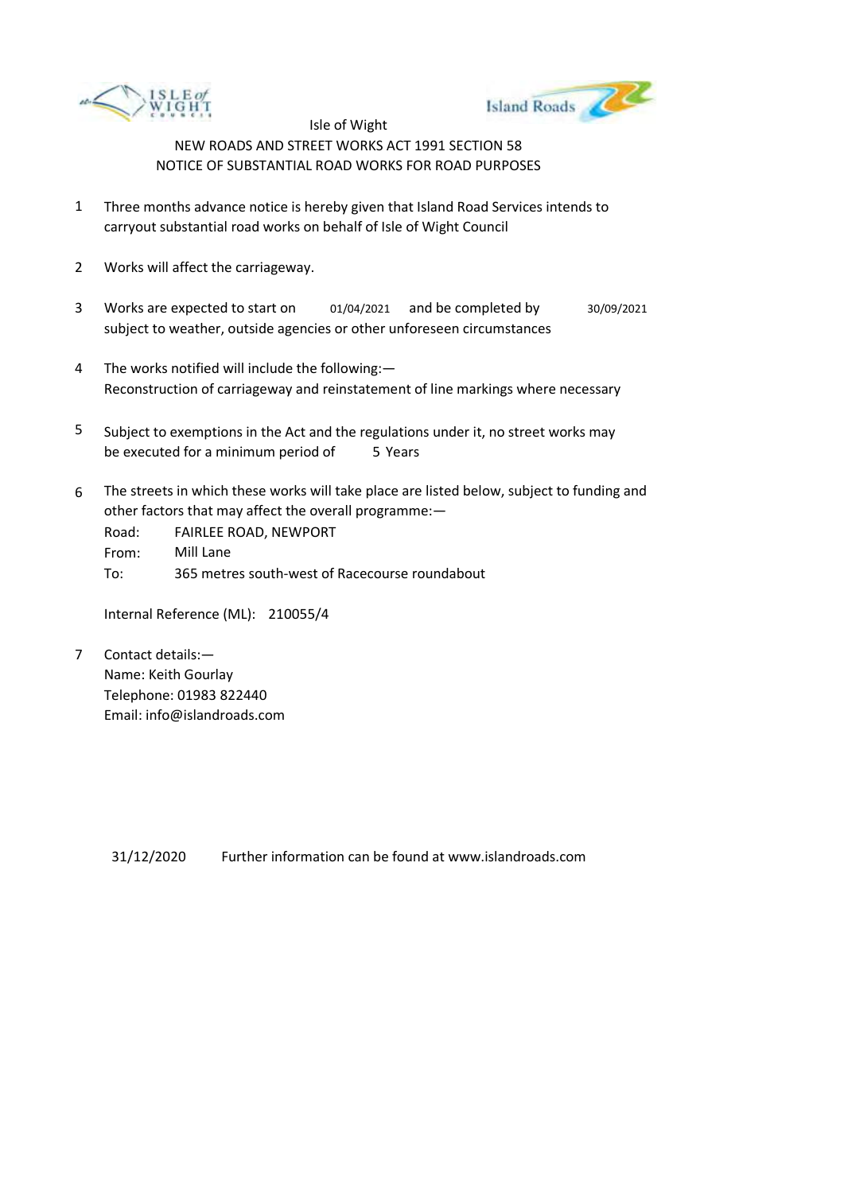



- 1 Three months advance notice is hereby given that Island Road Services intends to carryout substantial road works on behalf of Isle of Wight Council
- 2 Works will affect the carriageway.
- 3 Works are expected to start on subject to weather, outside agencies or other unforeseen circumstances 01/04/2021 and be completed by 30/09/2021
- 4 The works notified will include the following:— Reconstruction of carriageway and reinstatement of line markings where necessary
- 5 be executed for a minimum period of 5 Years Subject to exemptions in the Act and the regulations under it, no street works may
- 6 The streets in which these works will take place are listed below, subject to funding and other factors that may affect the overall programme:—

Road: From: To: FAIRLEE ROAD, NEWPORT Mill Lane 365 metres south-west of Racecourse roundabout

Internal Reference (ML): 210055/4

7 Contact details:— Name: Keith Gourlay Telephone: 01983 822440 Email: info@islandroads.com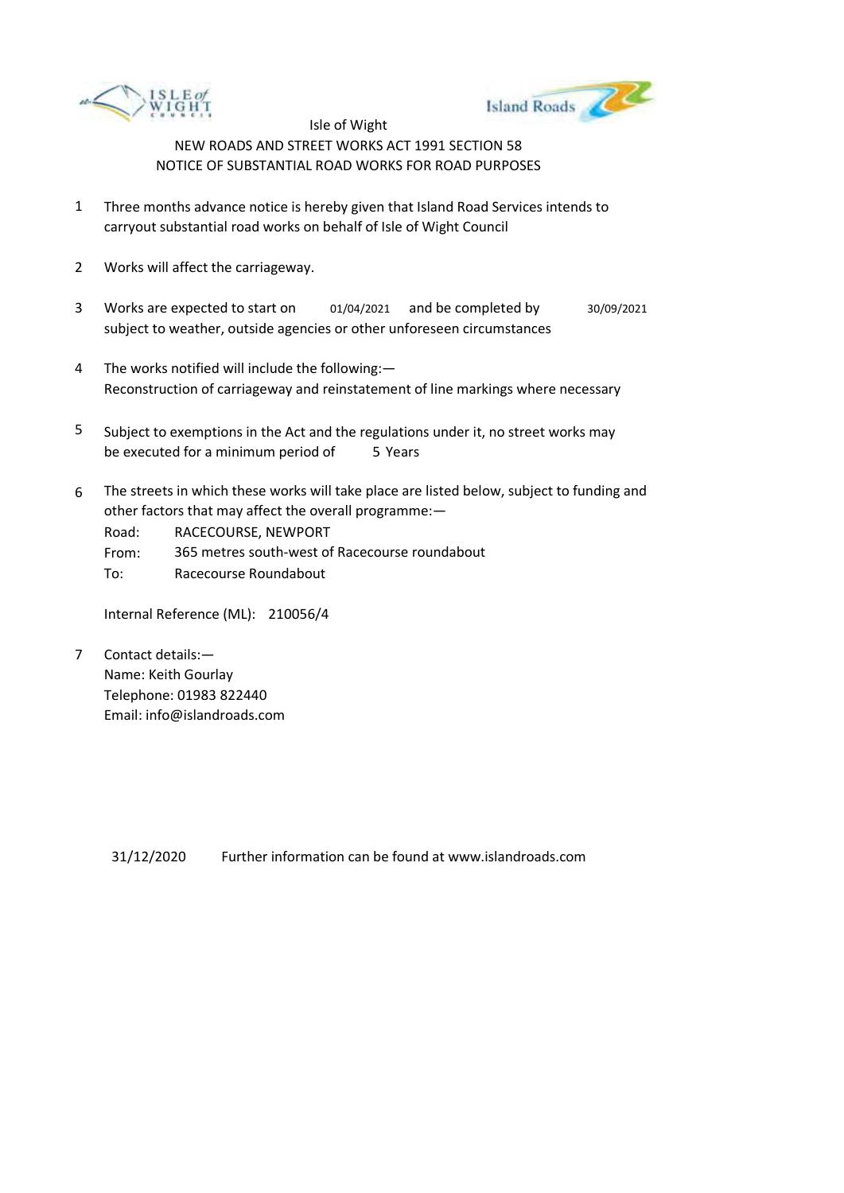



- 1 Three months advance notice is hereby given that Island Road Services intends to carryout substantial road works on behalf of Isle of Wight Council
- 2 Works will affect the carriageway.
- 3 Works are expected to start on subject to weather, outside agencies or other unforeseen circumstances 01/04/2021 and be completed by 30/09/2021
- 4 The works notified will include the following:— Reconstruction of carriageway and reinstatement of line markings where necessary
- 5 be executed for a minimum period of 5 Years Subject to exemptions in the Act and the regulations under it, no street works may
- 6 The streets in which these works will take place are listed below, subject to funding and other factors that may affect the overall programme:—

Road: RACECOURSE, NEWPORT

From: 365 metres south-west of Racecourse roundabout

To: Racecourse Roundabout

Internal Reference (ML): 210056/4

7 Contact details:— Name: Keith Gourlay Telephone: 01983 822440 Email: info@islandroads.com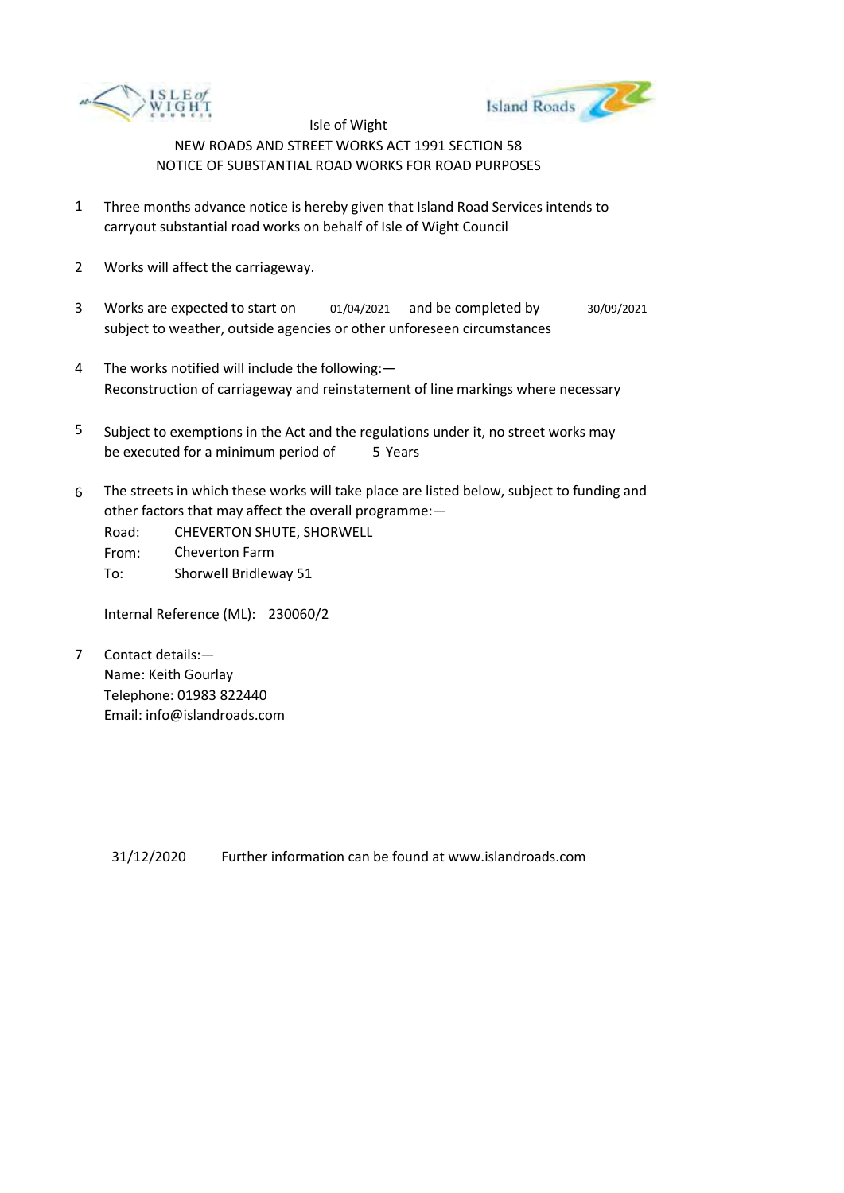



- 1 Three months advance notice is hereby given that Island Road Services intends to carryout substantial road works on behalf of Isle of Wight Council
- 2 Works will affect the carriageway.
- 3 Works are expected to start on subject to weather, outside agencies or other unforeseen circumstances 01/04/2021 and be completed by 30/09/2021
- 4 The works notified will include the following:— Reconstruction of carriageway and reinstatement of line markings where necessary
- 5 be executed for a minimum period of 5 Years Subject to exemptions in the Act and the regulations under it, no street works may
- 6 The streets in which these works will take place are listed below, subject to funding and other factors that may affect the overall programme:—
	- Road: From: CHEVERTON SHUTE, SHORWELL Cheverton Farm
	- To: Shorwell Bridleway 51

Internal Reference (ML): 230060/2

7 Contact details:— Name: Keith Gourlay Telephone: 01983 822440 Email: info@islandroads.com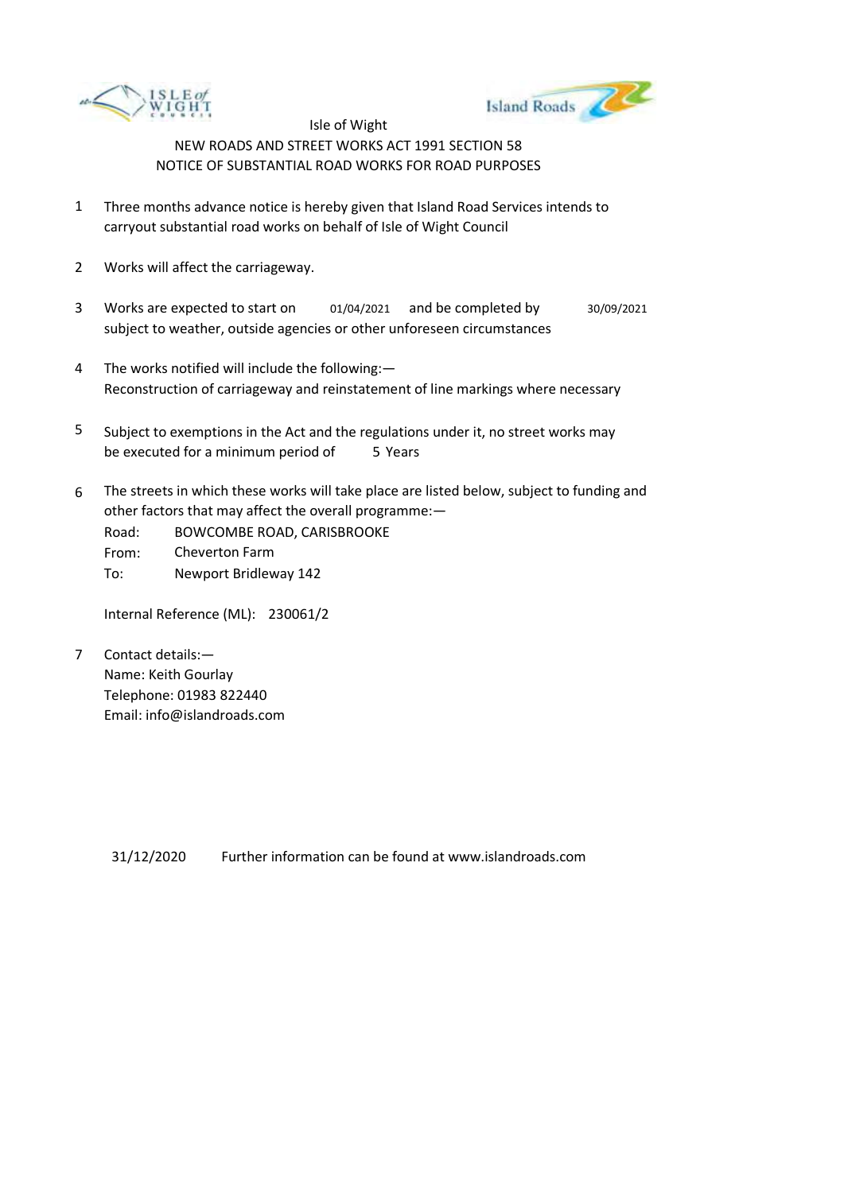



- 1 Three months advance notice is hereby given that Island Road Services intends to carryout substantial road works on behalf of Isle of Wight Council
- 2 Works will affect the carriageway.
- 3 Works are expected to start on subject to weather, outside agencies or other unforeseen circumstances 01/04/2021 and be completed by 30/09/2021
- 4 The works notified will include the following:— Reconstruction of carriageway and reinstatement of line markings where necessary
- 5 be executed for a minimum period of 5 Years Subject to exemptions in the Act and the regulations under it, no street works may
- 6 The streets in which these works will take place are listed below, subject to funding and other factors that may affect the overall programme:—
	- Road: From: BOWCOMBE ROAD, CARISBROOKE Cheverton Farm
	- To: Newport Bridleway 142

Internal Reference (ML): 230061/2

7 Contact details:— Name: Keith Gourlay Telephone: 01983 822440 Email: info@islandroads.com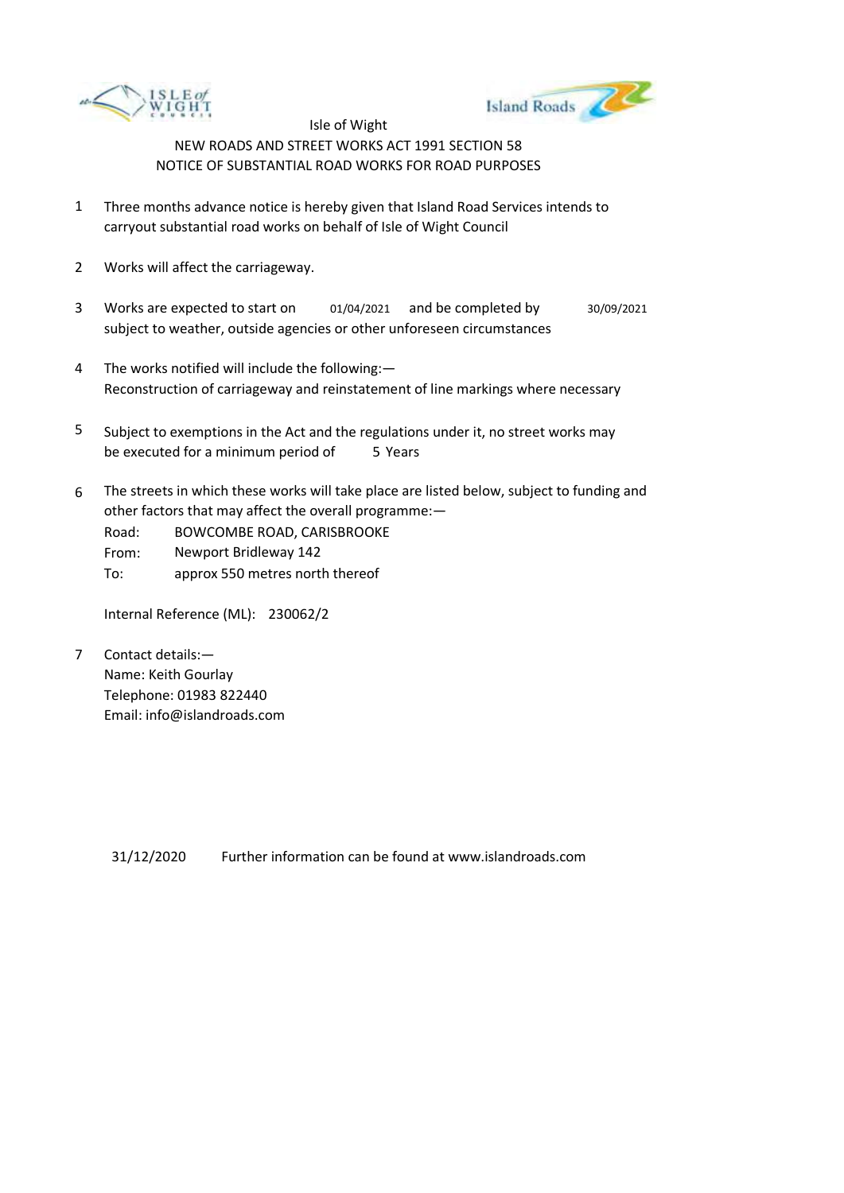



- 1 Three months advance notice is hereby given that Island Road Services intends to carryout substantial road works on behalf of Isle of Wight Council
- 2 Works will affect the carriageway.
- 3 Works are expected to start on 01/04/2021 and be completed by 30/09/2021 subject to weather, outside agencies or other unforeseen circumstances
- 4 The works notified will include the following:— Reconstruction of carriageway and reinstatement of line markings where necessary
- 5 be executed for a minimum period of 5 Years Subject to exemptions in the Act and the regulations under it, no street works may
- 6 The streets in which these works will take place are listed below, subject to funding and other factors that may affect the overall programme:—
	- Road: BOWCOMBE ROAD, CARISBROOKE
	- From: Newport Bridleway 142
	- To: approx 550 metres north thereof

Internal Reference (ML): 230062/2

7 Contact details:— Name: Keith Gourlay Telephone: 01983 822440 Email: info@islandroads.com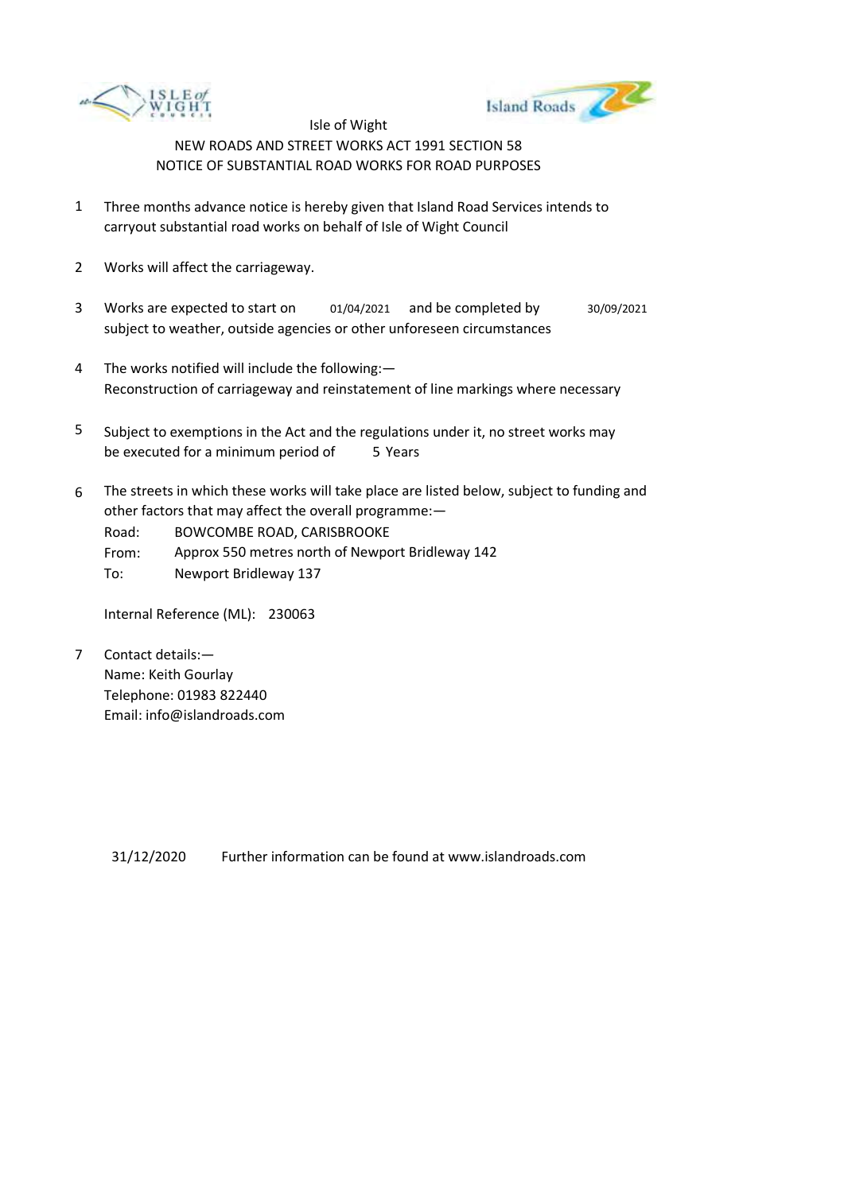



- 1 Three months advance notice is hereby given that Island Road Services intends to carryout substantial road works on behalf of Isle of Wight Council
- 2 Works will affect the carriageway.
- 3 Works are expected to start on subject to weather, outside agencies or other unforeseen circumstances 01/04/2021 and be completed by 30/09/2021
- 4 The works notified will include the following:— Reconstruction of carriageway and reinstatement of line markings where necessary
- 5 be executed for a minimum period of 5 Years Subject to exemptions in the Act and the regulations under it, no street works may
- 6 The streets in which these works will take place are listed below, subject to funding and other factors that may affect the overall programme:—

Road: BOWCOMBE ROAD, CARISBROOKE

- From: Approx 550 metres north of Newport Bridleway 142
- To: Newport Bridleway 137

Internal Reference (ML): 230063

7 Contact details:— Name: Keith Gourlay Telephone: 01983 822440 Email: info@islandroads.com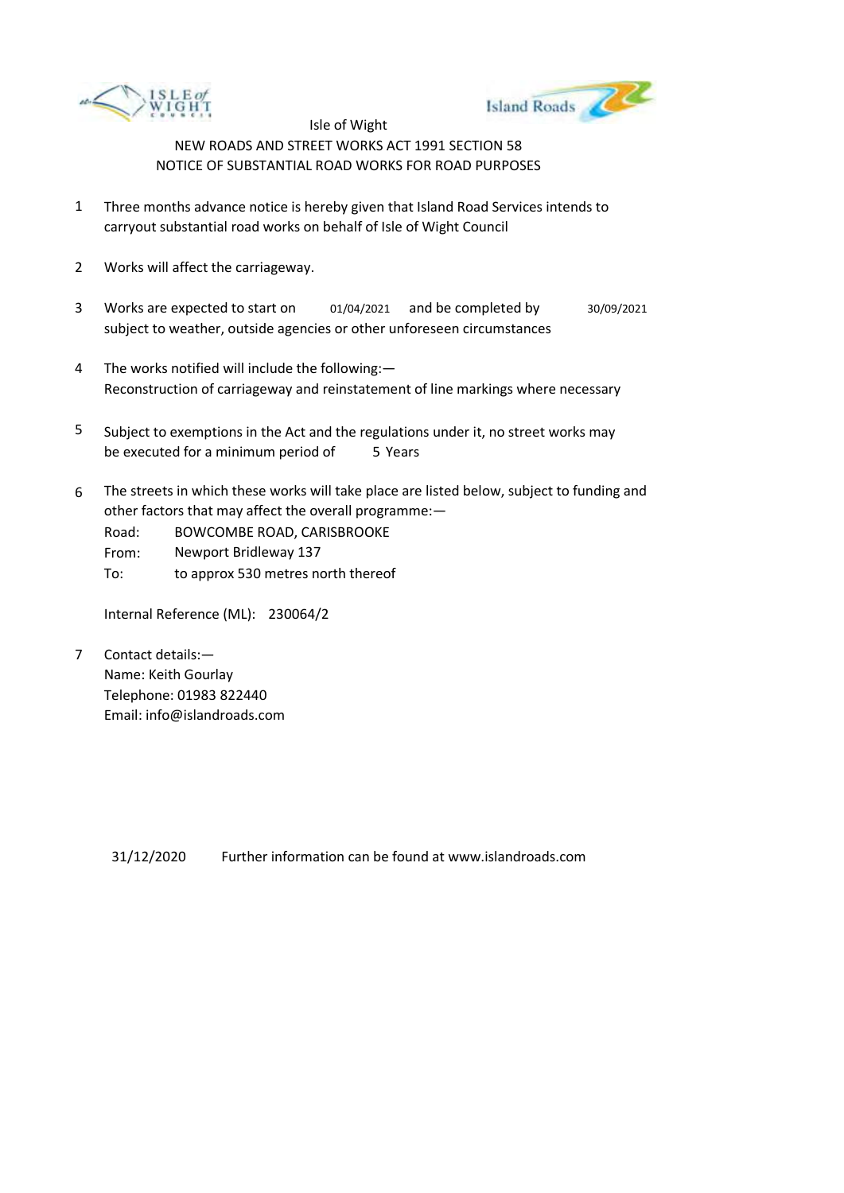



- 1 Three months advance notice is hereby given that Island Road Services intends to carryout substantial road works on behalf of Isle of Wight Council
- 2 Works will affect the carriageway.
- 3 Works are expected to start on 01/04/2021 and be completed by 30/09/2021 subject to weather, outside agencies or other unforeseen circumstances
- 4 The works notified will include the following:— Reconstruction of carriageway and reinstatement of line markings where necessary
- 5 be executed for a minimum period of 5 Years Subject to exemptions in the Act and the regulations under it, no street works may
- 6 The streets in which these works will take place are listed below, subject to funding and other factors that may affect the overall programme:—
	- Road: BOWCOMBE ROAD, CARISBROOKE
	- From: Newport Bridleway 137
	- To: to approx 530 metres north thereof

Internal Reference (ML): 230064/2

7 Contact details:— Name: Keith Gourlay Telephone: 01983 822440 Email: info@islandroads.com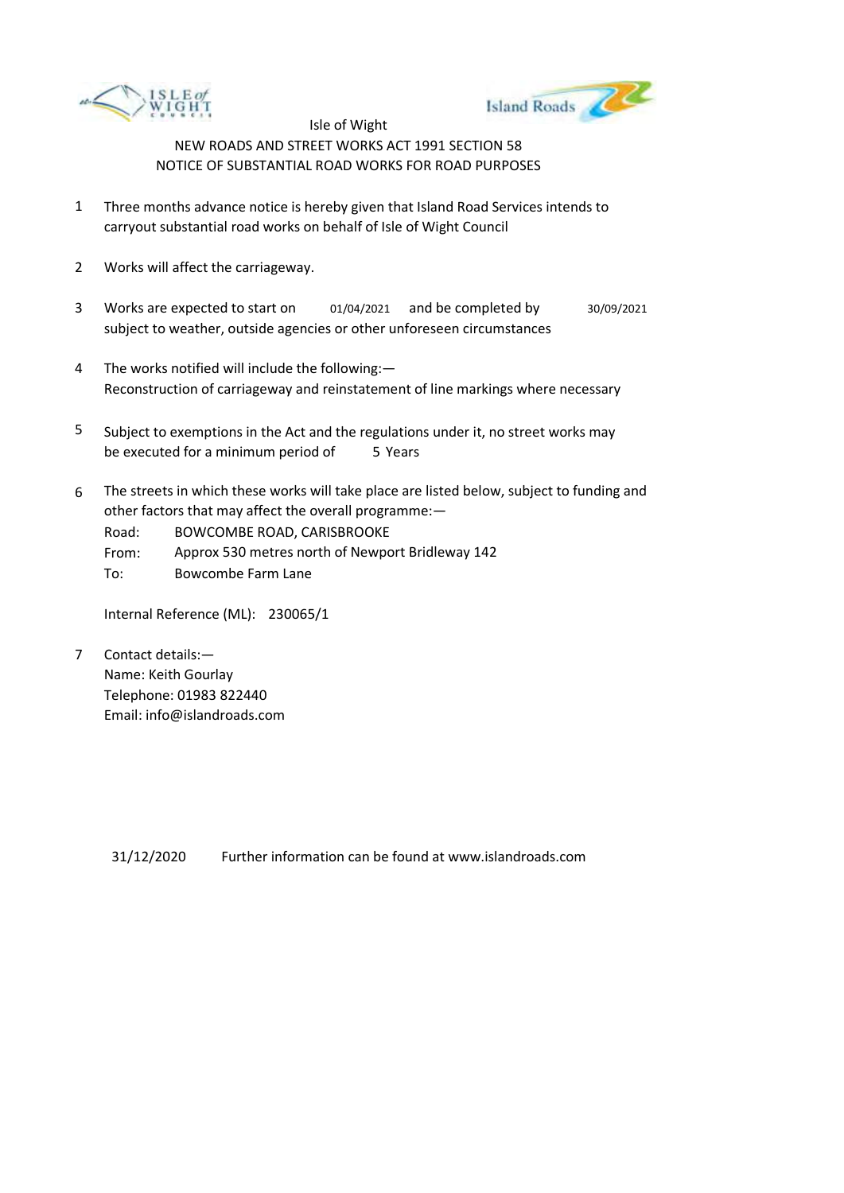



- 1 Three months advance notice is hereby given that Island Road Services intends to carryout substantial road works on behalf of Isle of Wight Council
- 2 Works will affect the carriageway.
- 3 Works are expected to start on 01/04/2021 and be completed by 30/09/2021 subject to weather, outside agencies or other unforeseen circumstances
- 4 The works notified will include the following:— Reconstruction of carriageway and reinstatement of line markings where necessary
- 5 be executed for a minimum period of 5 Years Subject to exemptions in the Act and the regulations under it, no street works may
- 6 The streets in which these works will take place are listed below, subject to funding and other factors that may affect the overall programme:—

Road: BOWCOMBE ROAD, CARISBROOKE

- From: Approx 530 metres north of Newport Bridleway 142
- To: Bowcombe Farm Lane

Internal Reference (ML): 230065/1

7 Contact details:— Name: Keith Gourlay Telephone: 01983 822440 Email: info@islandroads.com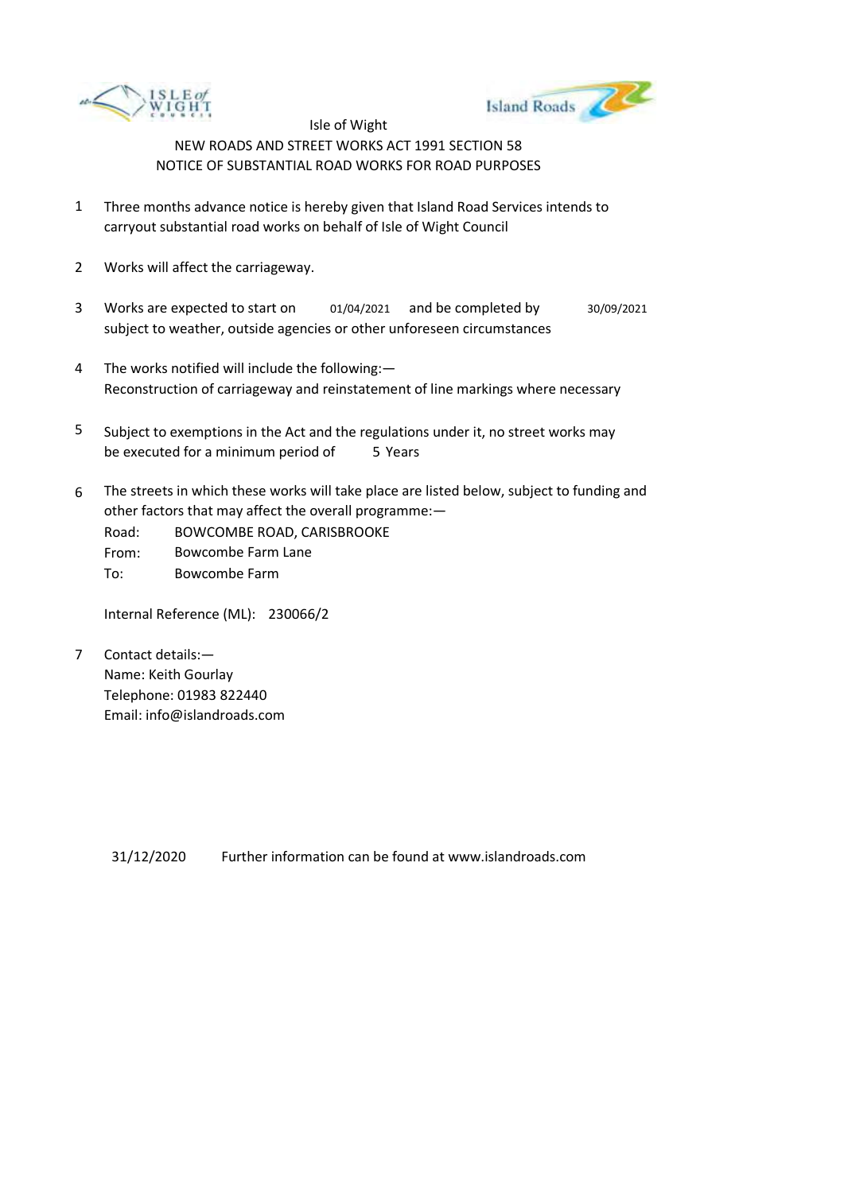



- 1 Three months advance notice is hereby given that Island Road Services intends to carryout substantial road works on behalf of Isle of Wight Council
- 2 Works will affect the carriageway.
- 3 Works are expected to start on 01/04/2021 and be completed by 30/09/2021 subject to weather, outside agencies or other unforeseen circumstances
- 4 The works notified will include the following:— Reconstruction of carriageway and reinstatement of line markings where necessary
- 5 be executed for a minimum period of 5 Years Subject to exemptions in the Act and the regulations under it, no street works may
- 6 The streets in which these works will take place are listed below, subject to funding and other factors that may affect the overall programme:—
	- Road: BOWCOMBE ROAD, CARISBROOKE

From: Bowcombe Farm Lane

To: Bowcombe Farm

Internal Reference (ML): 230066/2

7 Contact details:— Name: Keith Gourlay Telephone: 01983 822440 Email: info@islandroads.com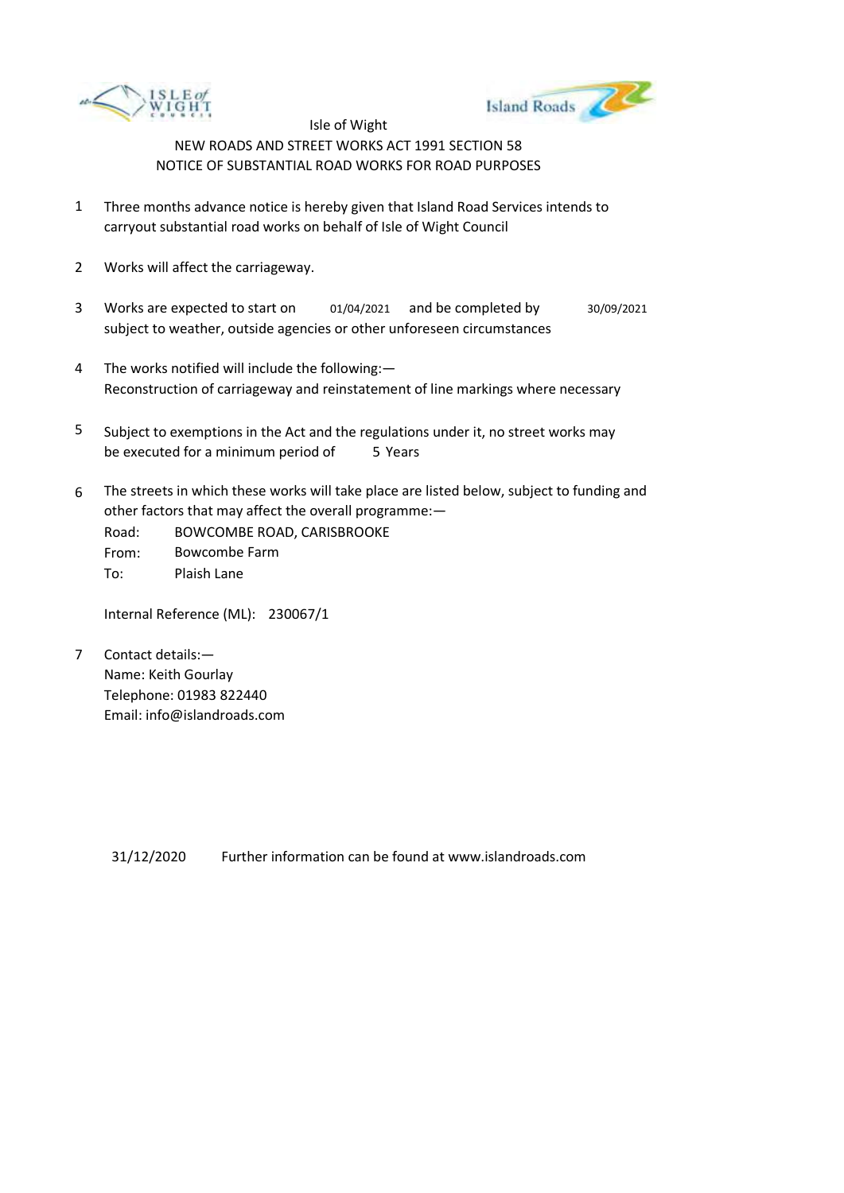



- 1 Three months advance notice is hereby given that Island Road Services intends to carryout substantial road works on behalf of Isle of Wight Council
- 2 Works will affect the carriageway.
- 3 Works are expected to start on subject to weather, outside agencies or other unforeseen circumstances 01/04/2021 and be completed by 30/09/2021
- 4 The works notified will include the following:— Reconstruction of carriageway and reinstatement of line markings where necessary
- 5 be executed for a minimum period of 5 Years Subject to exemptions in the Act and the regulations under it, no street works may
- 6 The streets in which these works will take place are listed below, subject to funding and other factors that may affect the overall programme:—
	- Road: From: To: BOWCOMBE ROAD, CARISBROOKE Bowcombe Farm Plaish Lane

Internal Reference (ML): 230067/1

7 Contact details:— Name: Keith Gourlay Telephone: 01983 822440 Email: info@islandroads.com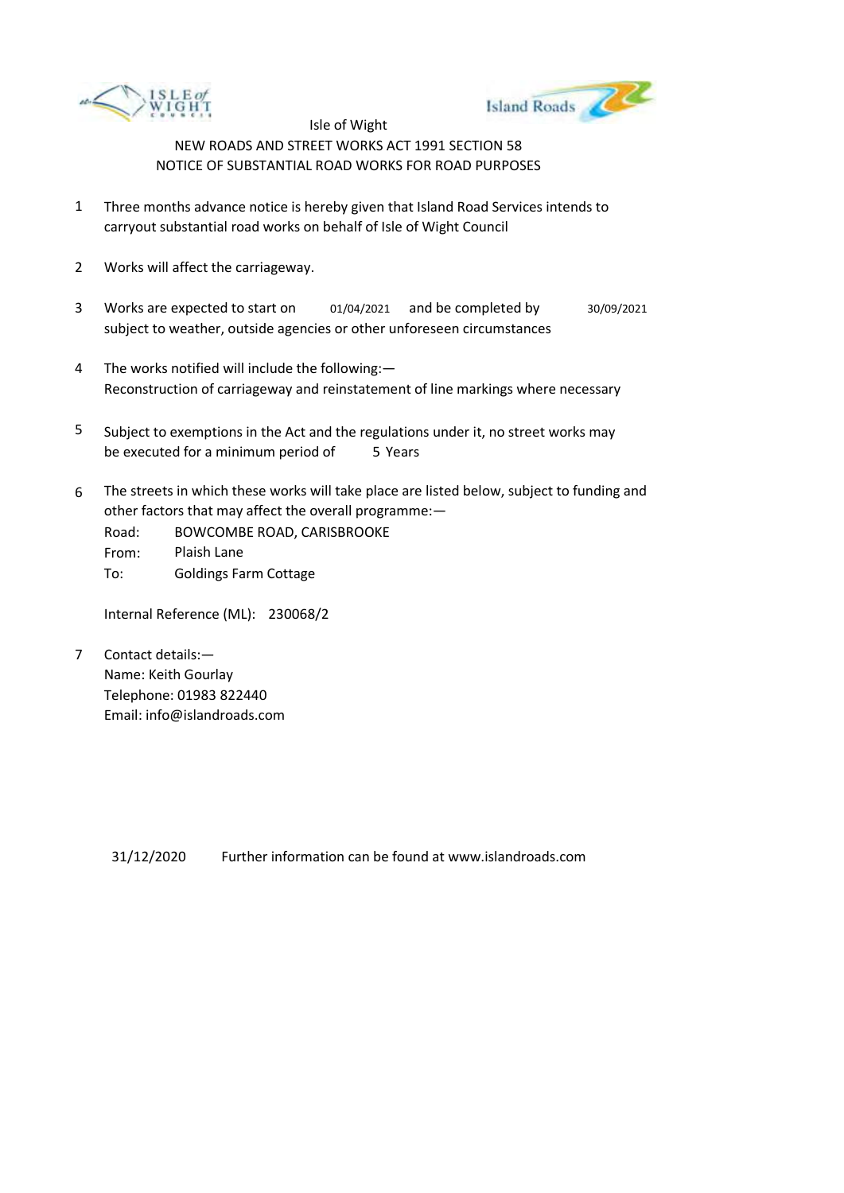



- 1 Three months advance notice is hereby given that Island Road Services intends to carryout substantial road works on behalf of Isle of Wight Council
- 2 Works will affect the carriageway.
- 3 Works are expected to start on subject to weather, outside agencies or other unforeseen circumstances 01/04/2021 and be completed by 30/09/2021
- 4 The works notified will include the following:— Reconstruction of carriageway and reinstatement of line markings where necessary
- 5 be executed for a minimum period of 5 Years Subject to exemptions in the Act and the regulations under it, no street works may
- 6 The streets in which these works will take place are listed below, subject to funding and other factors that may affect the overall programme:—
	- Road: From: To: BOWCOMBE ROAD, CARISBROOKE Plaish Lane Goldings Farm Cottage

Internal Reference (ML): 230068/2

7 Contact details:— Name: Keith Gourlay Telephone: 01983 822440 Email: info@islandroads.com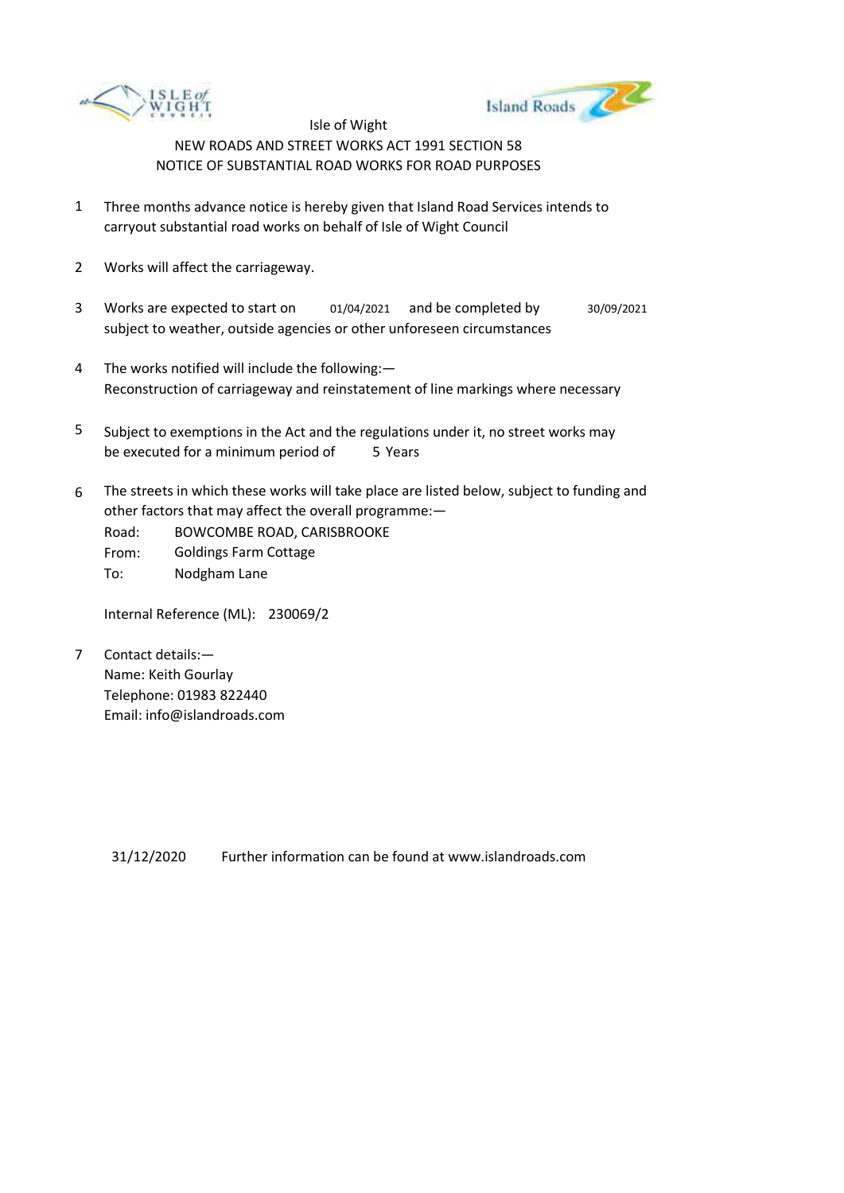



- 1 Three months advance notice is hereby given that Island Road Services intends to carryout substantial road works on behalf of Isle of Wight Council
- 2 Works will affect the carriageway.
- 3 Works are expected to start on subject to weather, outside agencies or other unforeseen circumstances 01/04/2021 and be completed by 30/09/2021
- 4 The works notified will include the following:— Reconstruction of carriageway and reinstatement of line markings where necessary
- 5 be executed for a minimum period of 5 Years Subject to exemptions in the Act and the regulations under it, no street works may
- 6 The streets in which these works will take place are listed below, subject to funding and other factors that may affect the overall programme:—
	- Road: BOWCOMBE ROAD, CARISBROOKE
	- From: To: Goldings Farm Cottage Nodgham Lane

Internal Reference (ML): 230069/2

7 Contact details:— Name: Keith Gourlay Telephone: 01983 822440 Email: info@islandroads.com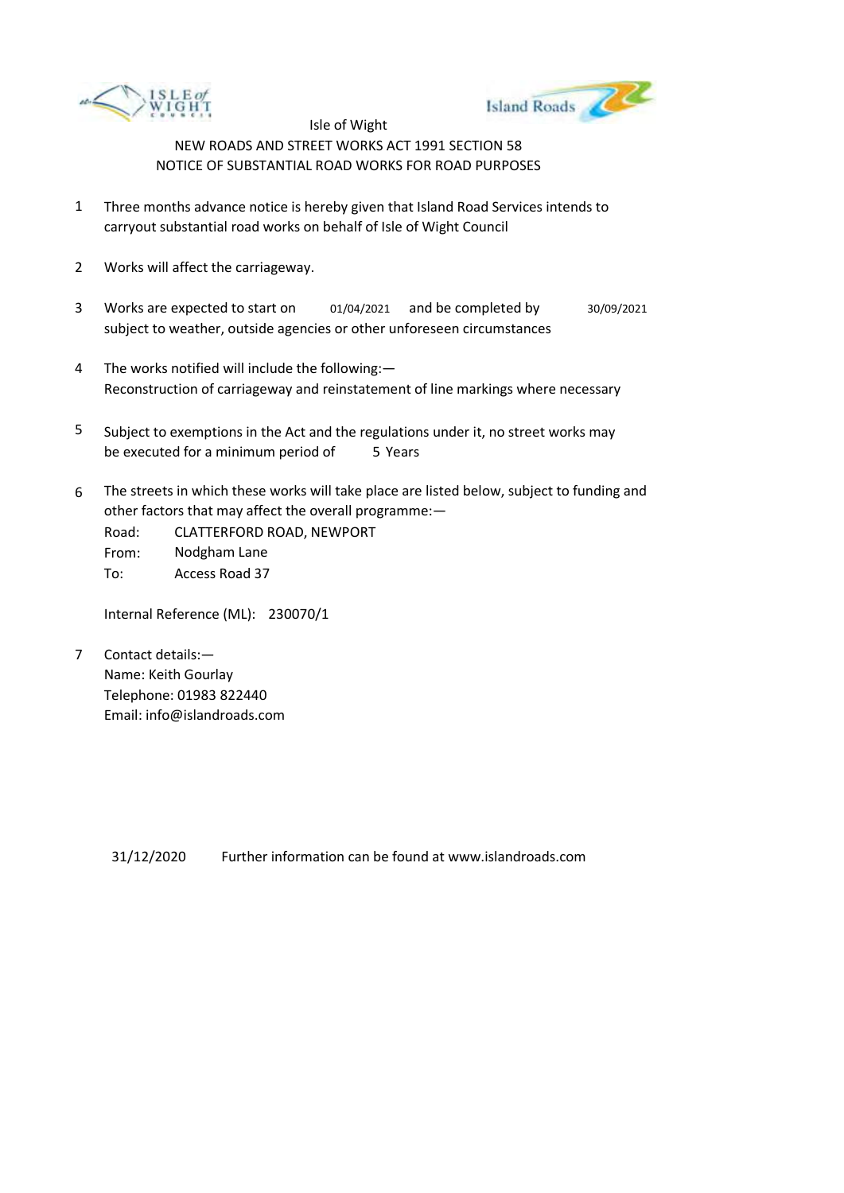



- 1 Three months advance notice is hereby given that Island Road Services intends to carryout substantial road works on behalf of Isle of Wight Council
- 2 Works will affect the carriageway.
- 3 Works are expected to start on subject to weather, outside agencies or other unforeseen circumstances 01/04/2021 and be completed by 30/09/2021
- 4 The works notified will include the following:— Reconstruction of carriageway and reinstatement of line markings where necessary
- 5 be executed for a minimum period of 5 Years Subject to exemptions in the Act and the regulations under it, no street works may
- 6 The streets in which these works will take place are listed below, subject to funding and other factors that may affect the overall programme:—

Road: From: To: CLATTERFORD ROAD, NEWPORT Nodgham Lane Access Road 37

Internal Reference (ML): 230070/1

7 Contact details:— Name: Keith Gourlay Telephone: 01983 822440 Email: info@islandroads.com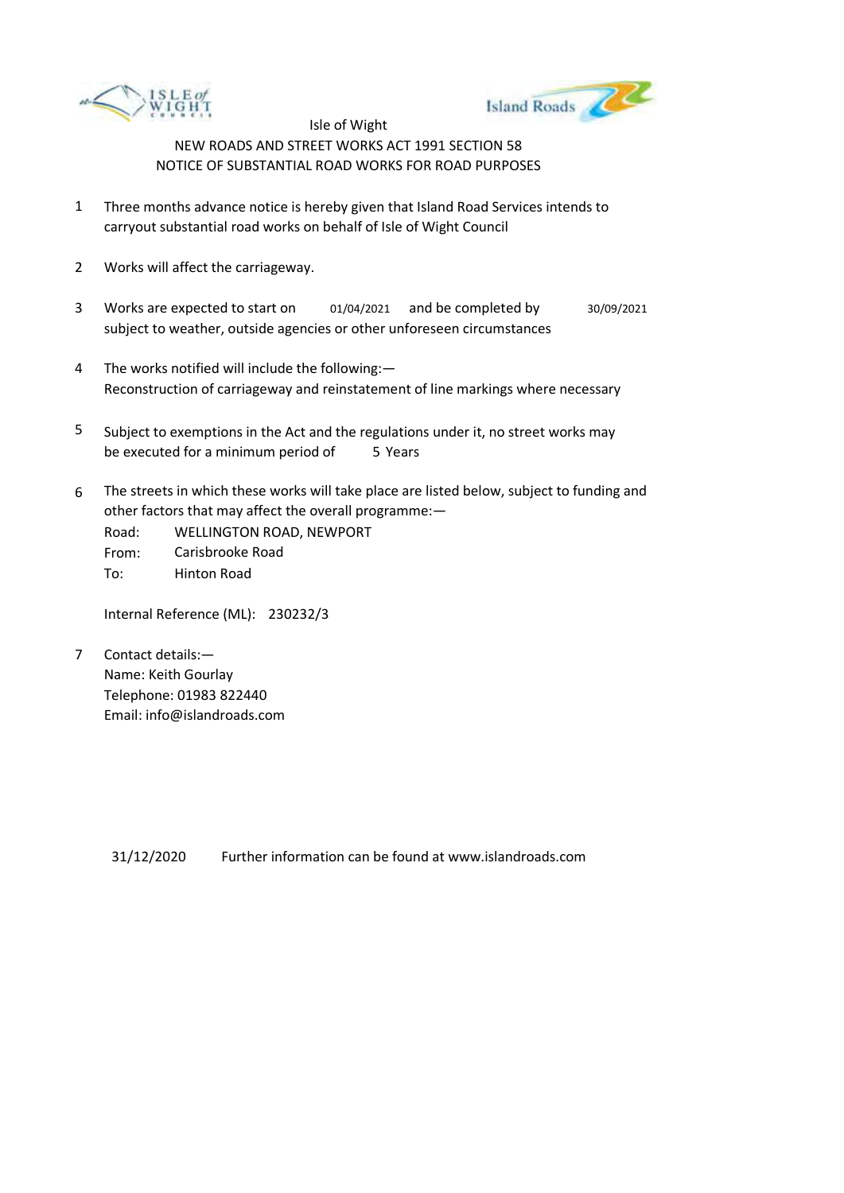



- 1 Three months advance notice is hereby given that Island Road Services intends to carryout substantial road works on behalf of Isle of Wight Council
- 2 Works will affect the carriageway.
- 3 Works are expected to start on subject to weather, outside agencies or other unforeseen circumstances 01/04/2021 and be completed by 30/09/2021
- 4 The works notified will include the following:— Reconstruction of carriageway and reinstatement of line markings where necessary
- 5 be executed for a minimum period of 5 Years Subject to exemptions in the Act and the regulations under it, no street works may
- 6 The streets in which these works will take place are listed below, subject to funding and other factors that may affect the overall programme:—

Road: From: To: WELLINGTON ROAD, NEWPORT Carisbrooke Road Hinton Road

Internal Reference (ML): 230232/3

7 Contact details:— Name: Keith Gourlay Telephone: 01983 822440 Email: info@islandroads.com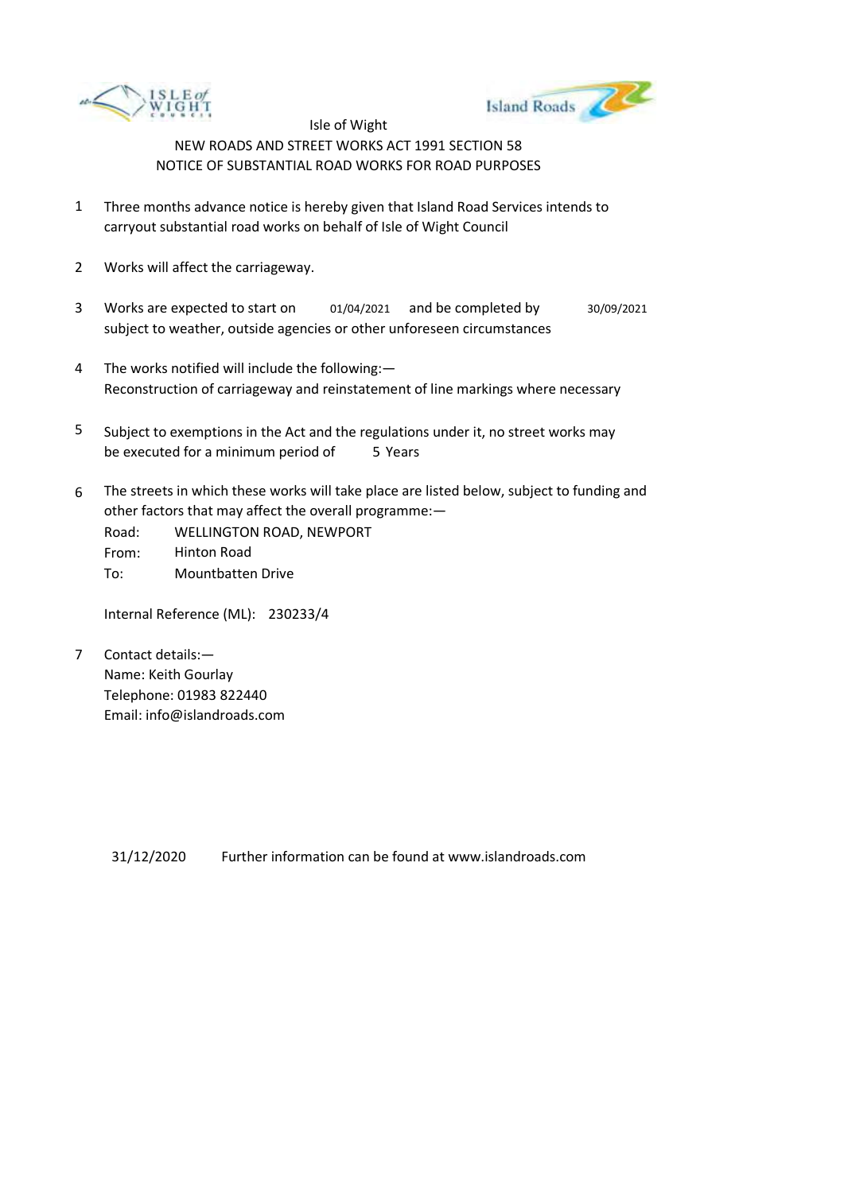



- 1 Three months advance notice is hereby given that Island Road Services intends to carryout substantial road works on behalf of Isle of Wight Council
- 2 Works will affect the carriageway.
- 3 Works are expected to start on subject to weather, outside agencies or other unforeseen circumstances 01/04/2021 and be completed by 30/09/2021
- 4 The works notified will include the following:— Reconstruction of carriageway and reinstatement of line markings where necessary
- 5 be executed for a minimum period of 5 Years Subject to exemptions in the Act and the regulations under it, no street works may
- 6 The streets in which these works will take place are listed below, subject to funding and other factors that may affect the overall programme:—
	- Road: From: To: WELLINGTON ROAD, NEWPORT Hinton Road Mountbatten Drive

Internal Reference (ML): 230233/4

7 Contact details:— Name: Keith Gourlay Telephone: 01983 822440 Email: info@islandroads.com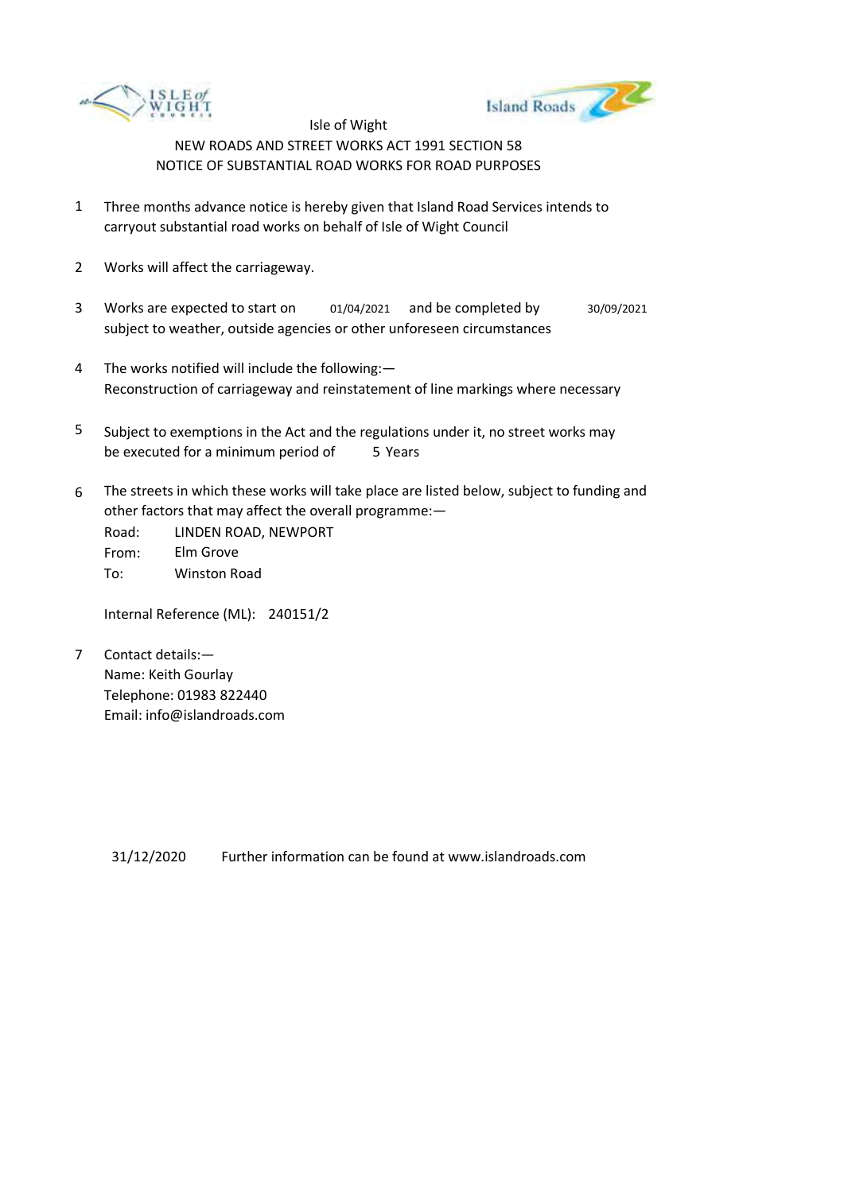



- 1 Three months advance notice is hereby given that Island Road Services intends to carryout substantial road works on behalf of Isle of Wight Council
- 2 Works will affect the carriageway.
- 3 Works are expected to start on subject to weather, outside agencies or other unforeseen circumstances 01/04/2021 and be completed by 30/09/2021
- 4 The works notified will include the following:— Reconstruction of carriageway and reinstatement of line markings where necessary
- 5 be executed for a minimum period of 5 Years Subject to exemptions in the Act and the regulations under it, no street works may
- 6 The streets in which these works will take place are listed below, subject to funding and other factors that may affect the overall programme:—

Road: From: To: LINDEN ROAD, NEWPORT Elm Grove Winston Road

Internal Reference (ML): 240151/2

7 Contact details:— Name: Keith Gourlay Telephone: 01983 822440 Email: info@islandroads.com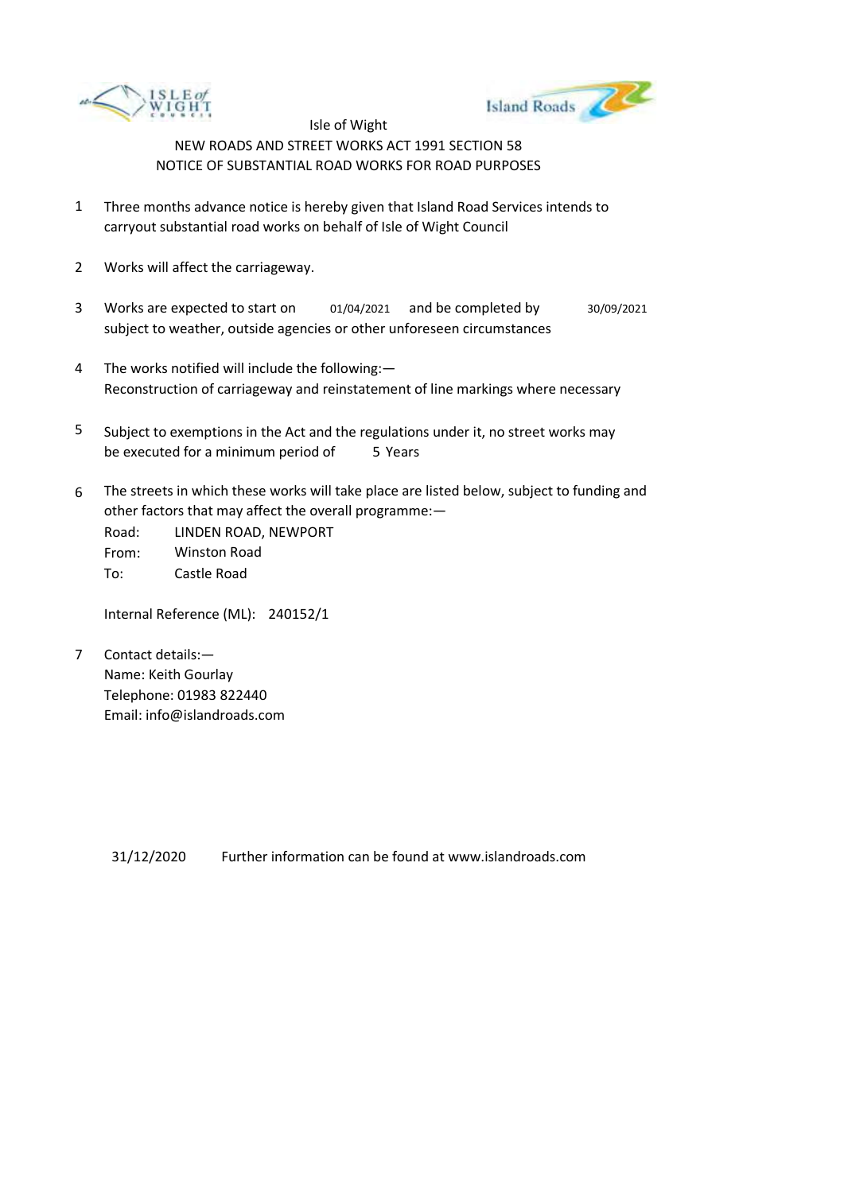



- 1 Three months advance notice is hereby given that Island Road Services intends to carryout substantial road works on behalf of Isle of Wight Council
- 2 Works will affect the carriageway.
- 3 Works are expected to start on subject to weather, outside agencies or other unforeseen circumstances 01/04/2021 and be completed by 30/09/2021
- 4 The works notified will include the following:— Reconstruction of carriageway and reinstatement of line markings where necessary
- 5 be executed for a minimum period of 5 Years Subject to exemptions in the Act and the regulations under it, no street works may
- 6 The streets in which these works will take place are listed below, subject to funding and other factors that may affect the overall programme:—

Road: From: To: LINDEN ROAD, NEWPORT Winston Road Castle Road

Internal Reference (ML): 240152/1

7 Contact details:— Name: Keith Gourlay Telephone: 01983 822440 Email: info@islandroads.com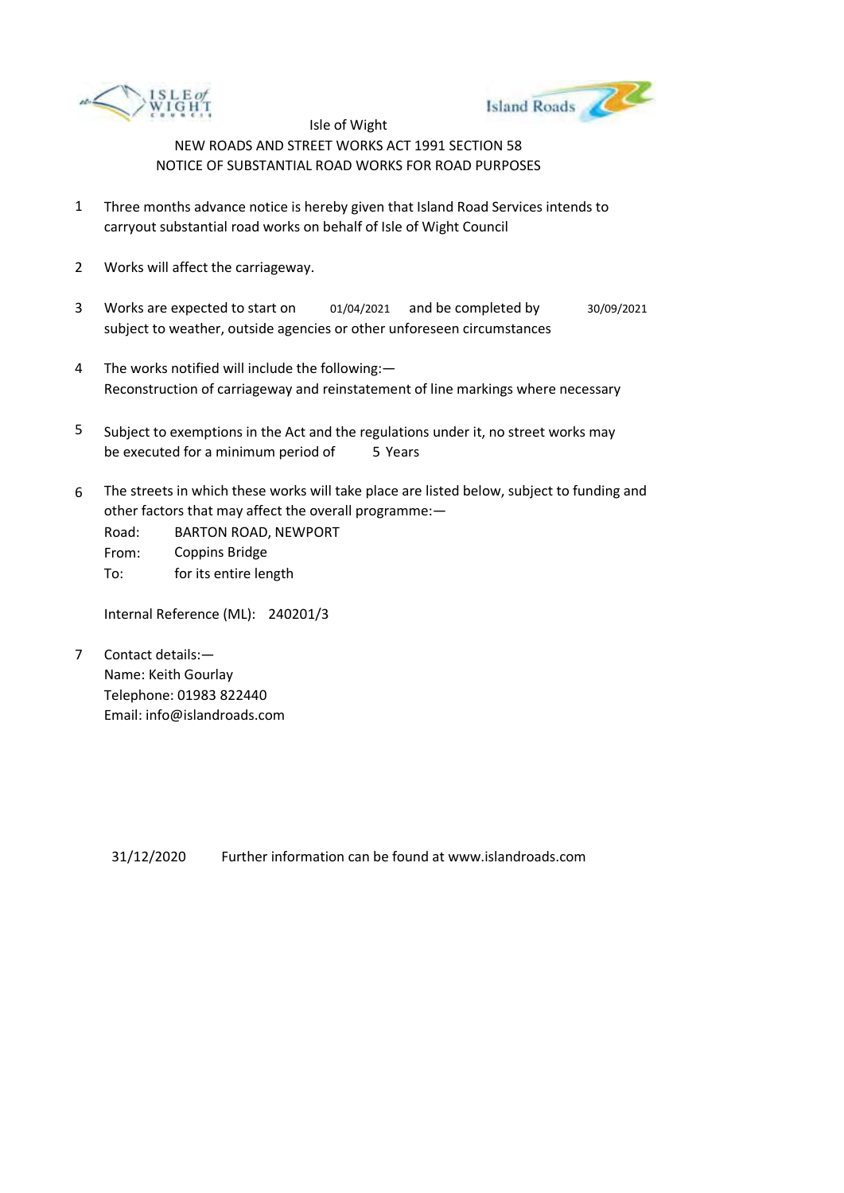



- 1 Three months advance notice is hereby given that Island Road Services intends to carryout substantial road works on behalf of Isle of Wight Council
- 2 Works will affect the carriageway.
- 3 Works are expected to start on subject to weather, outside agencies or other unforeseen circumstances 01/04/2021 and be completed by 30/09/2021
- 4 The works notified will include the following:— Reconstruction of carriageway and reinstatement of line markings where necessary
- 5 be executed for a minimum period of 5 Years Subject to exemptions in the Act and the regulations under it, no street works may
- 6 The streets in which these works will take place are listed below, subject to funding and other factors that may affect the overall programme:—

Road: From: To: BARTON ROAD, NEWPORT Coppins Bridge for its entire length

Internal Reference (ML): 240201/3

7 Contact details:— Name: Keith Gourlay Telephone: 01983 822440 Email: info@islandroads.com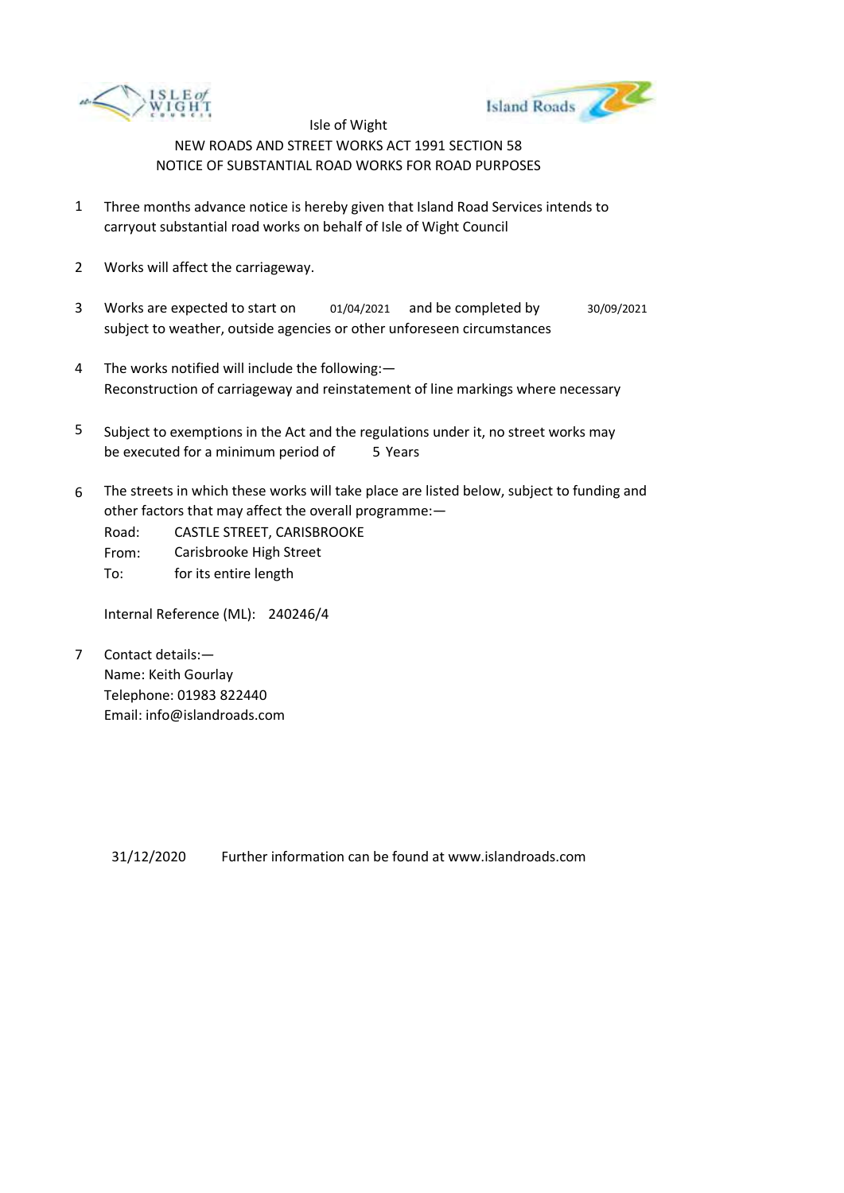



- 1 Three months advance notice is hereby given that Island Road Services intends to carryout substantial road works on behalf of Isle of Wight Council
- 2 Works will affect the carriageway.
- 3 Works are expected to start on subject to weather, outside agencies or other unforeseen circumstances 01/04/2021 and be completed by 30/09/2021
- 4 The works notified will include the following:— Reconstruction of carriageway and reinstatement of line markings where necessary
- 5 be executed for a minimum period of 5 Years Subject to exemptions in the Act and the regulations under it, no street works may
- 6 The streets in which these works will take place are listed below, subject to funding and other factors that may affect the overall programme:—
	- Road: CASTLE STREET, CARISBROOKE
	- From: Carisbrooke High Street
	- To: for its entire length

Internal Reference (ML): 240246/4

7 Contact details:— Name: Keith Gourlay Telephone: 01983 822440 Email: info@islandroads.com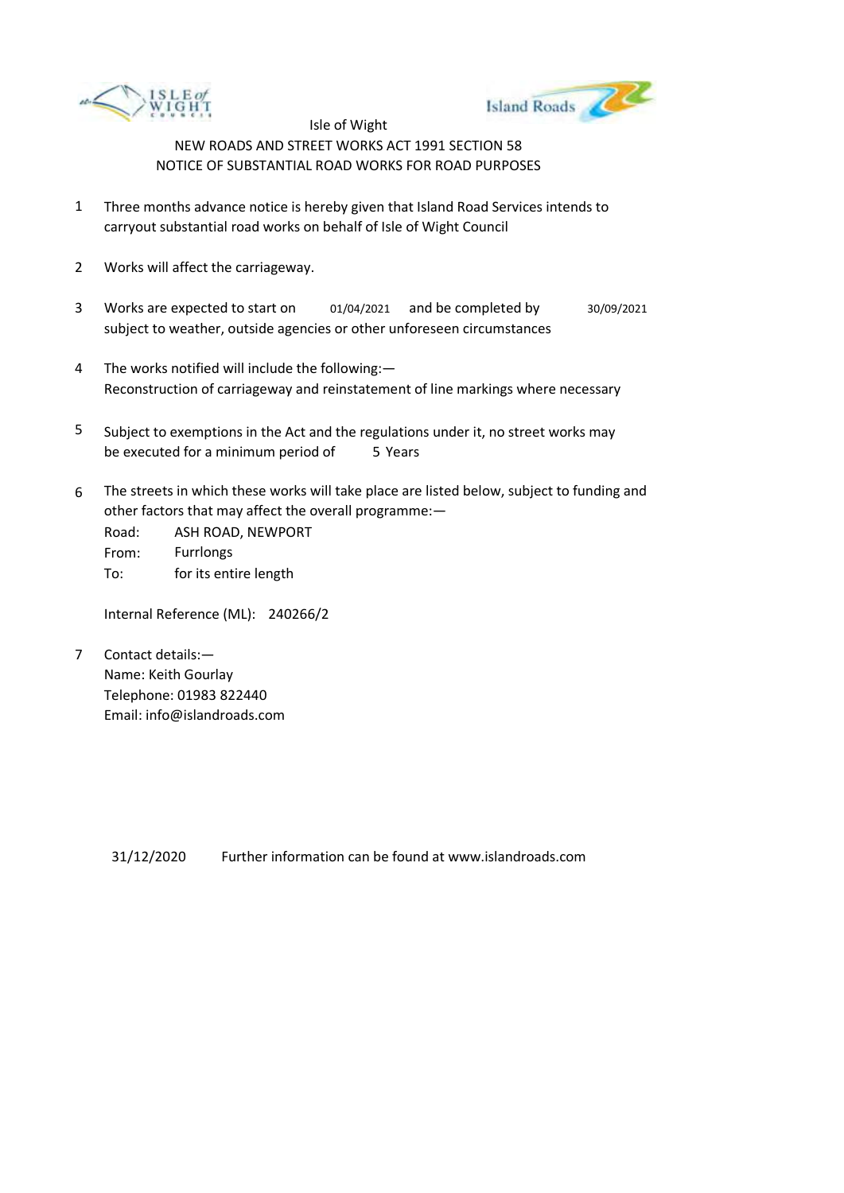



- 1 Three months advance notice is hereby given that Island Road Services intends to carryout substantial road works on behalf of Isle of Wight Council
- 2 Works will affect the carriageway.
- 3 Works are expected to start on subject to weather, outside agencies or other unforeseen circumstances 01/04/2021 and be completed by 30/09/2021
- 4 The works notified will include the following:— Reconstruction of carriageway and reinstatement of line markings where necessary
- 5 be executed for a minimum period of 5 Years Subject to exemptions in the Act and the regulations under it, no street works may
- 6 The streets in which these works will take place are listed below, subject to funding and other factors that may affect the overall programme:—

Road: From: To: ASH ROAD, NEWPORT Furrlongs for its entire length

Internal Reference (ML): 240266/2

7 Contact details:— Name: Keith Gourlay Telephone: 01983 822440 Email: info@islandroads.com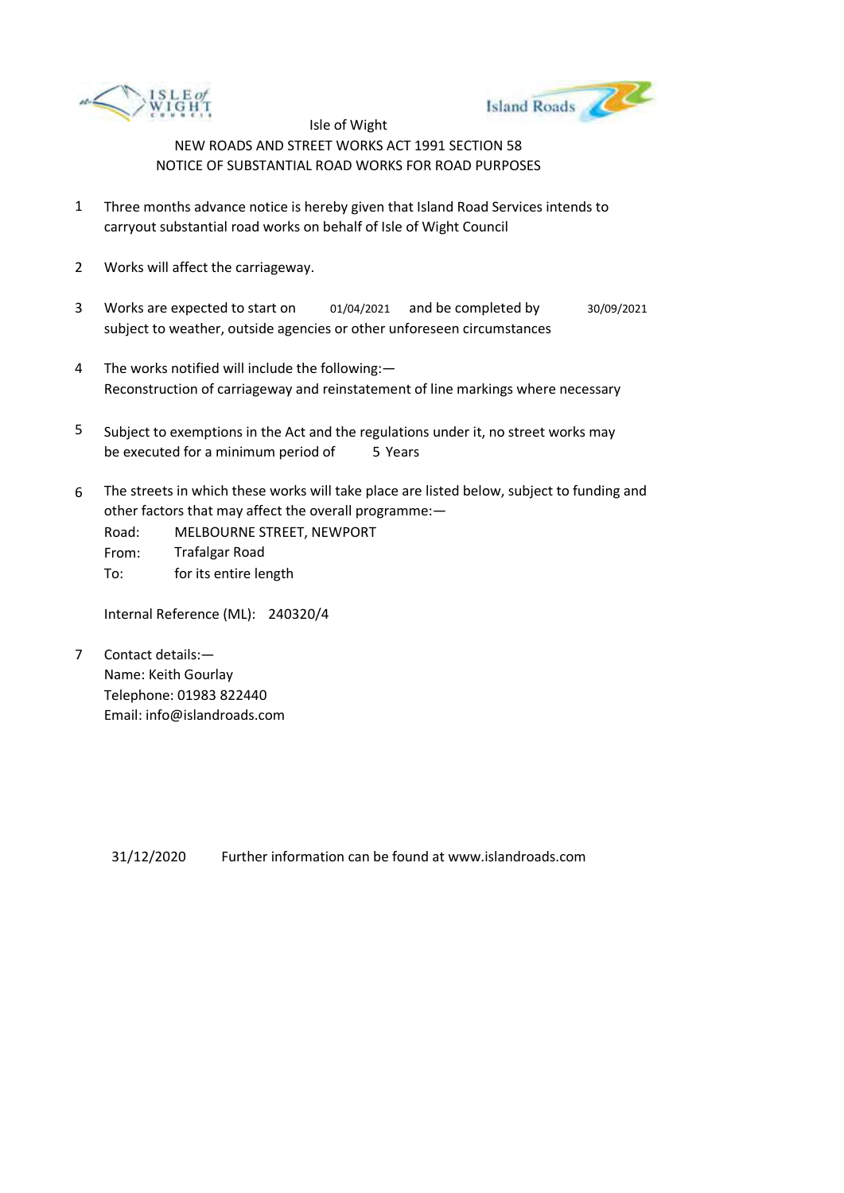



- 1 Three months advance notice is hereby given that Island Road Services intends to carryout substantial road works on behalf of Isle of Wight Council
- 2 Works will affect the carriageway.
- 3 Works are expected to start on subject to weather, outside agencies or other unforeseen circumstances 01/04/2021 and be completed by 30/09/2021
- 4 The works notified will include the following:— Reconstruction of carriageway and reinstatement of line markings where necessary
- 5 be executed for a minimum period of 5 Years Subject to exemptions in the Act and the regulations under it, no street works may
- 6 The streets in which these works will take place are listed below, subject to funding and other factors that may affect the overall programme:—
	- Road: From: To: MELBOURNE STREET, NEWPORT Trafalgar Road for its entire length

Internal Reference (ML): 240320/4

7 Contact details:— Name: Keith Gourlay Telephone: 01983 822440 Email: info@islandroads.com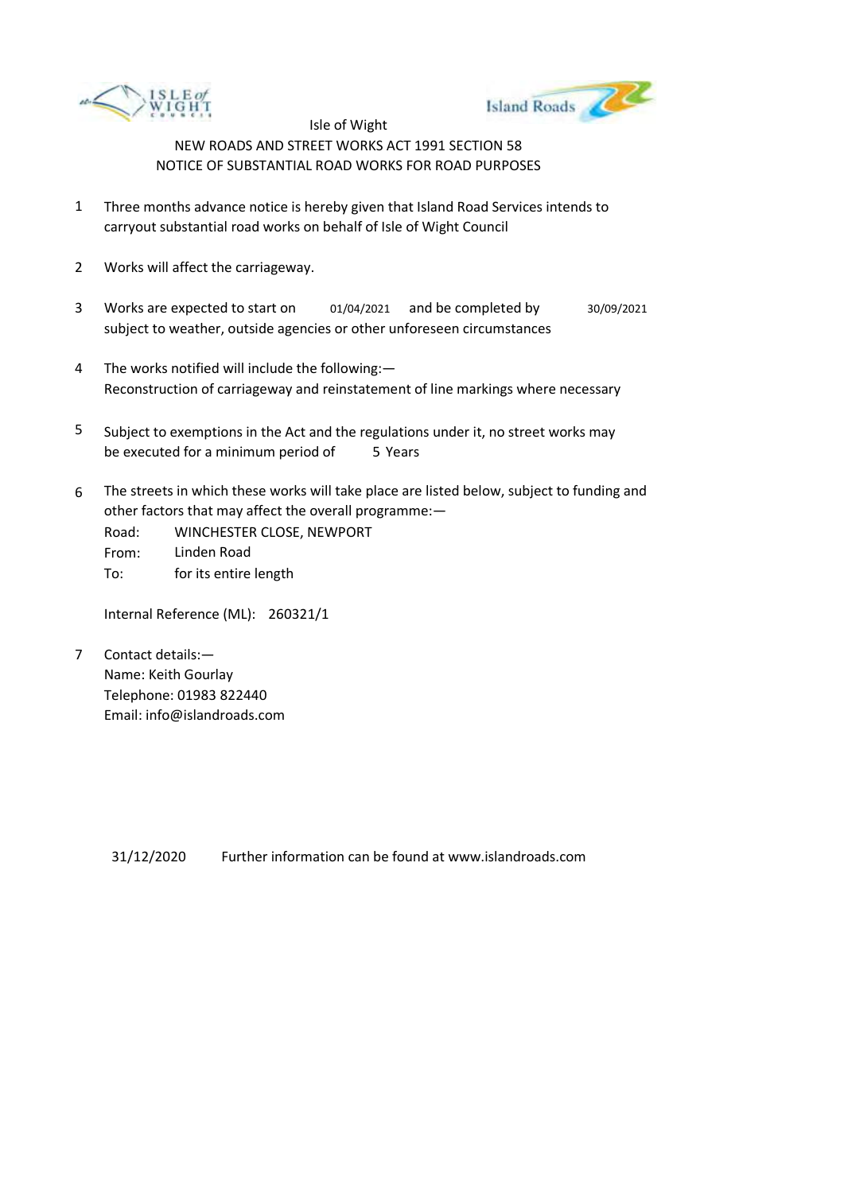



- 1 Three months advance notice is hereby given that Island Road Services intends to carryout substantial road works on behalf of Isle of Wight Council
- 2 Works will affect the carriageway.
- 3 Works are expected to start on subject to weather, outside agencies or other unforeseen circumstances 01/04/2021 and be completed by 30/09/2021
- 4 The works notified will include the following:— Reconstruction of carriageway and reinstatement of line markings where necessary
- 5 be executed for a minimum period of 5 Years Subject to exemptions in the Act and the regulations under it, no street works may
- 6 The streets in which these works will take place are listed below, subject to funding and other factors that may affect the overall programme:—
	- Road: From: To: WINCHESTER CLOSE, NEWPORT Linden Road for its entire length

Internal Reference (ML): 260321/1

7 Contact details:— Name: Keith Gourlay Telephone: 01983 822440 Email: info@islandroads.com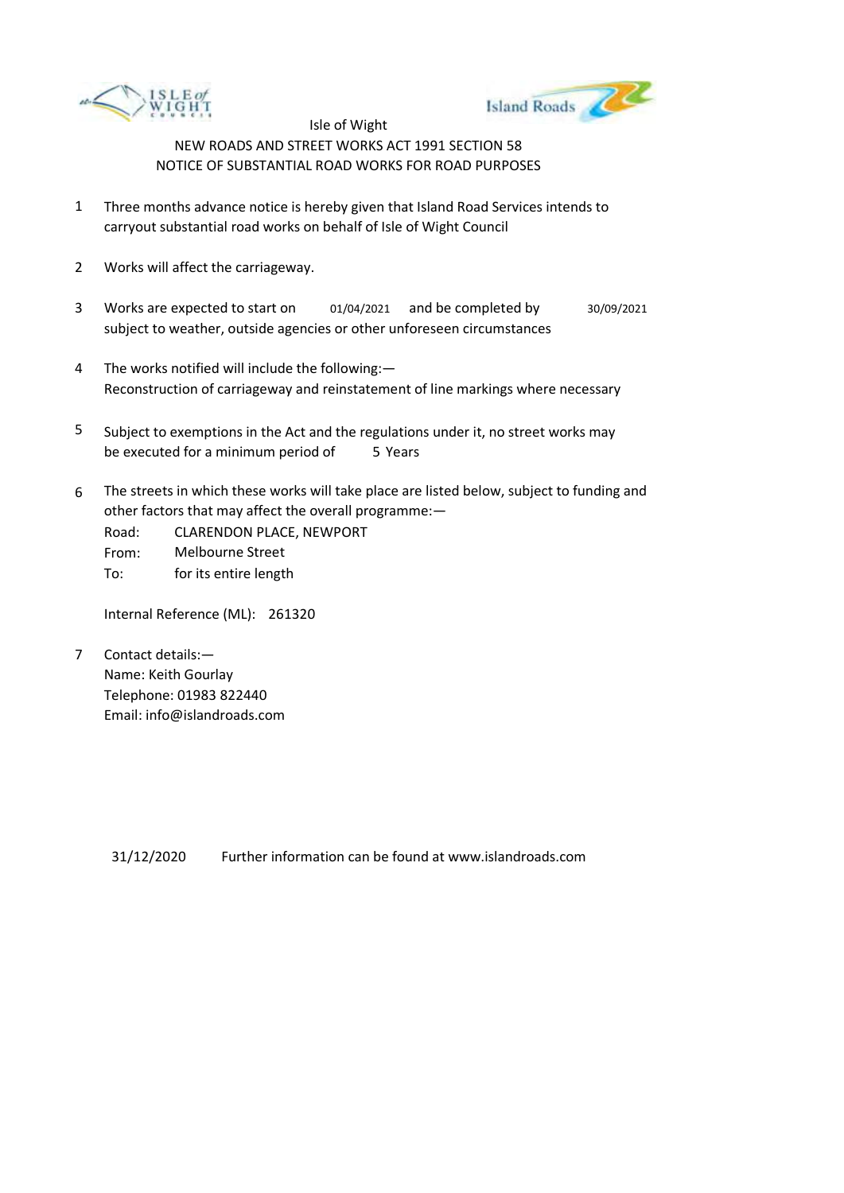



- 1 Three months advance notice is hereby given that Island Road Services intends to carryout substantial road works on behalf of Isle of Wight Council
- 2 Works will affect the carriageway.
- 3 Works are expected to start on subject to weather, outside agencies or other unforeseen circumstances 01/04/2021 and be completed by 30/09/2021
- 4 The works notified will include the following:— Reconstruction of carriageway and reinstatement of line markings where necessary
- 5 be executed for a minimum period of 5 Years Subject to exemptions in the Act and the regulations under it, no street works may
- 6 The streets in which these works will take place are listed below, subject to funding and other factors that may affect the overall programme:—
	- Road: From: CLARENDON PLACE, NEWPORT Melbourne Street
	- To: for its entire length

Internal Reference (ML): 261320

7 Contact details:— Name: Keith Gourlay Telephone: 01983 822440 Email: info@islandroads.com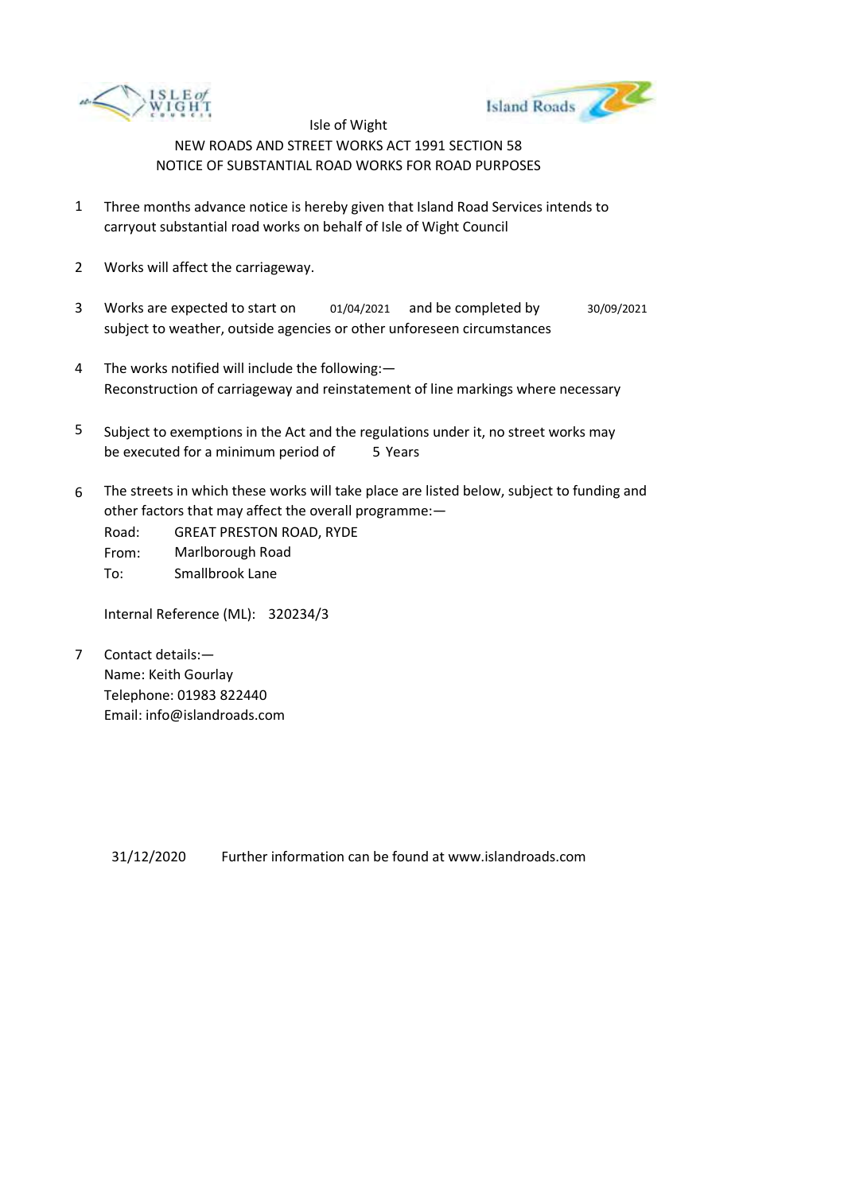



- 1 Three months advance notice is hereby given that Island Road Services intends to carryout substantial road works on behalf of Isle of Wight Council
- 2 Works will affect the carriageway.
- 3 Works are expected to start on subject to weather, outside agencies or other unforeseen circumstances 01/04/2021 and be completed by 30/09/2021
- 4 The works notified will include the following:— Reconstruction of carriageway and reinstatement of line markings where necessary
- 5 be executed for a minimum period of 5 Years Subject to exemptions in the Act and the regulations under it, no street works may
- 6 The streets in which these works will take place are listed below, subject to funding and other factors that may affect the overall programme:—

Road: From: To: GREAT PRESTON ROAD, RYDE Marlborough Road Smallbrook Lane

Internal Reference (ML): 320234/3

7 Contact details:— Name: Keith Gourlay Telephone: 01983 822440 Email: info@islandroads.com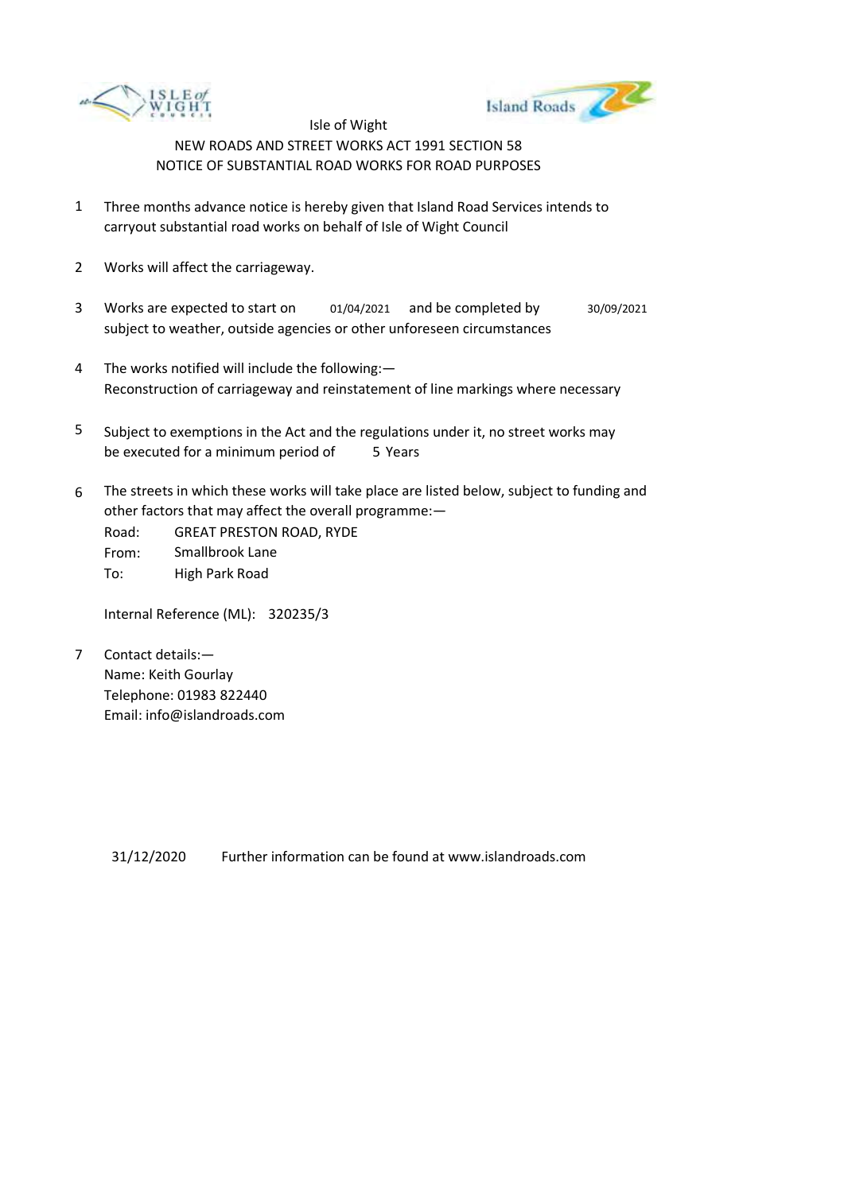



- 1 Three months advance notice is hereby given that Island Road Services intends to carryout substantial road works on behalf of Isle of Wight Council
- 2 Works will affect the carriageway.
- 3 Works are expected to start on subject to weather, outside agencies or other unforeseen circumstances 01/04/2021 and be completed by 30/09/2021
- 4 The works notified will include the following:— Reconstruction of carriageway and reinstatement of line markings where necessary
- 5 be executed for a minimum period of 5 Years Subject to exemptions in the Act and the regulations under it, no street works may
- 6 The streets in which these works will take place are listed below, subject to funding and other factors that may affect the overall programme:—

Road: From: To: GREAT PRESTON ROAD, RYDE Smallbrook Lane High Park Road

Internal Reference (ML): 320235/3

7 Contact details:— Name: Keith Gourlay Telephone: 01983 822440 Email: info@islandroads.com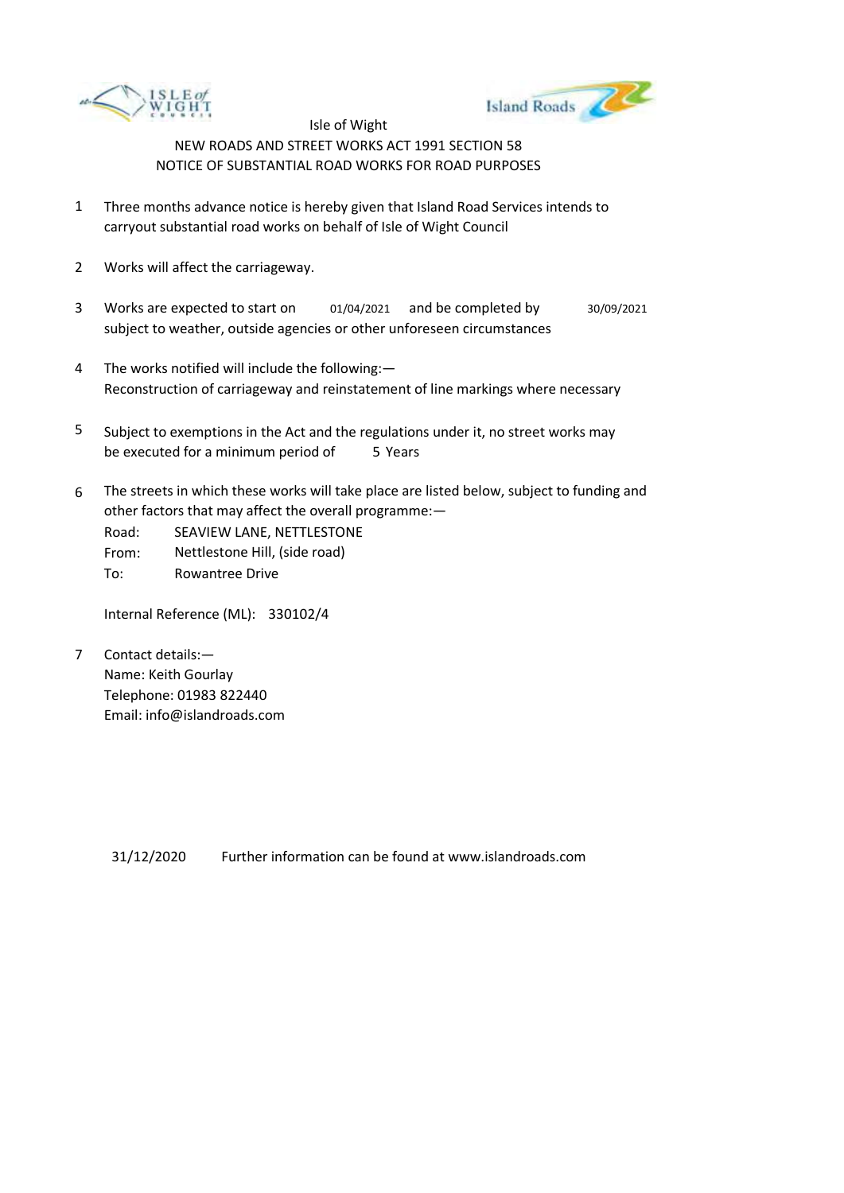



- 1 Three months advance notice is hereby given that Island Road Services intends to carryout substantial road works on behalf of Isle of Wight Council
- 2 Works will affect the carriageway.
- 3 Works are expected to start on subject to weather, outside agencies or other unforeseen circumstances 01/04/2021 and be completed by 30/09/2021
- 4 The works notified will include the following:— Reconstruction of carriageway and reinstatement of line markings where necessary
- 5 be executed for a minimum period of 5 Years Subject to exemptions in the Act and the regulations under it, no street works may
- 6 The streets in which these works will take place are listed below, subject to funding and other factors that may affect the overall programme:—

Road: SEAVIEW LANE, NETTLESTONE

From: Nettlestone Hill, (side road)

To: Rowantree Drive

Internal Reference (ML): 330102/4

7 Contact details:— Name: Keith Gourlay Telephone: 01983 822440 Email: info@islandroads.com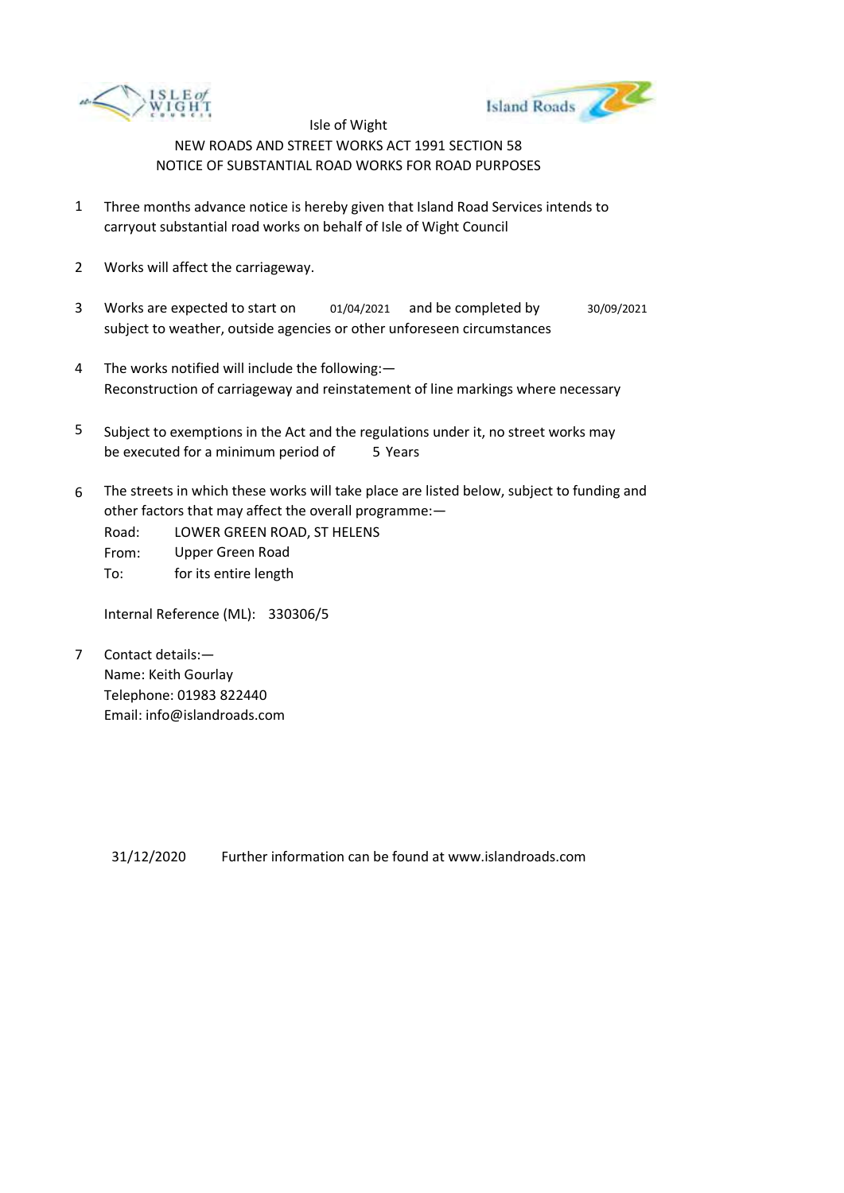



- 1 Three months advance notice is hereby given that Island Road Services intends to carryout substantial road works on behalf of Isle of Wight Council
- 2 Works will affect the carriageway.
- 3 Works are expected to start on subject to weather, outside agencies or other unforeseen circumstances 01/04/2021 and be completed by 30/09/2021
- 4 The works notified will include the following:— Reconstruction of carriageway and reinstatement of line markings where necessary
- 5 be executed for a minimum period of 5 Years Subject to exemptions in the Act and the regulations under it, no street works may
- 6 The streets in which these works will take place are listed below, subject to funding and other factors that may affect the overall programme:—
	- Road: From: LOWER GREEN ROAD, ST HELENS Upper Green Road
	- To: for its entire length

Internal Reference (ML): 330306/5

7 Contact details:— Name: Keith Gourlay Telephone: 01983 822440 Email: info@islandroads.com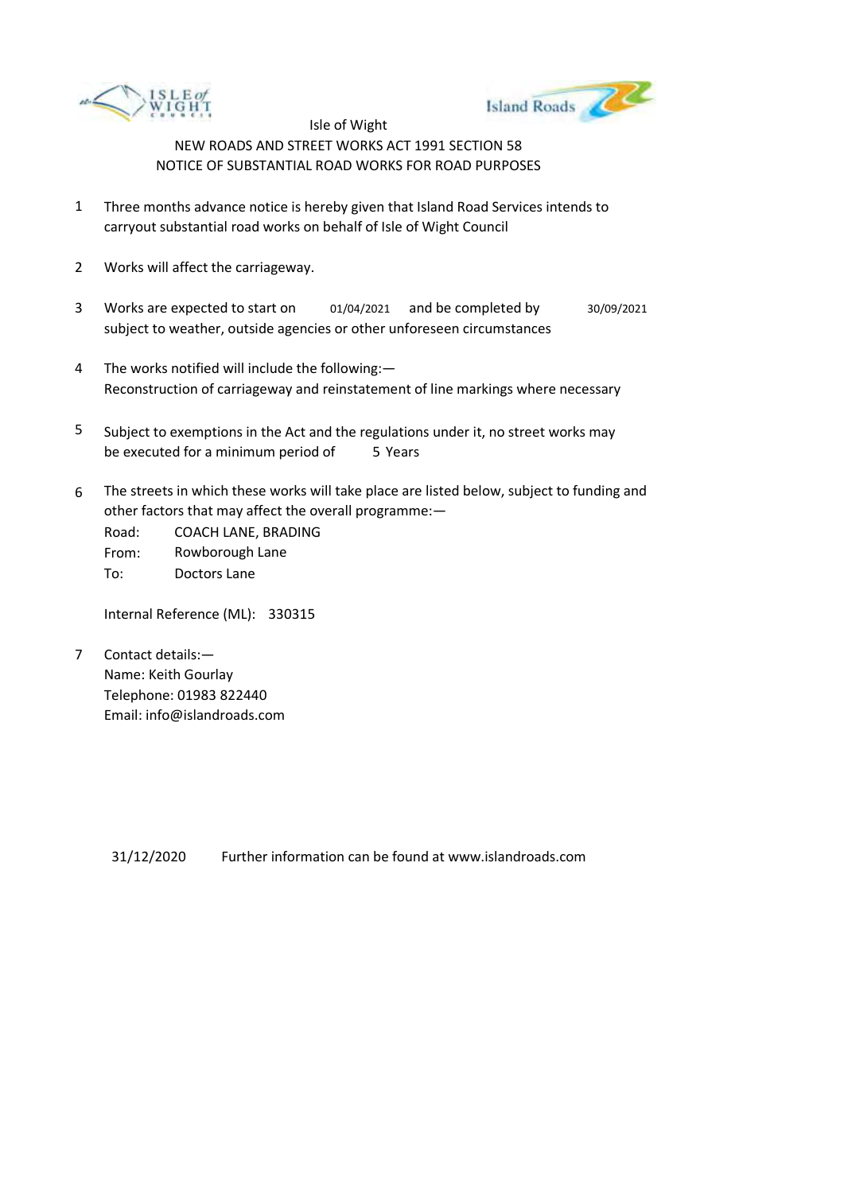



- 1 Three months advance notice is hereby given that Island Road Services intends to carryout substantial road works on behalf of Isle of Wight Council
- 2 Works will affect the carriageway.
- 3 Works are expected to start on subject to weather, outside agencies or other unforeseen circumstances 01/04/2021 and be completed by 30/09/2021
- 4 The works notified will include the following:— Reconstruction of carriageway and reinstatement of line markings where necessary
- 5 be executed for a minimum period of 5 Years Subject to exemptions in the Act and the regulations under it, no street works may
- 6 The streets in which these works will take place are listed below, subject to funding and other factors that may affect the overall programme:—

Road: From: To: COACH LANE, BRADING Rowborough Lane Doctors Lane

Internal Reference (ML): 330315

7 Contact details:— Name: Keith Gourlay Telephone: 01983 822440 Email: info@islandroads.com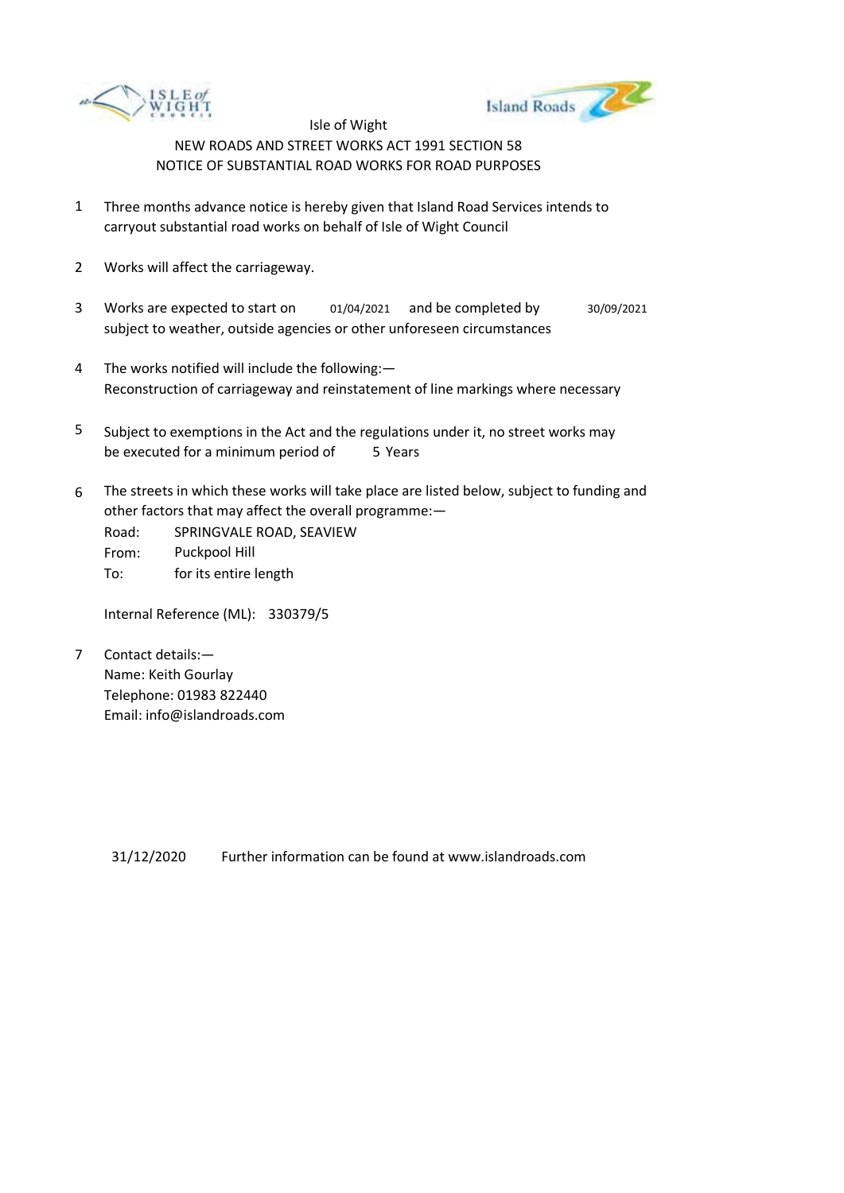



- 1 Three months advance notice is hereby given that Island Road Services intends to carryout substantial road works on behalf of Isle of Wight Council
- 2 Works will affect the carriageway.
- 3 Works are expected to start on subject to weather, outside agencies or other unforeseen circumstances 01/04/2021 and be completed by 30/09/2021
- 4 The works notified will include the following:— Reconstruction of carriageway and reinstatement of line markings where necessary
- 5 be executed for a minimum period of 5 Years Subject to exemptions in the Act and the regulations under it, no street works may
- 6 The streets in which these works will take place are listed below, subject to funding and other factors that may affect the overall programme:—
	- Road: From: To: SPRINGVALE ROAD, SEAVIEW Puckpool Hill for its entire length

Internal Reference (ML): 330379/5

7 Contact details:— Name: Keith Gourlay Telephone: 01983 822440 Email: info@islandroads.com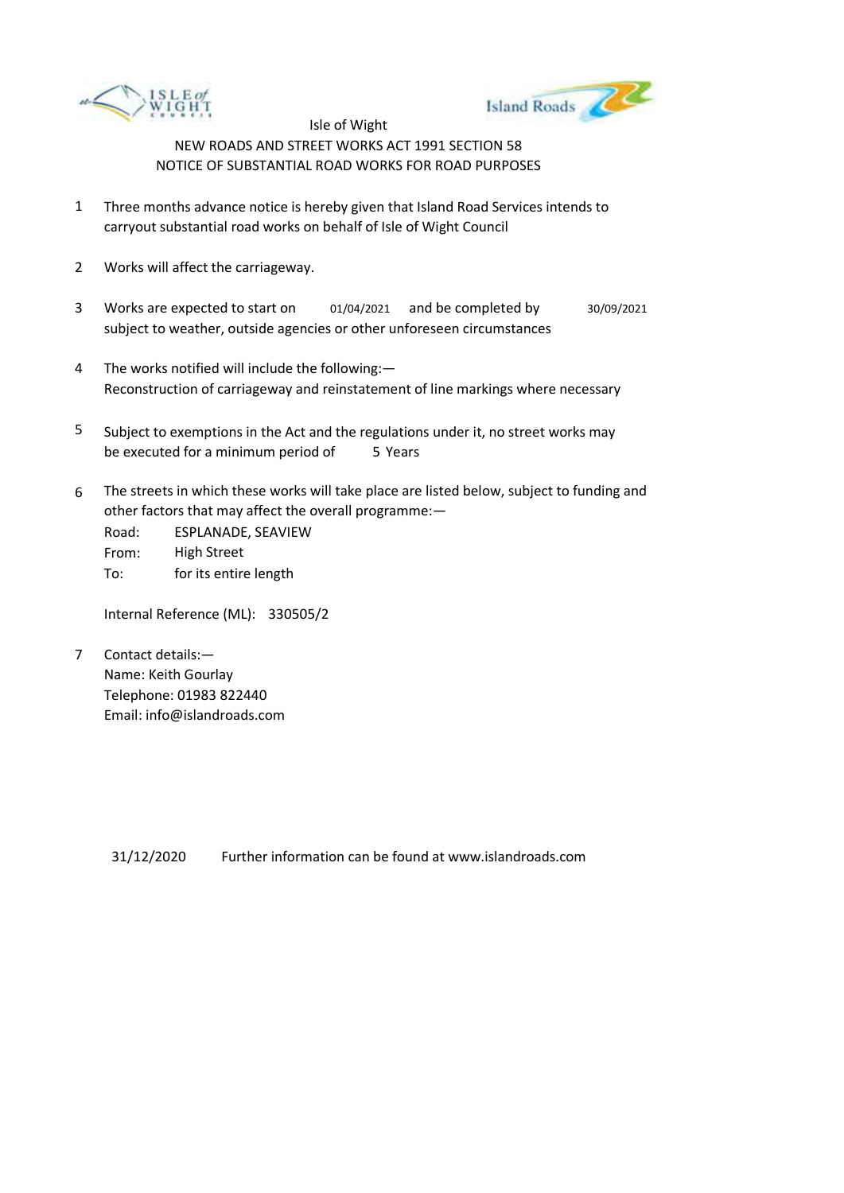



- 1 Three months advance notice is hereby given that Island Road Services intends to carryout substantial road works on behalf of Isle of Wight Council
- 2 Works will affect the carriageway.
- 3 Works are expected to start on subject to weather, outside agencies or other unforeseen circumstances 01/04/2021 and be completed by 30/09/2021
- 4 The works notified will include the following:— Reconstruction of carriageway and reinstatement of line markings where necessary
- 5 be executed for a minimum period of 5 Years Subject to exemptions in the Act and the regulations under it, no street works may
- 6 The streets in which these works will take place are listed below, subject to funding and other factors that may affect the overall programme:—

Road: From: To: ESPLANADE, SEAVIEW High Street for its entire length

Internal Reference (ML): 330505/2

7 Contact details:— Name: Keith Gourlay Telephone: 01983 822440 Email: info@islandroads.com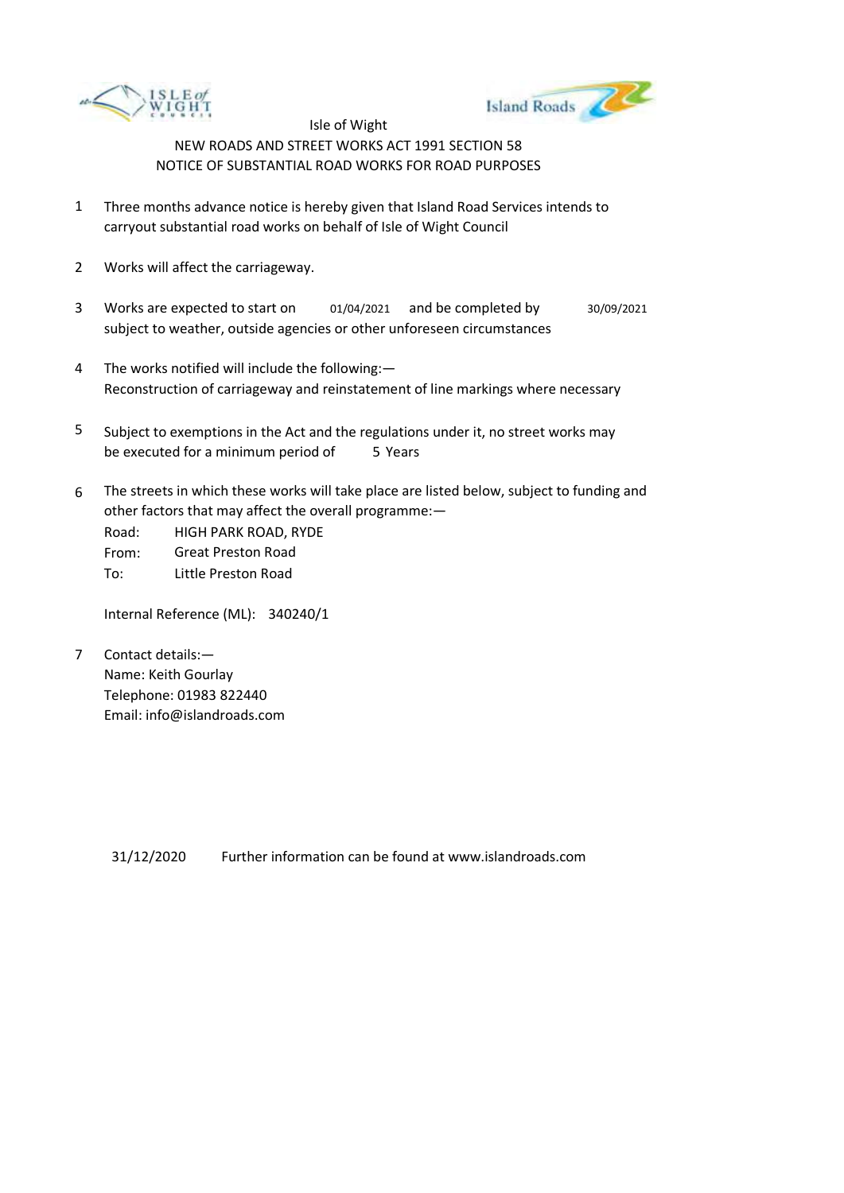



- 1 Three months advance notice is hereby given that Island Road Services intends to carryout substantial road works on behalf of Isle of Wight Council
- 2 Works will affect the carriageway.
- 3 Works are expected to start on subject to weather, outside agencies or other unforeseen circumstances 01/04/2021 and be completed by 30/09/2021
- 4 The works notified will include the following:— Reconstruction of carriageway and reinstatement of line markings where necessary
- 5 be executed for a minimum period of 5 Years Subject to exemptions in the Act and the regulations under it, no street works may
- 6 The streets in which these works will take place are listed below, subject to funding and other factors that may affect the overall programme:—

Road: From: To: HIGH PARK ROAD, RYDE Great Preston Road Little Preston Road

Internal Reference (ML): 340240/1

7 Contact details:— Name: Keith Gourlay Telephone: 01983 822440 Email: info@islandroads.com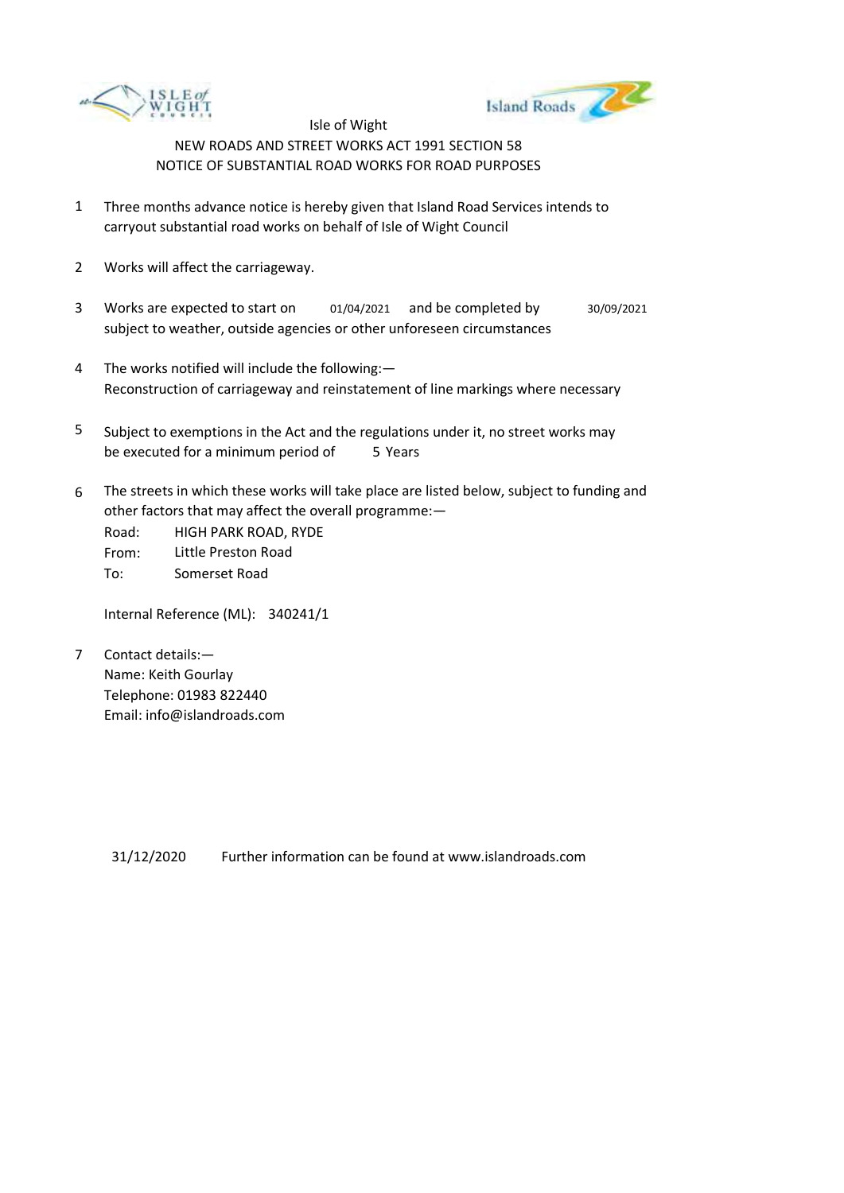



- 1 Three months advance notice is hereby given that Island Road Services intends to carryout substantial road works on behalf of Isle of Wight Council
- 2 Works will affect the carriageway.
- 3 Works are expected to start on subject to weather, outside agencies or other unforeseen circumstances 01/04/2021 and be completed by 30/09/2021
- 4 The works notified will include the following:— Reconstruction of carriageway and reinstatement of line markings where necessary
- 5 be executed for a minimum period of 5 Years Subject to exemptions in the Act and the regulations under it, no street works may
- 6 The streets in which these works will take place are listed below, subject to funding and other factors that may affect the overall programme:—

Road: From: To: HIGH PARK ROAD, RYDE Little Preston Road Somerset Road

Internal Reference (ML): 340241/1

7 Contact details:— Name: Keith Gourlay Telephone: 01983 822440 Email: info@islandroads.com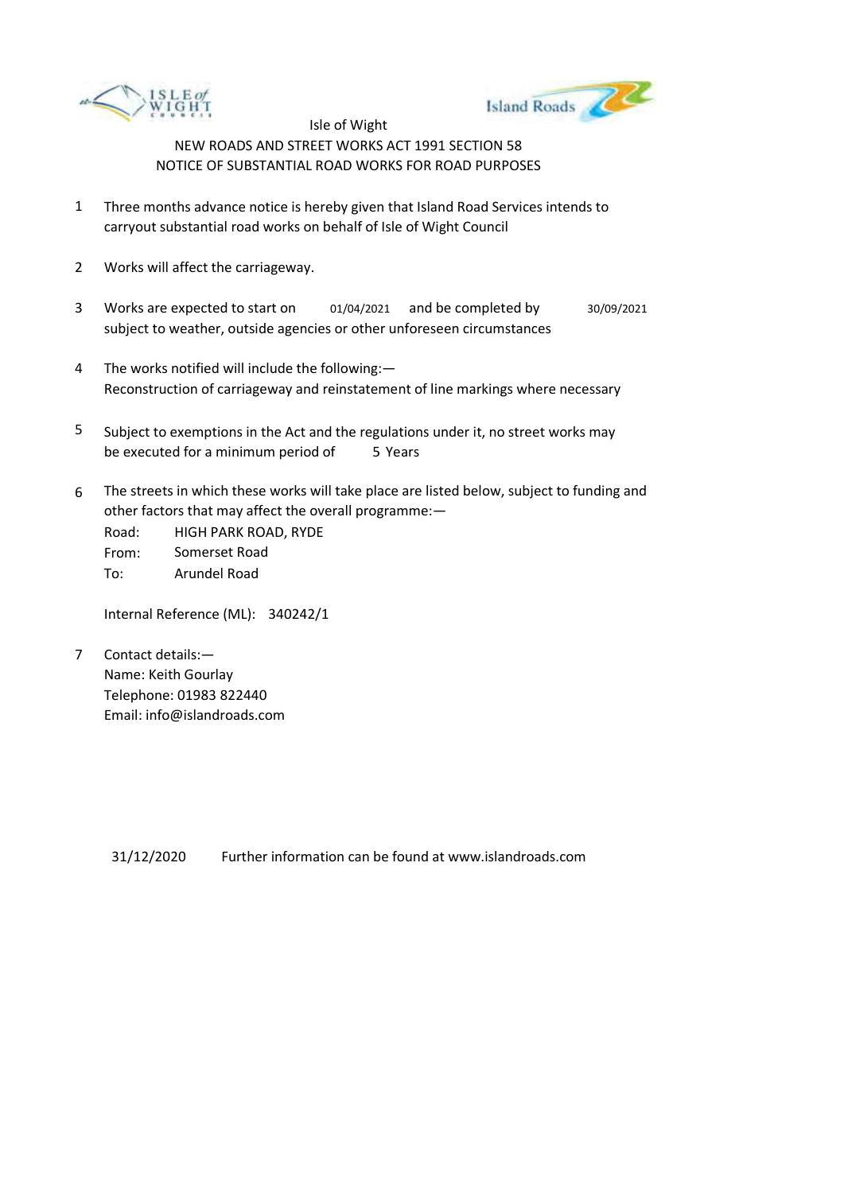



- 1 Three months advance notice is hereby given that Island Road Services intends to carryout substantial road works on behalf of Isle of Wight Council
- 2 Works will affect the carriageway.
- 3 Works are expected to start on subject to weather, outside agencies or other unforeseen circumstances 01/04/2021 and be completed by 30/09/2021
- 4 The works notified will include the following:— Reconstruction of carriageway and reinstatement of line markings where necessary
- 5 be executed for a minimum period of 5 Years Subject to exemptions in the Act and the regulations under it, no street works may
- 6 The streets in which these works will take place are listed below, subject to funding and other factors that may affect the overall programme:—

Road: From: To: HIGH PARK ROAD, RYDE Somerset Road Arundel Road

Internal Reference (ML): 340242/1

7 Contact details:— Name: Keith Gourlay Telephone: 01983 822440 Email: info@islandroads.com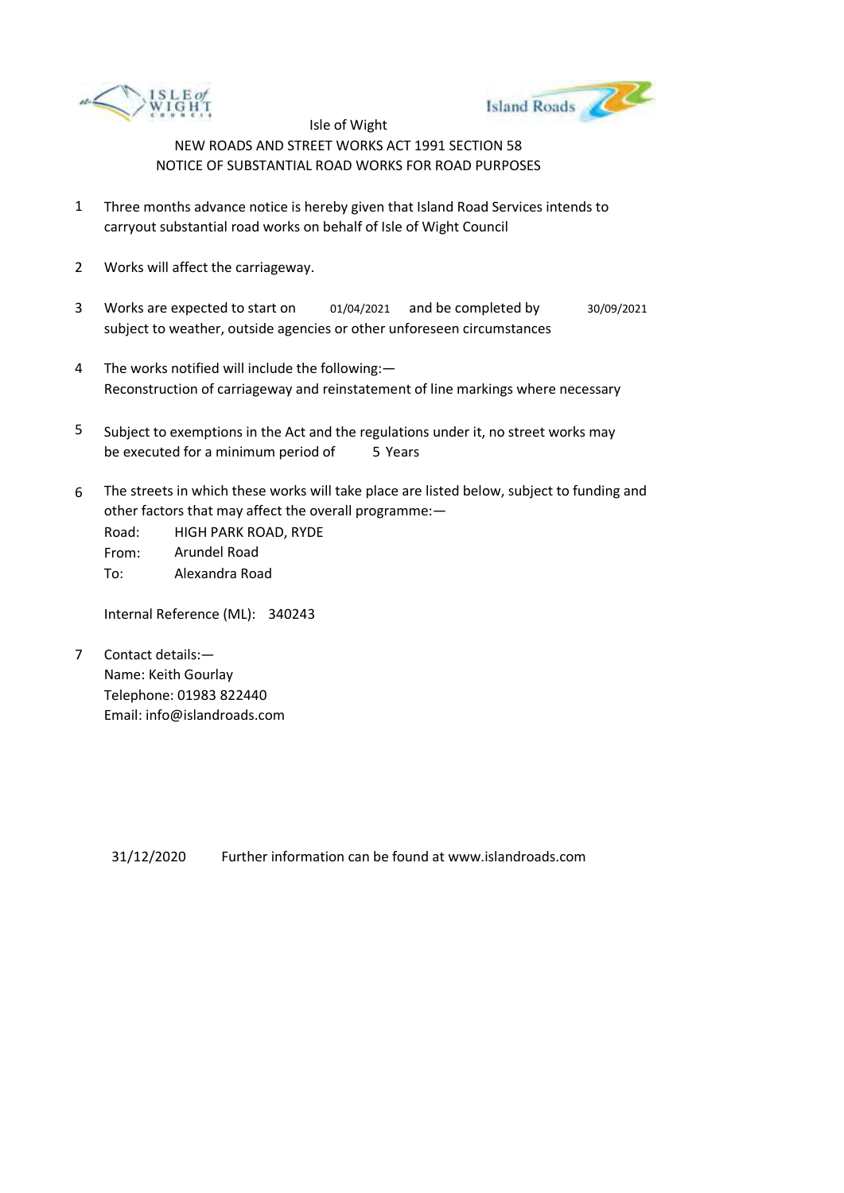



- 1 Three months advance notice is hereby given that Island Road Services intends to carryout substantial road works on behalf of Isle of Wight Council
- 2 Works will affect the carriageway.
- 3 Works are expected to start on subject to weather, outside agencies or other unforeseen circumstances 01/04/2021 and be completed by 30/09/2021
- 4 The works notified will include the following:— Reconstruction of carriageway and reinstatement of line markings where necessary
- 5 be executed for a minimum period of 5 Years Subject to exemptions in the Act and the regulations under it, no street works may
- 6 The streets in which these works will take place are listed below, subject to funding and other factors that may affect the overall programme:—

Road: From: To: HIGH PARK ROAD, RYDE Arundel Road Alexandra Road

Internal Reference (ML): 340243

7 Contact details:— Name: Keith Gourlay Telephone: 01983 822440 Email: info@islandroads.com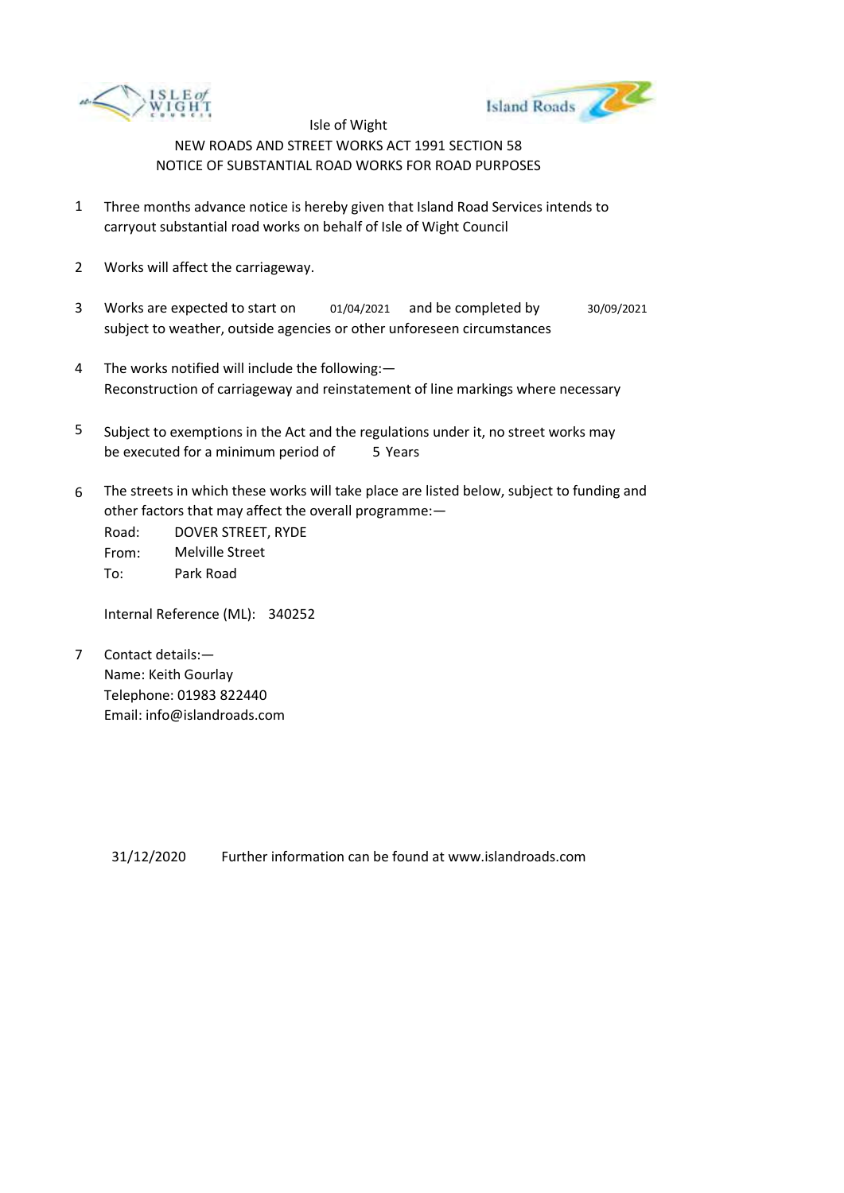



- 1 Three months advance notice is hereby given that Island Road Services intends to carryout substantial road works on behalf of Isle of Wight Council
- 2 Works will affect the carriageway.
- 3 Works are expected to start on subject to weather, outside agencies or other unforeseen circumstances 01/04/2021 and be completed by 30/09/2021
- 4 The works notified will include the following:— Reconstruction of carriageway and reinstatement of line markings where necessary
- 5 be executed for a minimum period of 5 Years Subject to exemptions in the Act and the regulations under it, no street works may
- 6 The streets in which these works will take place are listed below, subject to funding and other factors that may affect the overall programme:—

Road: From: To: DOVER STREET, RYDE Melville Street Park Road

Internal Reference (ML): 340252

7 Contact details:— Name: Keith Gourlay Telephone: 01983 822440 Email: info@islandroads.com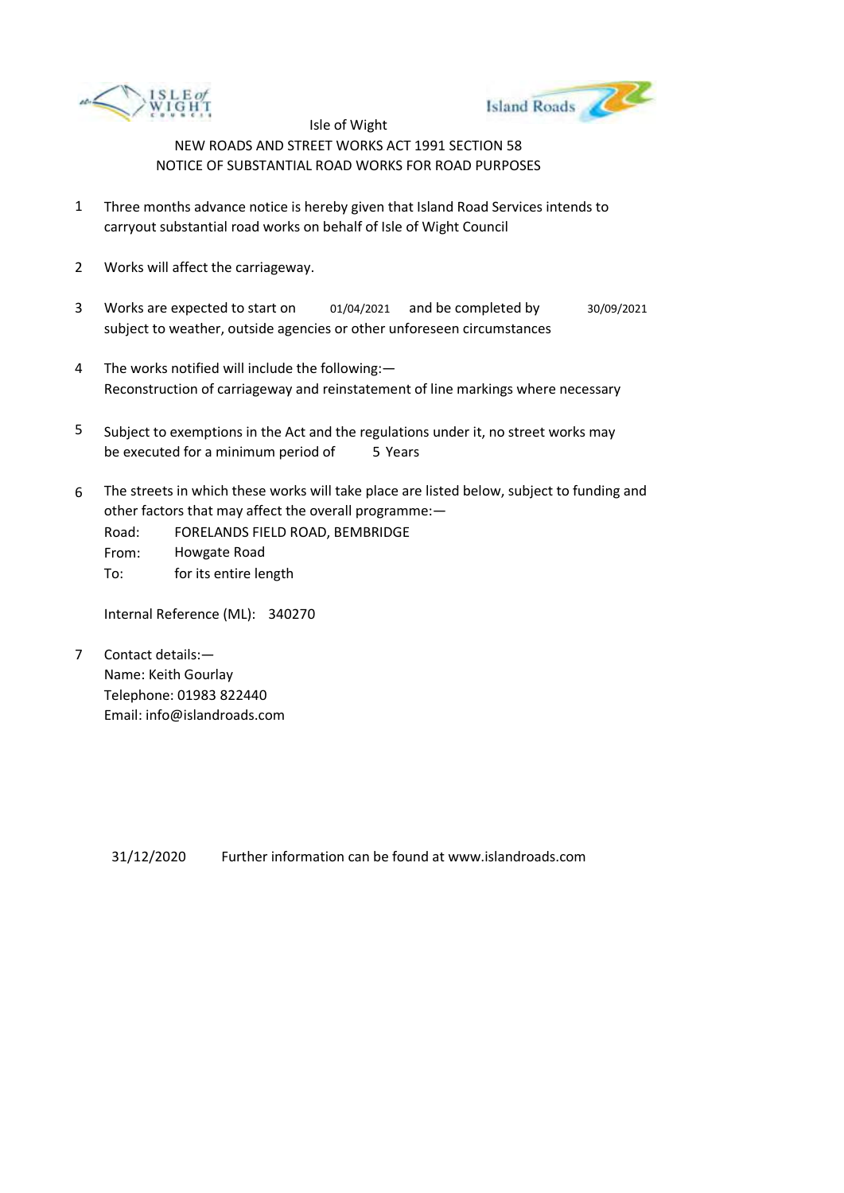



- 1 Three months advance notice is hereby given that Island Road Services intends to carryout substantial road works on behalf of Isle of Wight Council
- 2 Works will affect the carriageway.
- 3 Works are expected to start on subject to weather, outside agencies or other unforeseen circumstances 01/04/2021 and be completed by 30/09/2021
- 4 The works notified will include the following:— Reconstruction of carriageway and reinstatement of line markings where necessary
- 5 be executed for a minimum period of 5 Years Subject to exemptions in the Act and the regulations under it, no street works may
- 6 The streets in which these works will take place are listed below, subject to funding and other factors that may affect the overall programme:—
	- Road: From: To: FORELANDS FIELD ROAD, BEMBRIDGE Howgate Road for its entire length

Internal Reference (ML): 340270

7 Contact details:— Name: Keith Gourlay Telephone: 01983 822440 Email: info@islandroads.com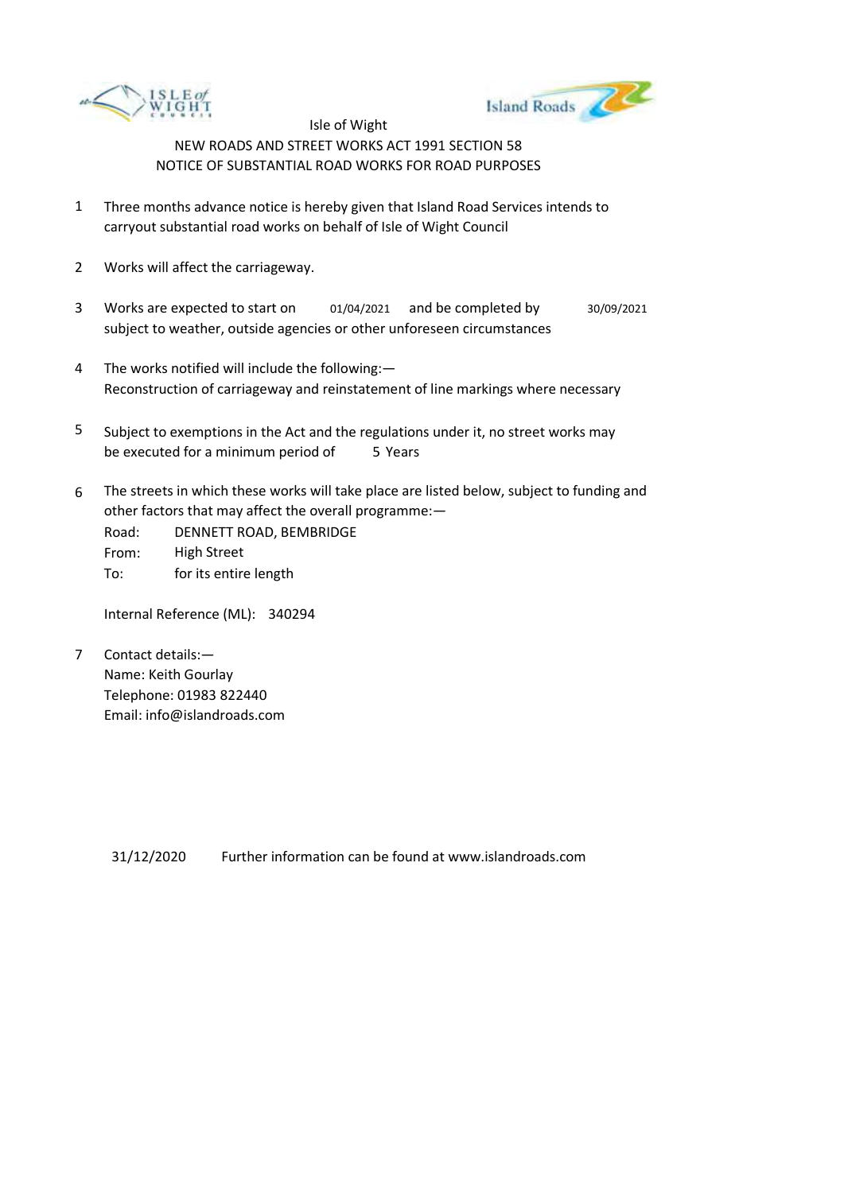



- 1 Three months advance notice is hereby given that Island Road Services intends to carryout substantial road works on behalf of Isle of Wight Council
- 2 Works will affect the carriageway.
- 3 Works are expected to start on subject to weather, outside agencies or other unforeseen circumstances 01/04/2021 and be completed by 30/09/2021
- 4 The works notified will include the following:— Reconstruction of carriageway and reinstatement of line markings where necessary
- 5 be executed for a minimum period of 5 Years Subject to exemptions in the Act and the regulations under it, no street works may
- 6 The streets in which these works will take place are listed below, subject to funding and other factors that may affect the overall programme:—
	- Road: From: To: DENNETT ROAD, BEMBRIDGE High Street for its entire length

Internal Reference (ML): 340294

7 Contact details:— Name: Keith Gourlay Telephone: 01983 822440 Email: info@islandroads.com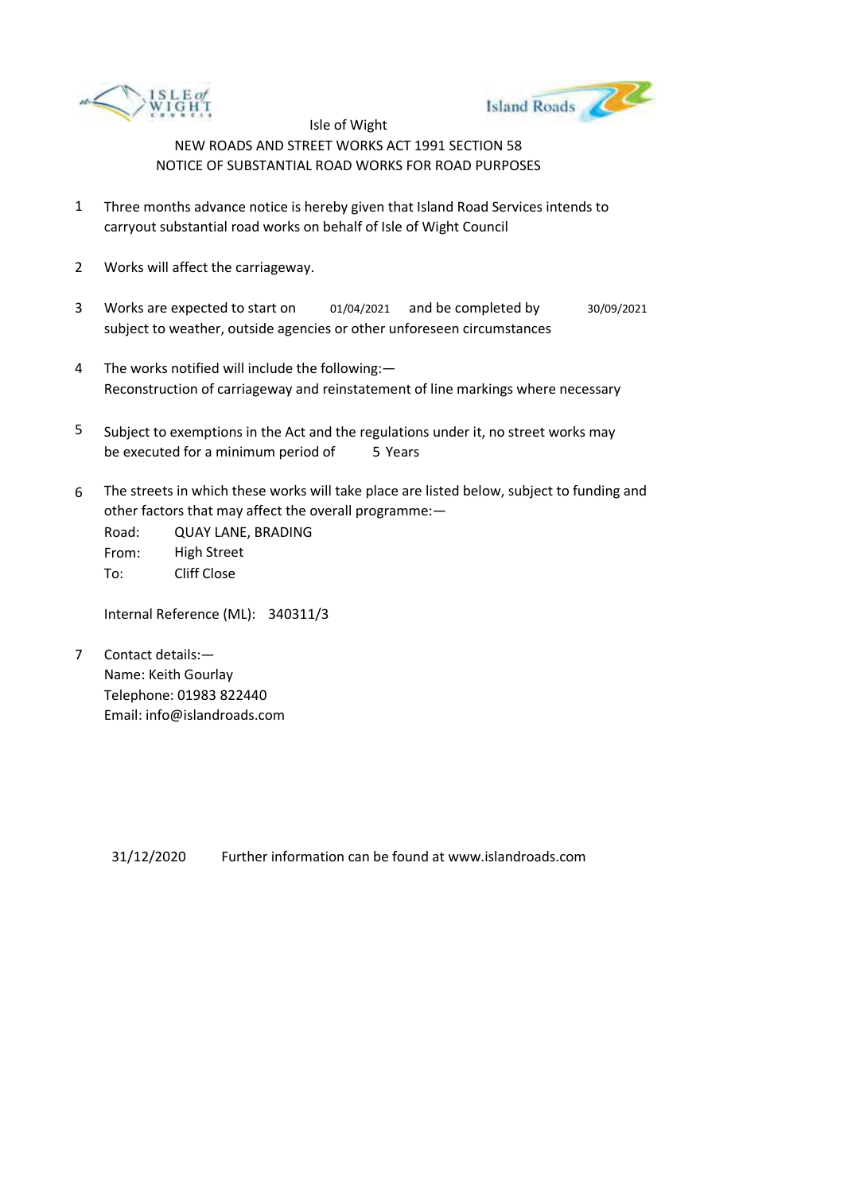



- 1 Three months advance notice is hereby given that Island Road Services intends to carryout substantial road works on behalf of Isle of Wight Council
- 2 Works will affect the carriageway.
- 3 Works are expected to start on subject to weather, outside agencies or other unforeseen circumstances 01/04/2021 and be completed by 30/09/2021
- 4 The works notified will include the following:— Reconstruction of carriageway and reinstatement of line markings where necessary
- 5 be executed for a minimum period of 5 Years Subject to exemptions in the Act and the regulations under it, no street works may
- 6 The streets in which these works will take place are listed below, subject to funding and other factors that may affect the overall programme:—

Road: From: To: QUAY LANE, BRADING High Street Cliff Close

Internal Reference (ML): 340311/3

7 Contact details:— Name: Keith Gourlay Telephone: 01983 822440 Email: info@islandroads.com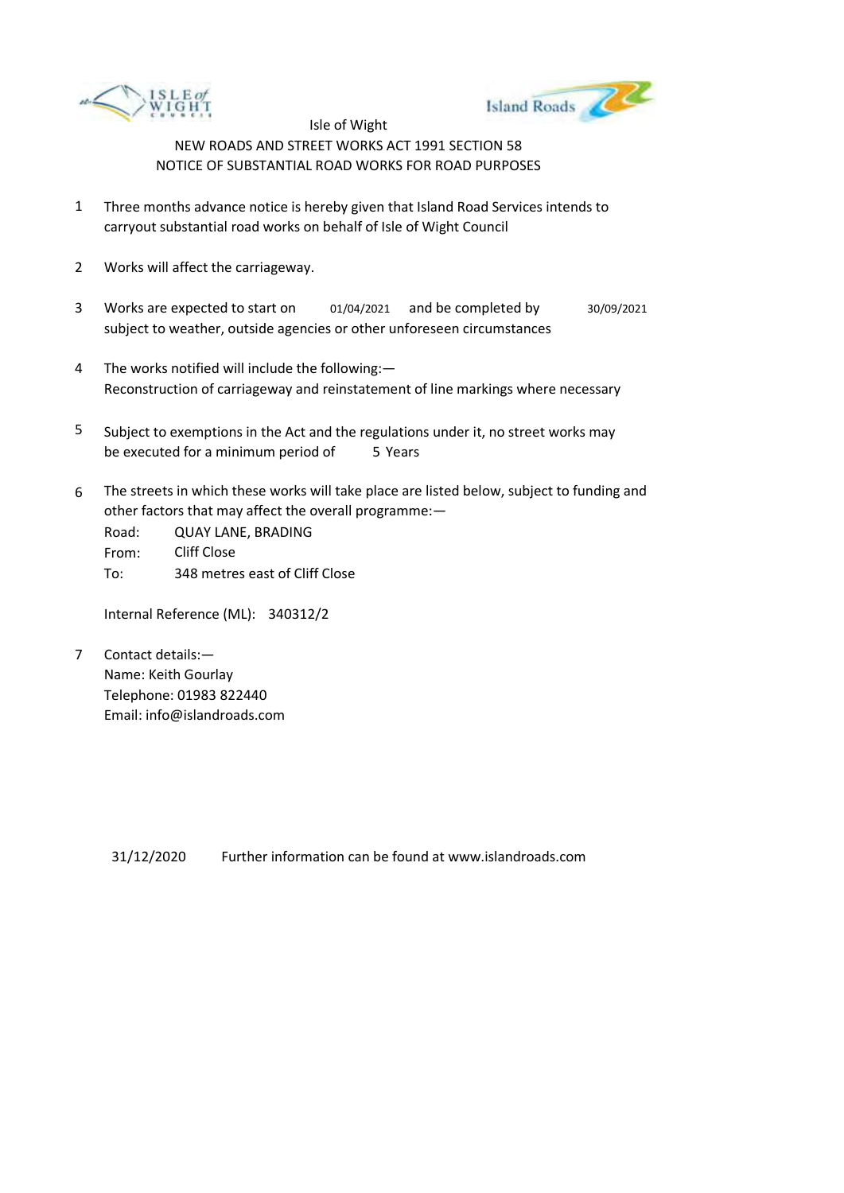



- 1 Three months advance notice is hereby given that Island Road Services intends to carryout substantial road works on behalf of Isle of Wight Council
- 2 Works will affect the carriageway.
- 3 Works are expected to start on subject to weather, outside agencies or other unforeseen circumstances 01/04/2021 and be completed by 30/09/2021
- 4 The works notified will include the following:— Reconstruction of carriageway and reinstatement of line markings where necessary
- 5 be executed for a minimum period of 5 Years Subject to exemptions in the Act and the regulations under it, no street works may
- 6 The streets in which these works will take place are listed below, subject to funding and other factors that may affect the overall programme:—

Road: From: To: QUAY LANE, BRADING Cliff Close 348 metres east of Cliff Close

Internal Reference (ML): 340312/2

7 Contact details:— Name: Keith Gourlay Telephone: 01983 822440 Email: info@islandroads.com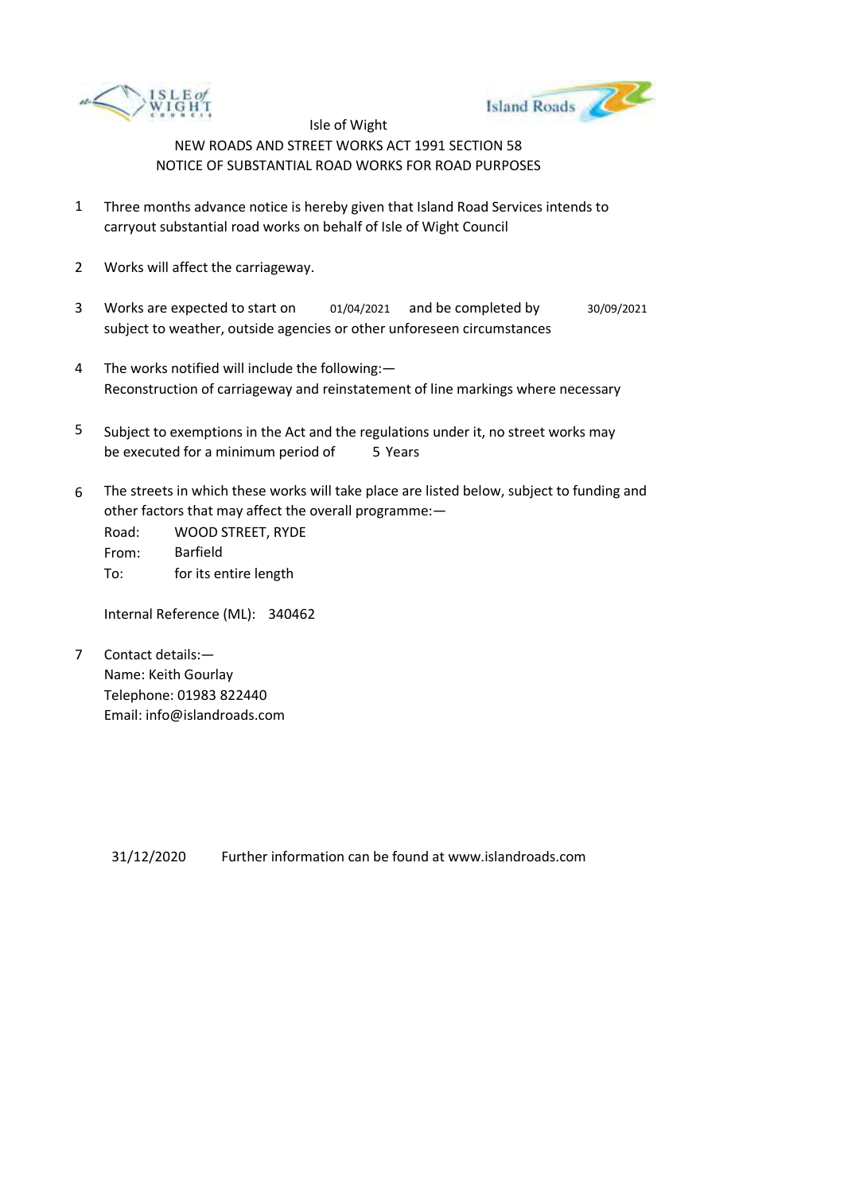



- 1 Three months advance notice is hereby given that Island Road Services intends to carryout substantial road works on behalf of Isle of Wight Council
- 2 Works will affect the carriageway.
- 3 Works are expected to start on subject to weather, outside agencies or other unforeseen circumstances 01/04/2021 and be completed by 30/09/2021
- 4 The works notified will include the following:— Reconstruction of carriageway and reinstatement of line markings where necessary
- 5 be executed for a minimum period of 5 Years Subject to exemptions in the Act and the regulations under it, no street works may
- 6 The streets in which these works will take place are listed below, subject to funding and other factors that may affect the overall programme:—

| Road: | <b>WOOD STREET, RYDE</b> |
|-------|--------------------------|
| From: | Barfield                 |
| To:   | for its entire length    |

Internal Reference (ML): 340462

7 Contact details:— Name: Keith Gourlay Telephone: 01983 822440 Email: info@islandroads.com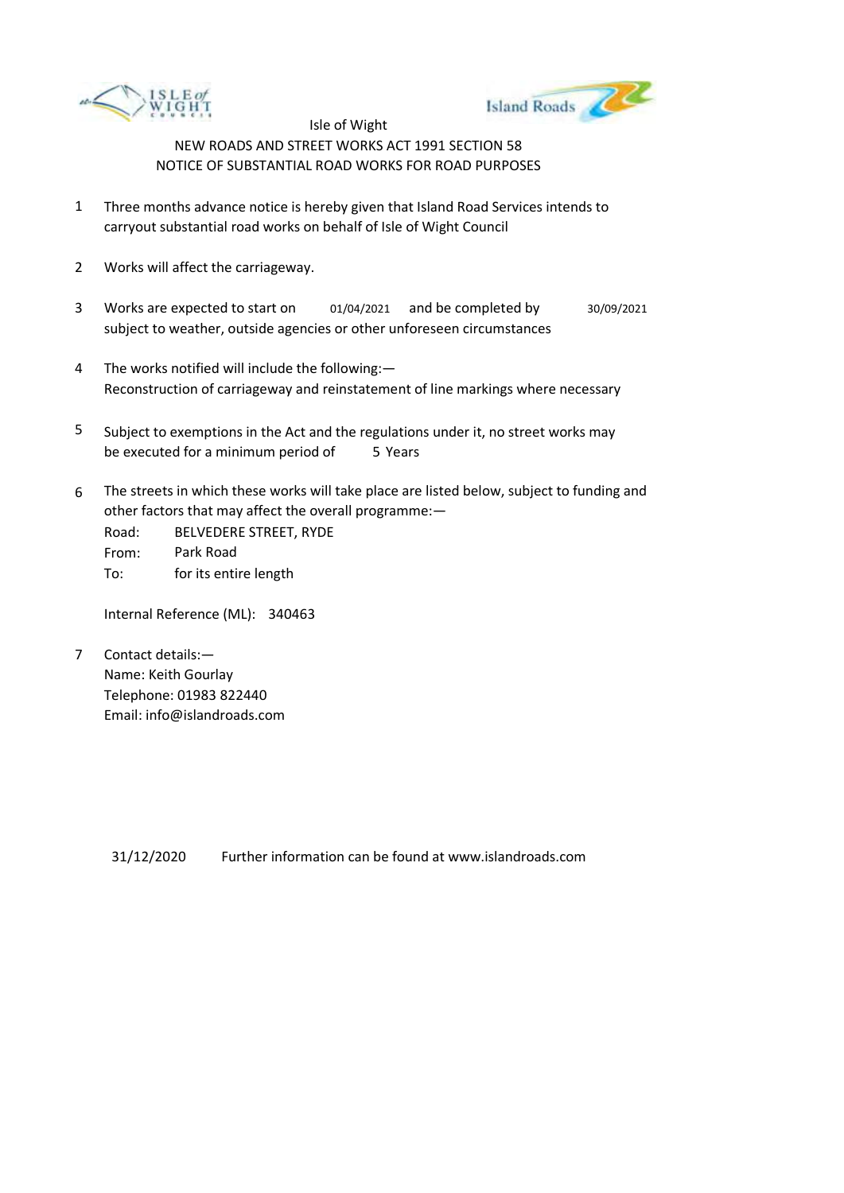



- 1 Three months advance notice is hereby given that Island Road Services intends to carryout substantial road works on behalf of Isle of Wight Council
- 2 Works will affect the carriageway.
- 3 Works are expected to start on subject to weather, outside agencies or other unforeseen circumstances 01/04/2021 and be completed by 30/09/2021
- 4 The works notified will include the following:— Reconstruction of carriageway and reinstatement of line markings where necessary
- 5 be executed for a minimum period of 5 Years Subject to exemptions in the Act and the regulations under it, no street works may
- 6 The streets in which these works will take place are listed below, subject to funding and other factors that may affect the overall programme:—

Road: From: To: BELVEDERE STREET, RYDE Park Road for its entire length

Internal Reference (ML): 340463

7 Contact details:— Name: Keith Gourlay Telephone: 01983 822440 Email: info@islandroads.com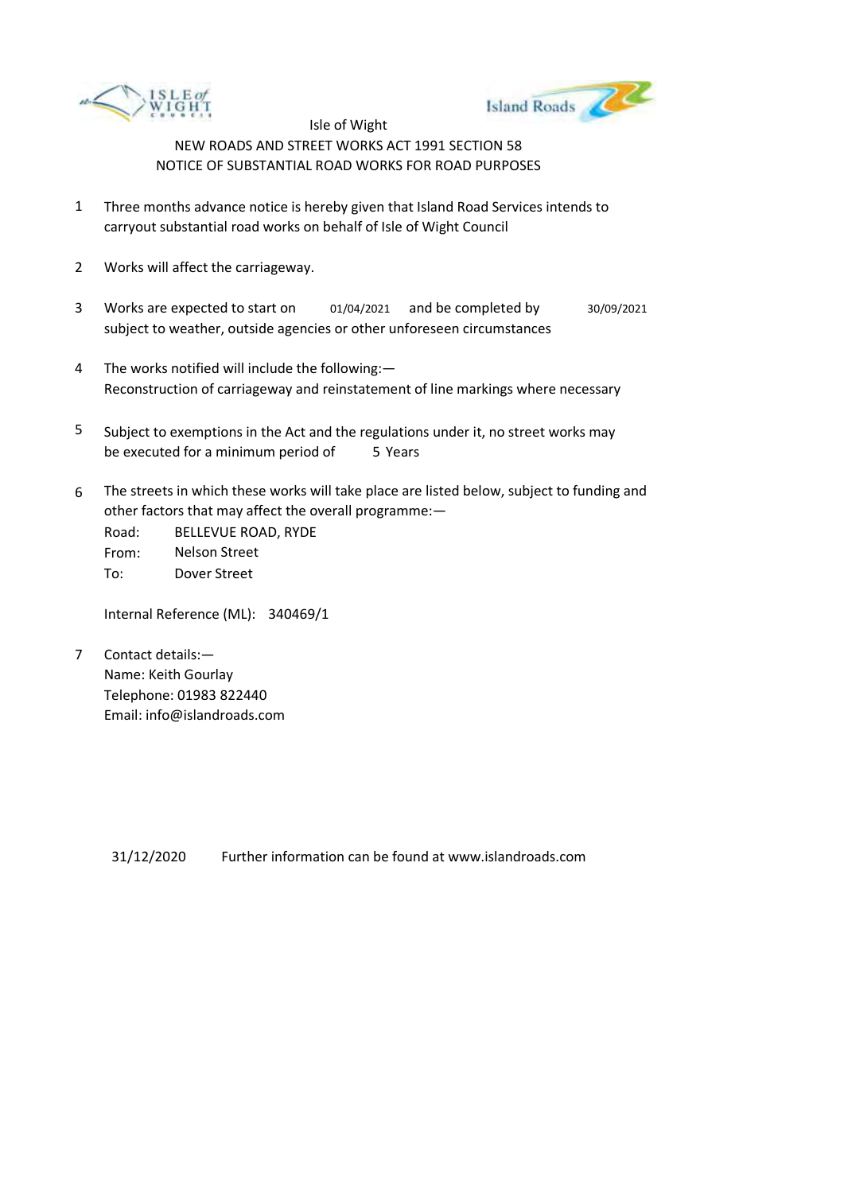



- 1 Three months advance notice is hereby given that Island Road Services intends to carryout substantial road works on behalf of Isle of Wight Council
- 2 Works will affect the carriageway.
- 3 Works are expected to start on subject to weather, outside agencies or other unforeseen circumstances 01/04/2021 and be completed by 30/09/2021
- 4 The works notified will include the following:— Reconstruction of carriageway and reinstatement of line markings where necessary
- 5 be executed for a minimum period of 5 Years Subject to exemptions in the Act and the regulations under it, no street works may
- 6 The streets in which these works will take place are listed below, subject to funding and other factors that may affect the overall programme:—

Road: From: To: BELLEVUE ROAD, RYDE Nelson Street Dover Street

Internal Reference (ML): 340469/1

7 Contact details:— Name: Keith Gourlay Telephone: 01983 822440 Email: info@islandroads.com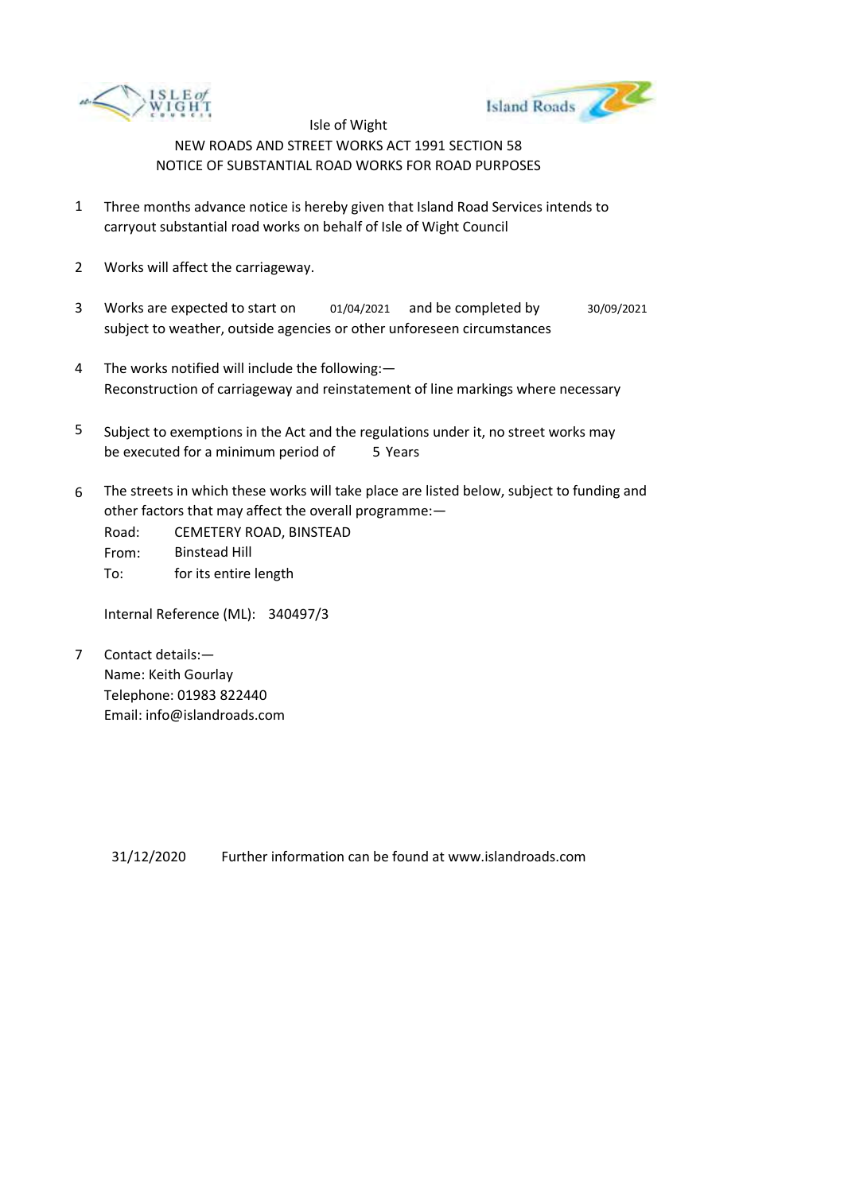



- 1 Three months advance notice is hereby given that Island Road Services intends to carryout substantial road works on behalf of Isle of Wight Council
- 2 Works will affect the carriageway.
- 3 Works are expected to start on subject to weather, outside agencies or other unforeseen circumstances 01/04/2021 and be completed by 30/09/2021
- 4 The works notified will include the following:— Reconstruction of carriageway and reinstatement of line markings where necessary
- 5 be executed for a minimum period of 5 Years Subject to exemptions in the Act and the regulations under it, no street works may
- 6 The streets in which these works will take place are listed below, subject to funding and other factors that may affect the overall programme:—

Road: From: To: CEMETERY ROAD, BINSTEAD Binstead Hill for its entire length

Internal Reference (ML): 340497/3

7 Contact details:— Name: Keith Gourlay Telephone: 01983 822440 Email: info@islandroads.com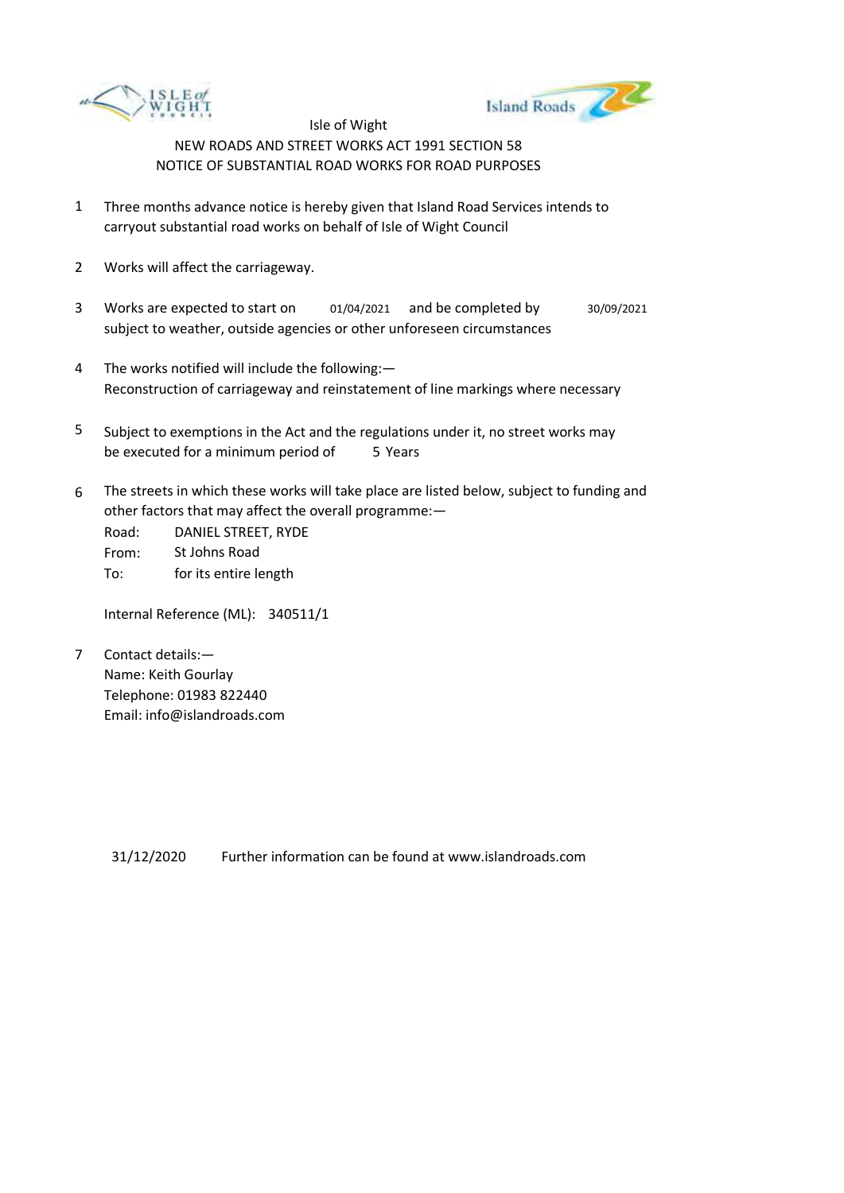



- 1 Three months advance notice is hereby given that Island Road Services intends to carryout substantial road works on behalf of Isle of Wight Council
- 2 Works will affect the carriageway.
- 3 Works are expected to start on subject to weather, outside agencies or other unforeseen circumstances 01/04/2021 and be completed by 30/09/2021
- 4 The works notified will include the following:— Reconstruction of carriageway and reinstatement of line markings where necessary
- 5 be executed for a minimum period of 5 Years Subject to exemptions in the Act and the regulations under it, no street works may
- 6 The streets in which these works will take place are listed below, subject to funding and other factors that may affect the overall programme:—

Road: From: To: DANIEL STREET, RYDE St Johns Road for its entire length

Internal Reference (ML): 340511/1

7 Contact details:— Name: Keith Gourlay Telephone: 01983 822440 Email: info@islandroads.com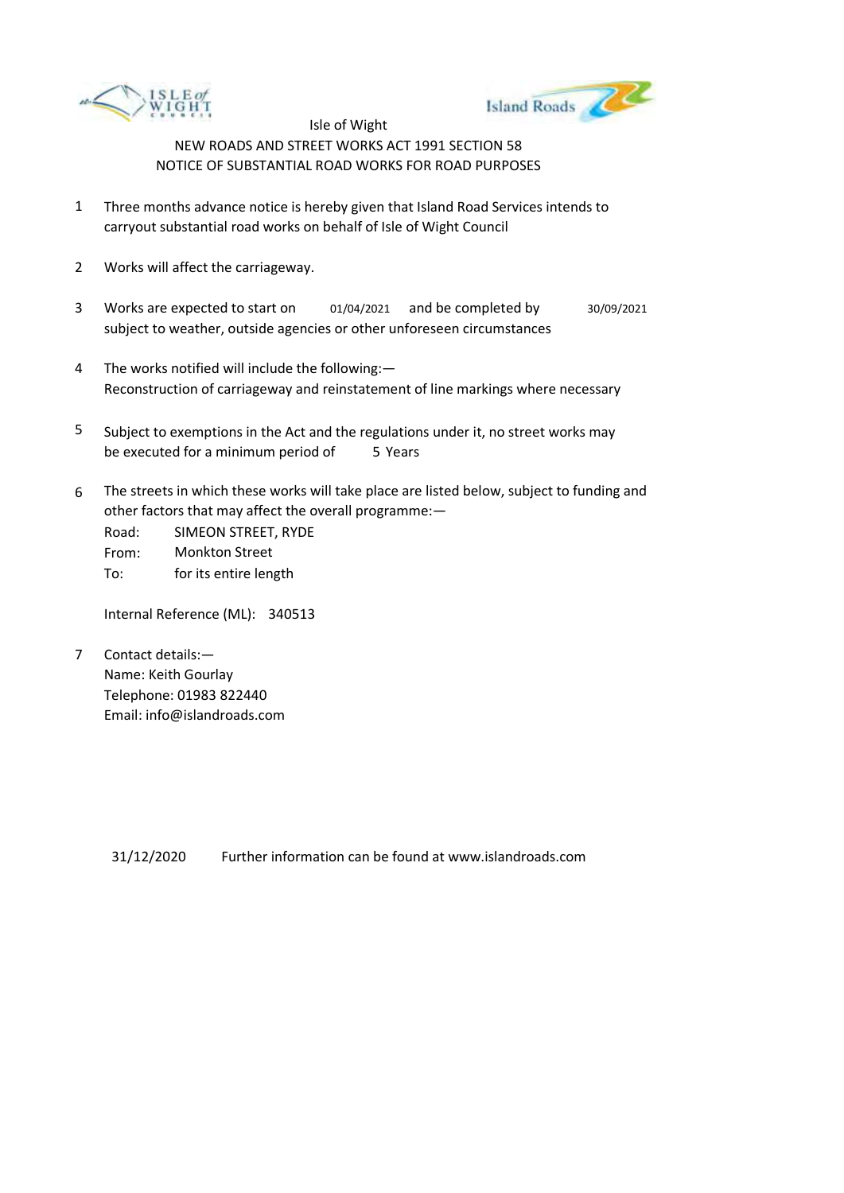



- 1 Three months advance notice is hereby given that Island Road Services intends to carryout substantial road works on behalf of Isle of Wight Council
- 2 Works will affect the carriageway.
- 3 Works are expected to start on subject to weather, outside agencies or other unforeseen circumstances 01/04/2021 and be completed by 30/09/2021
- 4 The works notified will include the following:— Reconstruction of carriageway and reinstatement of line markings where necessary
- 5 be executed for a minimum period of 5 Years Subject to exemptions in the Act and the regulations under it, no street works may
- 6 The streets in which these works will take place are listed below, subject to funding and other factors that may affect the overall programme:—

Road: From: To: SIMEON STREET, RYDE Monkton Street for its entire length

Internal Reference (ML): 340513

7 Contact details:— Name: Keith Gourlay Telephone: 01983 822440 Email: info@islandroads.com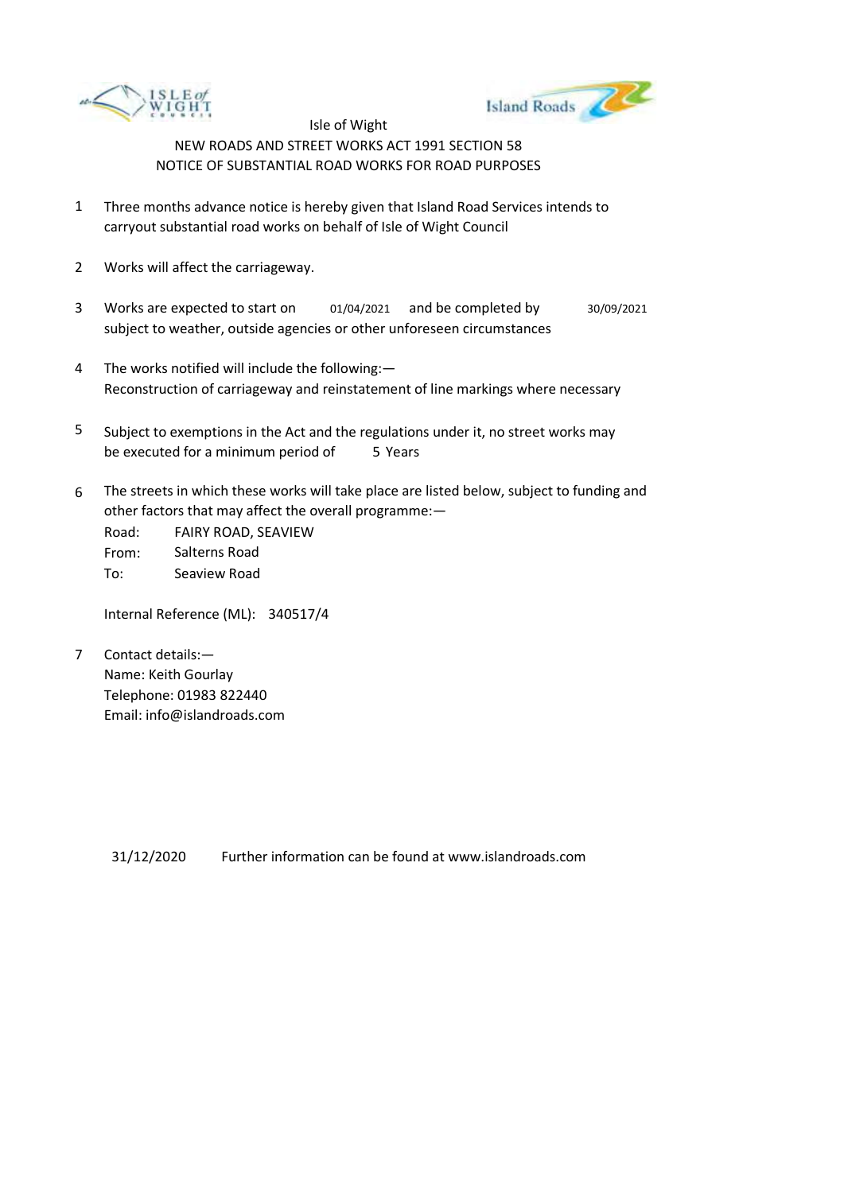



- 1 Three months advance notice is hereby given that Island Road Services intends to carryout substantial road works on behalf of Isle of Wight Council
- 2 Works will affect the carriageway.
- 3 Works are expected to start on subject to weather, outside agencies or other unforeseen circumstances 01/04/2021 and be completed by 30/09/2021
- 4 The works notified will include the following:— Reconstruction of carriageway and reinstatement of line markings where necessary
- 5 be executed for a minimum period of 5 Years Subject to exemptions in the Act and the regulations under it, no street works may
- 6 The streets in which these works will take place are listed below, subject to funding and other factors that may affect the overall programme:—

Road: From: To: FAIRY ROAD, SEAVIEW Salterns Road Seaview Road

Internal Reference (ML): 340517/4

7 Contact details:— Name: Keith Gourlay Telephone: 01983 822440 Email: info@islandroads.com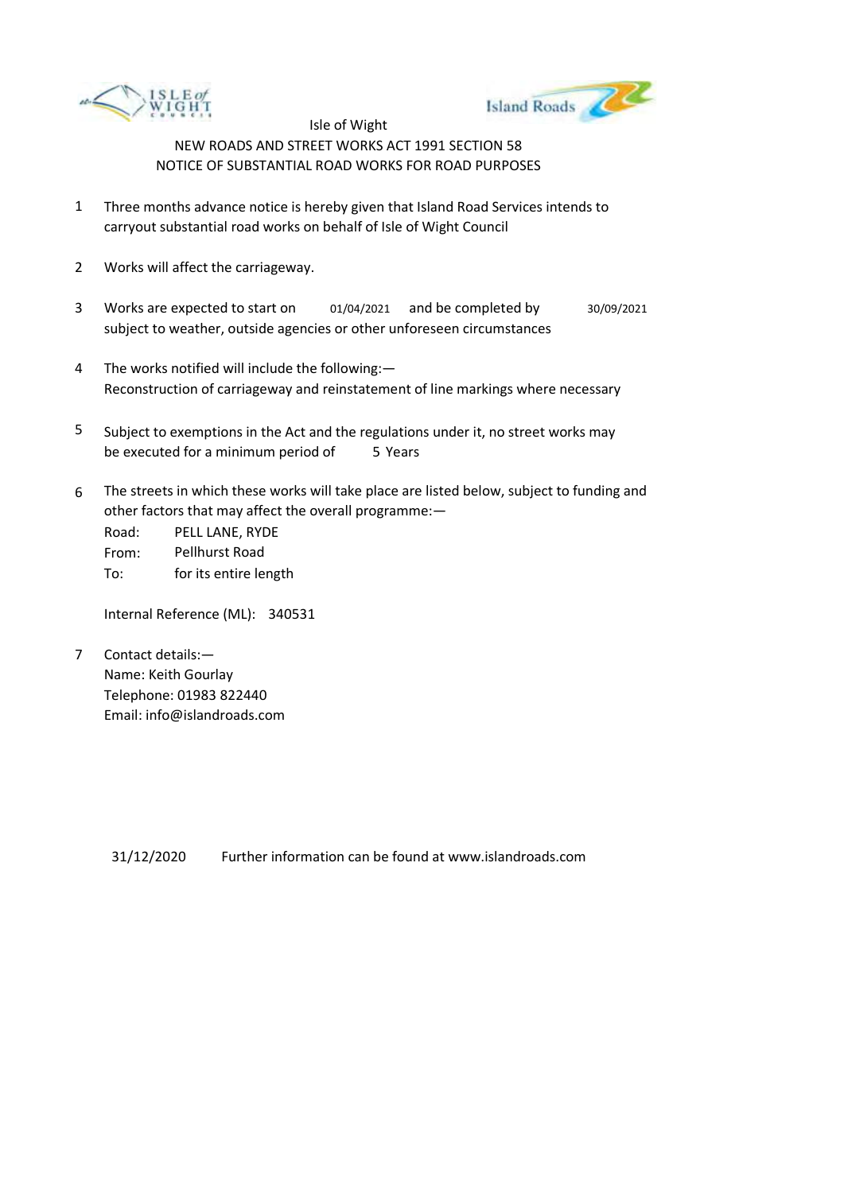



- 1 Three months advance notice is hereby given that Island Road Services intends to carryout substantial road works on behalf of Isle of Wight Council
- 2 Works will affect the carriageway.
- 3 Works are expected to start on subject to weather, outside agencies or other unforeseen circumstances 01/04/2021 and be completed by 30/09/2021
- 4 The works notified will include the following:— Reconstruction of carriageway and reinstatement of line markings where necessary
- 5 be executed for a minimum period of 5 Years Subject to exemptions in the Act and the regulations under it, no street works may
- 6 The streets in which these works will take place are listed below, subject to funding and other factors that may affect the overall programme:—

Road: From: To: PELL LANE, RYDE Pellhurst Road for its entire length

Internal Reference (ML): 340531

7 Contact details:— Name: Keith Gourlay Telephone: 01983 822440 Email: info@islandroads.com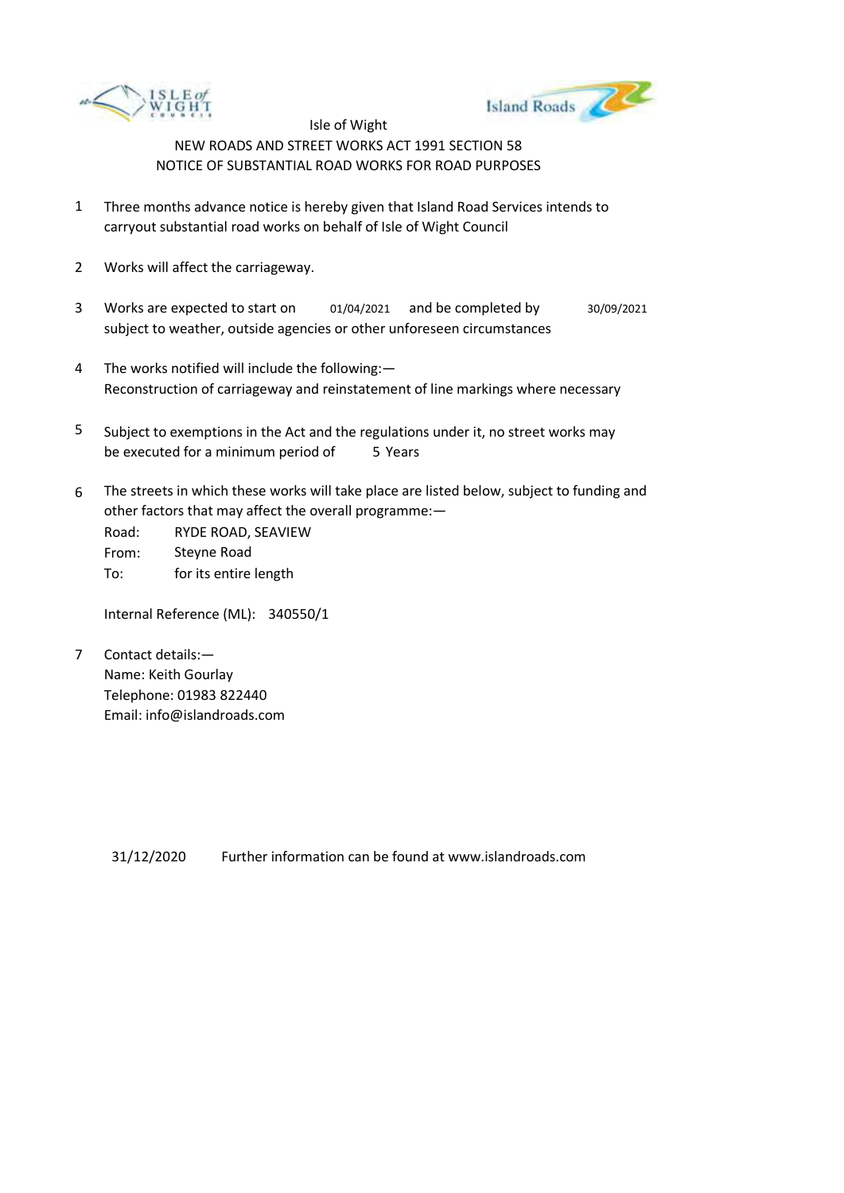



- 1 Three months advance notice is hereby given that Island Road Services intends to carryout substantial road works on behalf of Isle of Wight Council
- 2 Works will affect the carriageway.
- 3 Works are expected to start on subject to weather, outside agencies or other unforeseen circumstances 01/04/2021 and be completed by 30/09/2021
- 4 The works notified will include the following:— Reconstruction of carriageway and reinstatement of line markings where necessary
- 5 be executed for a minimum period of 5 Years Subject to exemptions in the Act and the regulations under it, no street works may
- 6 The streets in which these works will take place are listed below, subject to funding and other factors that may affect the overall programme:—

Road: From: To: RYDE ROAD, SEAVIEW Steyne Road for its entire length

Internal Reference (ML): 340550/1

7 Contact details:— Name: Keith Gourlay Telephone: 01983 822440 Email: info@islandroads.com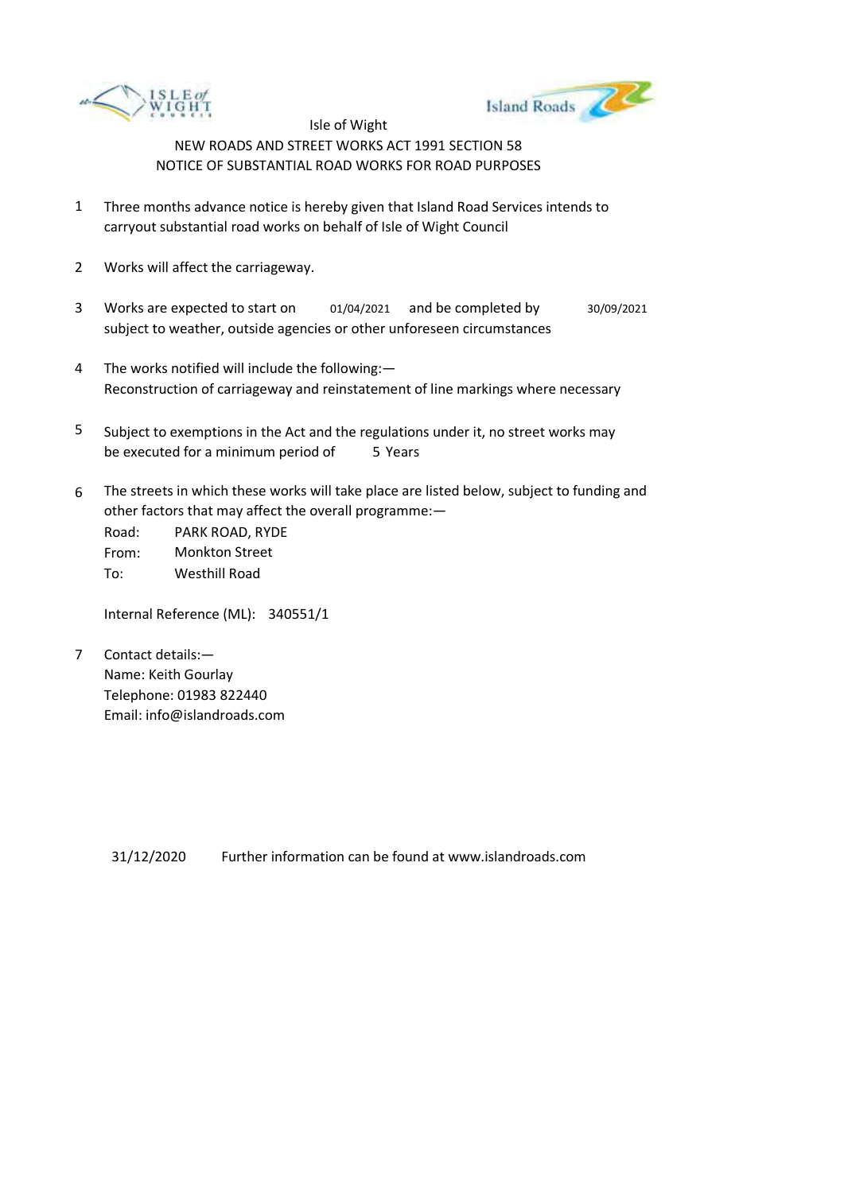



- 1 Three months advance notice is hereby given that Island Road Services intends to carryout substantial road works on behalf of Isle of Wight Council
- 2 Works will affect the carriageway.
- 3 Works are expected to start on subject to weather, outside agencies or other unforeseen circumstances 01/04/2021 and be completed by 30/09/2021
- 4 The works notified will include the following:— Reconstruction of carriageway and reinstatement of line markings where necessary
- 5 be executed for a minimum period of 5 Years Subject to exemptions in the Act and the regulations under it, no street works may
- 6 The streets in which these works will take place are listed below, subject to funding and other factors that may affect the overall programme:—

Road: From: To: PARK ROAD, RYDE Monkton Street Westhill Road

Internal Reference (ML): 340551/1

7 Contact details:— Name: Keith Gourlay Telephone: 01983 822440 Email: info@islandroads.com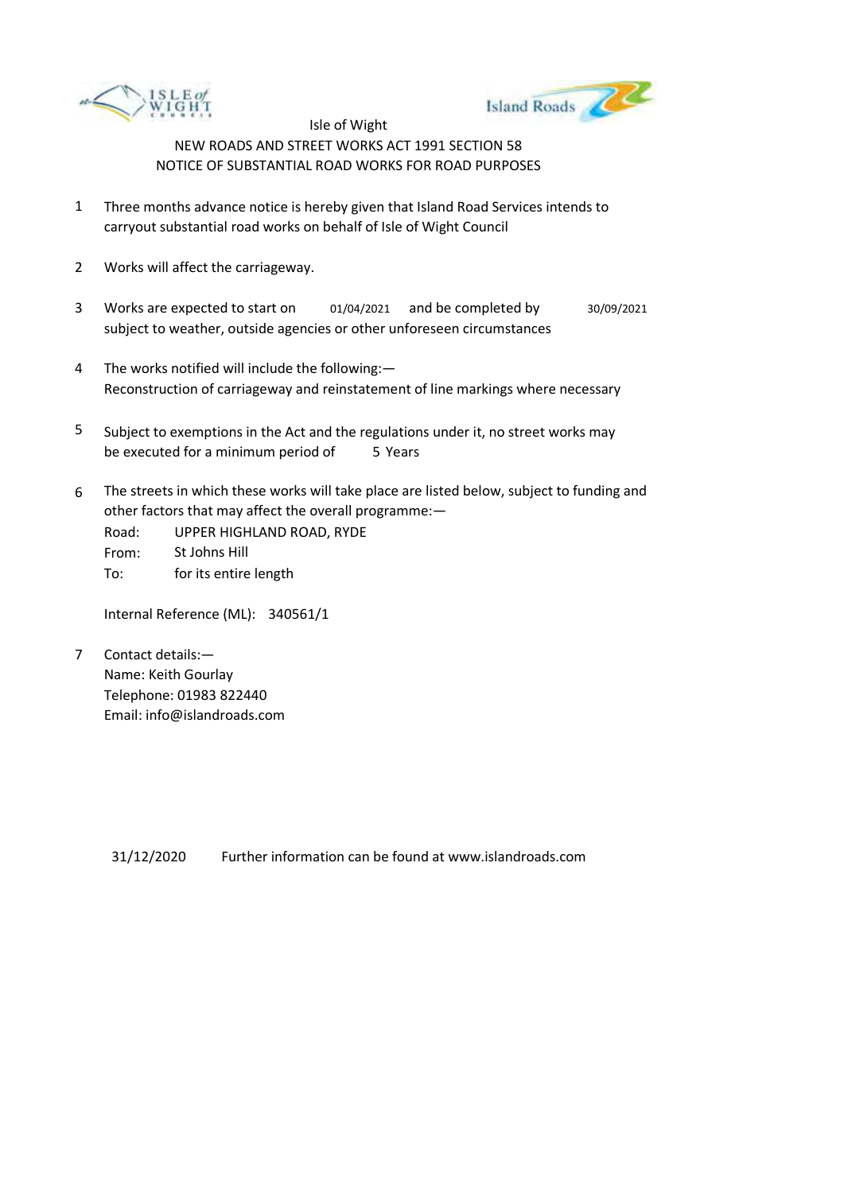



- 1 Three months advance notice is hereby given that Island Road Services intends to carryout substantial road works on behalf of Isle of Wight Council
- 2 Works will affect the carriageway.
- 3 Works are expected to start on subject to weather, outside agencies or other unforeseen circumstances 01/04/2021 and be completed by 30/09/2021
- 4 The works notified will include the following:— Reconstruction of carriageway and reinstatement of line markings where necessary
- 5 be executed for a minimum period of 5 Years Subject to exemptions in the Act and the regulations under it, no street works may
- 6 The streets in which these works will take place are listed below, subject to funding and other factors that may affect the overall programme:—
	- Road: From: To: UPPER HIGHLAND ROAD, RYDE St Johns Hill for its entire length

Internal Reference (ML): 340561/1

7 Contact details:— Name: Keith Gourlay Telephone: 01983 822440 Email: info@islandroads.com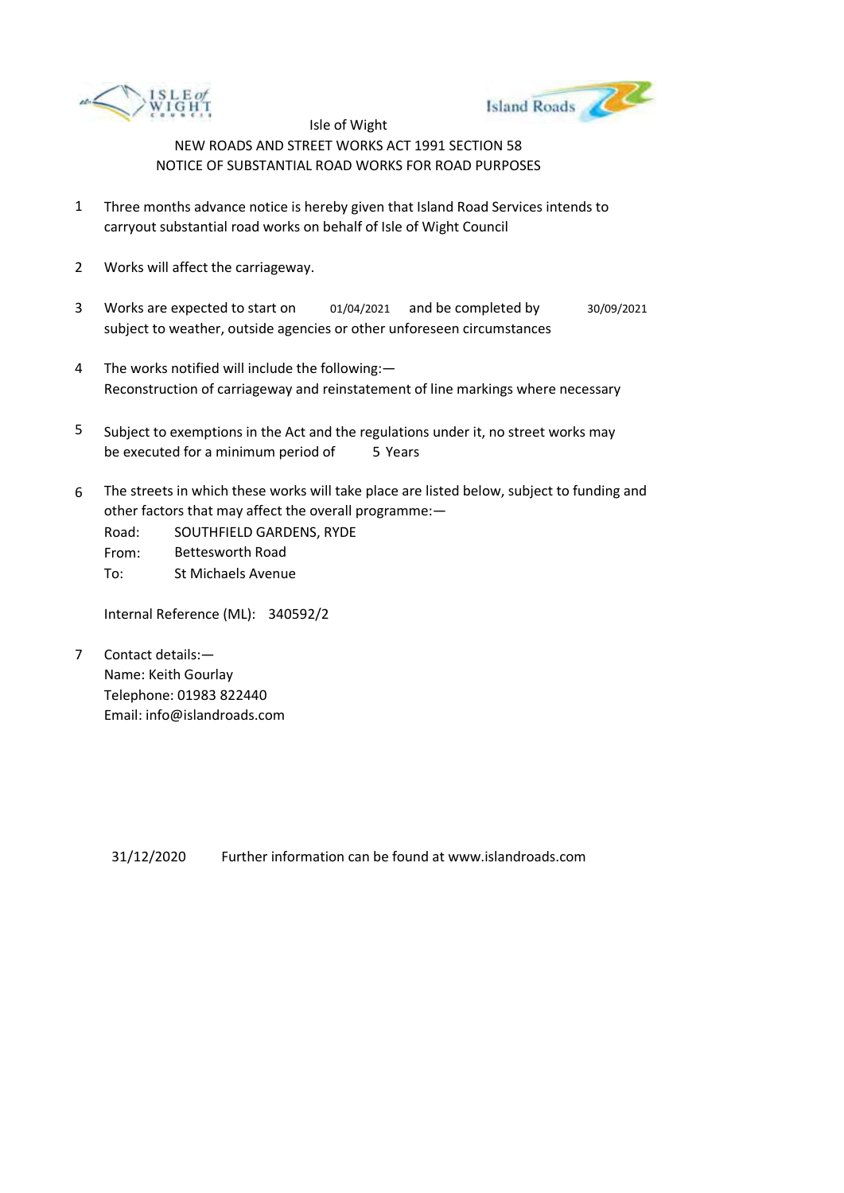



- 1 Three months advance notice is hereby given that Island Road Services intends to carryout substantial road works on behalf of Isle of Wight Council
- 2 Works will affect the carriageway.
- 3 Works are expected to start on subject to weather, outside agencies or other unforeseen circumstances 01/04/2021 and be completed by 30/09/2021
- 4 The works notified will include the following:— Reconstruction of carriageway and reinstatement of line markings where necessary
- 5 be executed for a minimum period of 5 Years Subject to exemptions in the Act and the regulations under it, no street works may
- 6 The streets in which these works will take place are listed below, subject to funding and other factors that may affect the overall programme:—

Road: From: To: SOUTHFIELD GARDENS, RYDE Bettesworth Road St Michaels Avenue

Internal Reference (ML): 340592/2

7 Contact details:— Name: Keith Gourlay Telephone: 01983 822440 Email: info@islandroads.com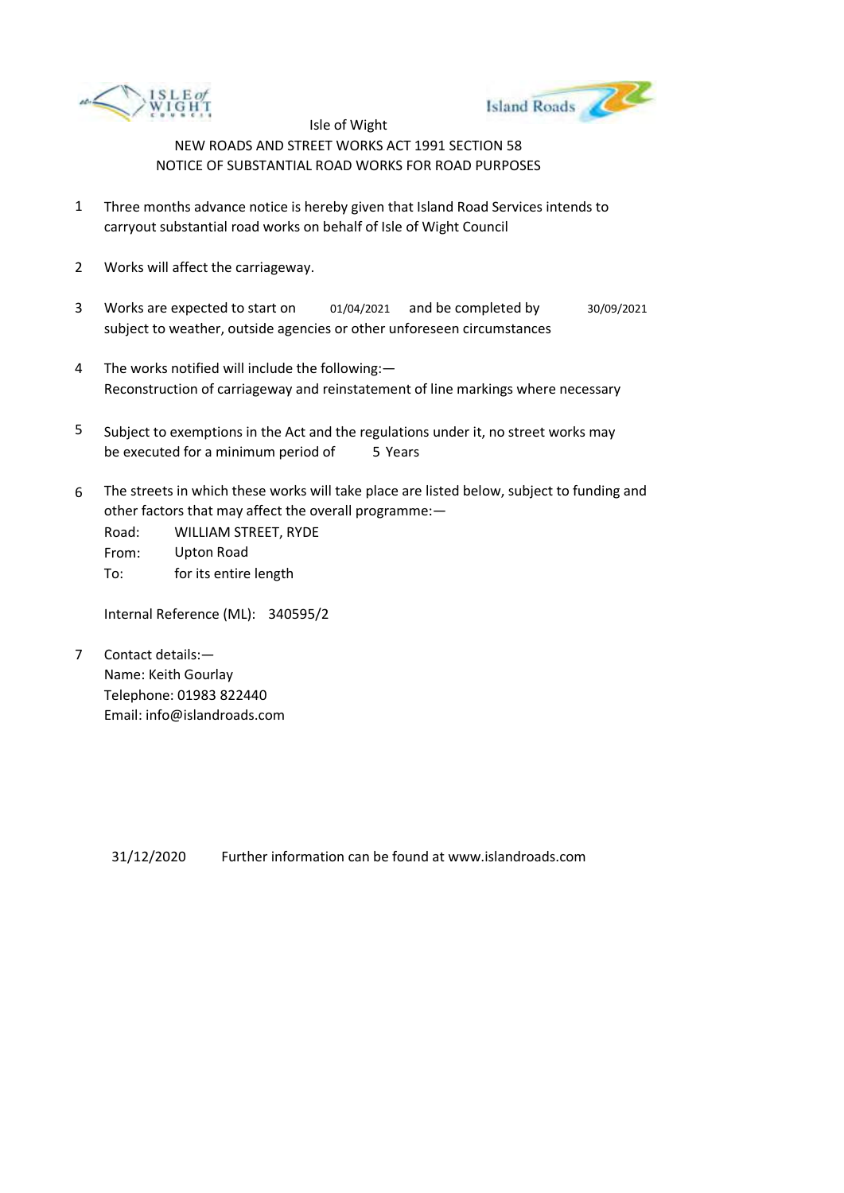



- 1 Three months advance notice is hereby given that Island Road Services intends to carryout substantial road works on behalf of Isle of Wight Council
- 2 Works will affect the carriageway.
- 3 Works are expected to start on subject to weather, outside agencies or other unforeseen circumstances 01/04/2021 and be completed by 30/09/2021
- 4 The works notified will include the following:— Reconstruction of carriageway and reinstatement of line markings where necessary
- 5 be executed for a minimum period of 5 Years Subject to exemptions in the Act and the regulations under it, no street works may
- 6 The streets in which these works will take place are listed below, subject to funding and other factors that may affect the overall programme:—

Road: From: To: WILLIAM STREET, RYDE Upton Road for its entire length

Internal Reference (ML): 340595/2

7 Contact details:— Name: Keith Gourlay Telephone: 01983 822440 Email: info@islandroads.com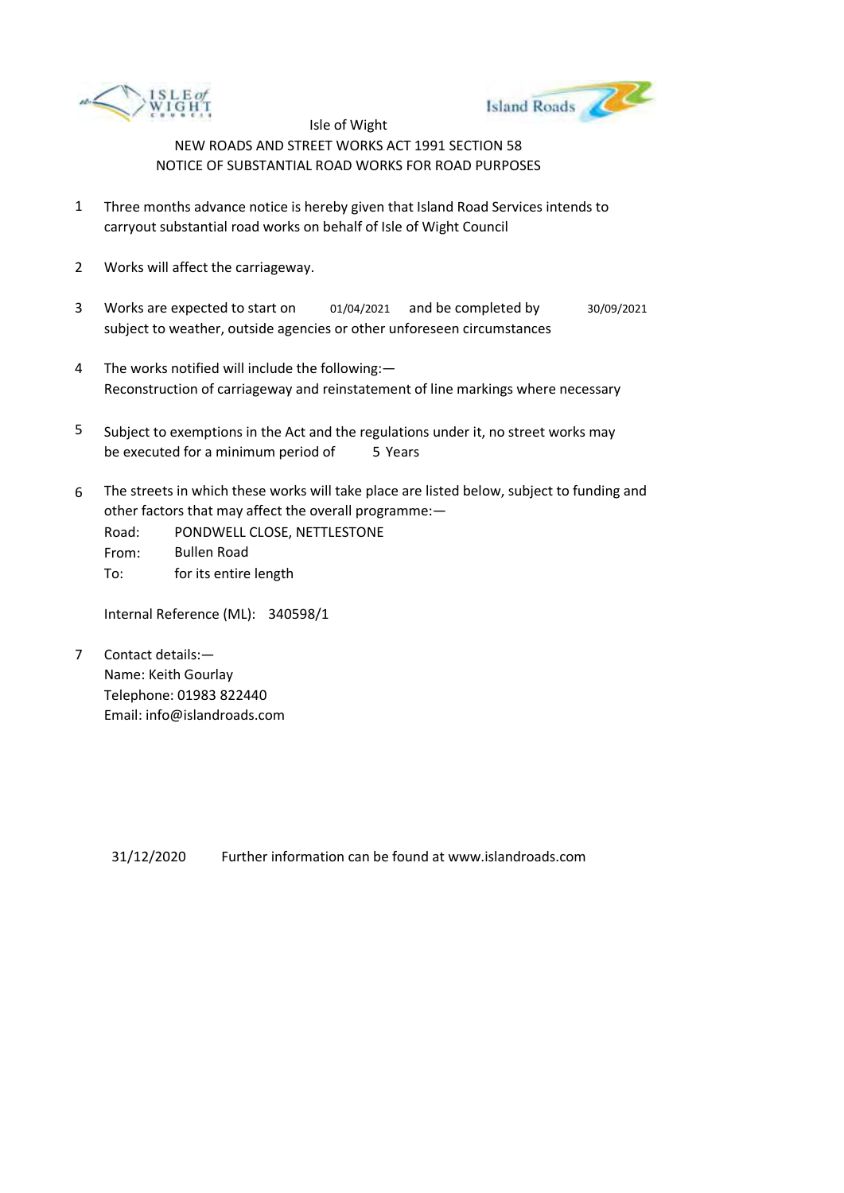



- 1 Three months advance notice is hereby given that Island Road Services intends to carryout substantial road works on behalf of Isle of Wight Council
- 2 Works will affect the carriageway.
- 3 Works are expected to start on subject to weather, outside agencies or other unforeseen circumstances 01/04/2021 and be completed by 30/09/2021
- 4 The works notified will include the following:— Reconstruction of carriageway and reinstatement of line markings where necessary
- 5 be executed for a minimum period of 5 Years Subject to exemptions in the Act and the regulations under it, no street works may
- 6 The streets in which these works will take place are listed below, subject to funding and other factors that may affect the overall programme:—
	- Road: From: To: PONDWELL CLOSE, NETTLESTONE Bullen Road for its entire length

Internal Reference (ML): 340598/1

7 Contact details:— Name: Keith Gourlay Telephone: 01983 822440 Email: info@islandroads.com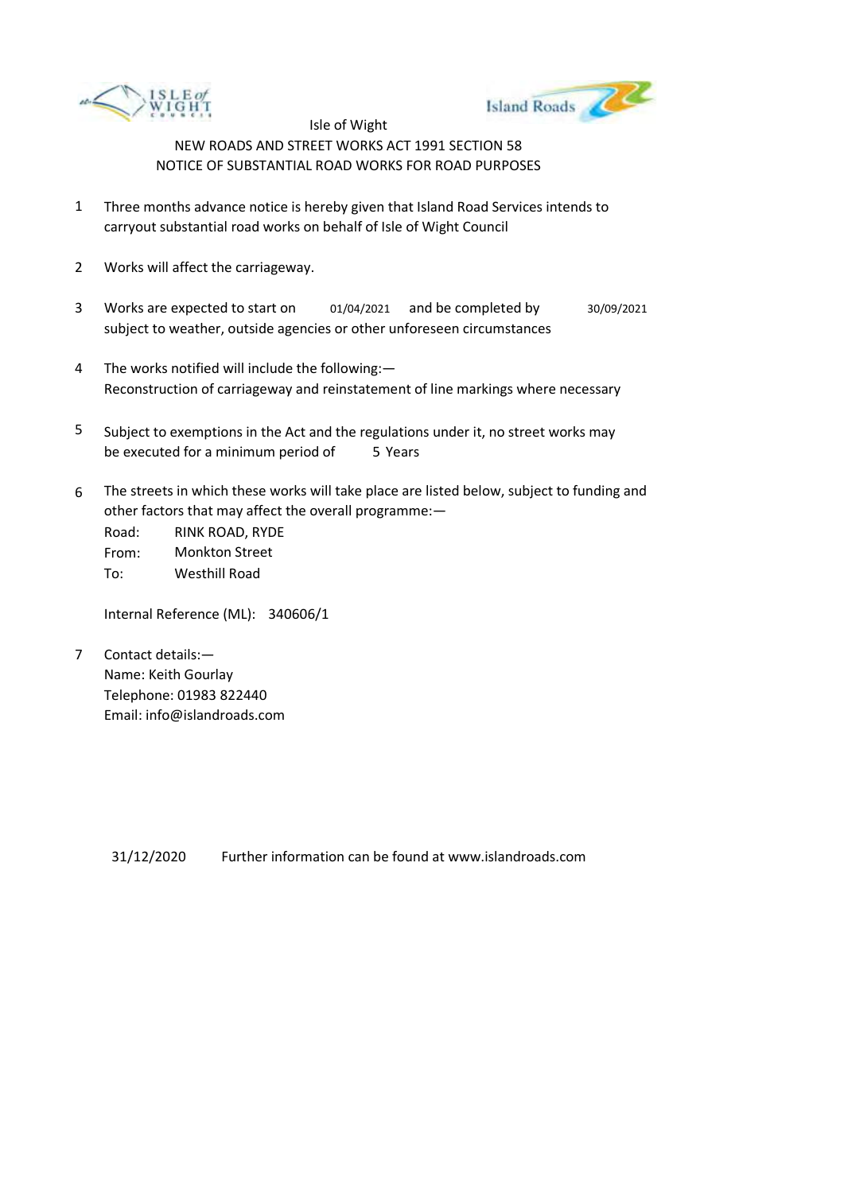



- 1 Three months advance notice is hereby given that Island Road Services intends to carryout substantial road works on behalf of Isle of Wight Council
- 2 Works will affect the carriageway.
- 3 Works are expected to start on subject to weather, outside agencies or other unforeseen circumstances 01/04/2021 and be completed by 30/09/2021
- 4 The works notified will include the following:— Reconstruction of carriageway and reinstatement of line markings where necessary
- 5 be executed for a minimum period of 5 Years Subject to exemptions in the Act and the regulations under it, no street works may
- 6 The streets in which these works will take place are listed below, subject to funding and other factors that may affect the overall programme:—

Road: From: To: RINK ROAD, RYDE Monkton Street Westhill Road

Internal Reference (ML): 340606/1

7 Contact details:— Name: Keith Gourlay Telephone: 01983 822440 Email: info@islandroads.com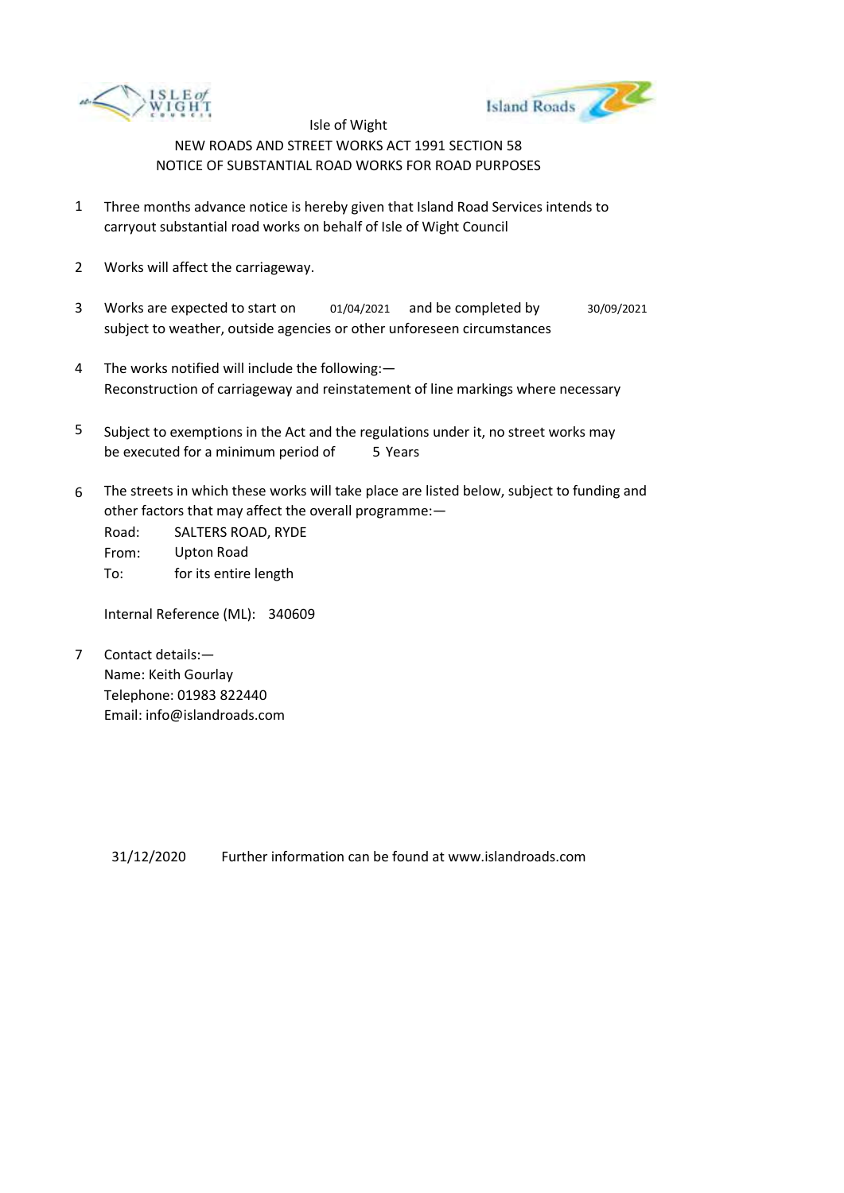



- 1 Three months advance notice is hereby given that Island Road Services intends to carryout substantial road works on behalf of Isle of Wight Council
- 2 Works will affect the carriageway.
- 3 Works are expected to start on subject to weather, outside agencies or other unforeseen circumstances 01/04/2021 and be completed by 30/09/2021
- 4 The works notified will include the following:— Reconstruction of carriageway and reinstatement of line markings where necessary
- 5 be executed for a minimum period of 5 Years Subject to exemptions in the Act and the regulations under it, no street works may
- 6 The streets in which these works will take place are listed below, subject to funding and other factors that may affect the overall programme:—

Road: From: To: SALTERS ROAD, RYDE Upton Road for its entire length

Internal Reference (ML): 340609

7 Contact details:— Name: Keith Gourlay Telephone: 01983 822440 Email: info@islandroads.com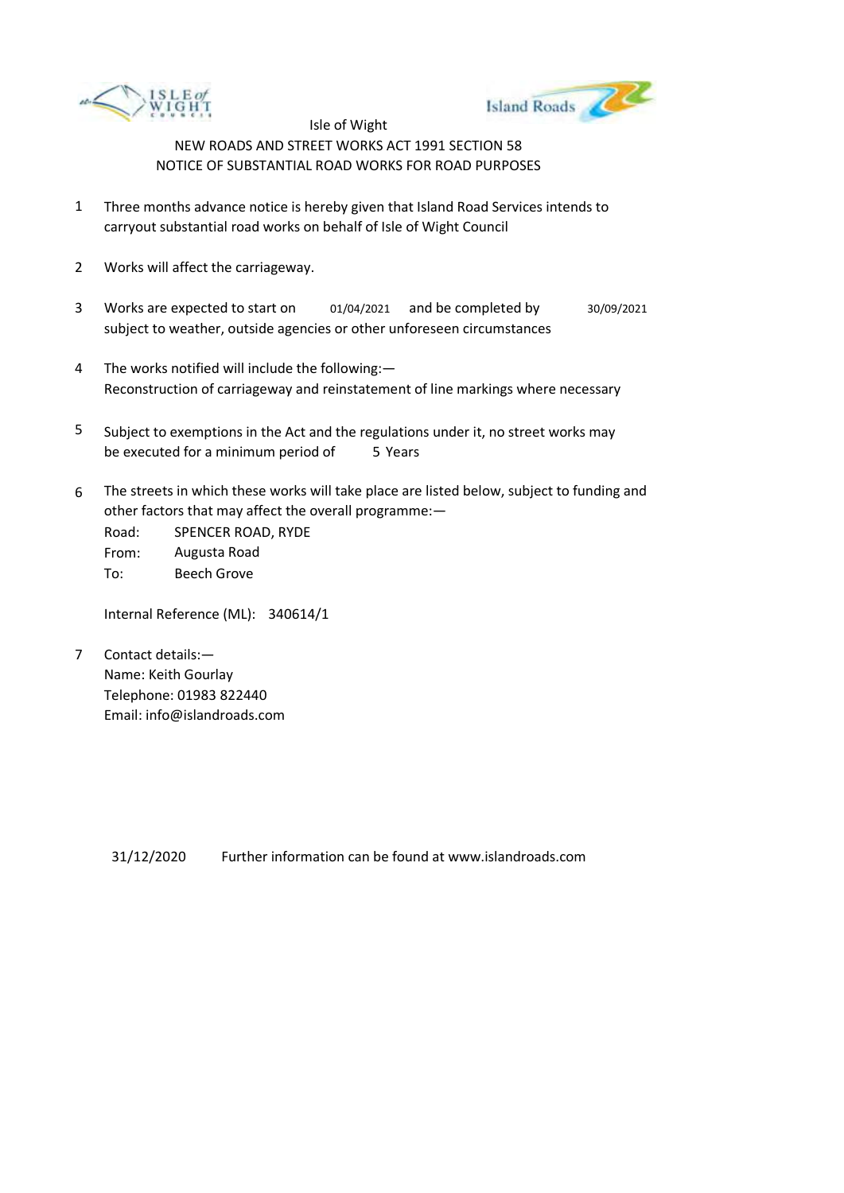



- 1 Three months advance notice is hereby given that Island Road Services intends to carryout substantial road works on behalf of Isle of Wight Council
- 2 Works will affect the carriageway.
- 3 Works are expected to start on subject to weather, outside agencies or other unforeseen circumstances 01/04/2021 and be completed by 30/09/2021
- 4 The works notified will include the following:— Reconstruction of carriageway and reinstatement of line markings where necessary
- 5 be executed for a minimum period of 5 Years Subject to exemptions in the Act and the regulations under it, no street works may
- 6 The streets in which these works will take place are listed below, subject to funding and other factors that may affect the overall programme:—

Road: From: To: SPENCER ROAD, RYDE Augusta Road Beech Grove

Internal Reference (ML): 340614/1

7 Contact details:— Name: Keith Gourlay Telephone: 01983 822440 Email: info@islandroads.com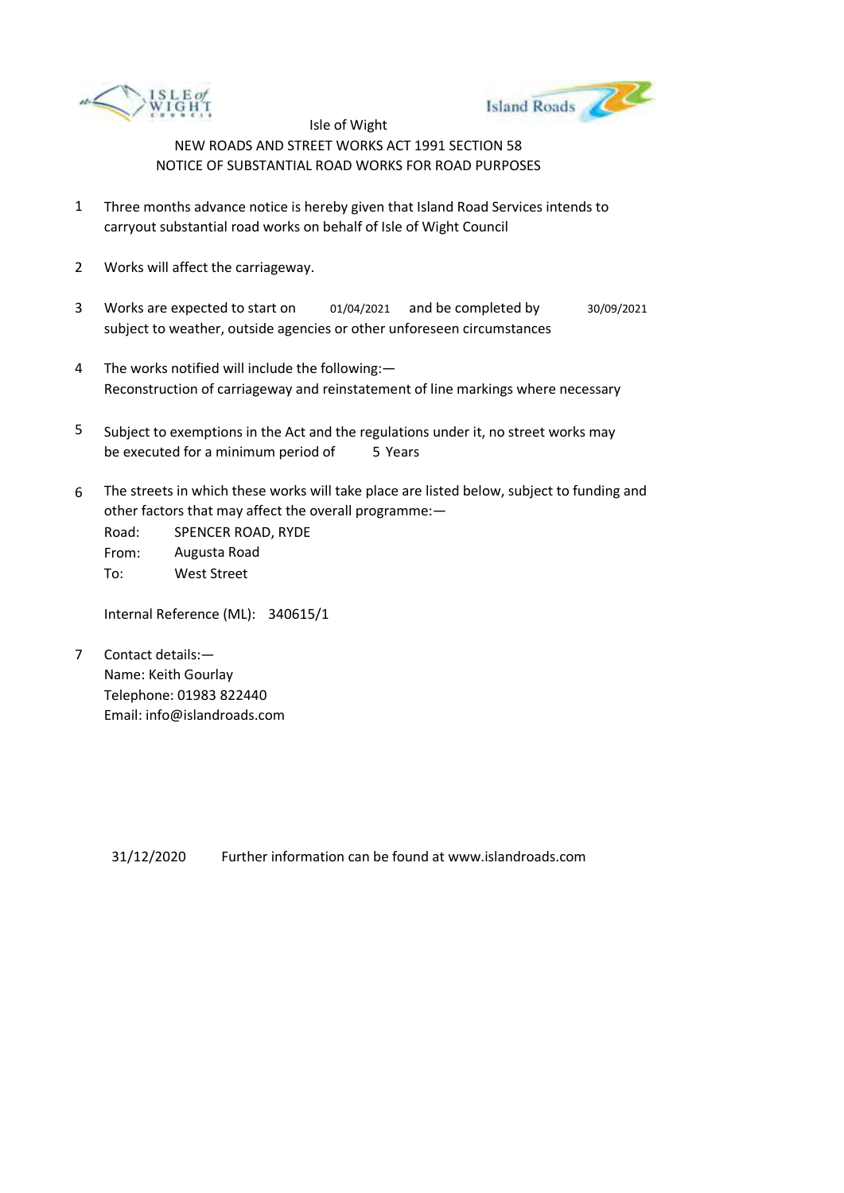



- 1 Three months advance notice is hereby given that Island Road Services intends to carryout substantial road works on behalf of Isle of Wight Council
- 2 Works will affect the carriageway.
- 3 Works are expected to start on subject to weather, outside agencies or other unforeseen circumstances 01/04/2021 and be completed by 30/09/2021
- 4 The works notified will include the following:— Reconstruction of carriageway and reinstatement of line markings where necessary
- 5 be executed for a minimum period of 5 Years Subject to exemptions in the Act and the regulations under it, no street works may
- 6 The streets in which these works will take place are listed below, subject to funding and other factors that may affect the overall programme:—

Road: From: To: SPENCER ROAD, RYDE Augusta Road West Street

Internal Reference (ML): 340615/1

7 Contact details:— Name: Keith Gourlay Telephone: 01983 822440 Email: info@islandroads.com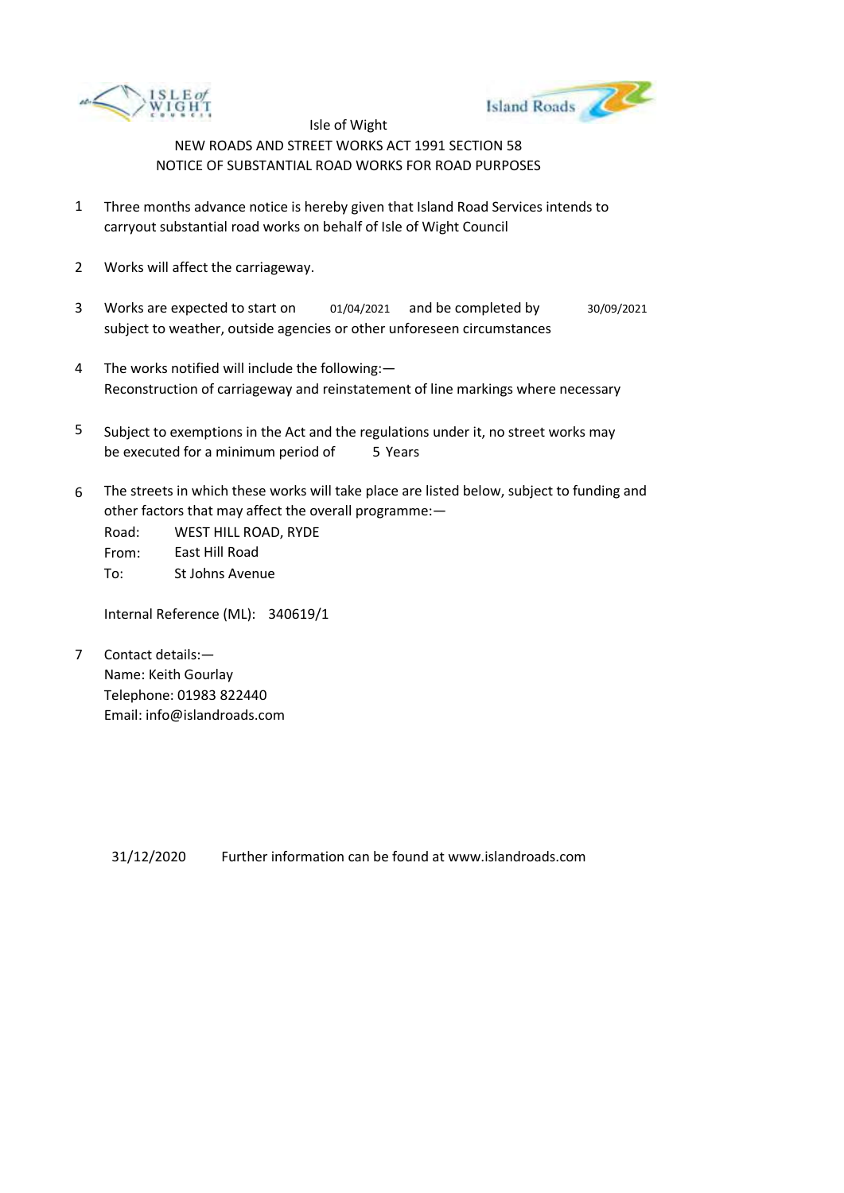



- 1 Three months advance notice is hereby given that Island Road Services intends to carryout substantial road works on behalf of Isle of Wight Council
- 2 Works will affect the carriageway.
- 3 Works are expected to start on subject to weather, outside agencies or other unforeseen circumstances 01/04/2021 and be completed by 30/09/2021
- 4 The works notified will include the following:— Reconstruction of carriageway and reinstatement of line markings where necessary
- 5 be executed for a minimum period of 5 Years Subject to exemptions in the Act and the regulations under it, no street works may
- 6 The streets in which these works will take place are listed below, subject to funding and other factors that may affect the overall programme:—

Road: From: To: WEST HILL ROAD, RYDE East Hill Road St Johns Avenue

Internal Reference (ML): 340619/1

7 Contact details:— Name: Keith Gourlay Telephone: 01983 822440 Email: info@islandroads.com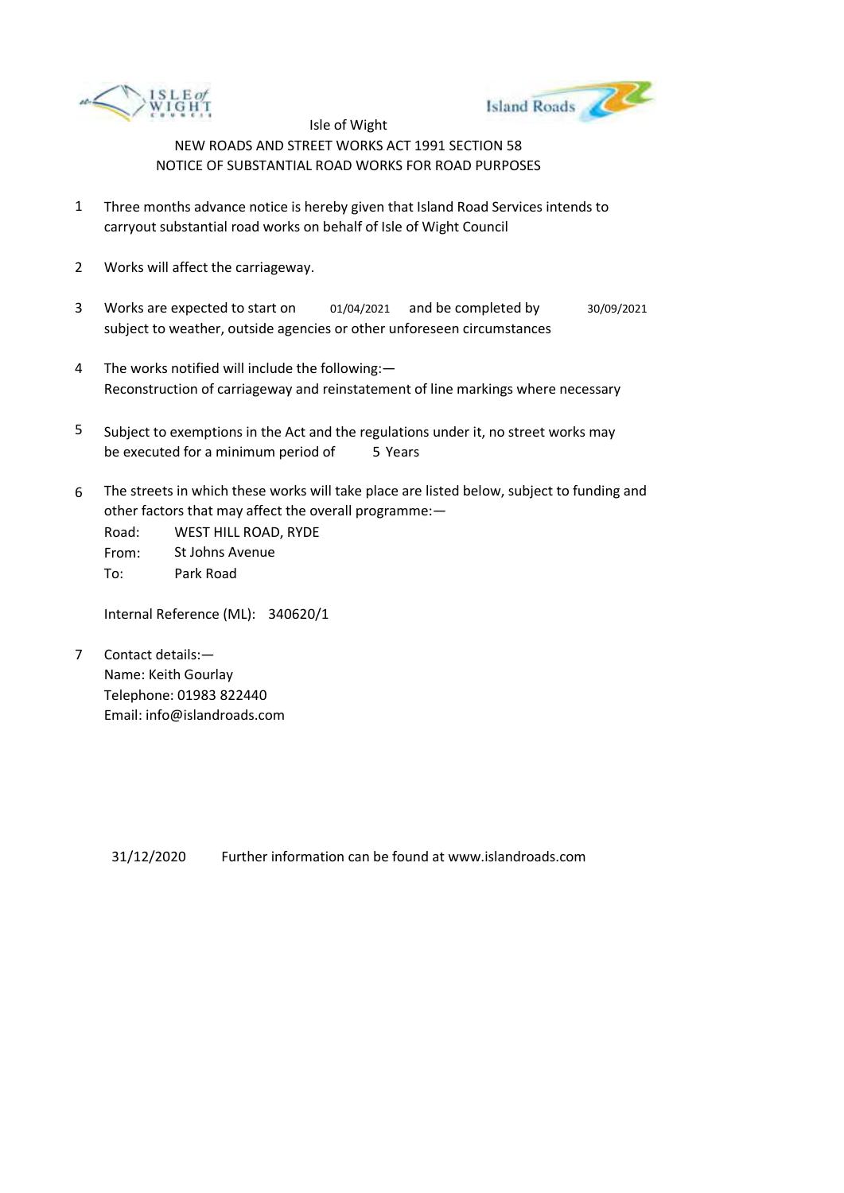



- 1 Three months advance notice is hereby given that Island Road Services intends to carryout substantial road works on behalf of Isle of Wight Council
- 2 Works will affect the carriageway.
- 3 Works are expected to start on subject to weather, outside agencies or other unforeseen circumstances 01/04/2021 and be completed by 30/09/2021
- 4 The works notified will include the following:— Reconstruction of carriageway and reinstatement of line markings where necessary
- 5 be executed for a minimum period of 5 Years Subject to exemptions in the Act and the regulations under it, no street works may
- 6 The streets in which these works will take place are listed below, subject to funding and other factors that may affect the overall programme:—

Road: From: To: WEST HILL ROAD, RYDE St Johns Avenue Park Road

Internal Reference (ML): 340620/1

7 Contact details:— Name: Keith Gourlay Telephone: 01983 822440 Email: info@islandroads.com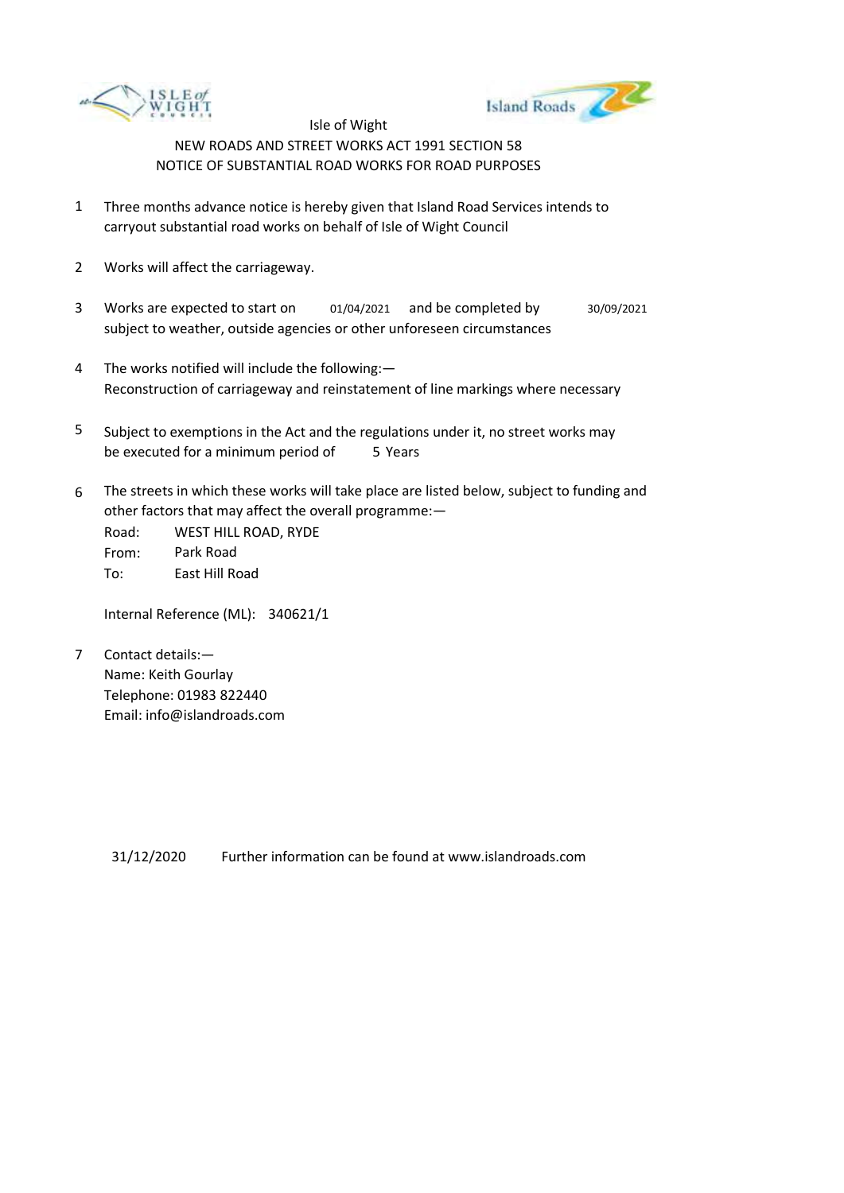



- 1 Three months advance notice is hereby given that Island Road Services intends to carryout substantial road works on behalf of Isle of Wight Council
- 2 Works will affect the carriageway.
- 3 Works are expected to start on subject to weather, outside agencies or other unforeseen circumstances 01/04/2021 and be completed by 30/09/2021
- 4 The works notified will include the following:— Reconstruction of carriageway and reinstatement of line markings where necessary
- 5 be executed for a minimum period of 5 Years Subject to exemptions in the Act and the regulations under it, no street works may
- 6 The streets in which these works will take place are listed below, subject to funding and other factors that may affect the overall programme:—

Road: From: To: WEST HILL ROAD, RYDE Park Road East Hill Road

Internal Reference (ML): 340621/1

7 Contact details:— Name: Keith Gourlay Telephone: 01983 822440 Email: info@islandroads.com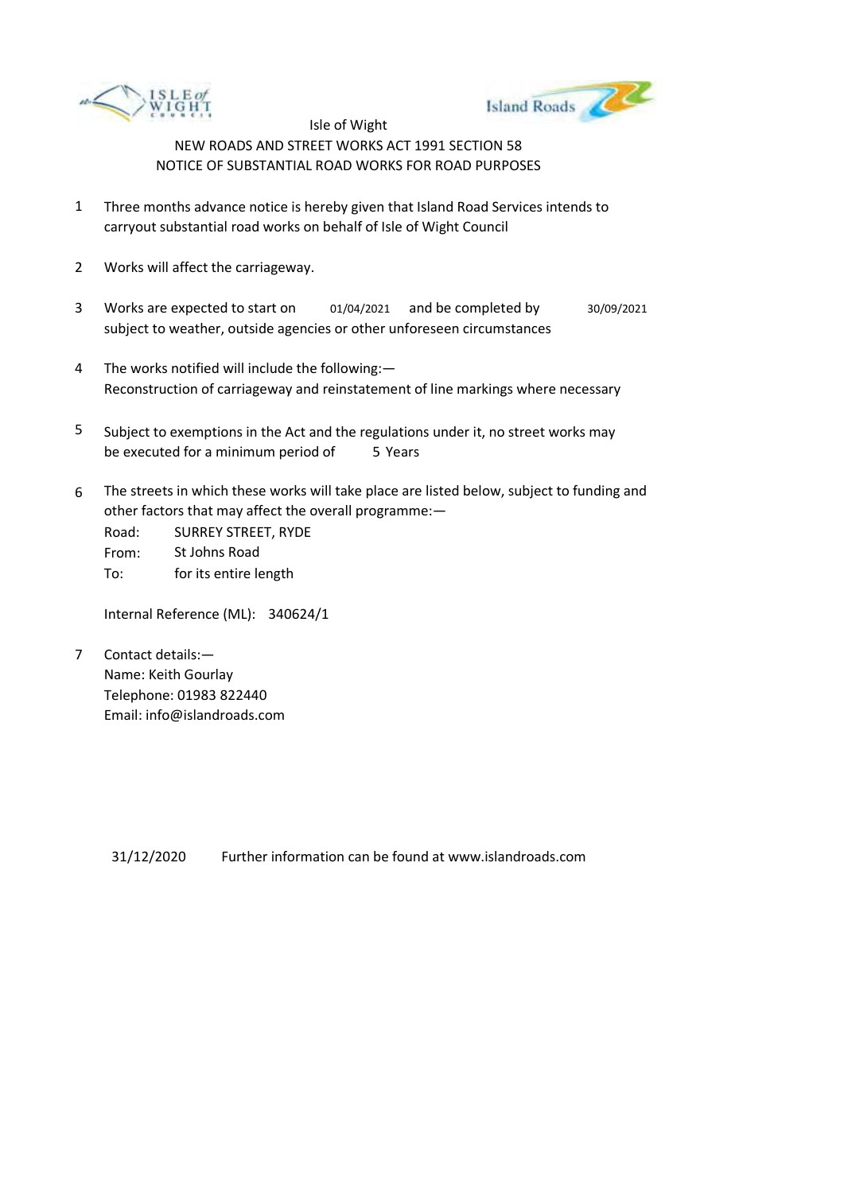



- 1 Three months advance notice is hereby given that Island Road Services intends to carryout substantial road works on behalf of Isle of Wight Council
- 2 Works will affect the carriageway.
- 3 Works are expected to start on subject to weather, outside agencies or other unforeseen circumstances 01/04/2021 and be completed by 30/09/2021
- 4 The works notified will include the following:— Reconstruction of carriageway and reinstatement of line markings where necessary
- 5 be executed for a minimum period of 5 Years Subject to exemptions in the Act and the regulations under it, no street works may
- 6 The streets in which these works will take place are listed below, subject to funding and other factors that may affect the overall programme:—

Road: From: To: SURREY STREET, RYDE St Johns Road for its entire length

Internal Reference (ML): 340624/1

7 Contact details:— Name: Keith Gourlay Telephone: 01983 822440 Email: info@islandroads.com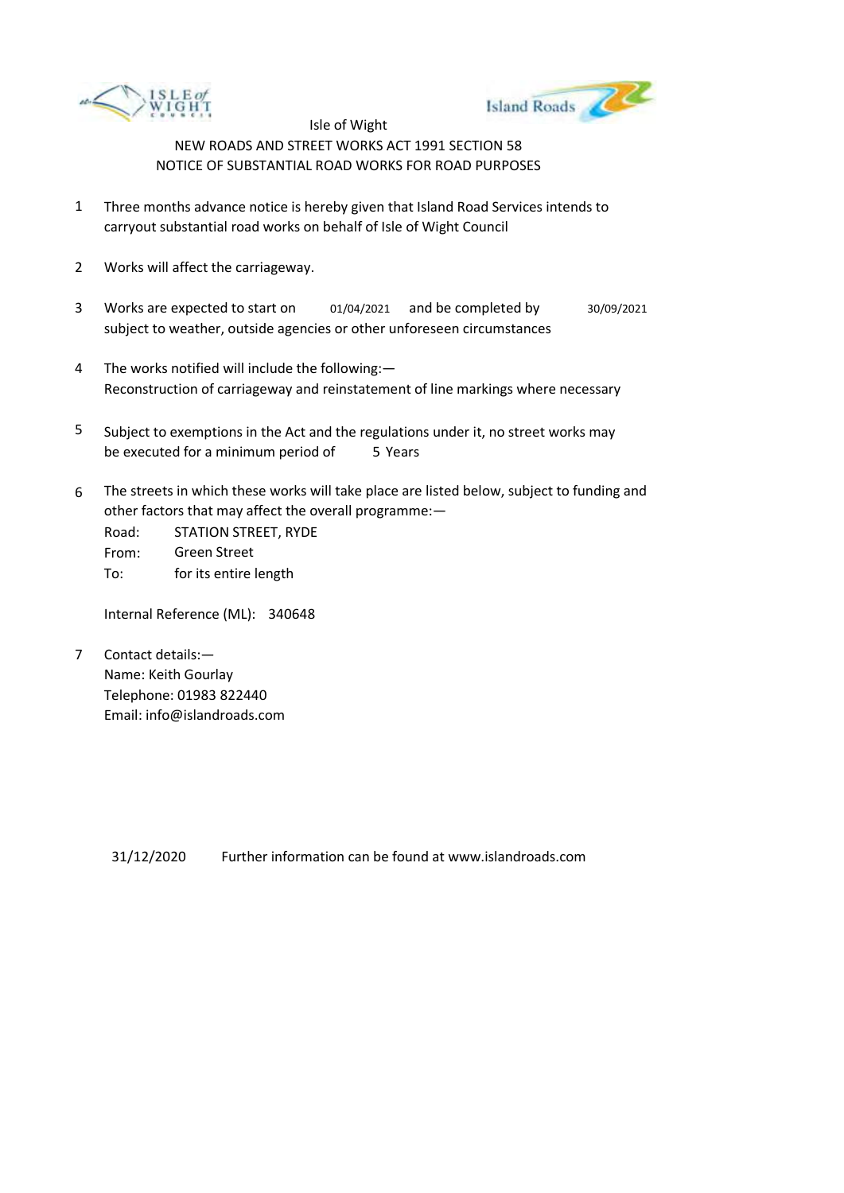



- 1 Three months advance notice is hereby given that Island Road Services intends to carryout substantial road works on behalf of Isle of Wight Council
- 2 Works will affect the carriageway.
- 3 Works are expected to start on subject to weather, outside agencies or other unforeseen circumstances 01/04/2021 and be completed by 30/09/2021
- 4 The works notified will include the following:— Reconstruction of carriageway and reinstatement of line markings where necessary
- 5 be executed for a minimum period of 5 Years Subject to exemptions in the Act and the regulations under it, no street works may
- 6 The streets in which these works will take place are listed below, subject to funding and other factors that may affect the overall programme:—

Road: From: To: STATION STREET, RYDE Green Street for its entire length

Internal Reference (ML): 340648

7 Contact details:— Name: Keith Gourlay Telephone: 01983 822440 Email: info@islandroads.com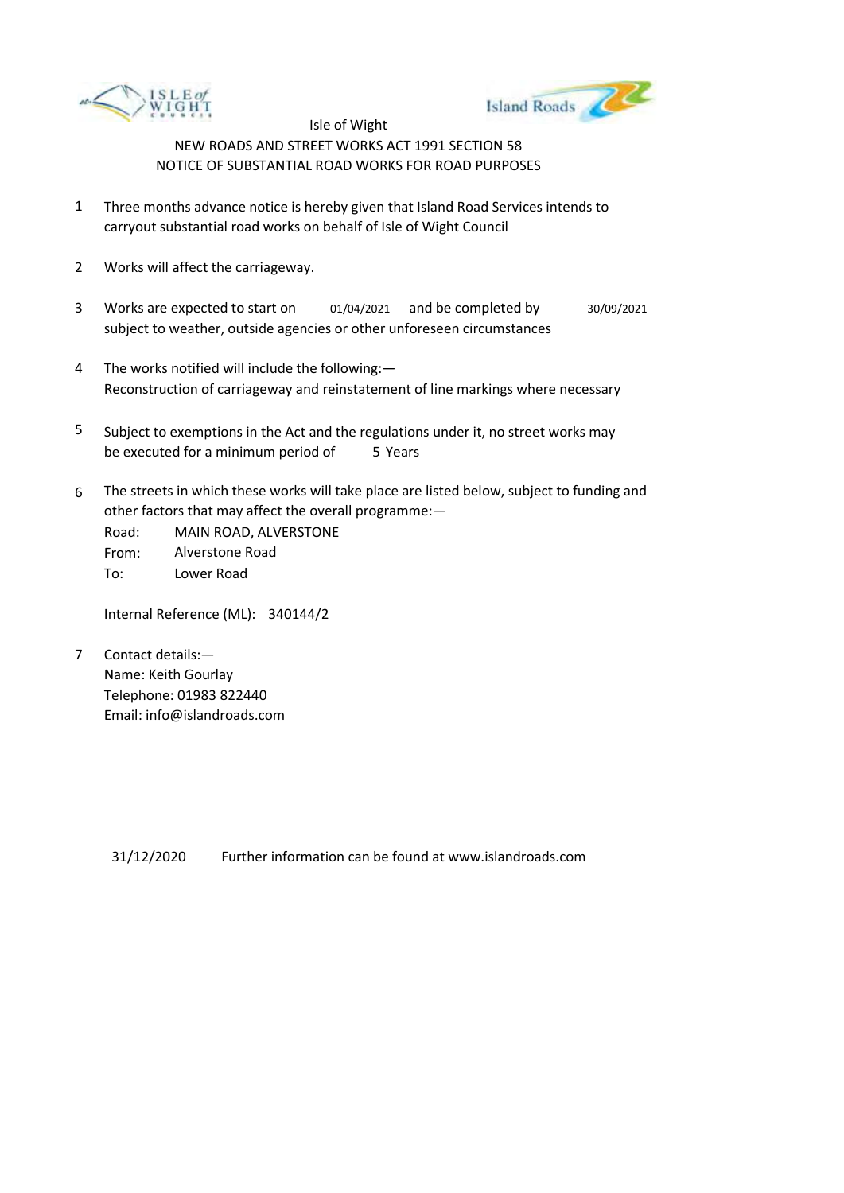



- 1 Three months advance notice is hereby given that Island Road Services intends to carryout substantial road works on behalf of Isle of Wight Council
- 2 Works will affect the carriageway.
- 3 Works are expected to start on subject to weather, outside agencies or other unforeseen circumstances 01/04/2021 and be completed by 30/09/2021
- 4 The works notified will include the following:— Reconstruction of carriageway and reinstatement of line markings where necessary
- 5 be executed for a minimum period of 5 Years Subject to exemptions in the Act and the regulations under it, no street works may
- 6 The streets in which these works will take place are listed below, subject to funding and other factors that may affect the overall programme:—

Road: From: To: MAIN ROAD, ALVERSTONE Alverstone Road Lower Road

Internal Reference (ML): 340144/2

7 Contact details:— Name: Keith Gourlay Telephone: 01983 822440 Email: info@islandroads.com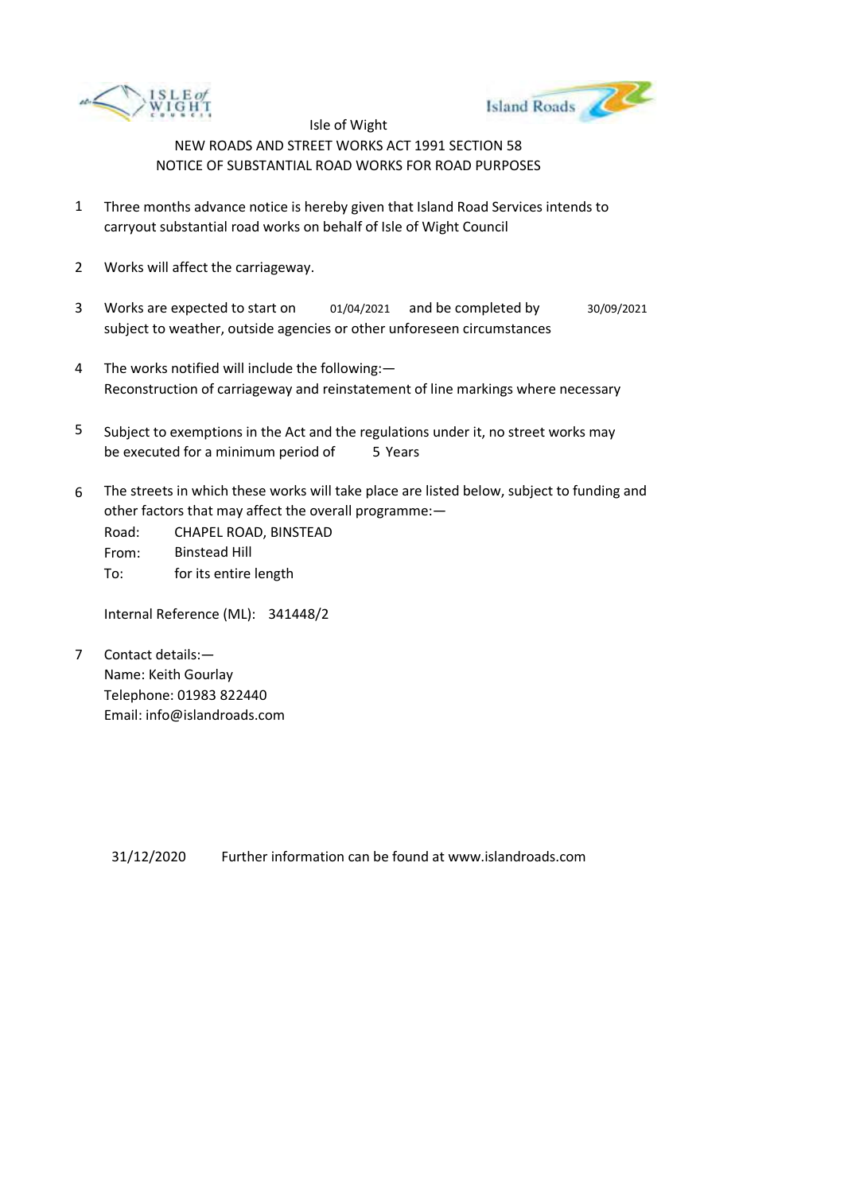



- 1 Three months advance notice is hereby given that Island Road Services intends to carryout substantial road works on behalf of Isle of Wight Council
- 2 Works will affect the carriageway.
- 3 Works are expected to start on subject to weather, outside agencies or other unforeseen circumstances 01/04/2021 and be completed by 30/09/2021
- 4 The works notified will include the following:— Reconstruction of carriageway and reinstatement of line markings where necessary
- 5 be executed for a minimum period of 5 Years Subject to exemptions in the Act and the regulations under it, no street works may
- 6 The streets in which these works will take place are listed below, subject to funding and other factors that may affect the overall programme:—

Road: From: To: CHAPEL ROAD, BINSTEAD Binstead Hill for its entire length

Internal Reference (ML): 341448/2

7 Contact details:— Name: Keith Gourlay Telephone: 01983 822440 Email: info@islandroads.com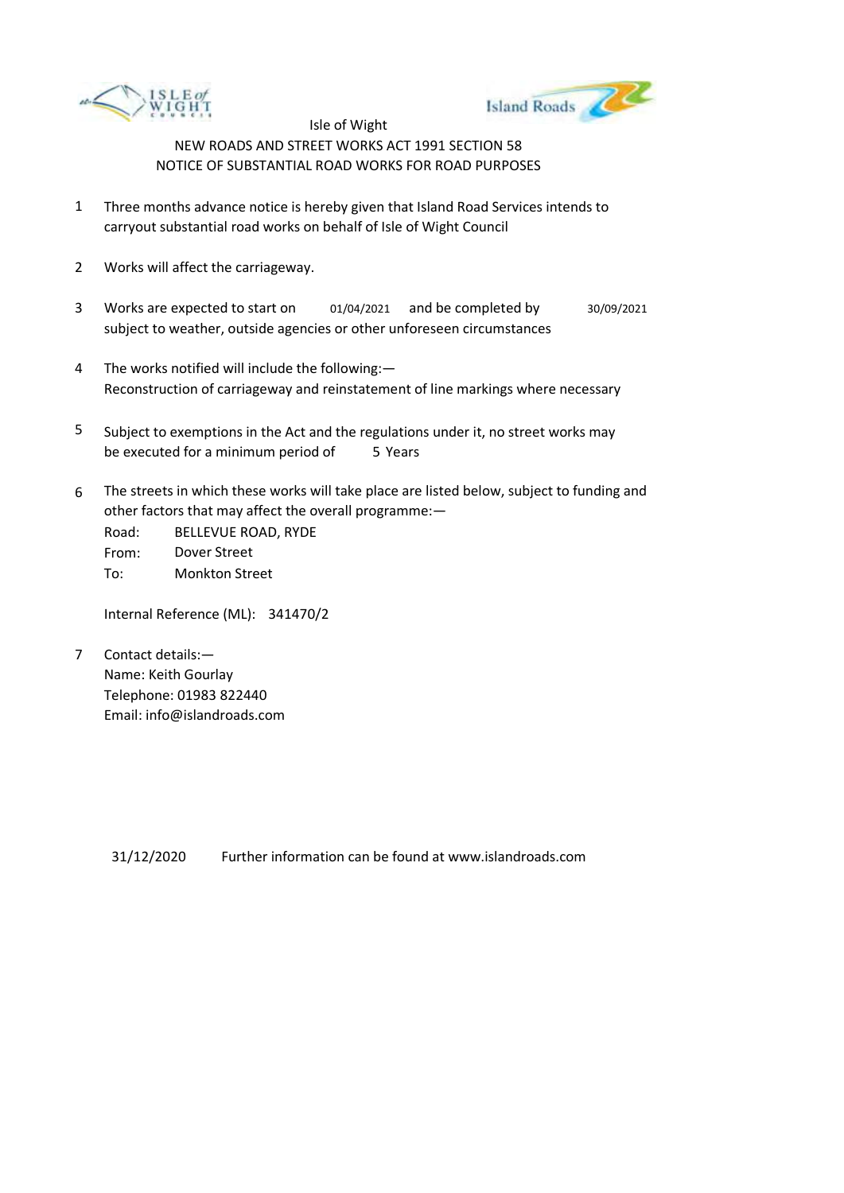



- 1 Three months advance notice is hereby given that Island Road Services intends to carryout substantial road works on behalf of Isle of Wight Council
- 2 Works will affect the carriageway.
- 3 Works are expected to start on subject to weather, outside agencies or other unforeseen circumstances 01/04/2021 and be completed by 30/09/2021
- 4 The works notified will include the following:— Reconstruction of carriageway and reinstatement of line markings where necessary
- 5 be executed for a minimum period of 5 Years Subject to exemptions in the Act and the regulations under it, no street works may
- 6 The streets in which these works will take place are listed below, subject to funding and other factors that may affect the overall programme:—

Road: From: To: BELLEVUE ROAD, RYDE Dover Street Monkton Street

Internal Reference (ML): 341470/2

7 Contact details:— Name: Keith Gourlay Telephone: 01983 822440 Email: info@islandroads.com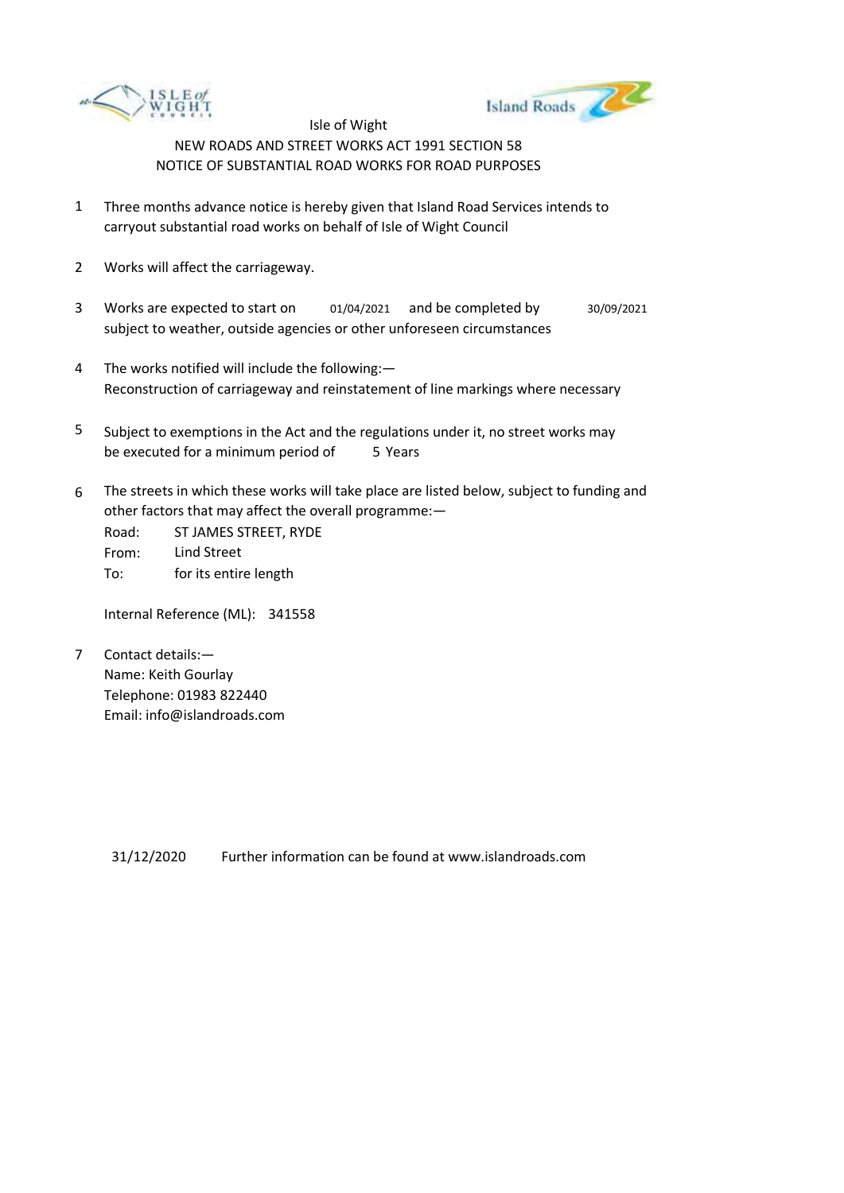



- 1 Three months advance notice is hereby given that Island Road Services intends to carryout substantial road works on behalf of Isle of Wight Council
- 2 Works will affect the carriageway.
- 3 Works are expected to start on subject to weather, outside agencies or other unforeseen circumstances 01/04/2021 and be completed by 30/09/2021
- 4 The works notified will include the following:— Reconstruction of carriageway and reinstatement of line markings where necessary
- 5 be executed for a minimum period of 5 Years Subject to exemptions in the Act and the regulations under it, no street works may
- 6 The streets in which these works will take place are listed below, subject to funding and other factors that may affect the overall programme:—

Road: From: To: ST JAMES STREET, RYDE Lind Street for its entire length

Internal Reference (ML): 341558

7 Contact details:— Name: Keith Gourlay Telephone: 01983 822440 Email: info@islandroads.com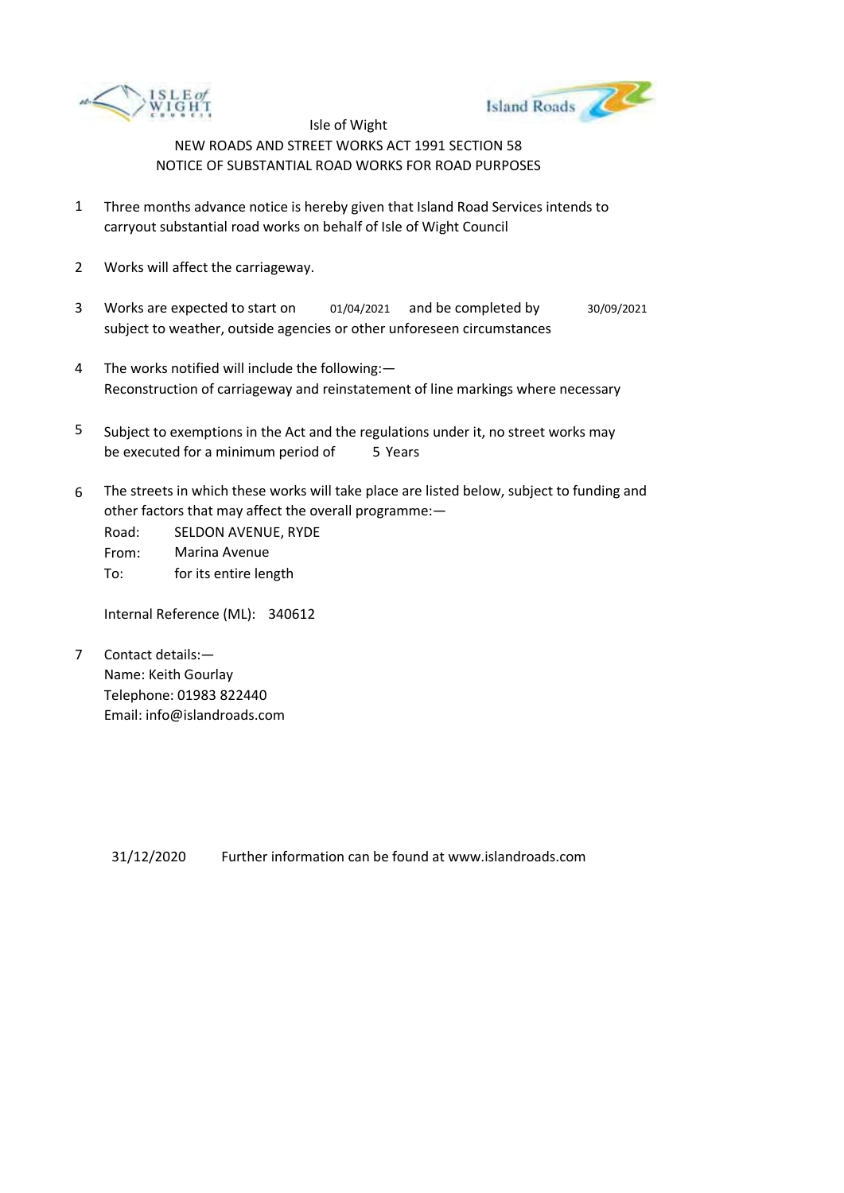



- 1 Three months advance notice is hereby given that Island Road Services intends to carryout substantial road works on behalf of Isle of Wight Council
- 2 Works will affect the carriageway.
- 3 Works are expected to start on subject to weather, outside agencies or other unforeseen circumstances 01/04/2021 and be completed by 30/09/2021
- 4 The works notified will include the following:— Reconstruction of carriageway and reinstatement of line markings where necessary
- 5 be executed for a minimum period of 5 Years Subject to exemptions in the Act and the regulations under it, no street works may
- 6 The streets in which these works will take place are listed below, subject to funding and other factors that may affect the overall programme:—

Road: From: To: SELDON AVENUE, RYDE Marina Avenue for its entire length

Internal Reference (ML): 340612

7 Contact details:— Name: Keith Gourlay Telephone: 01983 822440 Email: info@islandroads.com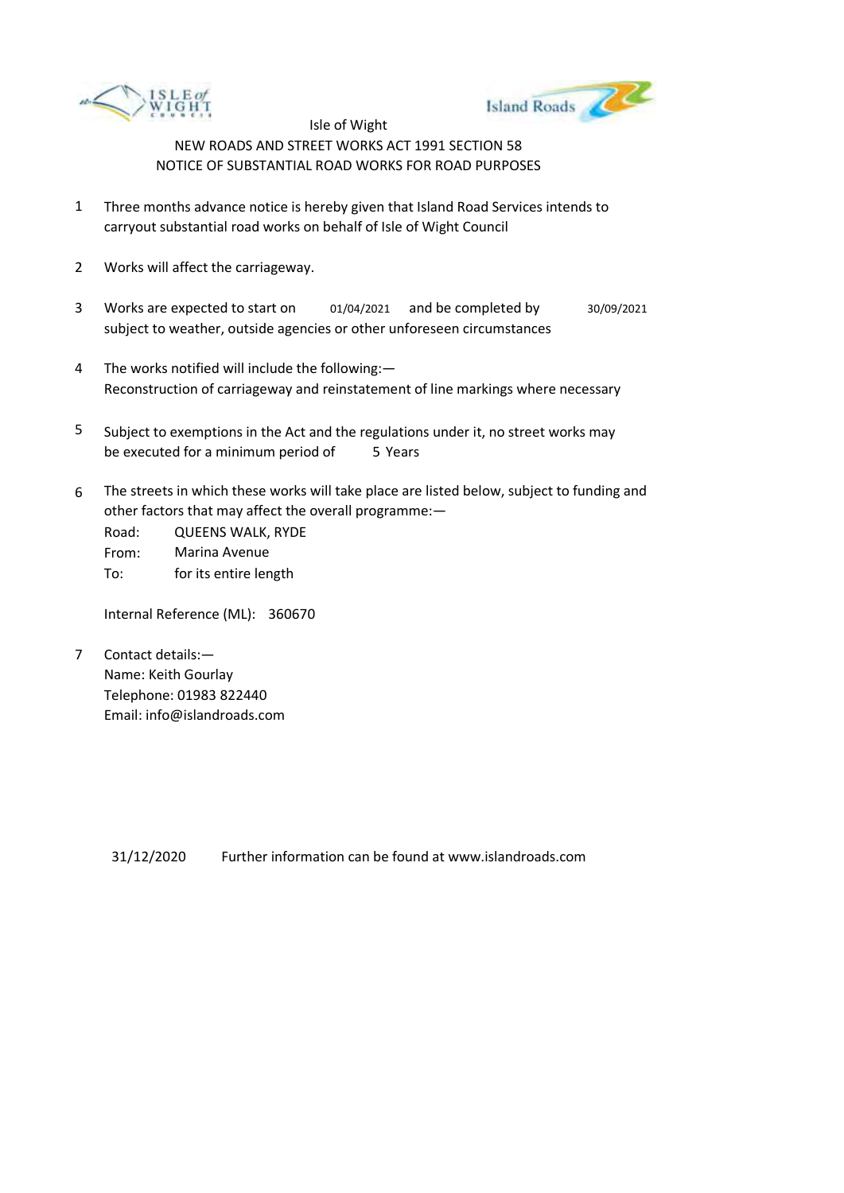



- 1 Three months advance notice is hereby given that Island Road Services intends to carryout substantial road works on behalf of Isle of Wight Council
- 2 Works will affect the carriageway.
- 3 Works are expected to start on subject to weather, outside agencies or other unforeseen circumstances 01/04/2021 and be completed by 30/09/2021
- 4 The works notified will include the following:— Reconstruction of carriageway and reinstatement of line markings where necessary
- 5 be executed for a minimum period of 5 Years Subject to exemptions in the Act and the regulations under it, no street works may
- 6 The streets in which these works will take place are listed below, subject to funding and other factors that may affect the overall programme:—

Road: From: To: QUEENS WALK, RYDE Marina Avenue for its entire length

Internal Reference (ML): 360670

7 Contact details:— Name: Keith Gourlay Telephone: 01983 822440 Email: info@islandroads.com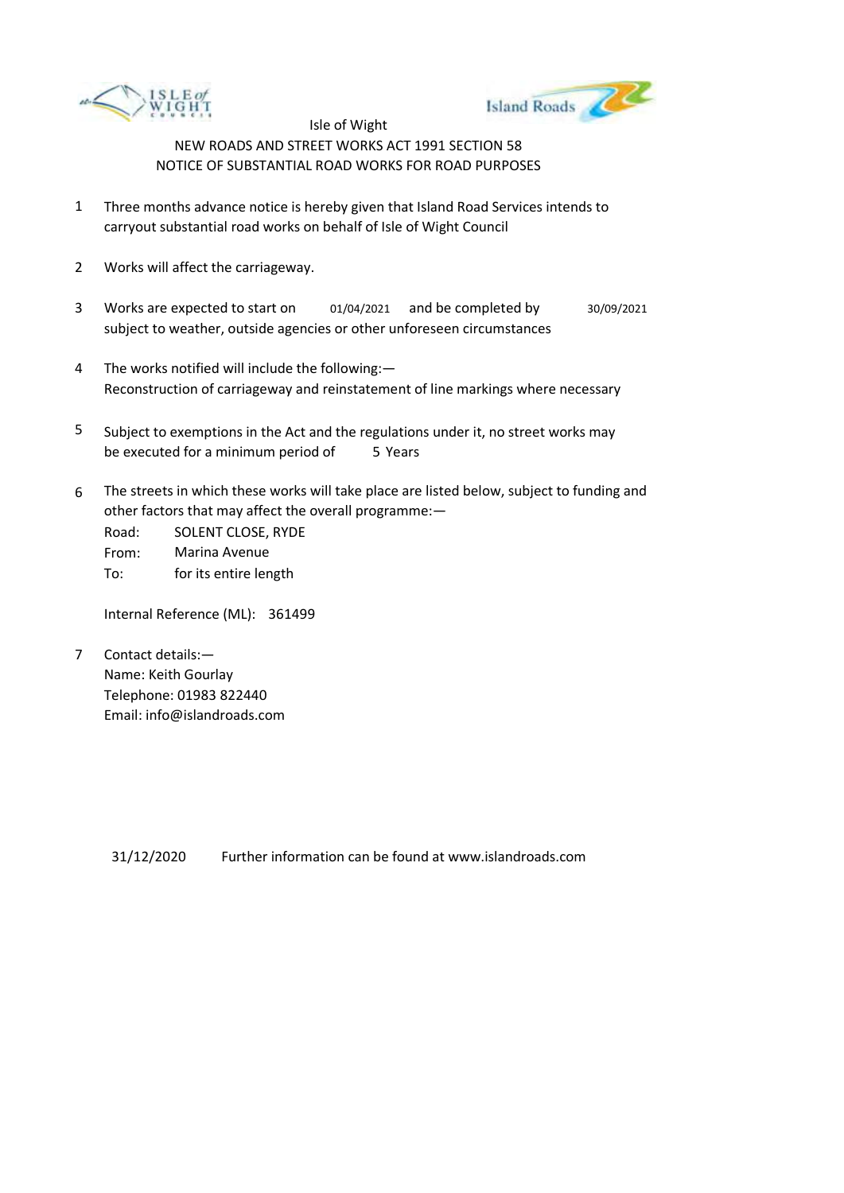



- 1 Three months advance notice is hereby given that Island Road Services intends to carryout substantial road works on behalf of Isle of Wight Council
- 2 Works will affect the carriageway.
- 3 Works are expected to start on subject to weather, outside agencies or other unforeseen circumstances 01/04/2021 and be completed by 30/09/2021
- 4 The works notified will include the following:— Reconstruction of carriageway and reinstatement of line markings where necessary
- 5 be executed for a minimum period of 5 Years Subject to exemptions in the Act and the regulations under it, no street works may
- 6 The streets in which these works will take place are listed below, subject to funding and other factors that may affect the overall programme:—

Road: From: To: SOLENT CLOSE, RYDE Marina Avenue for its entire length

Internal Reference (ML): 361499

7 Contact details:— Name: Keith Gourlay Telephone: 01983 822440 Email: info@islandroads.com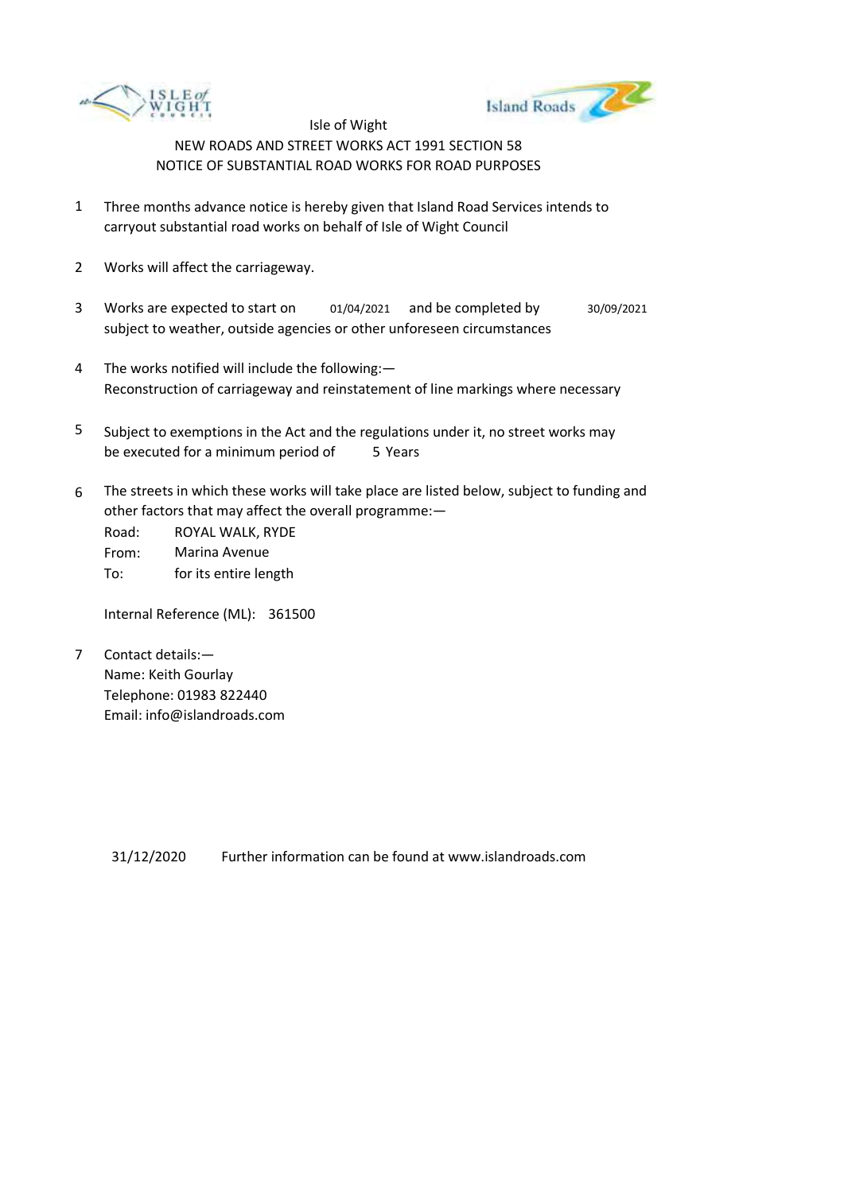



- 1 Three months advance notice is hereby given that Island Road Services intends to carryout substantial road works on behalf of Isle of Wight Council
- 2 Works will affect the carriageway.
- 3 Works are expected to start on subject to weather, outside agencies or other unforeseen circumstances 01/04/2021 and be completed by 30/09/2021
- 4 The works notified will include the following:— Reconstruction of carriageway and reinstatement of line markings where necessary
- 5 be executed for a minimum period of 5 Years Subject to exemptions in the Act and the regulations under it, no street works may
- 6 The streets in which these works will take place are listed below, subject to funding and other factors that may affect the overall programme:—

Road: From: To: ROYAL WALK, RYDE Marina Avenue for its entire length

Internal Reference (ML): 361500

7 Contact details:— Name: Keith Gourlay Telephone: 01983 822440 Email: info@islandroads.com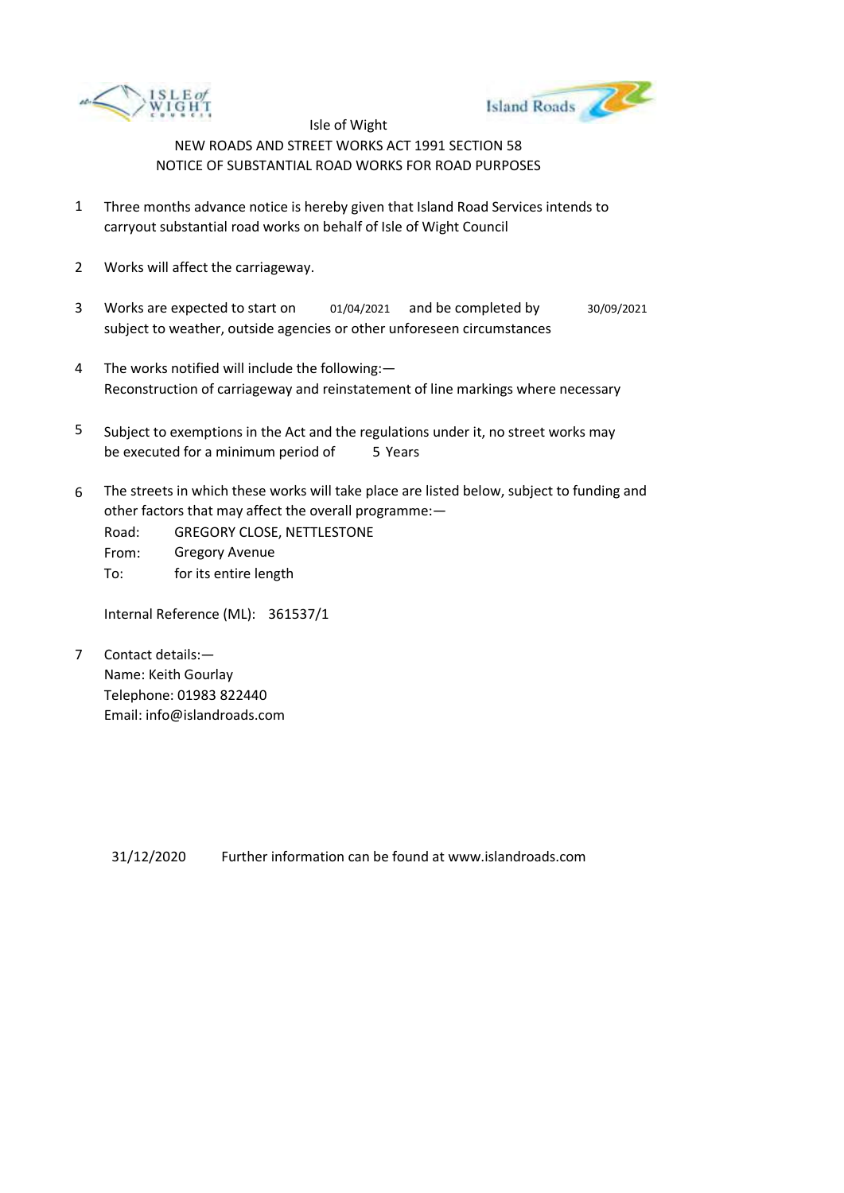



- 1 Three months advance notice is hereby given that Island Road Services intends to carryout substantial road works on behalf of Isle of Wight Council
- 2 Works will affect the carriageway.
- 3 Works are expected to start on subject to weather, outside agencies or other unforeseen circumstances 01/04/2021 and be completed by 30/09/2021
- 4 The works notified will include the following:— Reconstruction of carriageway and reinstatement of line markings where necessary
- 5 be executed for a minimum period of 5 Years Subject to exemptions in the Act and the regulations under it, no street works may
- 6 The streets in which these works will take place are listed below, subject to funding and other factors that may affect the overall programme:—
	- Road: From: To: GREGORY CLOSE, NETTLESTONE Gregory Avenue for its entire length

Internal Reference (ML): 361537/1

7 Contact details:— Name: Keith Gourlay Telephone: 01983 822440 Email: info@islandroads.com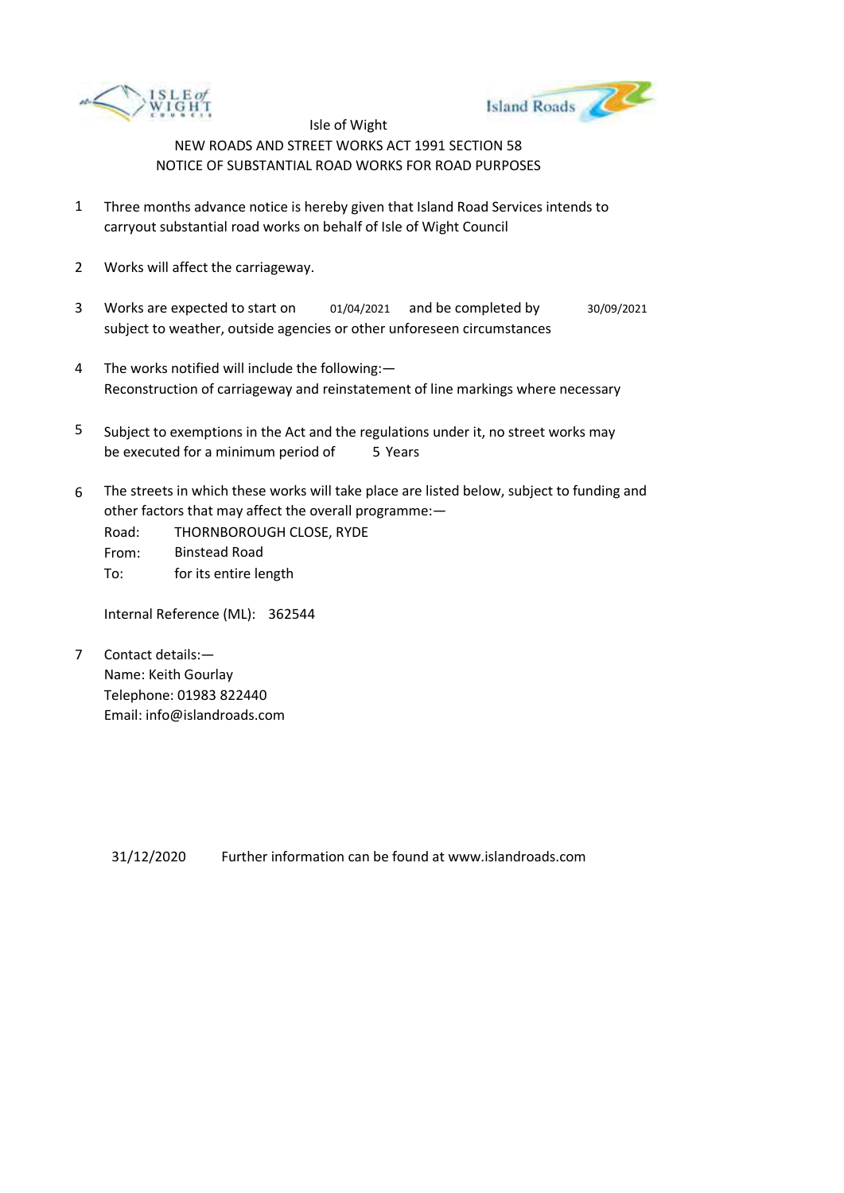



- 1 Three months advance notice is hereby given that Island Road Services intends to carryout substantial road works on behalf of Isle of Wight Council
- 2 Works will affect the carriageway.
- 3 Works are expected to start on subject to weather, outside agencies or other unforeseen circumstances 01/04/2021 and be completed by 30/09/2021
- 4 The works notified will include the following:— Reconstruction of carriageway and reinstatement of line markings where necessary
- 5 be executed for a minimum period of 5 Years Subject to exemptions in the Act and the regulations under it, no street works may
- 6 The streets in which these works will take place are listed below, subject to funding and other factors that may affect the overall programme:—
	- Road: From: To: THORNBOROUGH CLOSE, RYDE Binstead Road for its entire length

Internal Reference (ML): 362544

7 Contact details:— Name: Keith Gourlay Telephone: 01983 822440 Email: info@islandroads.com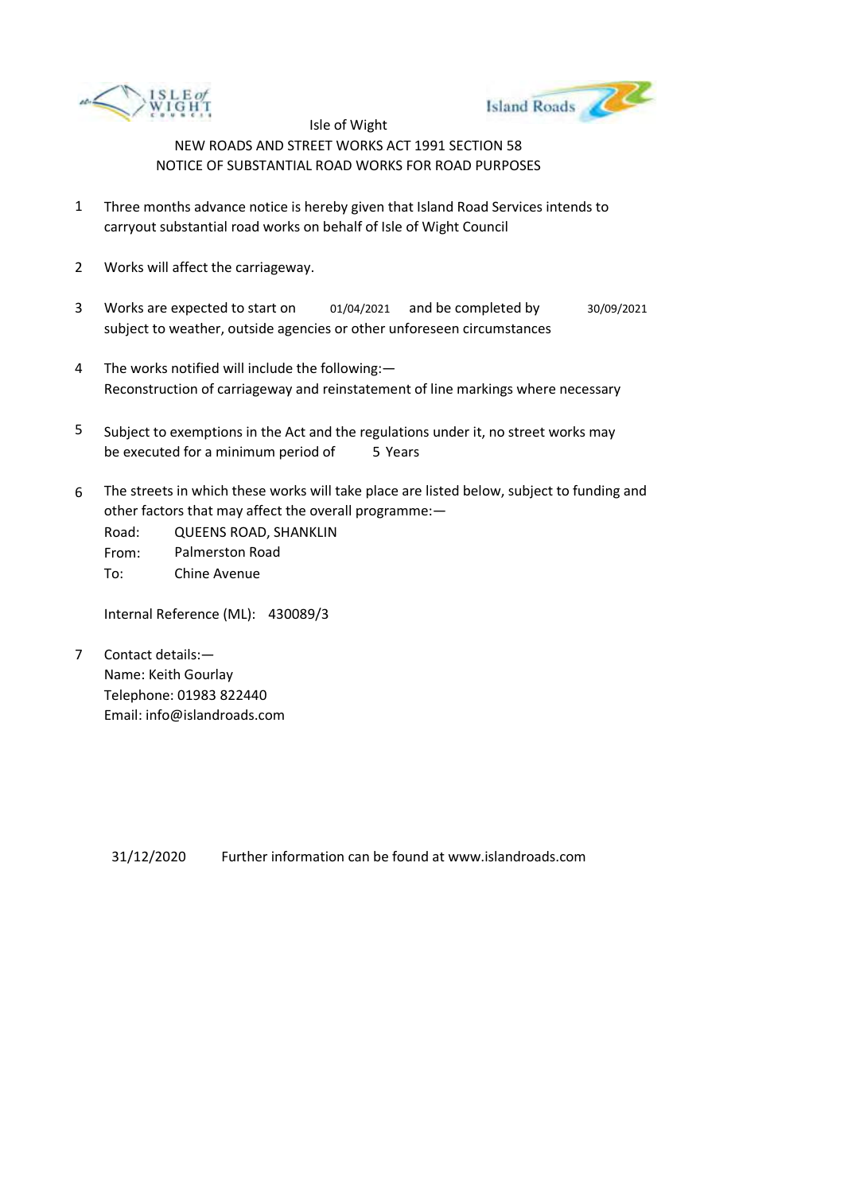



- 1 Three months advance notice is hereby given that Island Road Services intends to carryout substantial road works on behalf of Isle of Wight Council
- 2 Works will affect the carriageway.
- 3 Works are expected to start on subject to weather, outside agencies or other unforeseen circumstances 01/04/2021 and be completed by 30/09/2021
- 4 The works notified will include the following:— Reconstruction of carriageway and reinstatement of line markings where necessary
- 5 be executed for a minimum period of 5 Years Subject to exemptions in the Act and the regulations under it, no street works may
- 6 The streets in which these works will take place are listed below, subject to funding and other factors that may affect the overall programme:—

Road: From: To: QUEENS ROAD, SHANKLIN Palmerston Road Chine Avenue

Internal Reference (ML): 430089/3

7 Contact details:— Name: Keith Gourlay Telephone: 01983 822440 Email: info@islandroads.com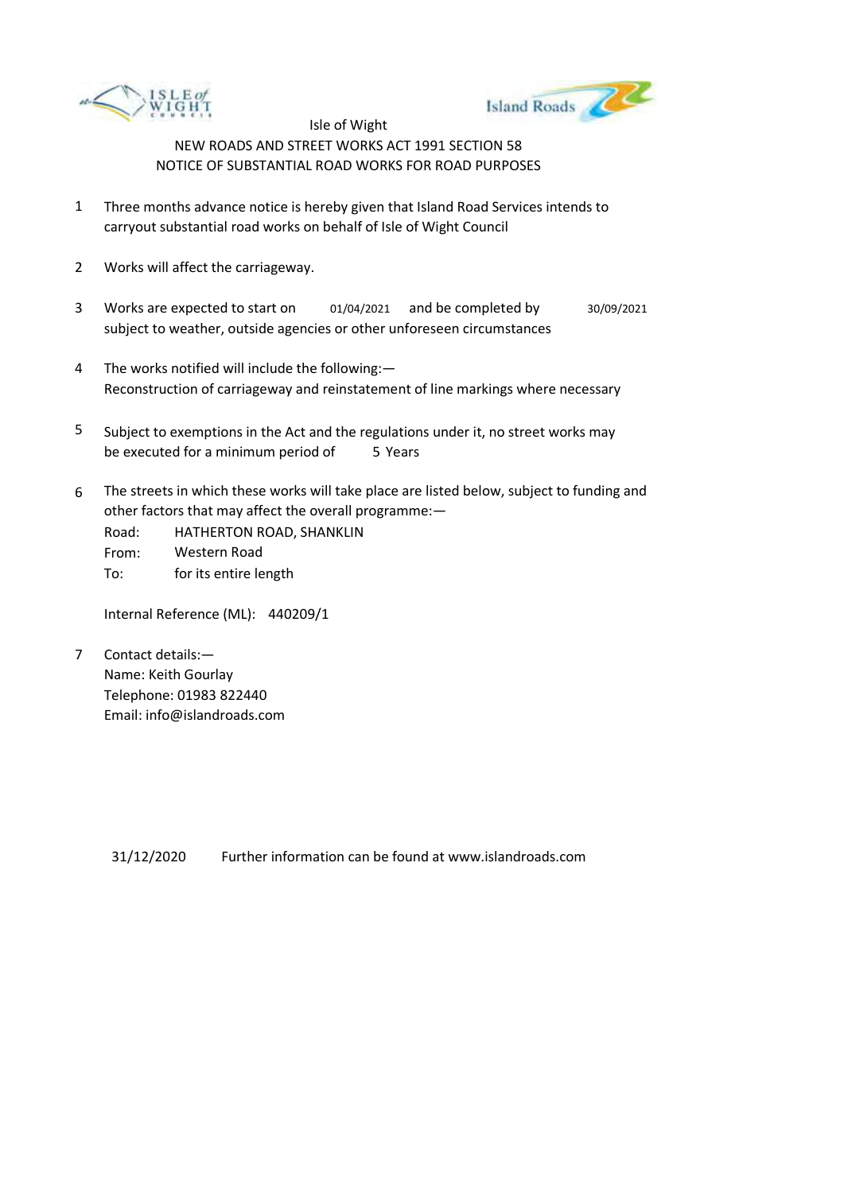



- 1 Three months advance notice is hereby given that Island Road Services intends to carryout substantial road works on behalf of Isle of Wight Council
- 2 Works will affect the carriageway.
- 3 Works are expected to start on subject to weather, outside agencies or other unforeseen circumstances 01/04/2021 and be completed by 30/09/2021
- 4 The works notified will include the following:— Reconstruction of carriageway and reinstatement of line markings where necessary
- 5 be executed for a minimum period of 5 Years Subject to exemptions in the Act and the regulations under it, no street works may
- 6 The streets in which these works will take place are listed below, subject to funding and other factors that may affect the overall programme:—
	- Road: From: HATHERTON ROAD, SHANKLIN Western Road
	- To: for its entire length

Internal Reference (ML): 440209/1

7 Contact details:— Name: Keith Gourlay Telephone: 01983 822440 Email: info@islandroads.com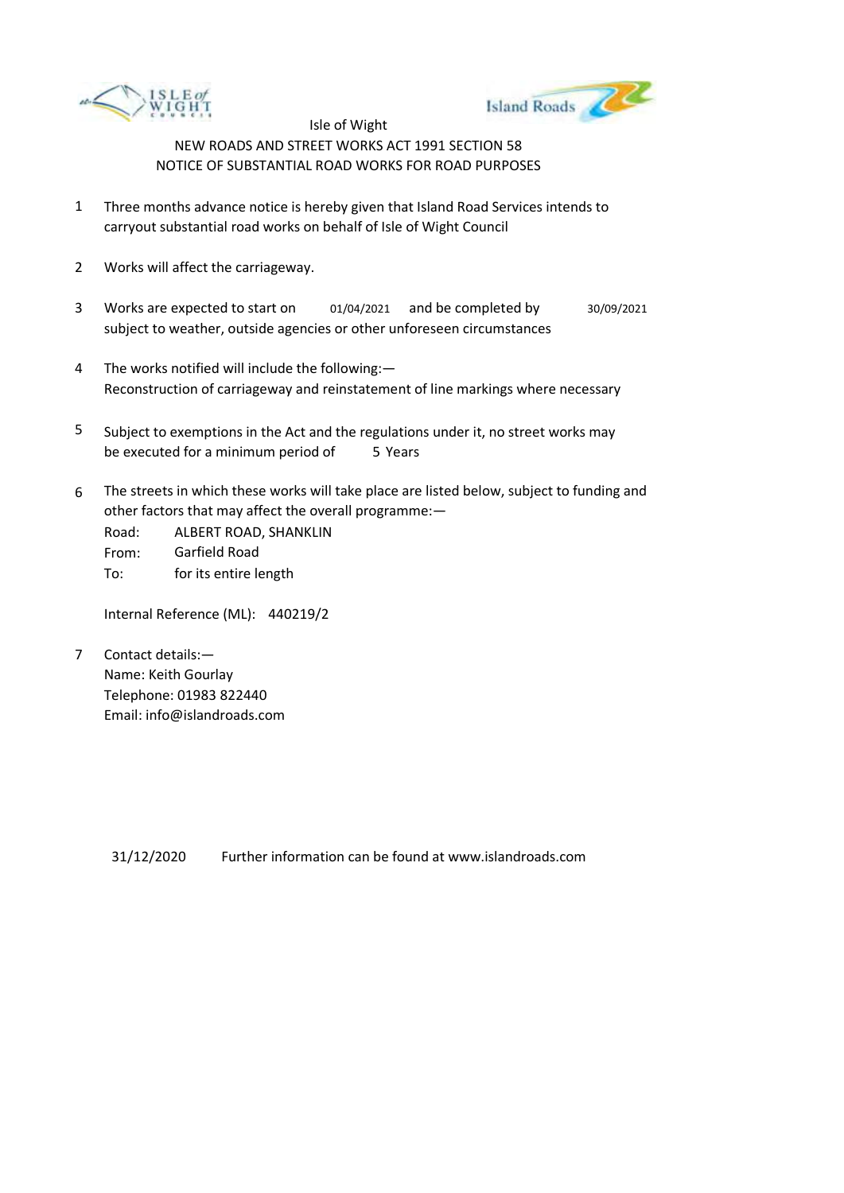



- 1 Three months advance notice is hereby given that Island Road Services intends to carryout substantial road works on behalf of Isle of Wight Council
- 2 Works will affect the carriageway.
- 3 Works are expected to start on subject to weather, outside agencies or other unforeseen circumstances 01/04/2021 and be completed by 30/09/2021
- 4 The works notified will include the following:— Reconstruction of carriageway and reinstatement of line markings where necessary
- 5 be executed for a minimum period of 5 Years Subject to exemptions in the Act and the regulations under it, no street works may
- 6 The streets in which these works will take place are listed below, subject to funding and other factors that may affect the overall programme:—

Road: From: To: ALBERT ROAD, SHANKLIN Garfield Road for its entire length

Internal Reference (ML): 440219/2

7 Contact details:— Name: Keith Gourlay Telephone: 01983 822440 Email: info@islandroads.com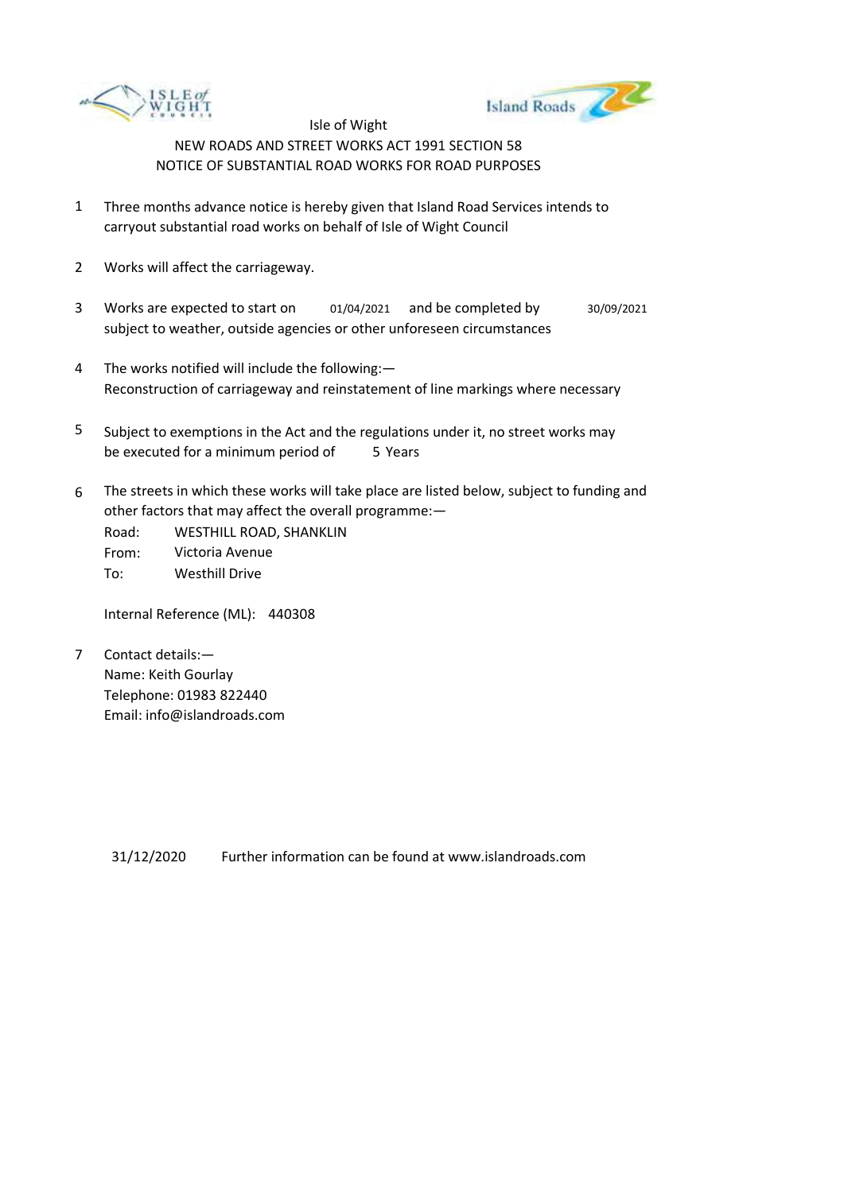



- 1 Three months advance notice is hereby given that Island Road Services intends to carryout substantial road works on behalf of Isle of Wight Council
- 2 Works will affect the carriageway.
- 3 Works are expected to start on subject to weather, outside agencies or other unforeseen circumstances 01/04/2021 and be completed by 30/09/2021
- 4 The works notified will include the following:— Reconstruction of carriageway and reinstatement of line markings where necessary
- 5 be executed for a minimum period of 5 Years Subject to exemptions in the Act and the regulations under it, no street works may
- 6 The streets in which these works will take place are listed below, subject to funding and other factors that may affect the overall programme:—

Road: From: To: WESTHILL ROAD, SHANKLIN Victoria Avenue Westhill Drive

Internal Reference (ML): 440308

7 Contact details:— Name: Keith Gourlay Telephone: 01983 822440 Email: info@islandroads.com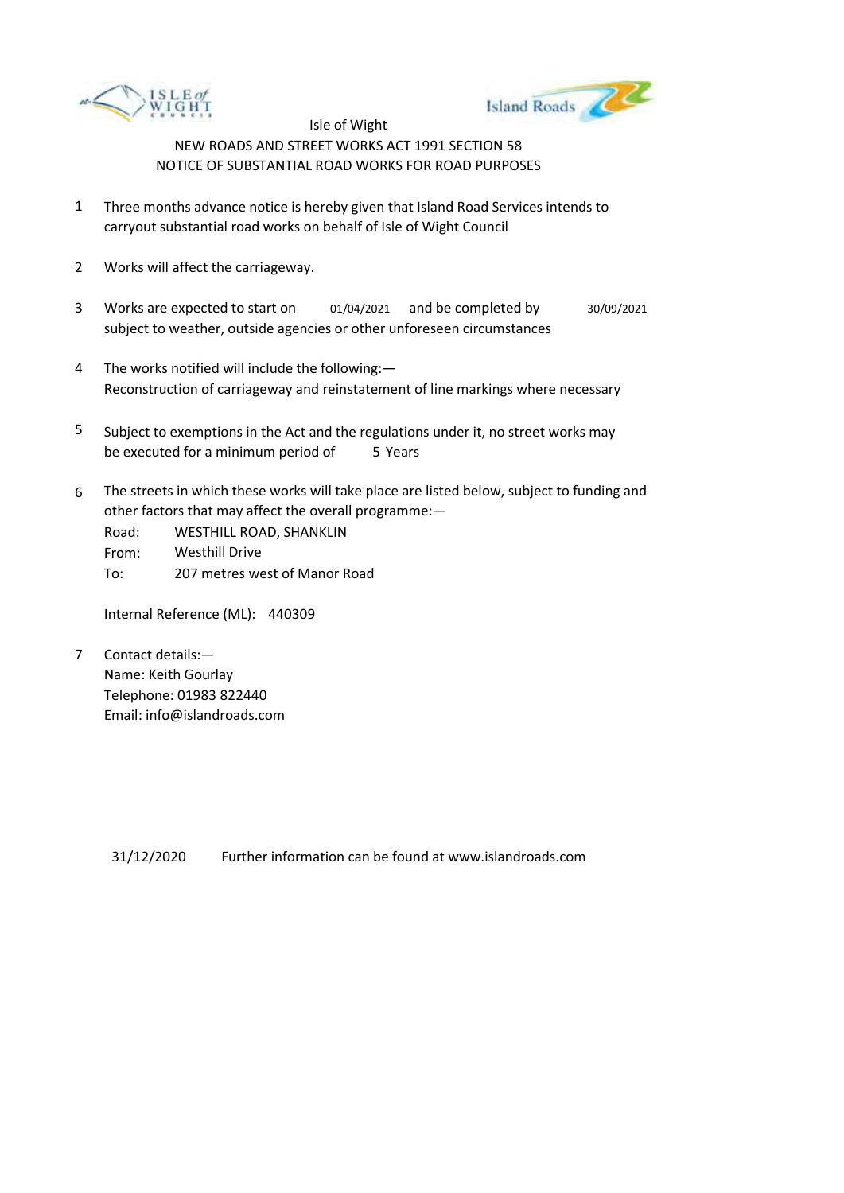



- 1 Three months advance notice is hereby given that Island Road Services intends to carryout substantial road works on behalf of Isle of Wight Council
- 2 Works will affect the carriageway.
- 3 Works are expected to start on subject to weather, outside agencies or other unforeseen circumstances 01/04/2021 and be completed by 30/09/2021
- 4 The works notified will include the following:— Reconstruction of carriageway and reinstatement of line markings where necessary
- 5 be executed for a minimum period of 5 Years Subject to exemptions in the Act and the regulations under it, no street works may
- 6 The streets in which these works will take place are listed below, subject to funding and other factors that may affect the overall programme:—
	- Road: From: To: WESTHILL ROAD, SHANKLIN Westhill Drive 207 metres west of Manor Road

Internal Reference (ML): 440309

7 Contact details:— Name: Keith Gourlay Telephone: 01983 822440 Email: info@islandroads.com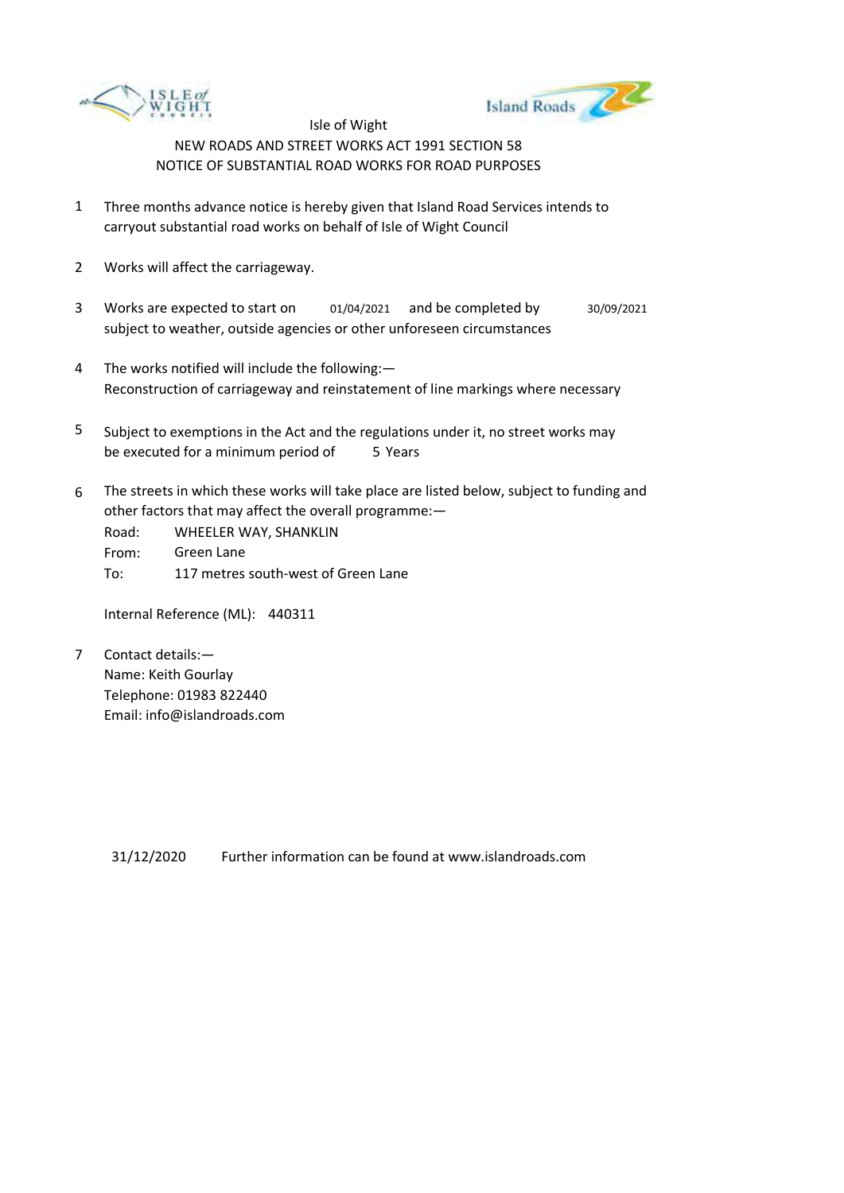



- 1 Three months advance notice is hereby given that Island Road Services intends to carryout substantial road works on behalf of Isle of Wight Council
- 2 Works will affect the carriageway.
- 3 Works are expected to start on subject to weather, outside agencies or other unforeseen circumstances 01/04/2021 and be completed by 30/09/2021
- 4 The works notified will include the following:— Reconstruction of carriageway and reinstatement of line markings where necessary
- 5 be executed for a minimum period of 5 Years Subject to exemptions in the Act and the regulations under it, no street works may
- 6 The streets in which these works will take place are listed below, subject to funding and other factors that may affect the overall programme:—

Road: From: To: WHEELER WAY, SHANKLIN Green Lane 117 metres south-west of Green Lane

Internal Reference (ML): 440311

7 Contact details:— Name: Keith Gourlay Telephone: 01983 822440 Email: info@islandroads.com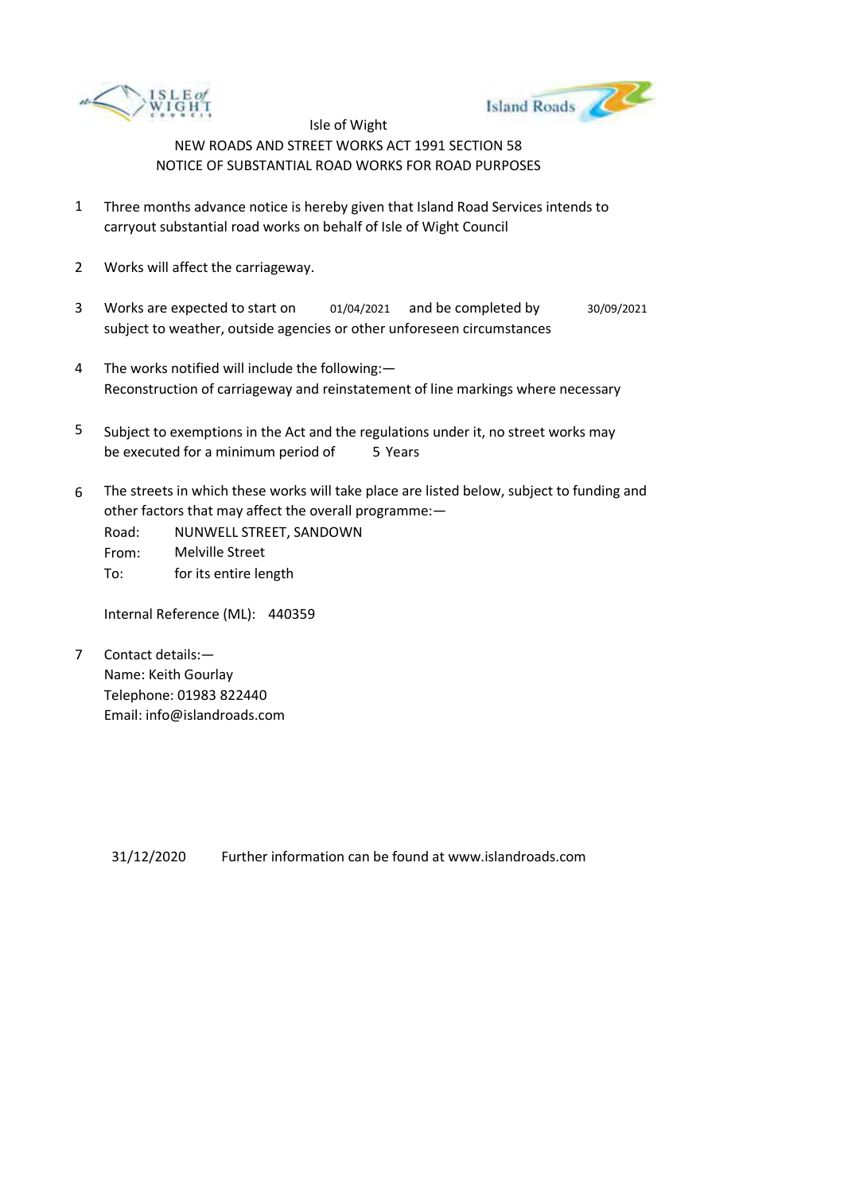



- 1 Three months advance notice is hereby given that Island Road Services intends to carryout substantial road works on behalf of Isle of Wight Council
- 2 Works will affect the carriageway.
- 3 Works are expected to start on subject to weather, outside agencies or other unforeseen circumstances 01/04/2021 and be completed by 30/09/2021
- 4 The works notified will include the following:— Reconstruction of carriageway and reinstatement of line markings where necessary
- 5 be executed for a minimum period of 5 Years Subject to exemptions in the Act and the regulations under it, no street works may
- 6 The streets in which these works will take place are listed below, subject to funding and other factors that may affect the overall programme:—
	- Road: From: To: NUNWELL STREET, SANDOWN Melville Street for its entire length

Internal Reference (ML): 440359

7 Contact details:— Name: Keith Gourlay Telephone: 01983 822440 Email: info@islandroads.com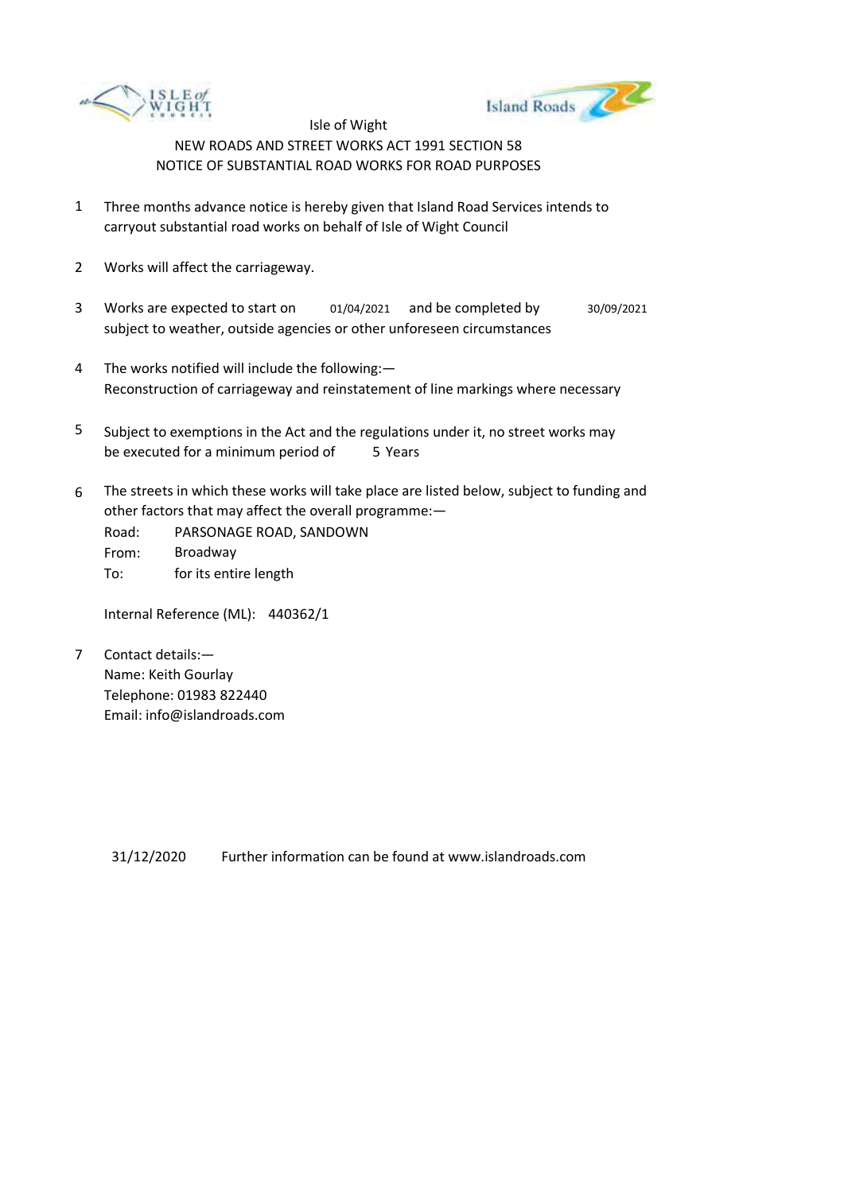



- 1 Three months advance notice is hereby given that Island Road Services intends to carryout substantial road works on behalf of Isle of Wight Council
- 2 Works will affect the carriageway.
- 3 Works are expected to start on subject to weather, outside agencies or other unforeseen circumstances 01/04/2021 and be completed by 30/09/2021
- 4 The works notified will include the following:— Reconstruction of carriageway and reinstatement of line markings where necessary
- 5 be executed for a minimum period of 5 Years Subject to exemptions in the Act and the regulations under it, no street works may
- 6 The streets in which these works will take place are listed below, subject to funding and other factors that may affect the overall programme:—
	- Road: From: To: PARSONAGE ROAD, SANDOWN Broadway for its entire length

Internal Reference (ML): 440362/1

7 Contact details:— Name: Keith Gourlay Telephone: 01983 822440 Email: info@islandroads.com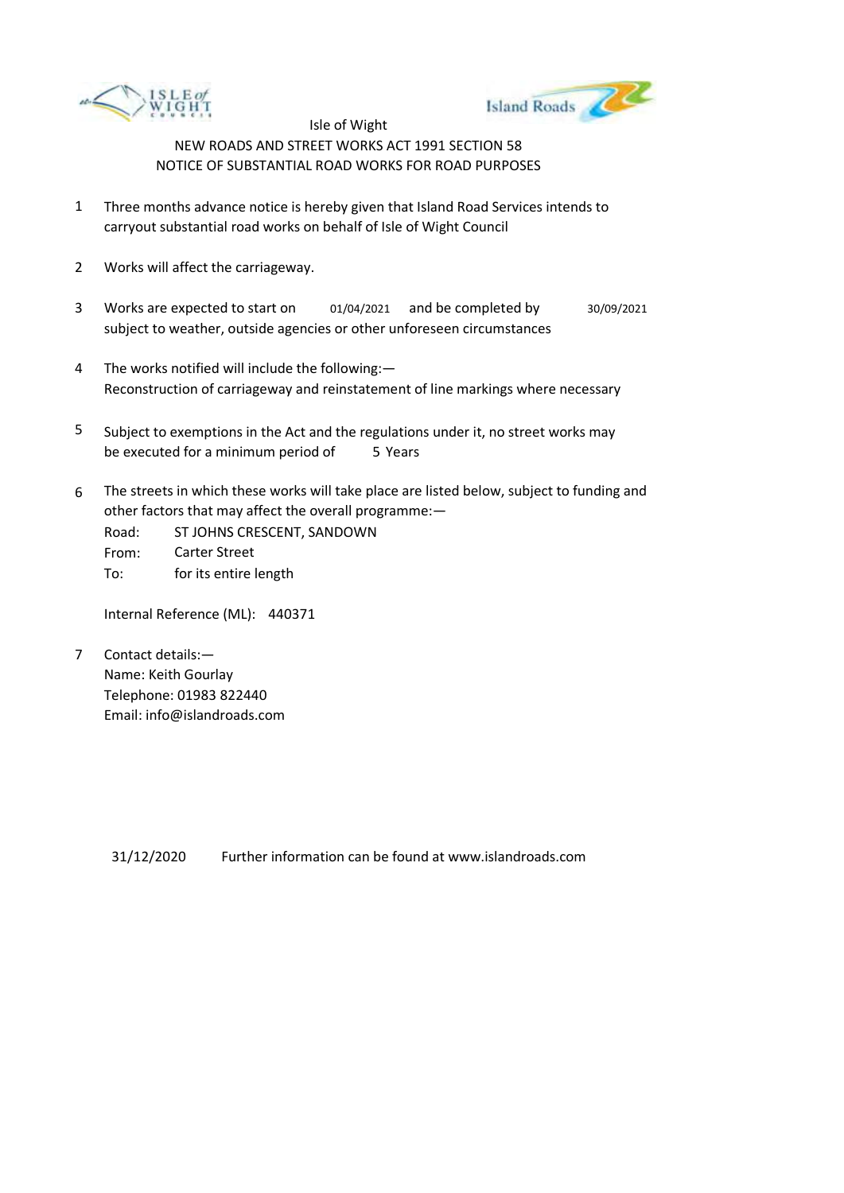



- 1 Three months advance notice is hereby given that Island Road Services intends to carryout substantial road works on behalf of Isle of Wight Council
- 2 Works will affect the carriageway.
- 3 Works are expected to start on subject to weather, outside agencies or other unforeseen circumstances 01/04/2021 and be completed by 30/09/2021
- 4 The works notified will include the following:— Reconstruction of carriageway and reinstatement of line markings where necessary
- 5 be executed for a minimum period of 5 Years Subject to exemptions in the Act and the regulations under it, no street works may
- 6 The streets in which these works will take place are listed below, subject to funding and other factors that may affect the overall programme:—
	- Road: From: To: ST JOHNS CRESCENT, SANDOWN Carter Street for its entire length

Internal Reference (ML): 440371

7 Contact details:— Name: Keith Gourlay Telephone: 01983 822440 Email: info@islandroads.com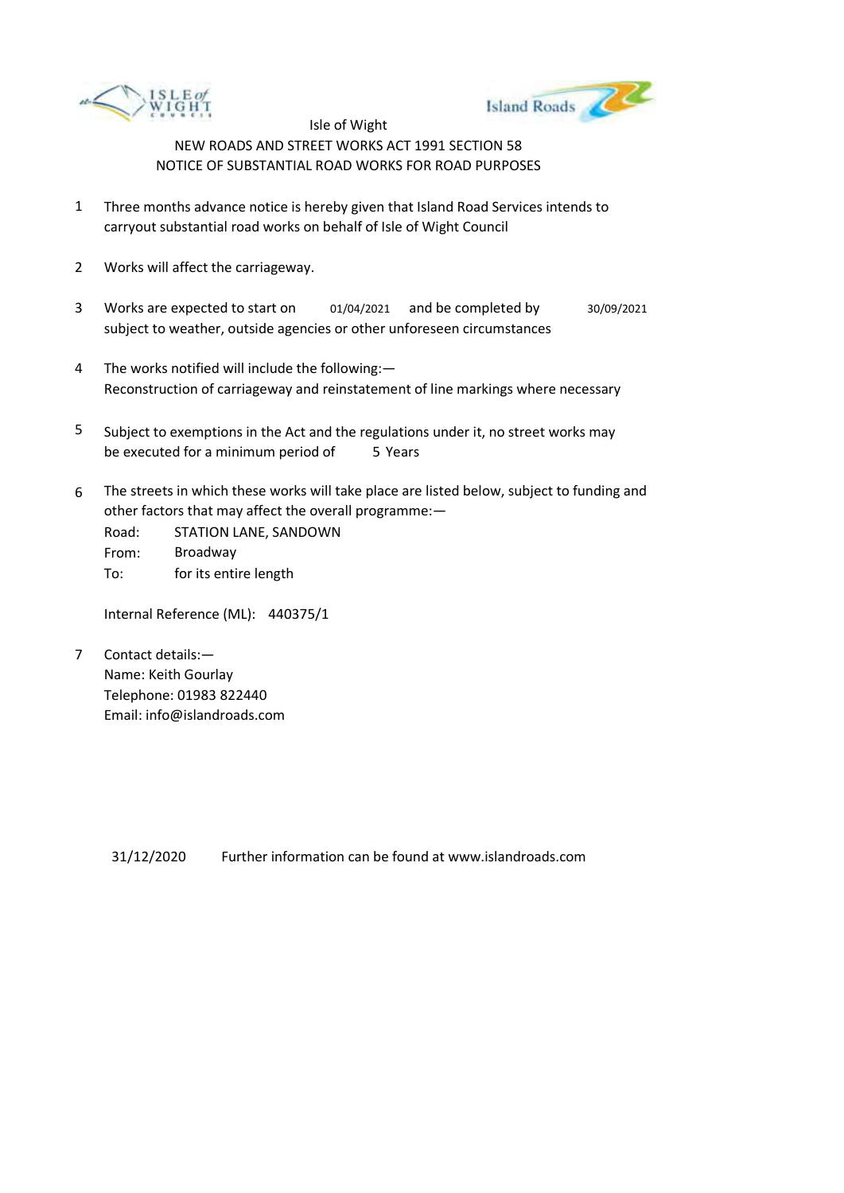



- 1 Three months advance notice is hereby given that Island Road Services intends to carryout substantial road works on behalf of Isle of Wight Council
- 2 Works will affect the carriageway.
- 3 Works are expected to start on subject to weather, outside agencies or other unforeseen circumstances 01/04/2021 and be completed by 30/09/2021
- 4 The works notified will include the following:— Reconstruction of carriageway and reinstatement of line markings where necessary
- 5 be executed for a minimum period of 5 Years Subject to exemptions in the Act and the regulations under it, no street works may
- 6 The streets in which these works will take place are listed below, subject to funding and other factors that may affect the overall programme:—
	- Road: From: To: STATION LANE, SANDOWN Broadway for its entire length

Internal Reference (ML): 440375/1

7 Contact details:— Name: Keith Gourlay Telephone: 01983 822440 Email: info@islandroads.com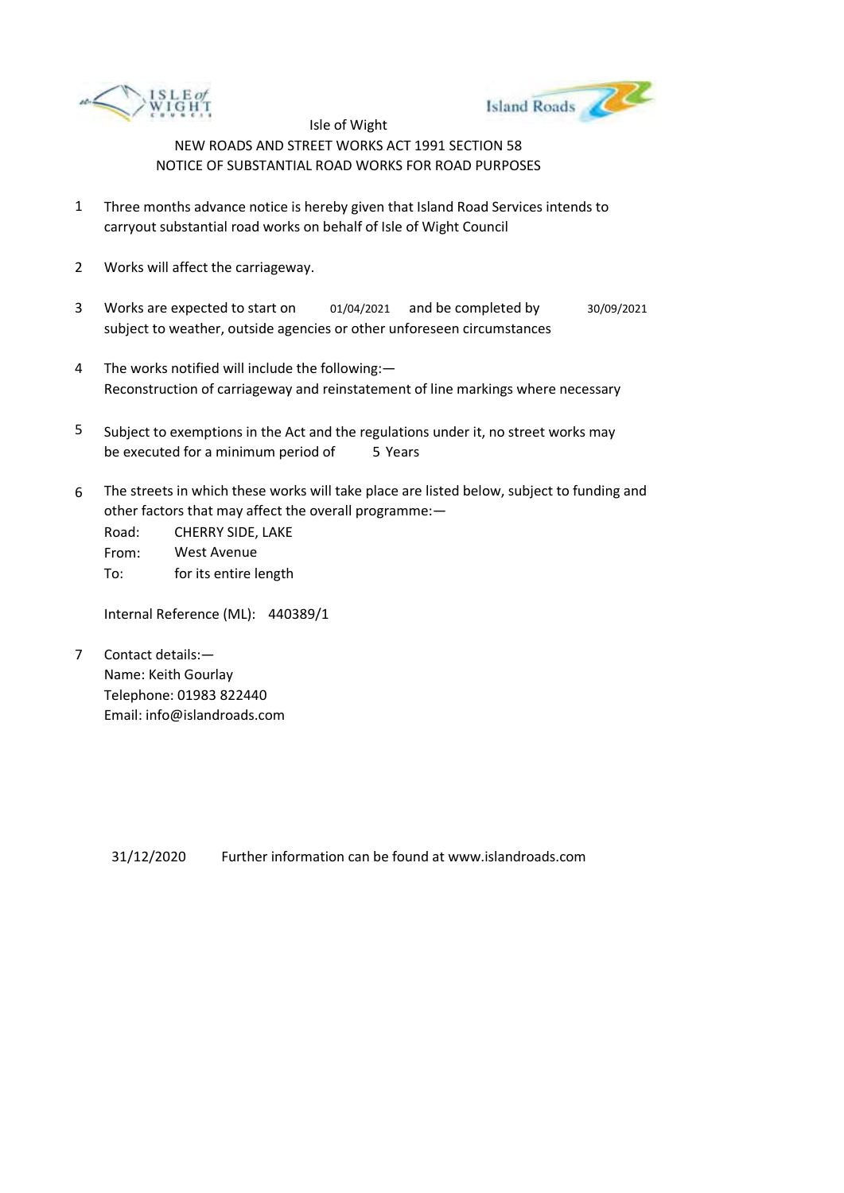



- 1 Three months advance notice is hereby given that Island Road Services intends to carryout substantial road works on behalf of Isle of Wight Council
- 2 Works will affect the carriageway.
- 3 Works are expected to start on subject to weather, outside agencies or other unforeseen circumstances 01/04/2021 and be completed by 30/09/2021
- 4 The works notified will include the following:— Reconstruction of carriageway and reinstatement of line markings where necessary
- 5 be executed for a minimum period of 5 Years Subject to exemptions in the Act and the regulations under it, no street works may
- 6 The streets in which these works will take place are listed below, subject to funding and other factors that may affect the overall programme:—

Road: From: To: CHERRY SIDE, LAKE West Avenue for its entire length

Internal Reference (ML): 440389/1

7 Contact details:— Name: Keith Gourlay Telephone: 01983 822440 Email: info@islandroads.com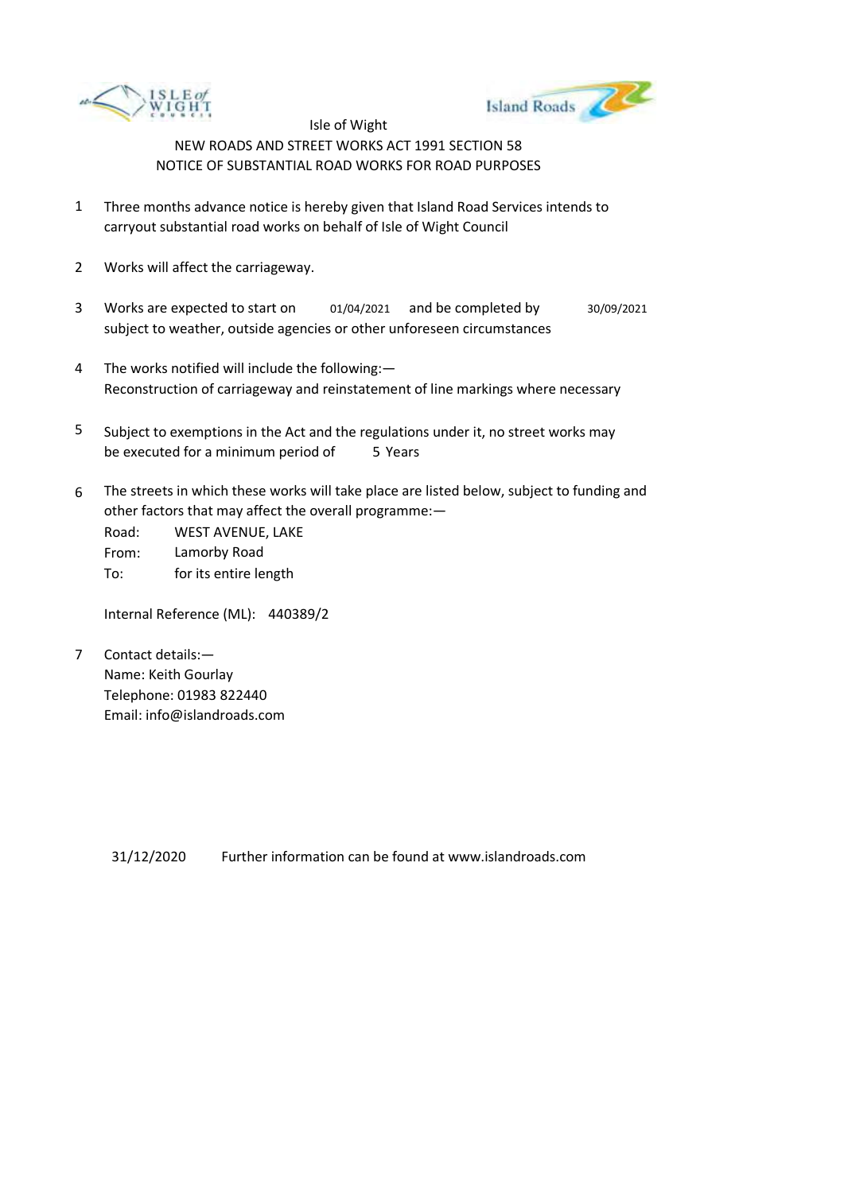



- 1 Three months advance notice is hereby given that Island Road Services intends to carryout substantial road works on behalf of Isle of Wight Council
- 2 Works will affect the carriageway.
- 3 Works are expected to start on subject to weather, outside agencies or other unforeseen circumstances 01/04/2021 and be completed by 30/09/2021
- 4 The works notified will include the following:— Reconstruction of carriageway and reinstatement of line markings where necessary
- 5 be executed for a minimum period of 5 Years Subject to exemptions in the Act and the regulations under it, no street works may
- 6 The streets in which these works will take place are listed below, subject to funding and other factors that may affect the overall programme:—

Road: From: To: WEST AVENUE, LAKE Lamorby Road for its entire length

Internal Reference (ML): 440389/2

7 Contact details:— Name: Keith Gourlay Telephone: 01983 822440 Email: info@islandroads.com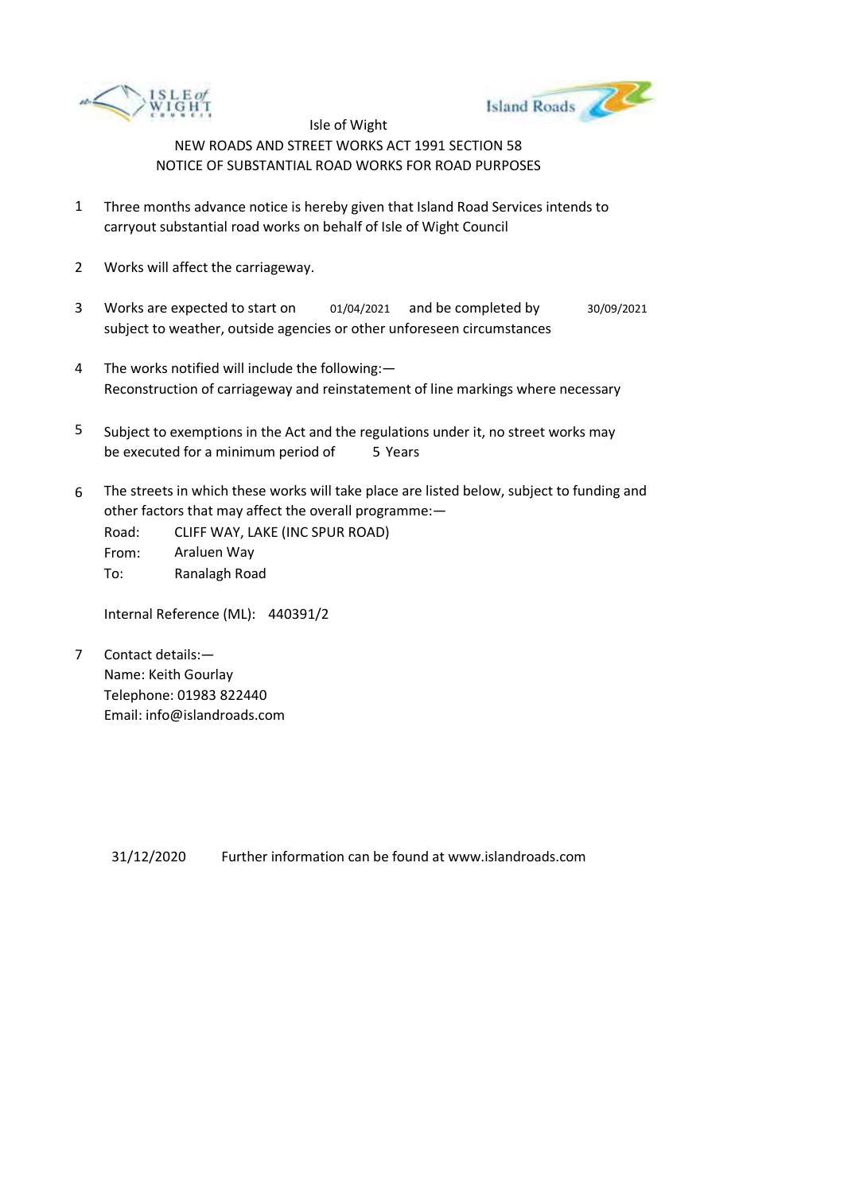



- 1 Three months advance notice is hereby given that Island Road Services intends to carryout substantial road works on behalf of Isle of Wight Council
- 2 Works will affect the carriageway.
- 3 Works are expected to start on subject to weather, outside agencies or other unforeseen circumstances 01/04/2021 and be completed by 30/09/2021
- 4 The works notified will include the following:— Reconstruction of carriageway and reinstatement of line markings where necessary
- 5 be executed for a minimum period of 5 Years Subject to exemptions in the Act and the regulations under it, no street works may
- 6 The streets in which these works will take place are listed below, subject to funding and other factors that may affect the overall programme:—

Road: From: To: CLIFF WAY, LAKE (INC SPUR ROAD) Araluen Way Ranalagh Road

Internal Reference (ML): 440391/2

7 Contact details:— Name: Keith Gourlay Telephone: 01983 822440 Email: info@islandroads.com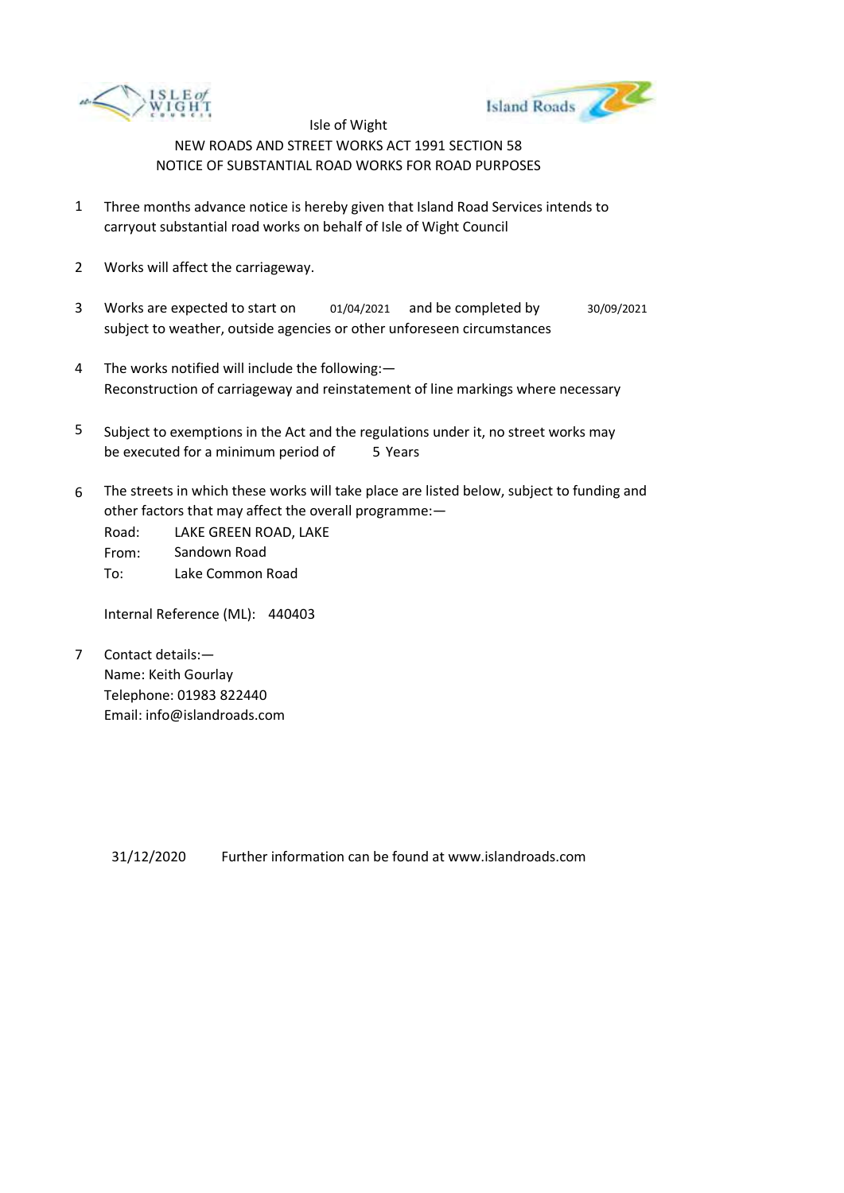



- 1 Three months advance notice is hereby given that Island Road Services intends to carryout substantial road works on behalf of Isle of Wight Council
- 2 Works will affect the carriageway.
- 3 Works are expected to start on subject to weather, outside agencies or other unforeseen circumstances 01/04/2021 and be completed by 30/09/2021
- 4 The works notified will include the following:— Reconstruction of carriageway and reinstatement of line markings where necessary
- 5 be executed for a minimum period of 5 Years Subject to exemptions in the Act and the regulations under it, no street works may
- 6 The streets in which these works will take place are listed below, subject to funding and other factors that may affect the overall programme:—

Road: From: To: LAKE GREEN ROAD, LAKE Sandown Road Lake Common Road

Internal Reference (ML): 440403

7 Contact details:— Name: Keith Gourlay Telephone: 01983 822440 Email: info@islandroads.com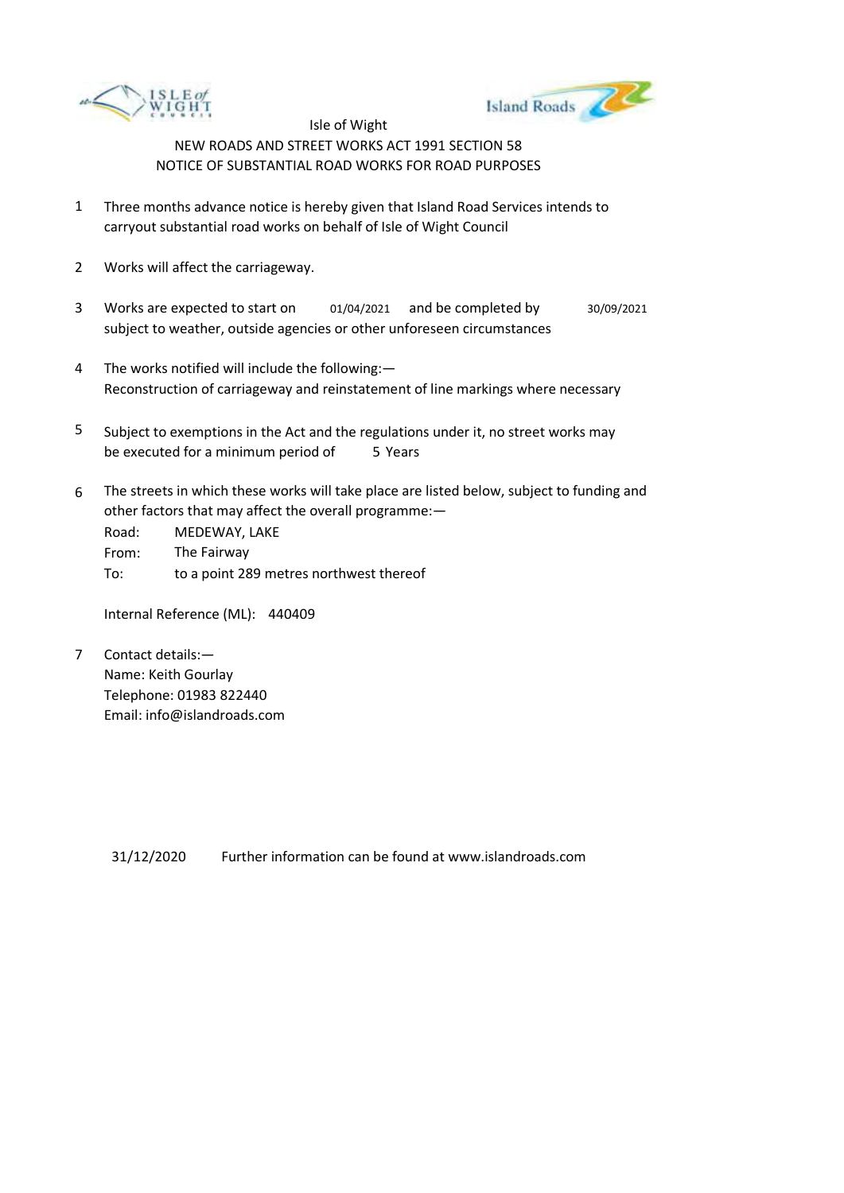



- 1 Three months advance notice is hereby given that Island Road Services intends to carryout substantial road works on behalf of Isle of Wight Council
- 2 Works will affect the carriageway.
- 3 Works are expected to start on subject to weather, outside agencies or other unforeseen circumstances 01/04/2021 and be completed by 30/09/2021
- 4 The works notified will include the following:— Reconstruction of carriageway and reinstatement of line markings where necessary
- 5 be executed for a minimum period of 5 Years Subject to exemptions in the Act and the regulations under it, no street works may
- 6 The streets in which these works will take place are listed below, subject to funding and other factors that may affect the overall programme:—

| Road: | MEDEWAY, LAKE                           |
|-------|-----------------------------------------|
| From: | The Fairway                             |
| To:   | to a point 289 metres northwest thereof |

Internal Reference (ML): 440409

7 Contact details:— Name: Keith Gourlay Telephone: 01983 822440 Email: info@islandroads.com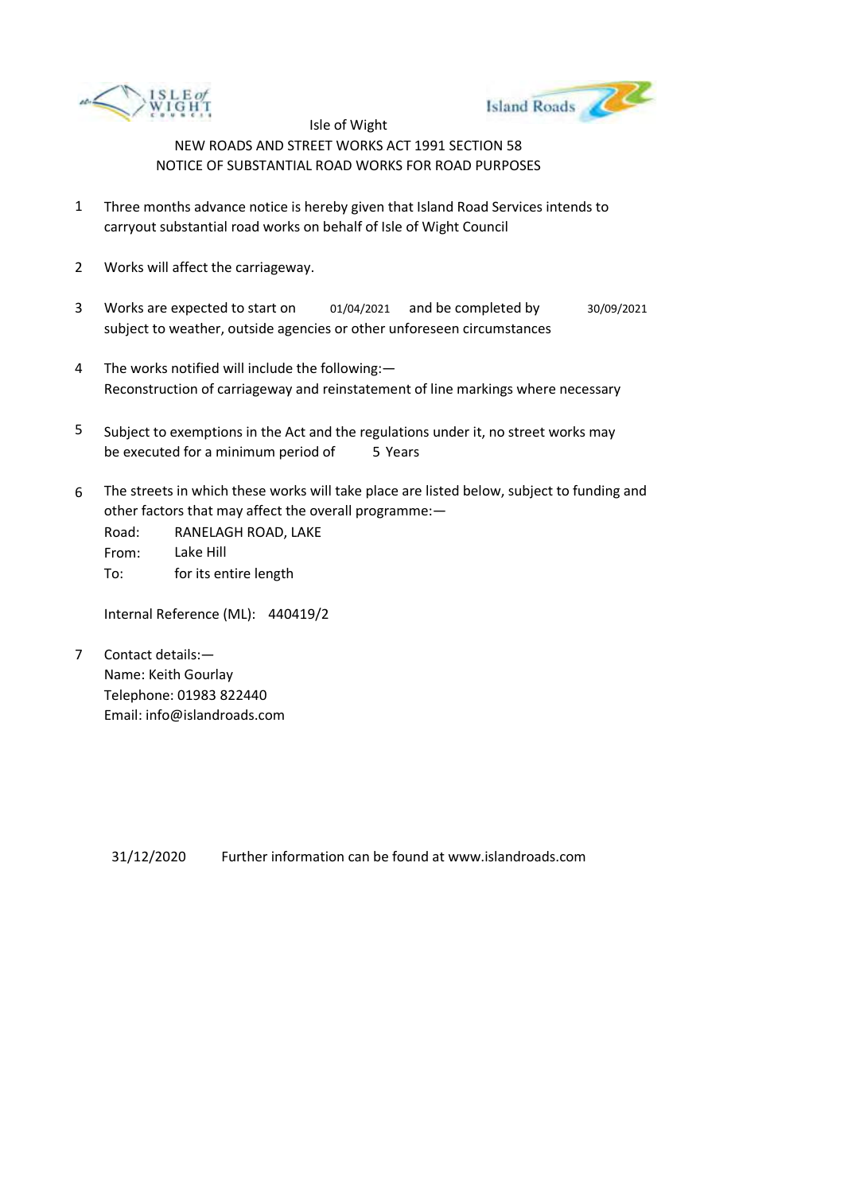



- 1 Three months advance notice is hereby given that Island Road Services intends to carryout substantial road works on behalf of Isle of Wight Council
- 2 Works will affect the carriageway.
- 3 Works are expected to start on subject to weather, outside agencies or other unforeseen circumstances 01/04/2021 and be completed by 30/09/2021
- 4 The works notified will include the following:— Reconstruction of carriageway and reinstatement of line markings where necessary
- 5 be executed for a minimum period of 5 Years Subject to exemptions in the Act and the regulations under it, no street works may
- 6 The streets in which these works will take place are listed below, subject to funding and other factors that may affect the overall programme:—

Road: From: To: RANELAGH ROAD, LAKE Lake Hill for its entire length

Internal Reference (ML): 440419/2

7 Contact details:— Name: Keith Gourlay Telephone: 01983 822440 Email: info@islandroads.com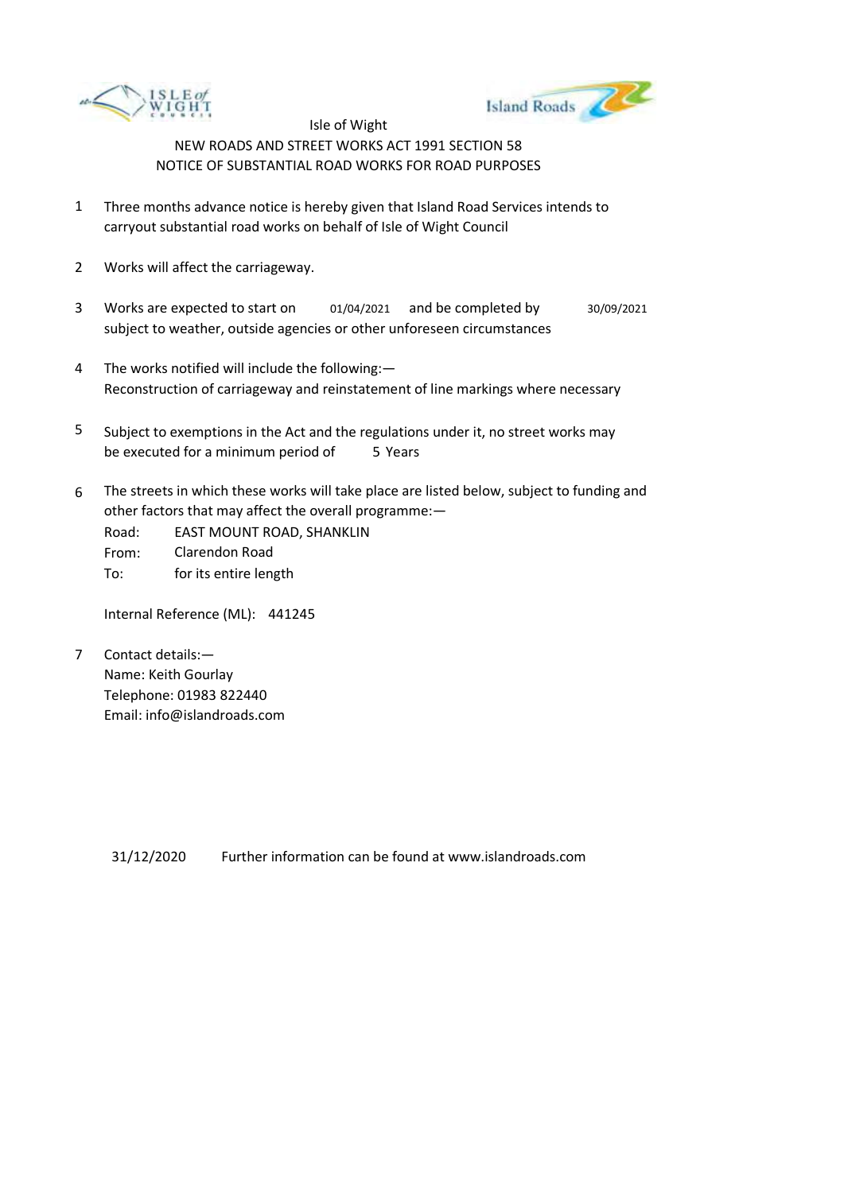



- 1 Three months advance notice is hereby given that Island Road Services intends to carryout substantial road works on behalf of Isle of Wight Council
- 2 Works will affect the carriageway.
- 3 Works are expected to start on subject to weather, outside agencies or other unforeseen circumstances 01/04/2021 and be completed by 30/09/2021
- 4 The works notified will include the following:— Reconstruction of carriageway and reinstatement of line markings where necessary
- 5 be executed for a minimum period of 5 Years Subject to exemptions in the Act and the regulations under it, no street works may
- 6 The streets in which these works will take place are listed below, subject to funding and other factors that may affect the overall programme:—
	- Road: From: To: EAST MOUNT ROAD, SHANKLIN Clarendon Road for its entire length

Internal Reference (ML): 441245

7 Contact details:— Name: Keith Gourlay Telephone: 01983 822440 Email: info@islandroads.com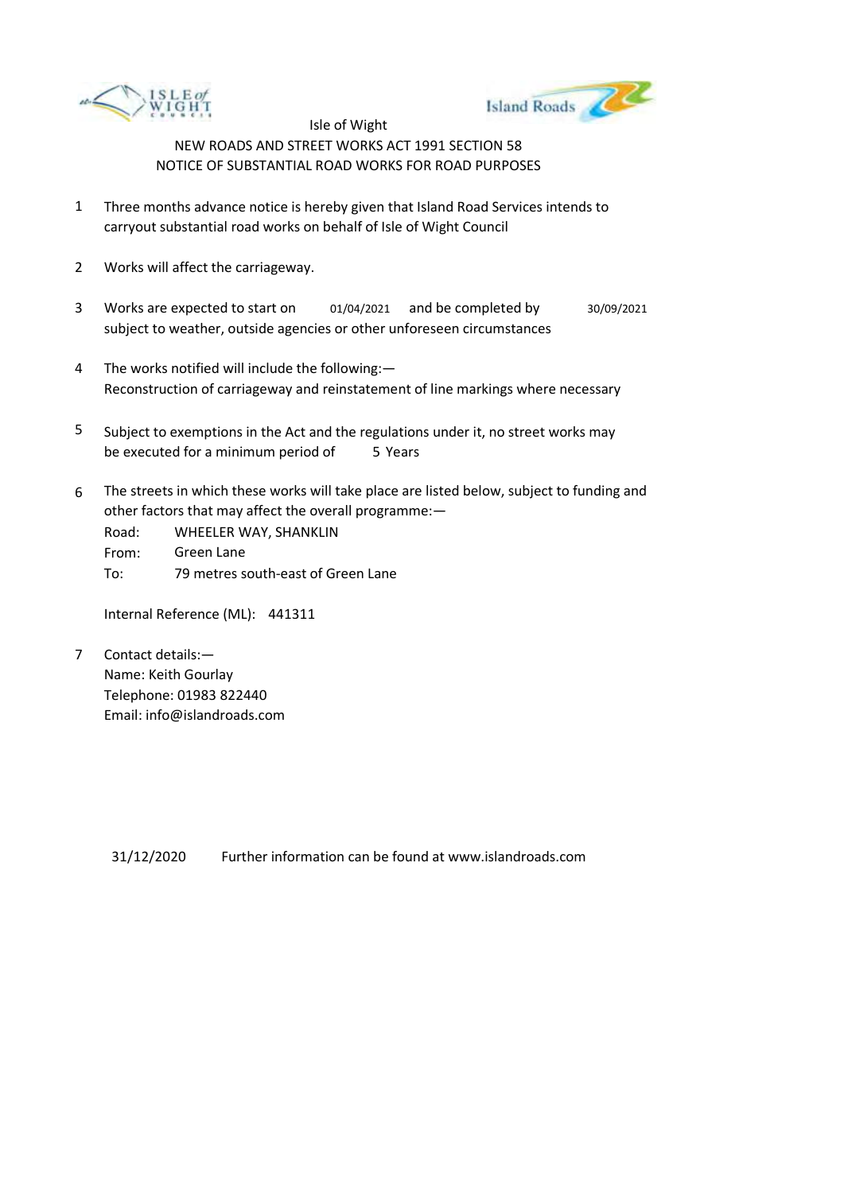



- 1 Three months advance notice is hereby given that Island Road Services intends to carryout substantial road works on behalf of Isle of Wight Council
- 2 Works will affect the carriageway.
- 3 Works are expected to start on subject to weather, outside agencies or other unforeseen circumstances 01/04/2021 and be completed by 30/09/2021
- 4 The works notified will include the following:— Reconstruction of carriageway and reinstatement of line markings where necessary
- 5 be executed for a minimum period of 5 Years Subject to exemptions in the Act and the regulations under it, no street works may
- 6 The streets in which these works will take place are listed below, subject to funding and other factors that may affect the overall programme:—

Road: From: To: WHEELER WAY, SHANKLIN Green Lane 79 metres south-east of Green Lane

Internal Reference (ML): 441311

7 Contact details:— Name: Keith Gourlay Telephone: 01983 822440 Email: info@islandroads.com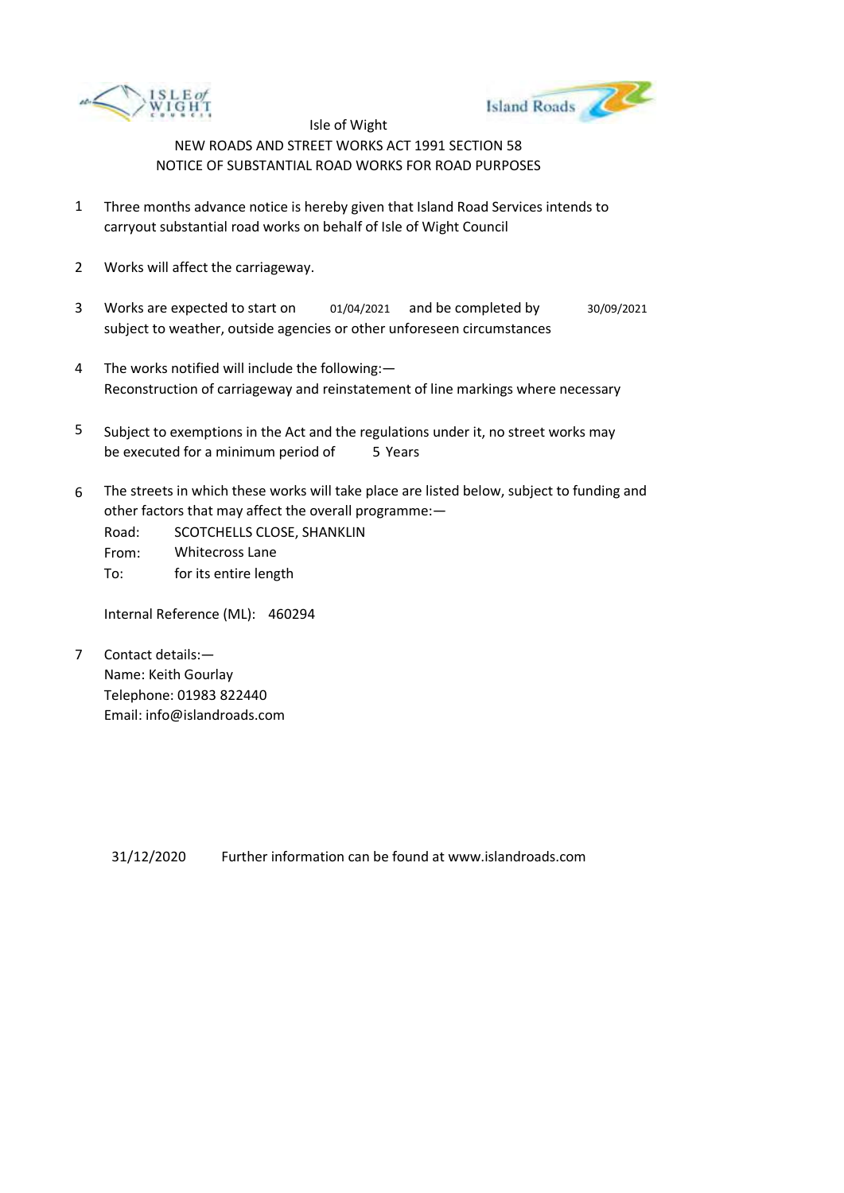



- 1 Three months advance notice is hereby given that Island Road Services intends to carryout substantial road works on behalf of Isle of Wight Council
- 2 Works will affect the carriageway.
- 3 Works are expected to start on subject to weather, outside agencies or other unforeseen circumstances 01/04/2021 and be completed by 30/09/2021
- 4 The works notified will include the following:— Reconstruction of carriageway and reinstatement of line markings where necessary
- 5 be executed for a minimum period of 5 Years Subject to exemptions in the Act and the regulations under it, no street works may
- 6 The streets in which these works will take place are listed below, subject to funding and other factors that may affect the overall programme:—
	- Road: From: SCOTCHELLS CLOSE, SHANKLIN Whitecross Lane
	- To: for its entire length

Internal Reference (ML): 460294

7 Contact details:— Name: Keith Gourlay Telephone: 01983 822440 Email: info@islandroads.com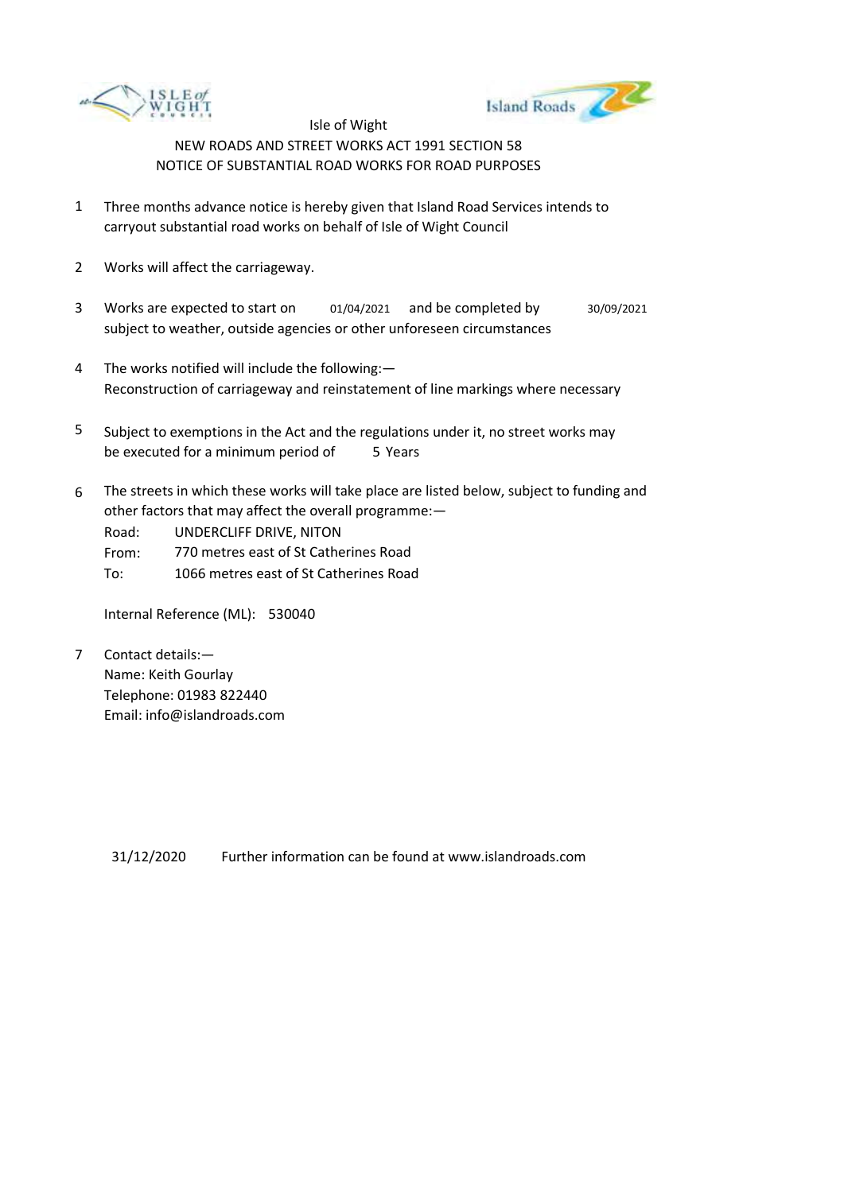



- 1 Three months advance notice is hereby given that Island Road Services intends to carryout substantial road works on behalf of Isle of Wight Council
- 2 Works will affect the carriageway.
- 3 Works are expected to start on subject to weather, outside agencies or other unforeseen circumstances 01/04/2021 and be completed by 30/09/2021
- 4 The works notified will include the following:— Reconstruction of carriageway and reinstatement of line markings where necessary
- 5 be executed for a minimum period of 5 Years Subject to exemptions in the Act and the regulations under it, no street works may
- 6 The streets in which these works will take place are listed below, subject to funding and other factors that may affect the overall programme:—

Road: UNDERCLIFF DRIVE, NITON

From: 770 metres east of St Catherines Road

To: 1066 metres east of St Catherines Road

Internal Reference (ML): 530040

7 Contact details:— Name: Keith Gourlay Telephone: 01983 822440 Email: info@islandroads.com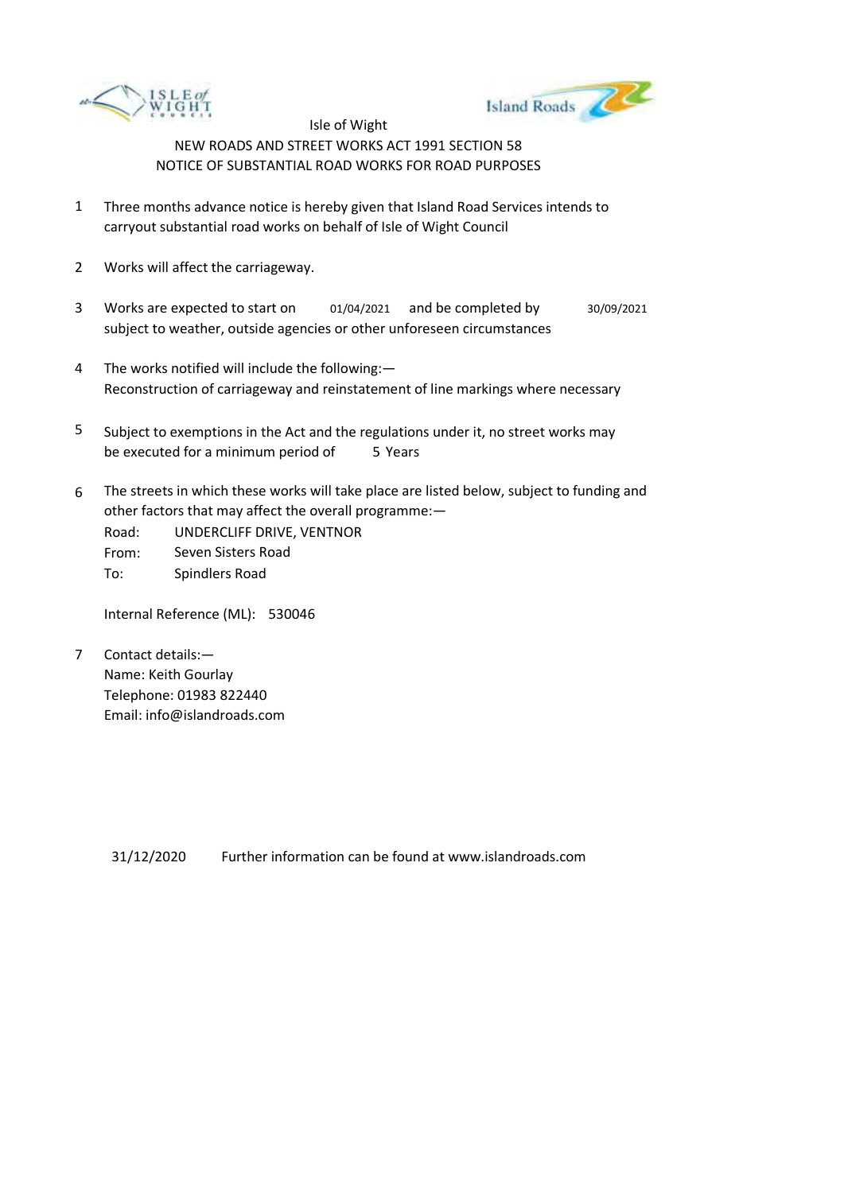



- 1 Three months advance notice is hereby given that Island Road Services intends to carryout substantial road works on behalf of Isle of Wight Council
- 2 Works will affect the carriageway.
- 3 Works are expected to start on subject to weather, outside agencies or other unforeseen circumstances 01/04/2021 and be completed by 30/09/2021
- 4 The works notified will include the following:— Reconstruction of carriageway and reinstatement of line markings where necessary
- 5 be executed for a minimum period of 5 Years Subject to exemptions in the Act and the regulations under it, no street works may
- 6 The streets in which these works will take place are listed below, subject to funding and other factors that may affect the overall programme:—
	- Road: From: UNDERCLIFF DRIVE, VENTNOR Seven Sisters Road
	- To: Spindlers Road

Internal Reference (ML): 530046

7 Contact details:— Name: Keith Gourlay Telephone: 01983 822440 Email: info@islandroads.com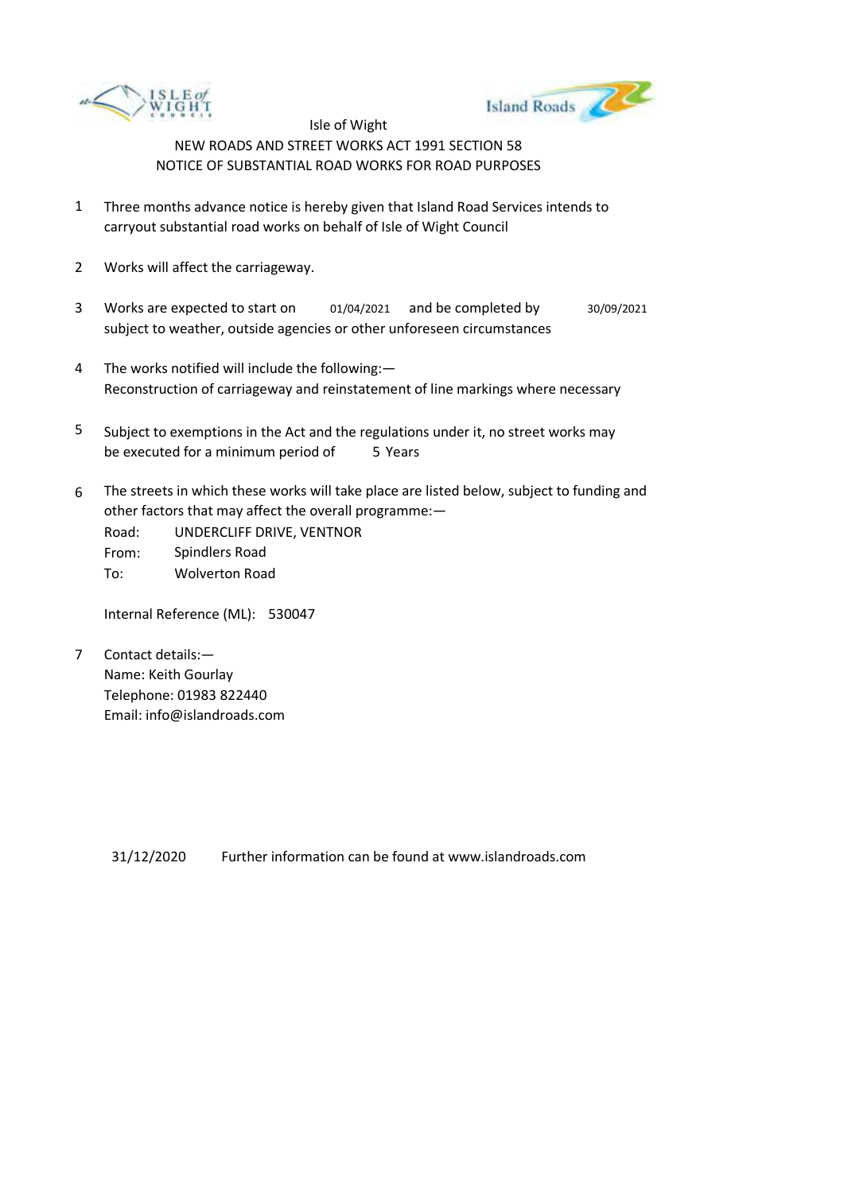



- 1 Three months advance notice is hereby given that Island Road Services intends to carryout substantial road works on behalf of Isle of Wight Council
- 2 Works will affect the carriageway.
- 3 Works are expected to start on subject to weather, outside agencies or other unforeseen circumstances 01/04/2021 and be completed by 30/09/2021
- 4 The works notified will include the following:— Reconstruction of carriageway and reinstatement of line markings where necessary
- 5 be executed for a minimum period of 5 Years Subject to exemptions in the Act and the regulations under it, no street works may
- 6 The streets in which these works will take place are listed below, subject to funding and other factors that may affect the overall programme:—

Road: From: To: UNDERCLIFF DRIVE, VENTNOR Spindlers Road Wolverton Road

Internal Reference (ML): 530047

7 Contact details:— Name: Keith Gourlay Telephone: 01983 822440 Email: info@islandroads.com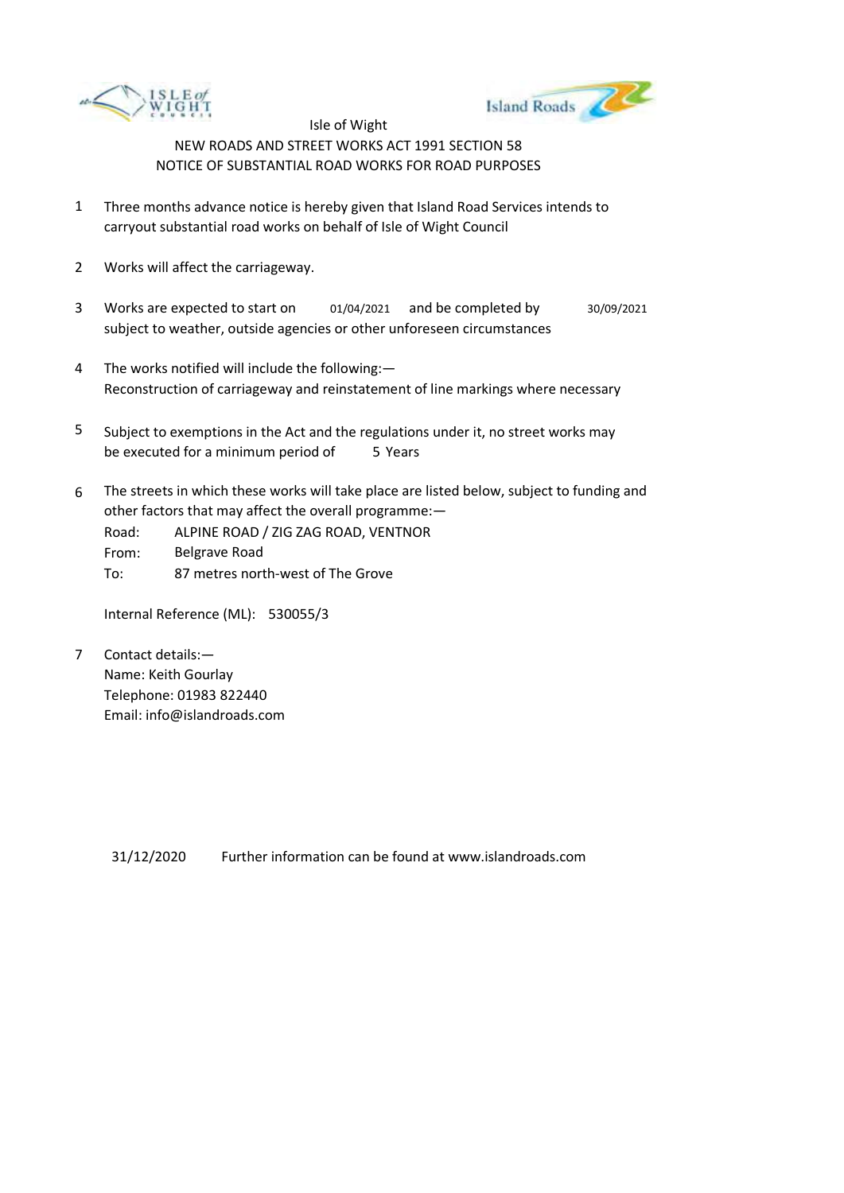



- 1 Three months advance notice is hereby given that Island Road Services intends to carryout substantial road works on behalf of Isle of Wight Council
- 2 Works will affect the carriageway.
- 3 Works are expected to start on 01/04/2021 and be completed by 30/09/2021 subject to weather, outside agencies or other unforeseen circumstances
- 4 The works notified will include the following:— Reconstruction of carriageway and reinstatement of line markings where necessary
- 5 be executed for a minimum period of 5 Years Subject to exemptions in the Act and the regulations under it, no street works may
- 6 The streets in which these works will take place are listed below, subject to funding and other factors that may affect the overall programme:—

Road: From: ALPINE ROAD / ZIG ZAG ROAD, VENTNOR Belgrave Road

To: 87 metres north-west of The Grove

Internal Reference (ML): 530055/3

7 Contact details:— Name: Keith Gourlay Telephone: 01983 822440 Email: info@islandroads.com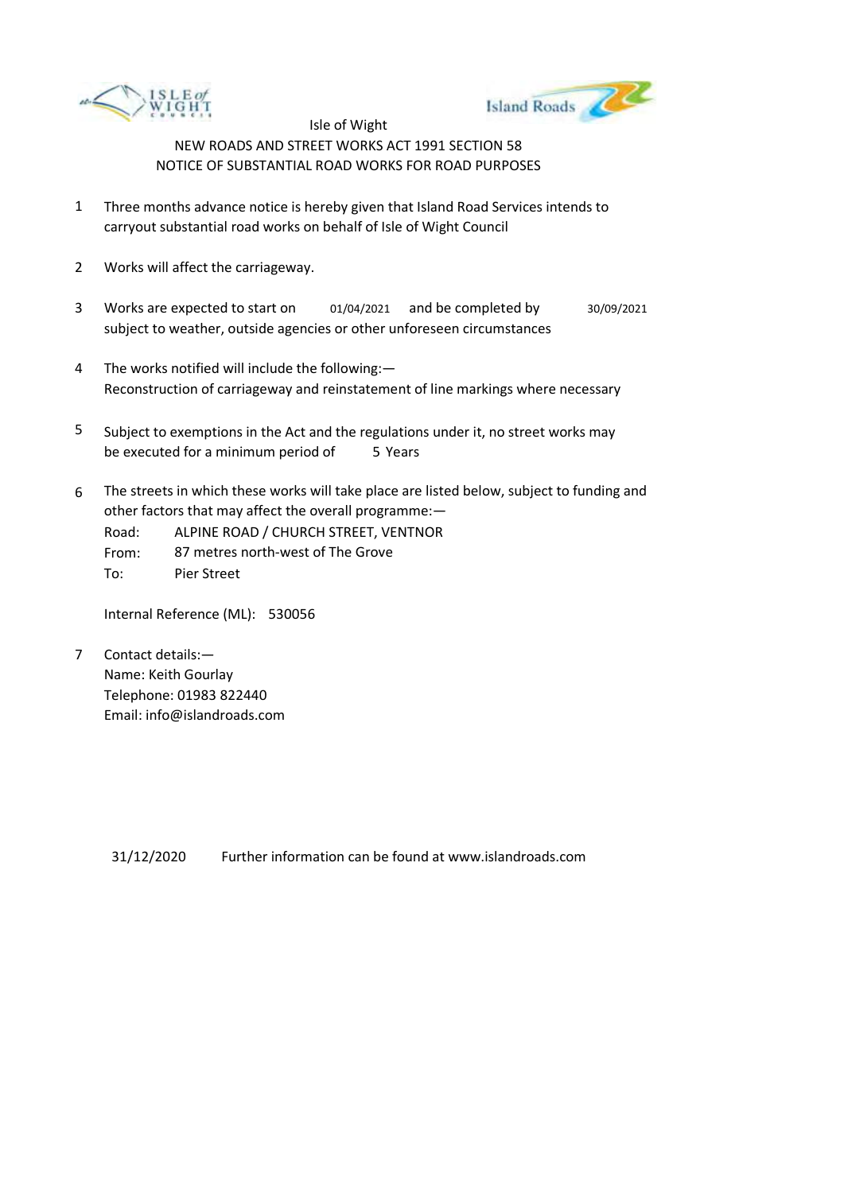



- 1 Three months advance notice is hereby given that Island Road Services intends to carryout substantial road works on behalf of Isle of Wight Council
- 2 Works will affect the carriageway.
- 3 Works are expected to start on subject to weather, outside agencies or other unforeseen circumstances 01/04/2021 and be completed by 30/09/2021
- 4 The works notified will include the following:— Reconstruction of carriageway and reinstatement of line markings where necessary
- 5 be executed for a minimum period of 5 Years Subject to exemptions in the Act and the regulations under it, no street works may
- 6 The streets in which these works will take place are listed below, subject to funding and other factors that may affect the overall programme:—
	- Road: ALPINE ROAD / CHURCH STREET, VENTNOR
	- From: 87 metres north-west of The Grove
	- To: Pier Street

Internal Reference (ML): 530056

7 Contact details:— Name: Keith Gourlay Telephone: 01983 822440 Email: info@islandroads.com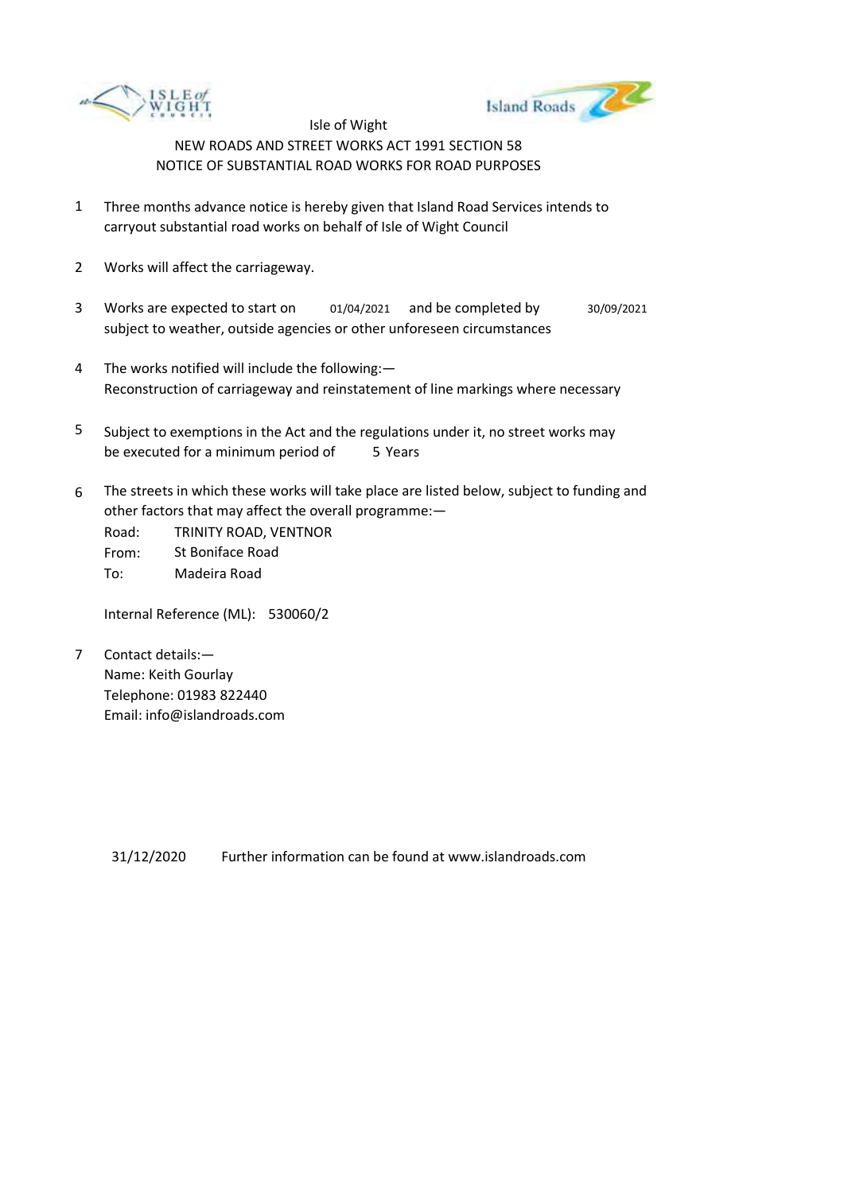



- 1 Three months advance notice is hereby given that Island Road Services intends to carryout substantial road works on behalf of Isle of Wight Council
- 2 Works will affect the carriageway.
- 3 Works are expected to start on subject to weather, outside agencies or other unforeseen circumstances 01/04/2021 and be completed by 30/09/2021
- 4 The works notified will include the following:— Reconstruction of carriageway and reinstatement of line markings where necessary
- 5 be executed for a minimum period of 5 Years Subject to exemptions in the Act and the regulations under it, no street works may
- 6 The streets in which these works will take place are listed below, subject to funding and other factors that may affect the overall programme:—

Road: From: To: TRINITY ROAD, VENTNOR St Boniface Road Madeira Road

Internal Reference (ML): 530060/2

7 Contact details:— Name: Keith Gourlay Telephone: 01983 822440 Email: info@islandroads.com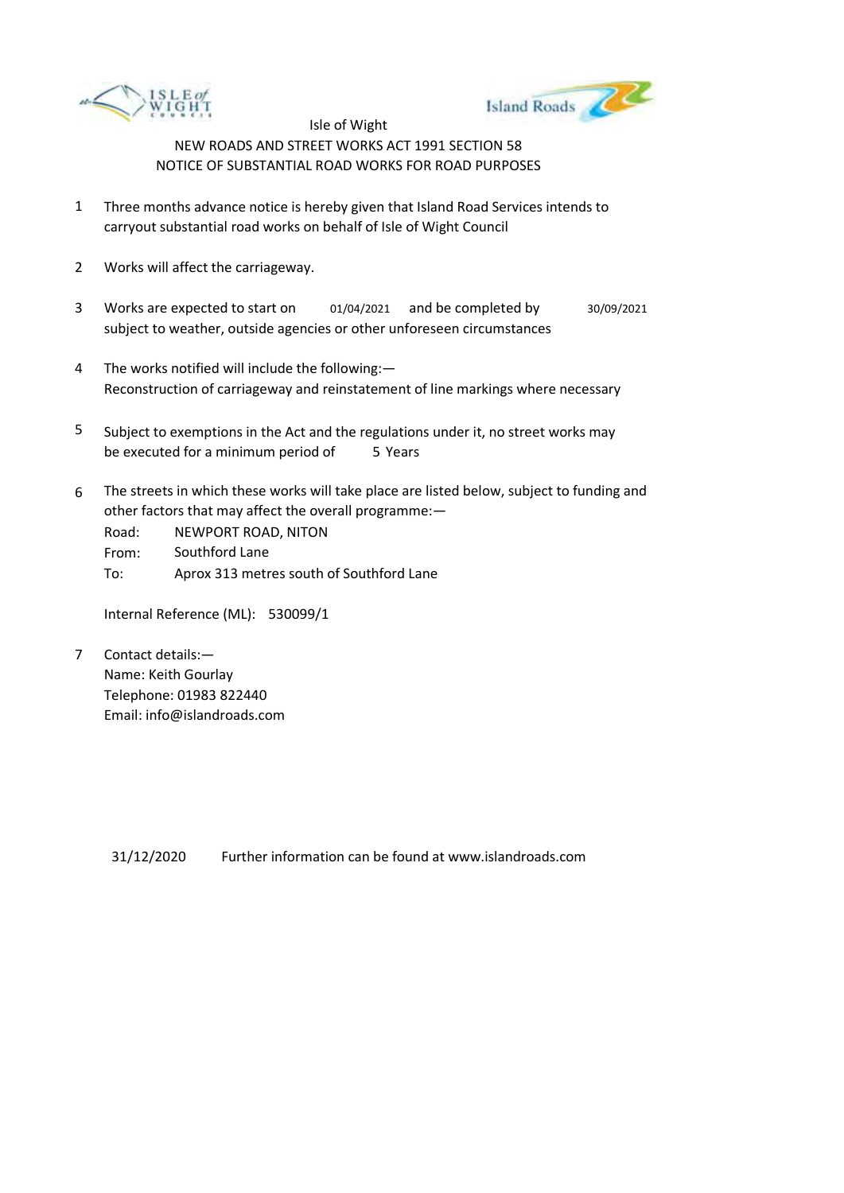



- 1 Three months advance notice is hereby given that Island Road Services intends to carryout substantial road works on behalf of Isle of Wight Council
- 2 Works will affect the carriageway.
- 3 Works are expected to start on subject to weather, outside agencies or other unforeseen circumstances 01/04/2021 and be completed by 30/09/2021
- 4 The works notified will include the following:— Reconstruction of carriageway and reinstatement of line markings where necessary
- 5 be executed for a minimum period of 5 Years Subject to exemptions in the Act and the regulations under it, no street works may
- 6 The streets in which these works will take place are listed below, subject to funding and other factors that may affect the overall programme:—

Road: From: To: NEWPORT ROAD, NITON Southford Lane Aprox 313 metres south of Southford Lane

Internal Reference (ML): 530099/1

7 Contact details:— Name: Keith Gourlay Telephone: 01983 822440 Email: info@islandroads.com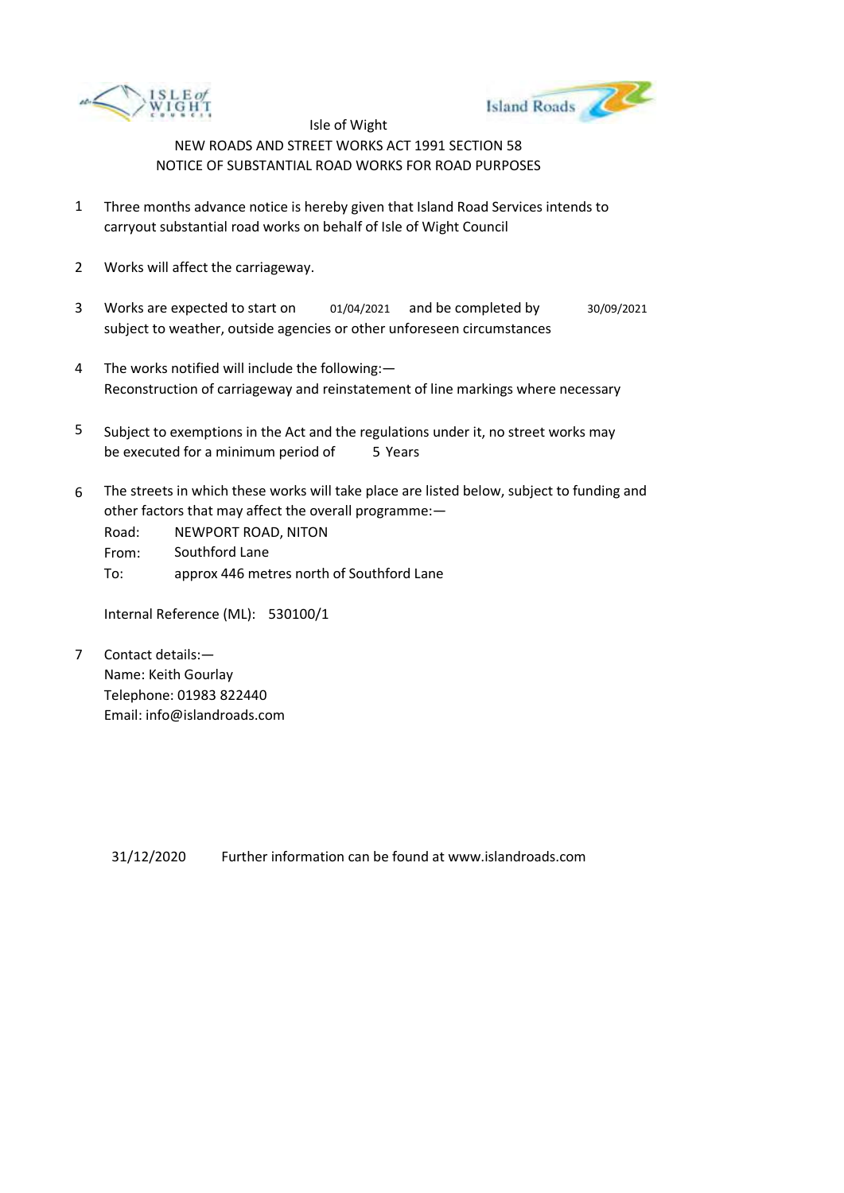



- 1 Three months advance notice is hereby given that Island Road Services intends to carryout substantial road works on behalf of Isle of Wight Council
- 2 Works will affect the carriageway.
- 3 Works are expected to start on subject to weather, outside agencies or other unforeseen circumstances 01/04/2021 and be completed by 30/09/2021
- 4 The works notified will include the following:— Reconstruction of carriageway and reinstatement of line markings where necessary
- 5 be executed for a minimum period of 5 Years Subject to exemptions in the Act and the regulations under it, no street works may
- 6 The streets in which these works will take place are listed below, subject to funding and other factors that may affect the overall programme:—

Road: From: To: NEWPORT ROAD, NITON Southford Lane approx 446 metres north of Southford Lane

Internal Reference (ML): 530100/1

7 Contact details:— Name: Keith Gourlay Telephone: 01983 822440 Email: info@islandroads.com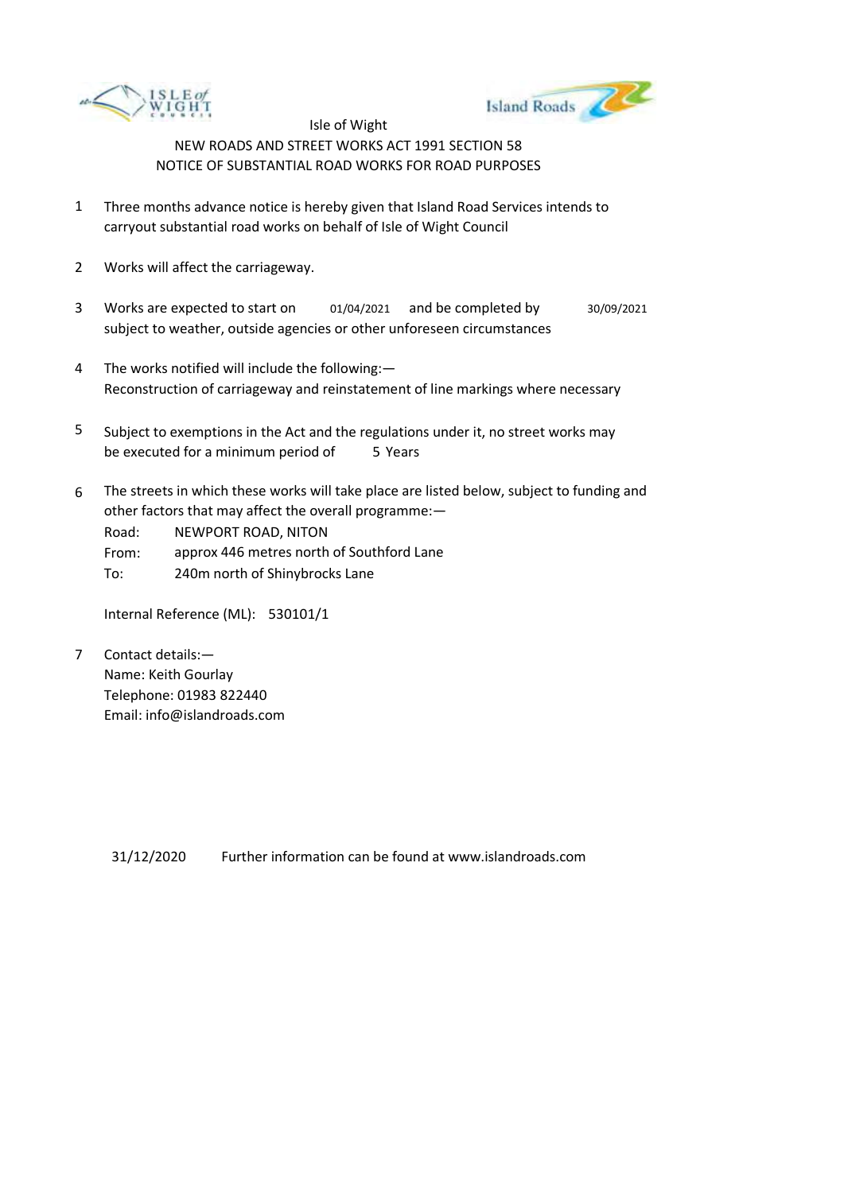



- 1 Three months advance notice is hereby given that Island Road Services intends to carryout substantial road works on behalf of Isle of Wight Council
- 2 Works will affect the carriageway.
- 3 Works are expected to start on 01/04/2021 and be completed by 30/09/2021 subject to weather, outside agencies or other unforeseen circumstances
- 4 The works notified will include the following:— Reconstruction of carriageway and reinstatement of line markings where necessary
- 5 be executed for a minimum period of 5 Years Subject to exemptions in the Act and the regulations under it, no street works may
- 6 The streets in which these works will take place are listed below, subject to funding and other factors that may affect the overall programme:—

Road: NEWPORT ROAD, NITON

From: approx 446 metres north of Southford Lane

To: 240m north of Shinybrocks Lane

Internal Reference (ML): 530101/1

7 Contact details:— Name: Keith Gourlay Telephone: 01983 822440 Email: info@islandroads.com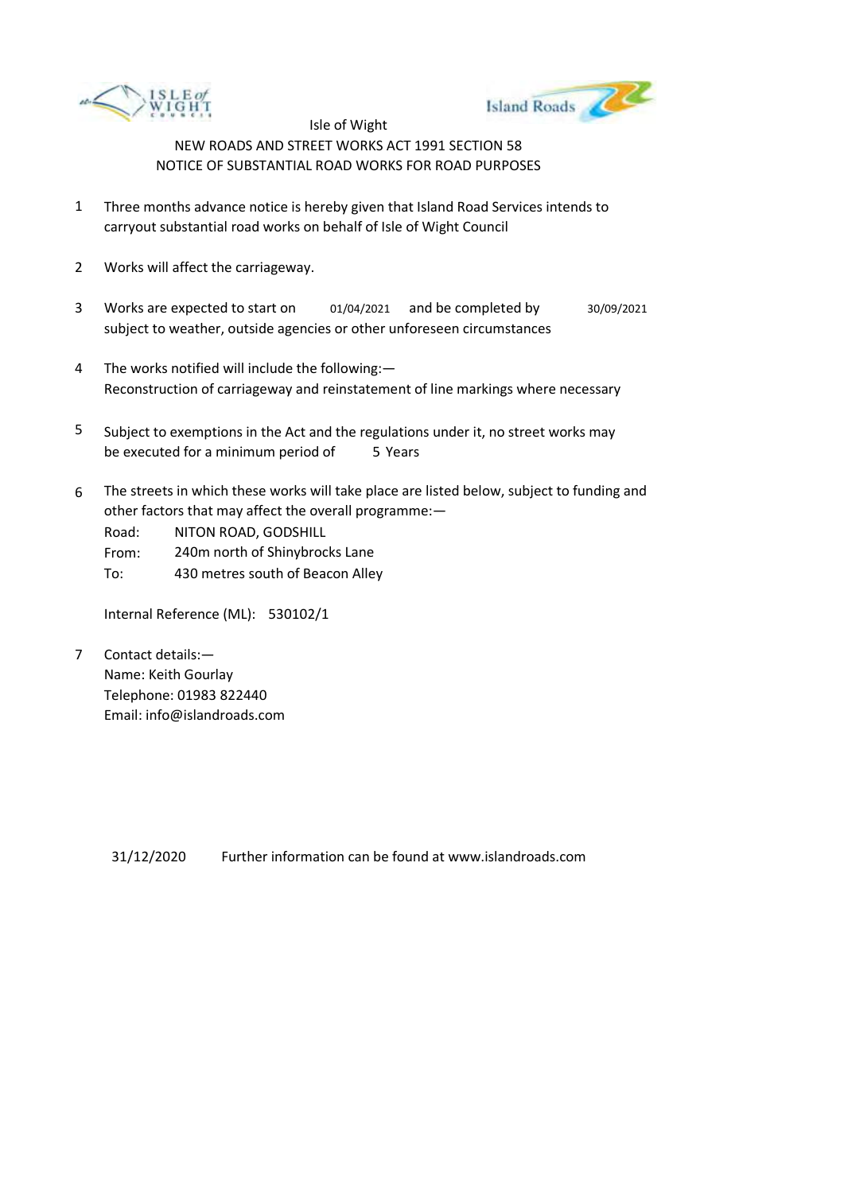



- 1 Three months advance notice is hereby given that Island Road Services intends to carryout substantial road works on behalf of Isle of Wight Council
- 2 Works will affect the carriageway.
- 3 Works are expected to start on 01/04/2021 and be completed by 30/09/2021 subject to weather, outside agencies or other unforeseen circumstances
- 4 The works notified will include the following:— Reconstruction of carriageway and reinstatement of line markings where necessary
- 5 be executed for a minimum period of 5 Years Subject to exemptions in the Act and the regulations under it, no street works may
- 6 The streets in which these works will take place are listed below, subject to funding and other factors that may affect the overall programme:—

Road: NITON ROAD, GODSHILL

From: 240m north of Shinybrocks Lane

To: 430 metres south of Beacon Alley

Internal Reference (ML): 530102/1

7 Contact details:— Name: Keith Gourlay Telephone: 01983 822440 Email: info@islandroads.com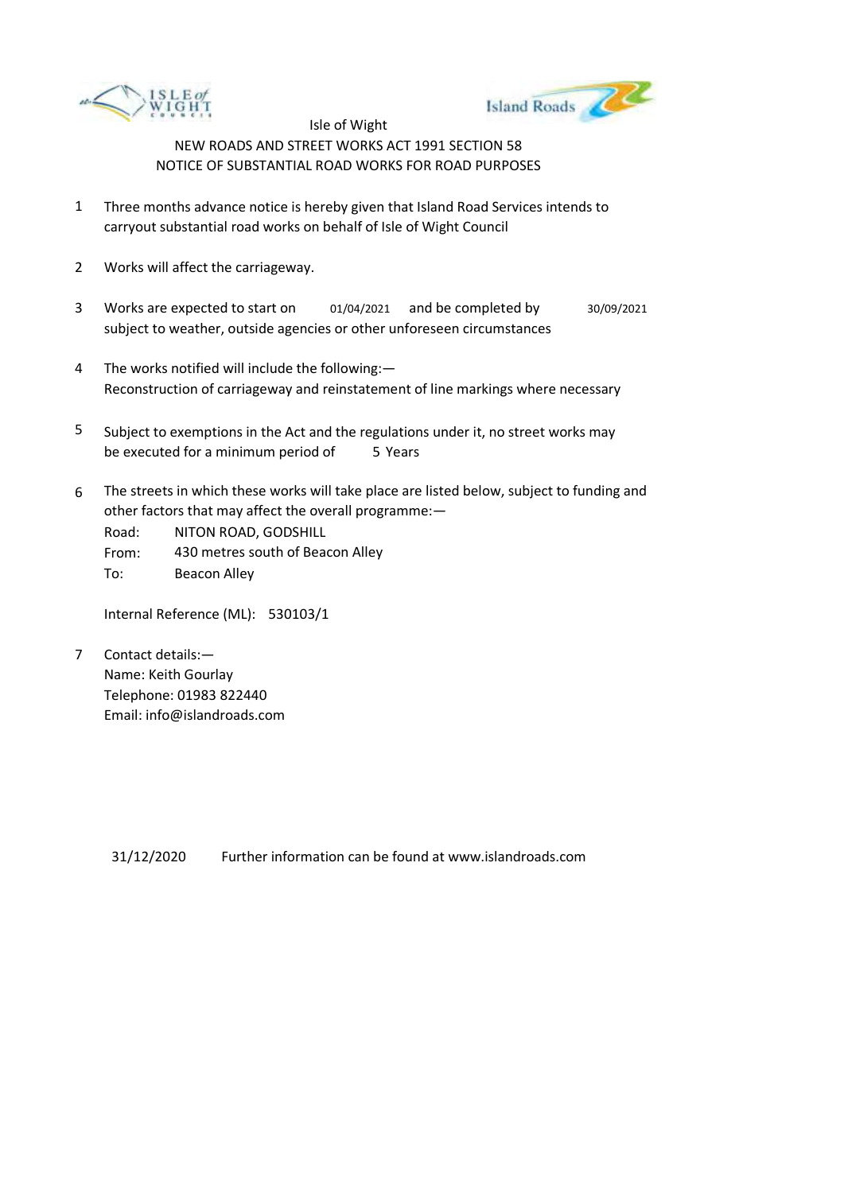



- 1 Three months advance notice is hereby given that Island Road Services intends to carryout substantial road works on behalf of Isle of Wight Council
- 2 Works will affect the carriageway.
- 3 Works are expected to start on subject to weather, outside agencies or other unforeseen circumstances 01/04/2021 and be completed by 30/09/2021
- 4 The works notified will include the following:— Reconstruction of carriageway and reinstatement of line markings where necessary
- 5 be executed for a minimum period of 5 Years Subject to exemptions in the Act and the regulations under it, no street works may
- 6 The streets in which these works will take place are listed below, subject to funding and other factors that may affect the overall programme:—

Road: From: NITON ROAD, GODSHILL 430 metres south of Beacon Alley

To: Beacon Alley

Internal Reference (ML): 530103/1

7 Contact details:— Name: Keith Gourlay Telephone: 01983 822440 Email: info@islandroads.com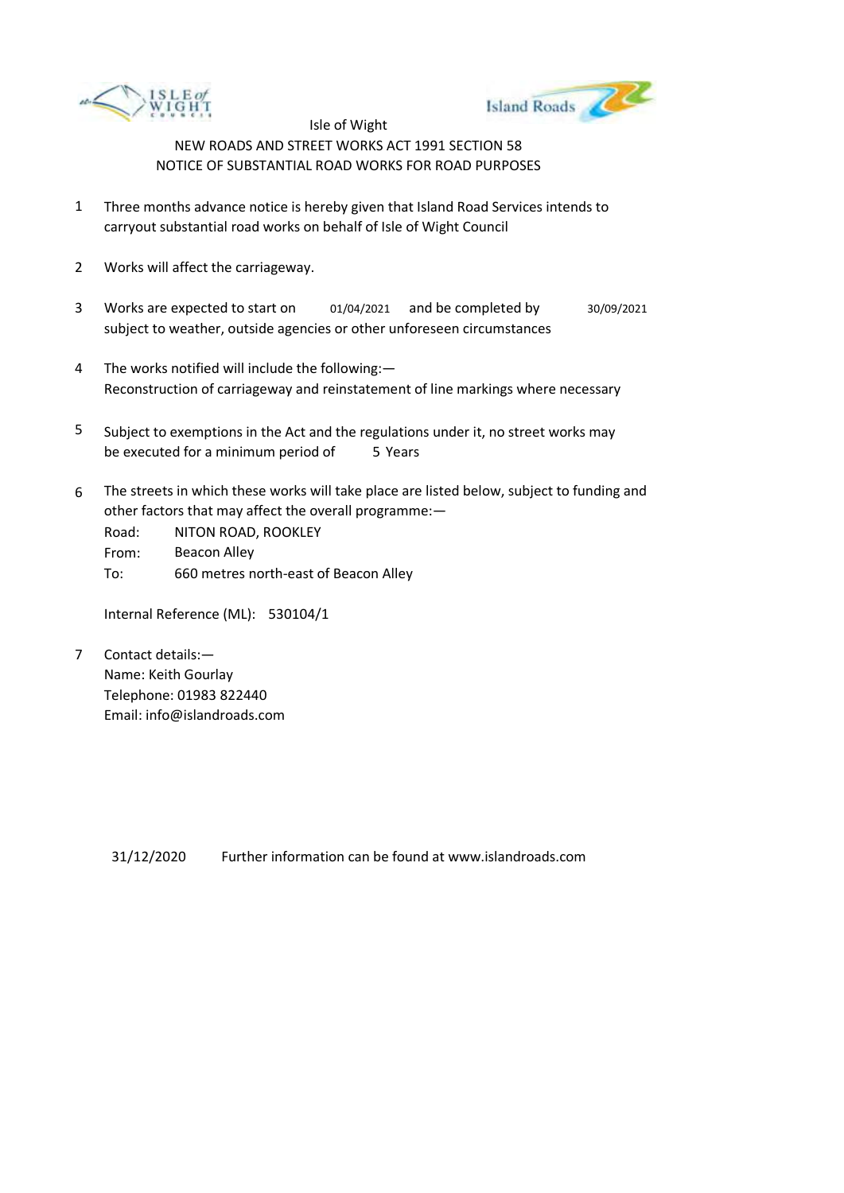



- 1 Three months advance notice is hereby given that Island Road Services intends to carryout substantial road works on behalf of Isle of Wight Council
- 2 Works will affect the carriageway.
- 3 Works are expected to start on subject to weather, outside agencies or other unforeseen circumstances 01/04/2021 and be completed by 30/09/2021
- 4 The works notified will include the following:— Reconstruction of carriageway and reinstatement of line markings where necessary
- 5 be executed for a minimum period of 5 Years Subject to exemptions in the Act and the regulations under it, no street works may
- 6 The streets in which these works will take place are listed below, subject to funding and other factors that may affect the overall programme:—

Road: From: To: NITON ROAD, ROOKLEY Beacon Alley 660 metres north-east of Beacon Alley

Internal Reference (ML): 530104/1

7 Contact details:— Name: Keith Gourlay Telephone: 01983 822440 Email: info@islandroads.com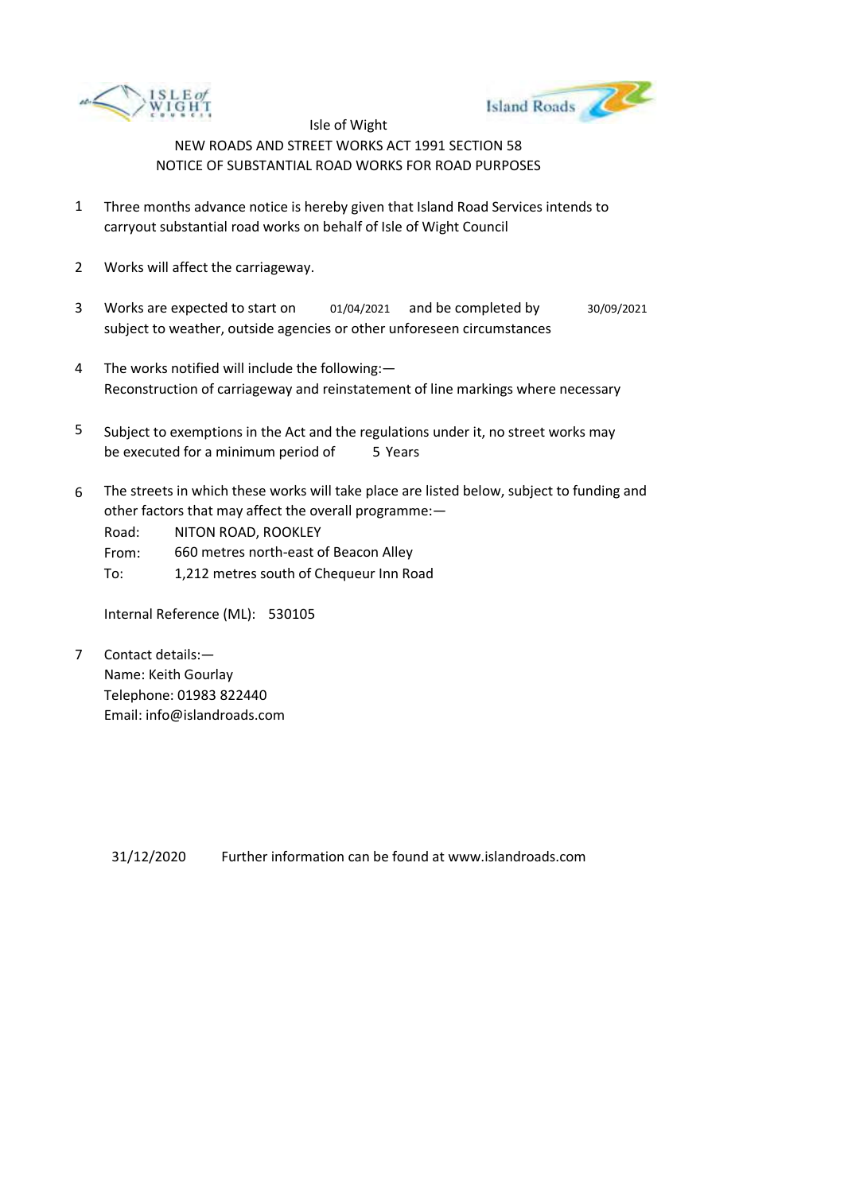



- 1 Three months advance notice is hereby given that Island Road Services intends to carryout substantial road works on behalf of Isle of Wight Council
- 2 Works will affect the carriageway.
- 3 Works are expected to start on 01/04/2021 and be completed by 30/09/2021 subject to weather, outside agencies or other unforeseen circumstances
- 4 The works notified will include the following:— Reconstruction of carriageway and reinstatement of line markings where necessary
- 5 be executed for a minimum period of 5 Years Subject to exemptions in the Act and the regulations under it, no street works may
- 6 The streets in which these works will take place are listed below, subject to funding and other factors that may affect the overall programme:—

Road: NITON ROAD, ROOKLEY

From: 660 metres north-east of Beacon Alley

To: 1,212 metres south of Chequeur Inn Road

Internal Reference (ML): 530105

7 Contact details:— Name: Keith Gourlay Telephone: 01983 822440 Email: info@islandroads.com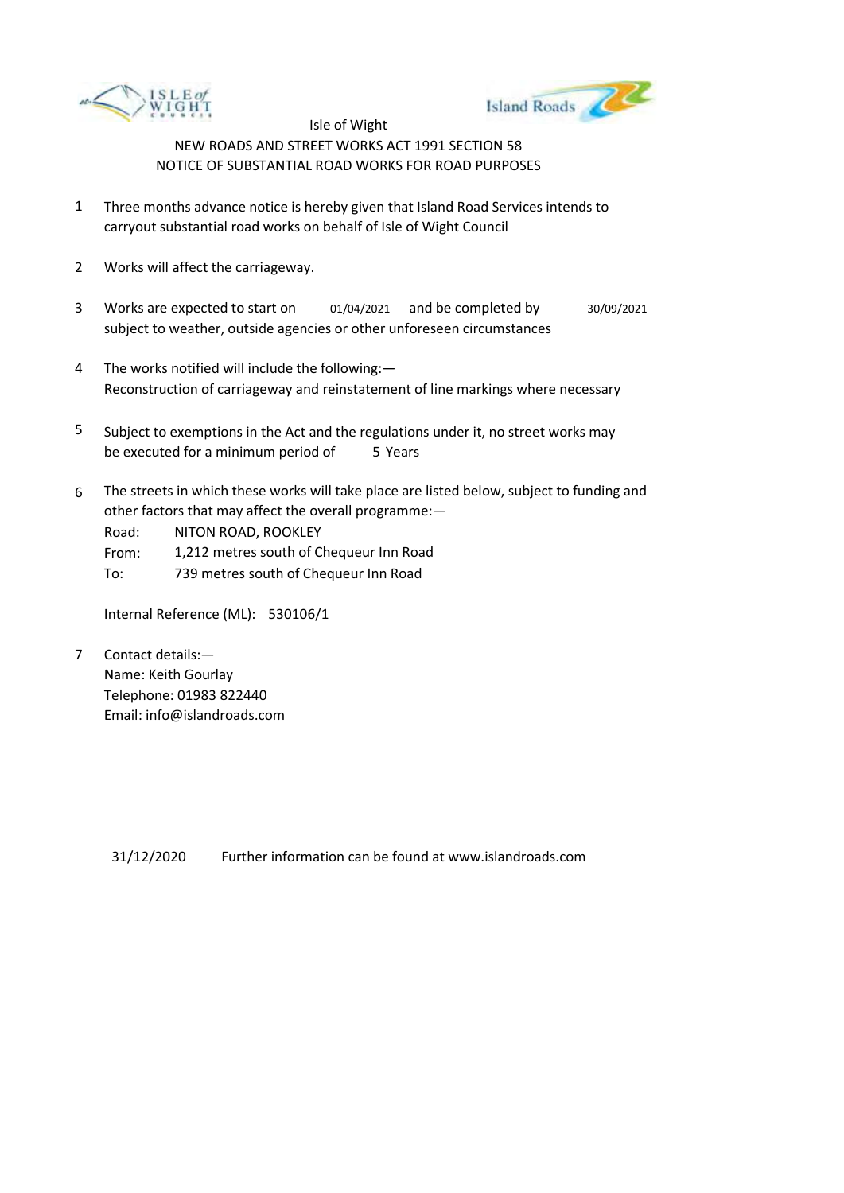



- 1 Three months advance notice is hereby given that Island Road Services intends to carryout substantial road works on behalf of Isle of Wight Council
- 2 Works will affect the carriageway.
- 3 Works are expected to start on 01/04/2021 and be completed by 30/09/2021 subject to weather, outside agencies or other unforeseen circumstances
- 4 The works notified will include the following:— Reconstruction of carriageway and reinstatement of line markings where necessary
- 5 be executed for a minimum period of 5 Years Subject to exemptions in the Act and the regulations under it, no street works may
- 6 The streets in which these works will take place are listed below, subject to funding and other factors that may affect the overall programme:—

Road: NITON ROAD, ROOKLEY

From: 1,212 metres south of Chequeur Inn Road

To: 739 metres south of Chequeur Inn Road

Internal Reference (ML): 530106/1

7 Contact details:— Name: Keith Gourlay Telephone: 01983 822440 Email: info@islandroads.com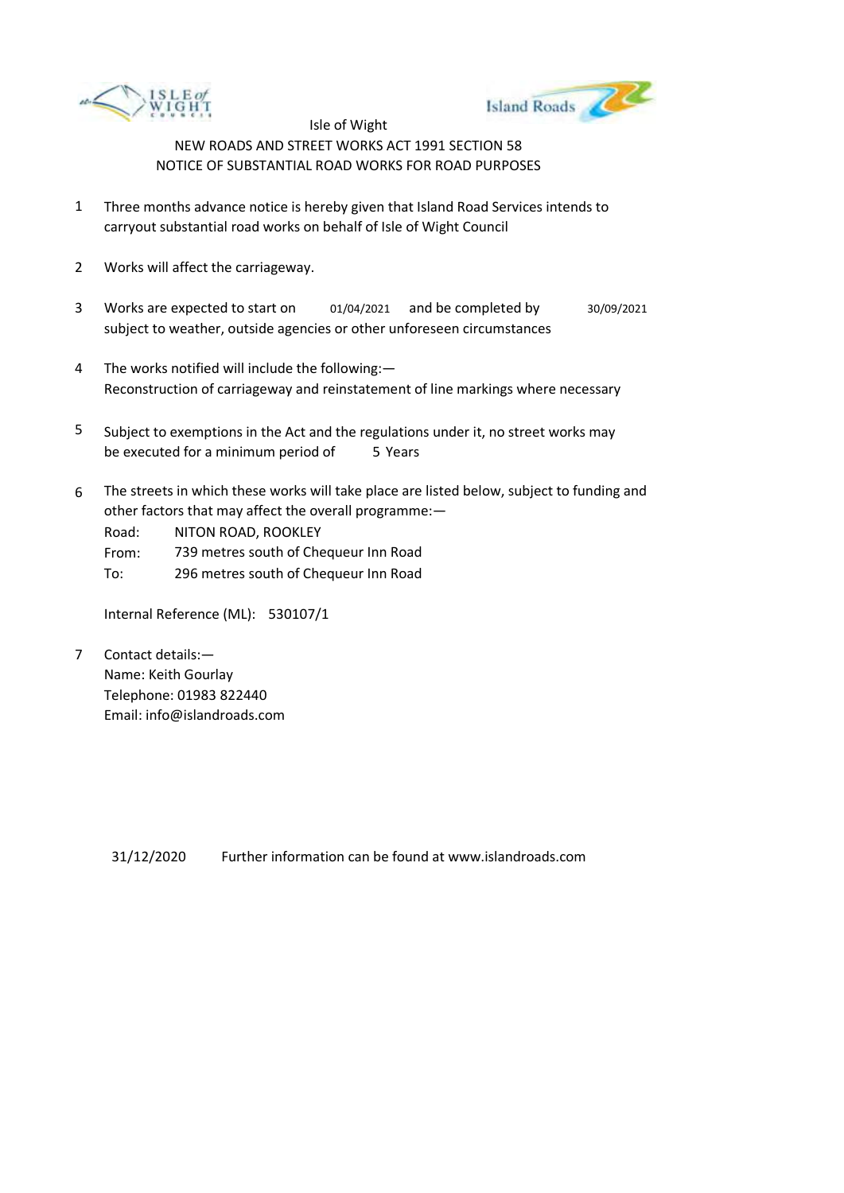



- 1 Three months advance notice is hereby given that Island Road Services intends to carryout substantial road works on behalf of Isle of Wight Council
- 2 Works will affect the carriageway.
- 3 Works are expected to start on 01/04/2021 and be completed by 30/09/2021 subject to weather, outside agencies or other unforeseen circumstances
- 4 The works notified will include the following:— Reconstruction of carriageway and reinstatement of line markings where necessary
- 5 be executed for a minimum period of 5 Years Subject to exemptions in the Act and the regulations under it, no street works may
- 6 The streets in which these works will take place are listed below, subject to funding and other factors that may affect the overall programme:—

Road: NITON ROAD, ROOKLEY

From: 739 metres south of Chequeur Inn Road

To: 296 metres south of Chequeur Inn Road

Internal Reference (ML): 530107/1

7 Contact details:— Name: Keith Gourlay Telephone: 01983 822440 Email: info@islandroads.com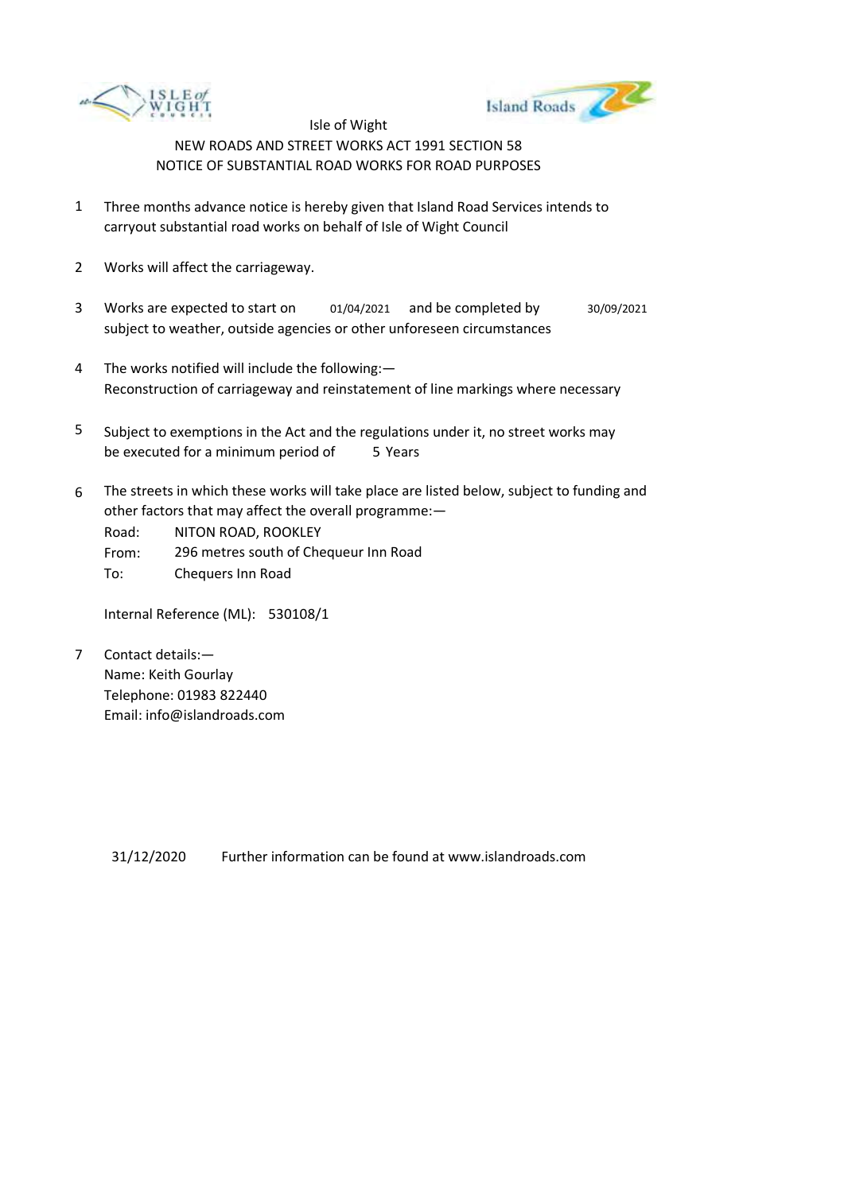



- 1 Three months advance notice is hereby given that Island Road Services intends to carryout substantial road works on behalf of Isle of Wight Council
- 2 Works will affect the carriageway.
- 3 Works are expected to start on subject to weather, outside agencies or other unforeseen circumstances 01/04/2021 and be completed by 30/09/2021
- 4 The works notified will include the following:— Reconstruction of carriageway and reinstatement of line markings where necessary
- 5 be executed for a minimum period of 5 Years Subject to exemptions in the Act and the regulations under it, no street works may
- 6 The streets in which these works will take place are listed below, subject to funding and other factors that may affect the overall programme:—

Road: From: NITON ROAD, ROOKLEY 296 metres south of Chequeur Inn Road

To: Chequers Inn Road

Internal Reference (ML): 530108/1

7 Contact details:— Name: Keith Gourlay Telephone: 01983 822440 Email: info@islandroads.com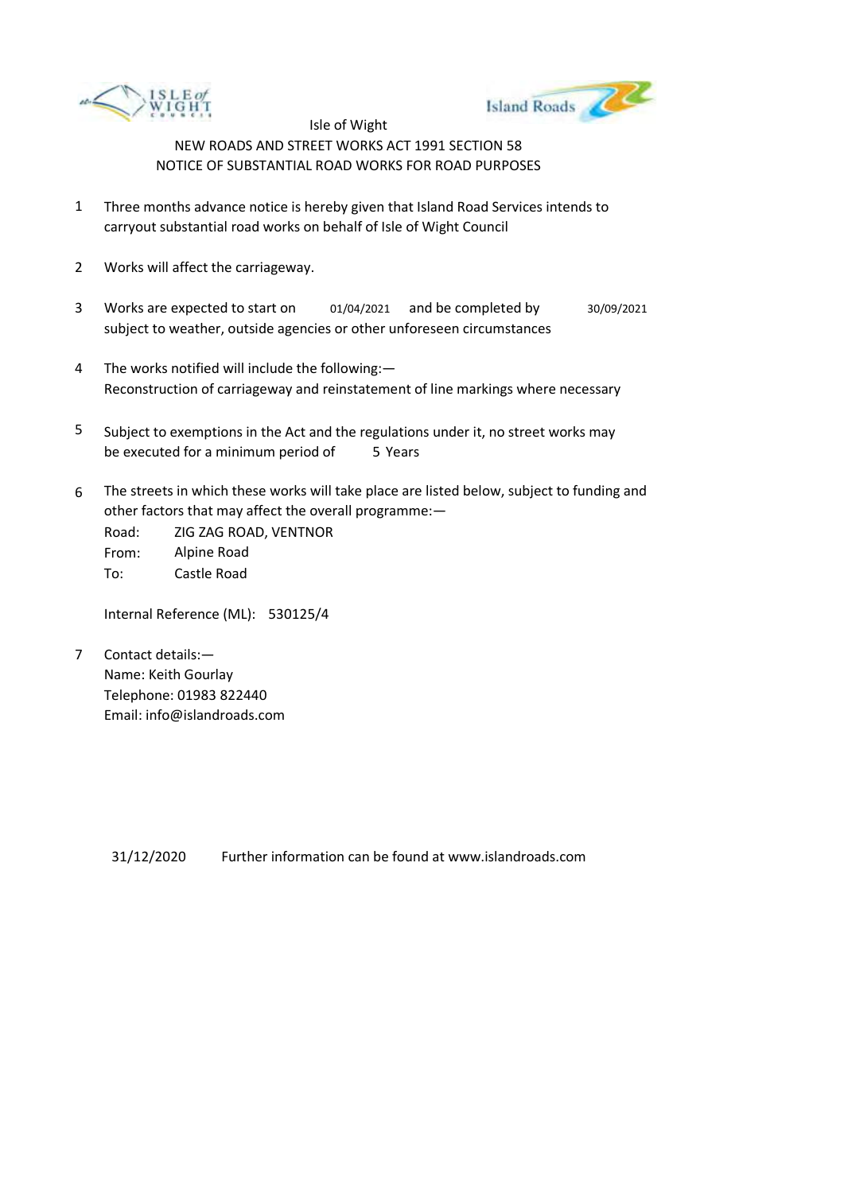



- 1 Three months advance notice is hereby given that Island Road Services intends to carryout substantial road works on behalf of Isle of Wight Council
- 2 Works will affect the carriageway.
- 3 Works are expected to start on subject to weather, outside agencies or other unforeseen circumstances 01/04/2021 and be completed by 30/09/2021
- 4 The works notified will include the following:— Reconstruction of carriageway and reinstatement of line markings where necessary
- 5 be executed for a minimum period of 5 Years Subject to exemptions in the Act and the regulations under it, no street works may
- 6 The streets in which these works will take place are listed below, subject to funding and other factors that may affect the overall programme:—

Road: From: To: ZIG ZAG ROAD, VENTNOR Alpine Road Castle Road

Internal Reference (ML): 530125/4

7 Contact details:— Name: Keith Gourlay Telephone: 01983 822440 Email: info@islandroads.com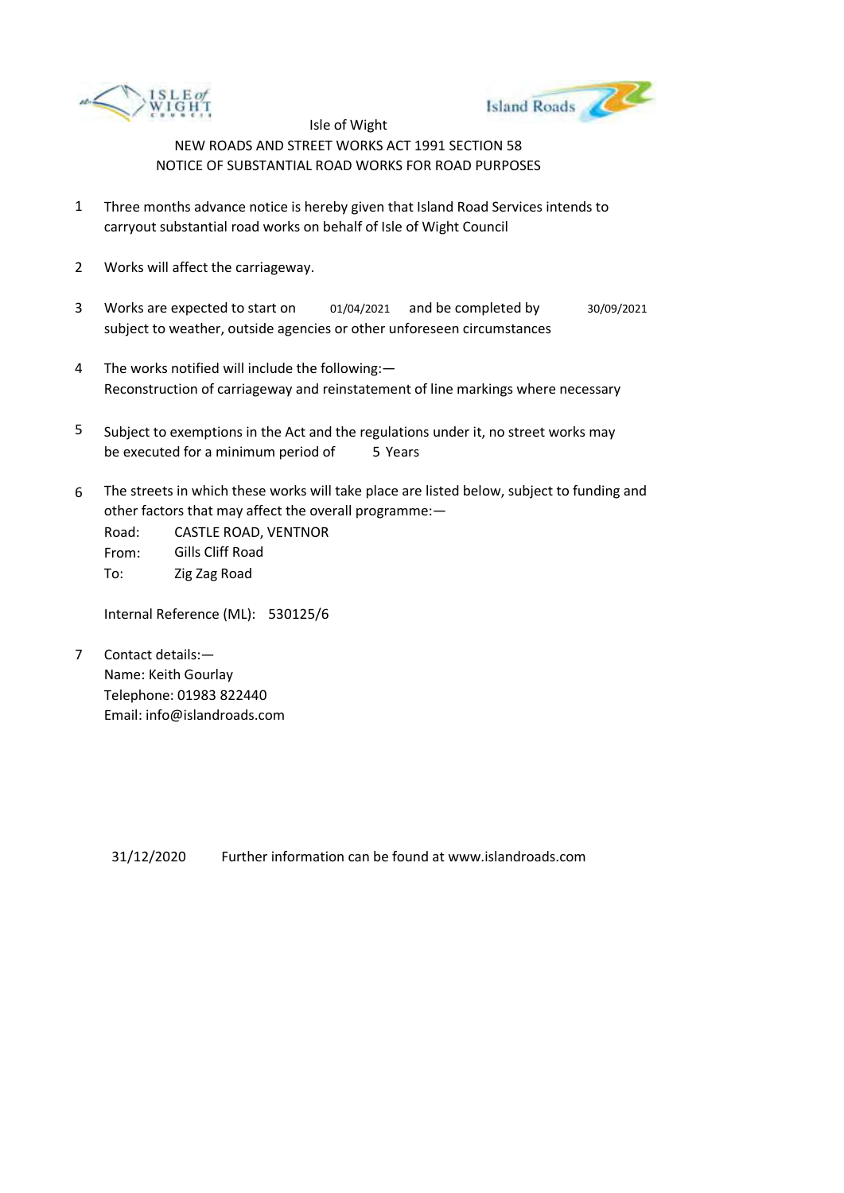



- 1 Three months advance notice is hereby given that Island Road Services intends to carryout substantial road works on behalf of Isle of Wight Council
- 2 Works will affect the carriageway.
- 3 Works are expected to start on subject to weather, outside agencies or other unforeseen circumstances 01/04/2021 and be completed by 30/09/2021
- 4 The works notified will include the following:— Reconstruction of carriageway and reinstatement of line markings where necessary
- 5 be executed for a minimum period of 5 Years Subject to exemptions in the Act and the regulations under it, no street works may
- 6 The streets in which these works will take place are listed below, subject to funding and other factors that may affect the overall programme:—

Road: From: To: CASTLE ROAD, VENTNOR Gills Cliff Road Zig Zag Road

Internal Reference (ML): 530125/6

7 Contact details:— Name: Keith Gourlay Telephone: 01983 822440 Email: info@islandroads.com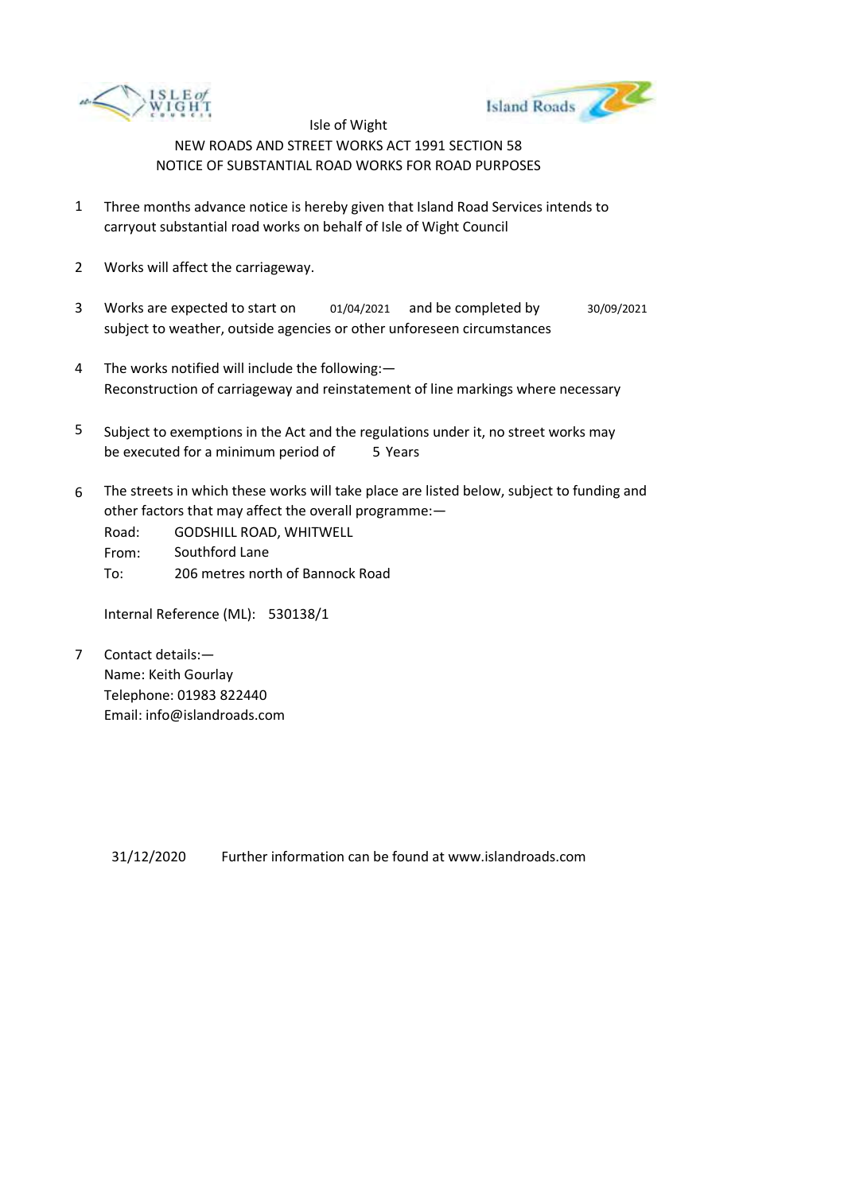



- 1 Three months advance notice is hereby given that Island Road Services intends to carryout substantial road works on behalf of Isle of Wight Council
- 2 Works will affect the carriageway.
- 3 Works are expected to start on subject to weather, outside agencies or other unforeseen circumstances 01/04/2021 and be completed by 30/09/2021
- 4 The works notified will include the following:— Reconstruction of carriageway and reinstatement of line markings where necessary
- 5 be executed for a minimum period of 5 Years Subject to exemptions in the Act and the regulations under it, no street works may
- 6 The streets in which these works will take place are listed below, subject to funding and other factors that may affect the overall programme:—
	- Road: From: GODSHILL ROAD, WHITWELL Southford Lane
	- To: 206 metres north of Bannock Road

Internal Reference (ML): 530138/1

7 Contact details:— Name: Keith Gourlay Telephone: 01983 822440 Email: info@islandroads.com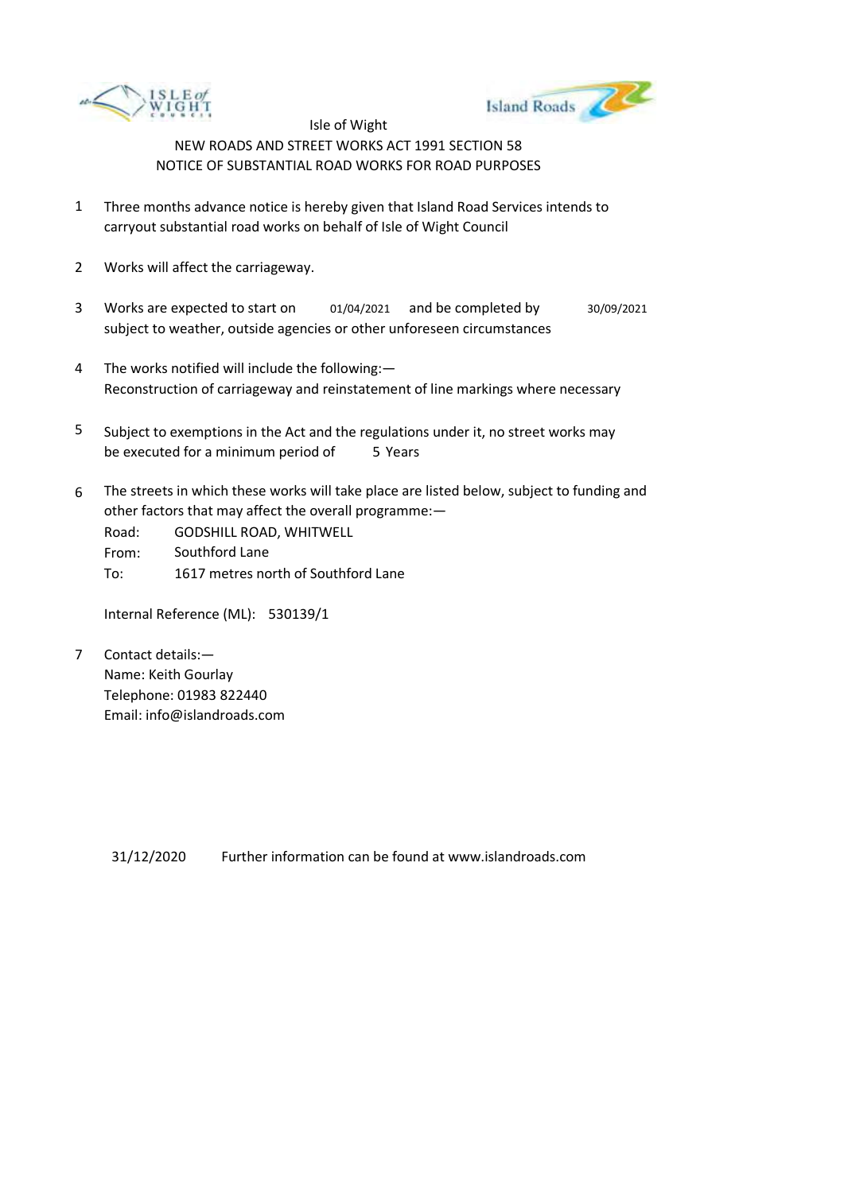



- 1 Three months advance notice is hereby given that Island Road Services intends to carryout substantial road works on behalf of Isle of Wight Council
- 2 Works will affect the carriageway.
- 3 Works are expected to start on subject to weather, outside agencies or other unforeseen circumstances 01/04/2021 and be completed by 30/09/2021
- 4 The works notified will include the following:— Reconstruction of carriageway and reinstatement of line markings where necessary
- 5 be executed for a minimum period of 5 Years Subject to exemptions in the Act and the regulations under it, no street works may
- 6 The streets in which these works will take place are listed below, subject to funding and other factors that may affect the overall programme:—

Road: From: To: GODSHILL ROAD, WHITWELL Southford Lane 1617 metres north of Southford Lane

Internal Reference (ML): 530139/1

7 Contact details:— Name: Keith Gourlay Telephone: 01983 822440 Email: info@islandroads.com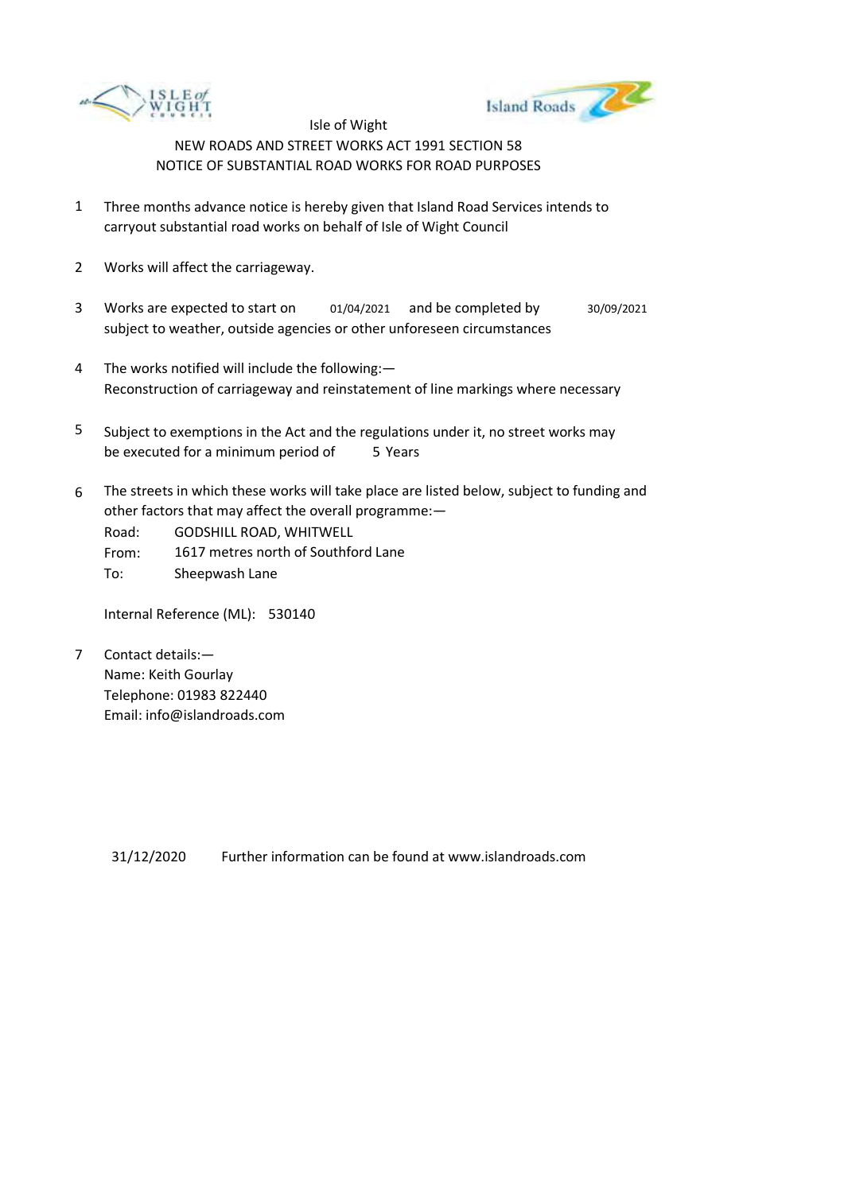



- 1 Three months advance notice is hereby given that Island Road Services intends to carryout substantial road works on behalf of Isle of Wight Council
- 2 Works will affect the carriageway.
- 3 Works are expected to start on subject to weather, outside agencies or other unforeseen circumstances 01/04/2021 and be completed by 30/09/2021
- 4 The works notified will include the following:— Reconstruction of carriageway and reinstatement of line markings where necessary
- 5 be executed for a minimum period of 5 Years Subject to exemptions in the Act and the regulations under it, no street works may
- 6 The streets in which these works will take place are listed below, subject to funding and other factors that may affect the overall programme:—

Road: GODSHILL ROAD, WHITWELL

From: 1617 metres north of Southford Lane

To: Sheepwash Lane

Internal Reference (ML): 530140

7 Contact details:— Name: Keith Gourlay Telephone: 01983 822440 Email: info@islandroads.com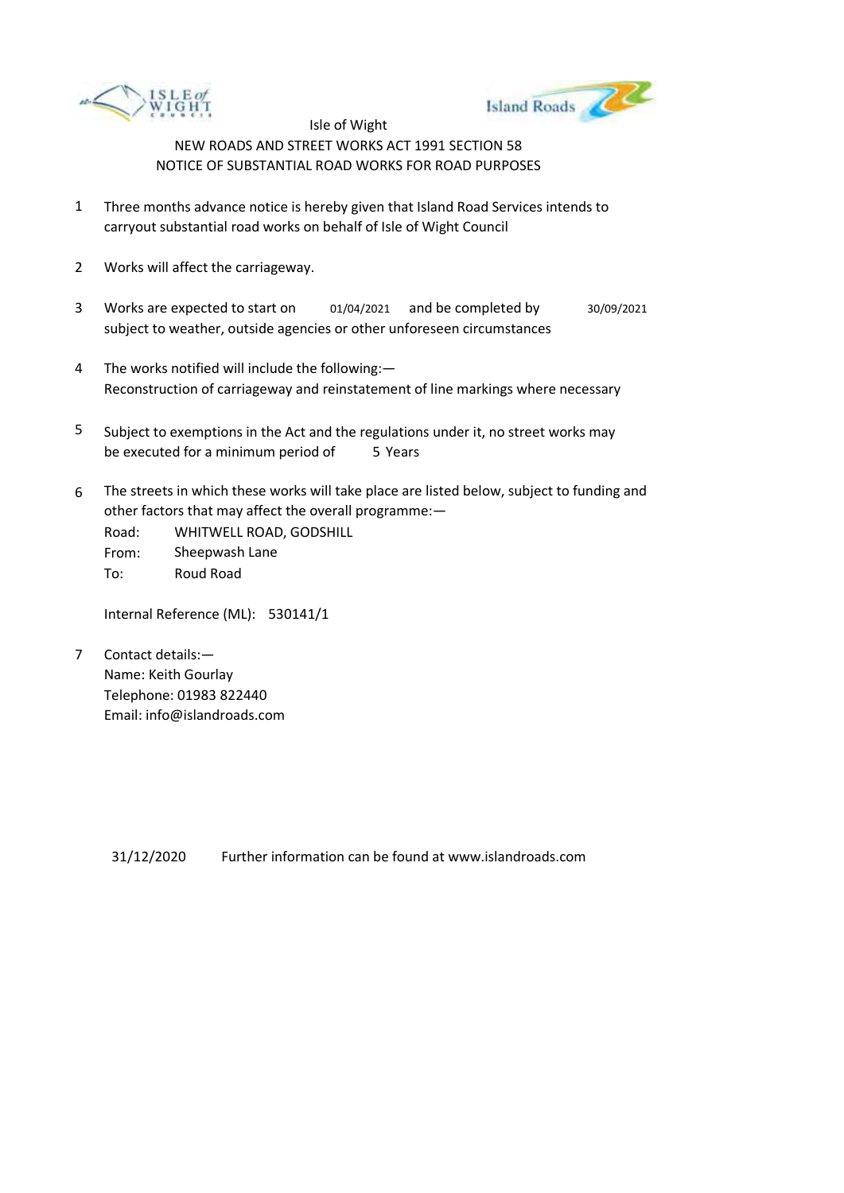



- 1 Three months advance notice is hereby given that Island Road Services intends to carryout substantial road works on behalf of Isle of Wight Council
- 2 Works will affect the carriageway.
- 3 Works are expected to start on subject to weather, outside agencies or other unforeseen circumstances 01/04/2021 and be completed by 30/09/2021
- 4 The works notified will include the following:— Reconstruction of carriageway and reinstatement of line markings where necessary
- 5 be executed for a minimum period of 5 Years Subject to exemptions in the Act and the regulations under it, no street works may
- 6 The streets in which these works will take place are listed below, subject to funding and other factors that may affect the overall programme:—

Road: From: To: WHITWELL ROAD, GODSHILL Sheepwash Lane Roud Road

Internal Reference (ML): 530141/1

7 Contact details:— Name: Keith Gourlay Telephone: 01983 822440 Email: info@islandroads.com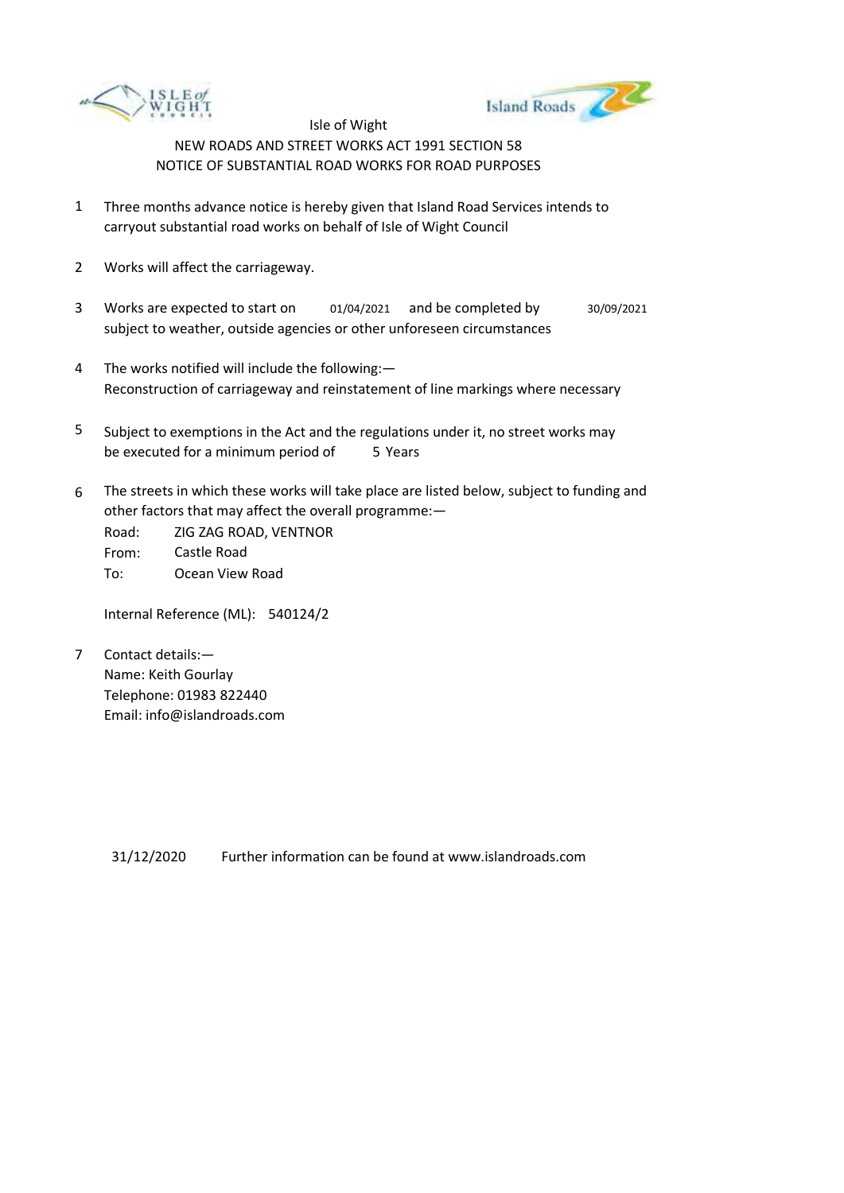



- 1 Three months advance notice is hereby given that Island Road Services intends to carryout substantial road works on behalf of Isle of Wight Council
- 2 Works will affect the carriageway.
- 3 Works are expected to start on subject to weather, outside agencies or other unforeseen circumstances 01/04/2021 and be completed by 30/09/2021
- 4 The works notified will include the following:— Reconstruction of carriageway and reinstatement of line markings where necessary
- 5 be executed for a minimum period of 5 Years Subject to exemptions in the Act and the regulations under it, no street works may
- 6 The streets in which these works will take place are listed below, subject to funding and other factors that may affect the overall programme:—

Road: From: To: ZIG ZAG ROAD, VENTNOR Castle Road Ocean View Road

Internal Reference (ML): 540124/2

7 Contact details:— Name: Keith Gourlay Telephone: 01983 822440 Email: info@islandroads.com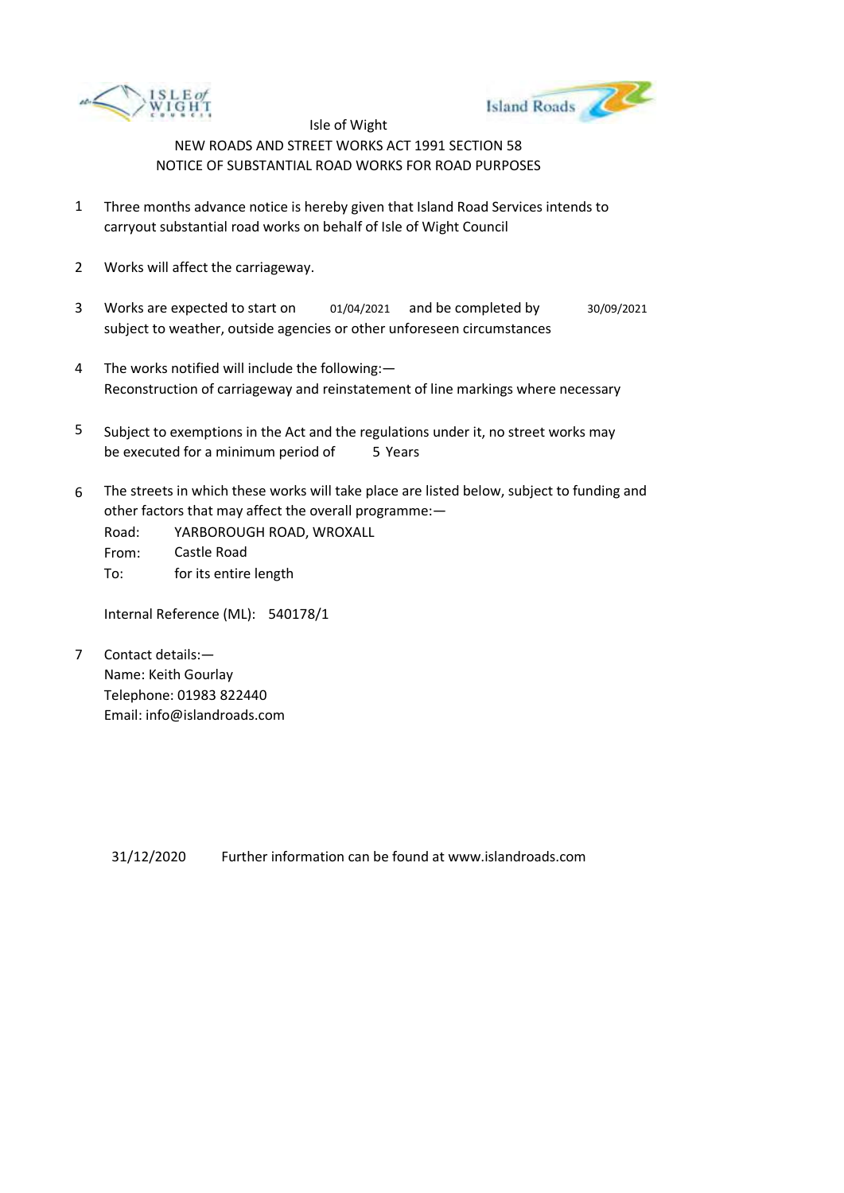



- 1 Three months advance notice is hereby given that Island Road Services intends to carryout substantial road works on behalf of Isle of Wight Council
- 2 Works will affect the carriageway.
- 3 Works are expected to start on subject to weather, outside agencies or other unforeseen circumstances 01/04/2021 and be completed by 30/09/2021
- 4 The works notified will include the following:— Reconstruction of carriageway and reinstatement of line markings where necessary
- 5 be executed for a minimum period of 5 Years Subject to exemptions in the Act and the regulations under it, no street works may
- 6 The streets in which these works will take place are listed below, subject to funding and other factors that may affect the overall programme:—
	- Road: From: To: YARBOROUGH ROAD, WROXALL Castle Road for its entire length

Internal Reference (ML): 540178/1

7 Contact details:— Name: Keith Gourlay Telephone: 01983 822440 Email: info@islandroads.com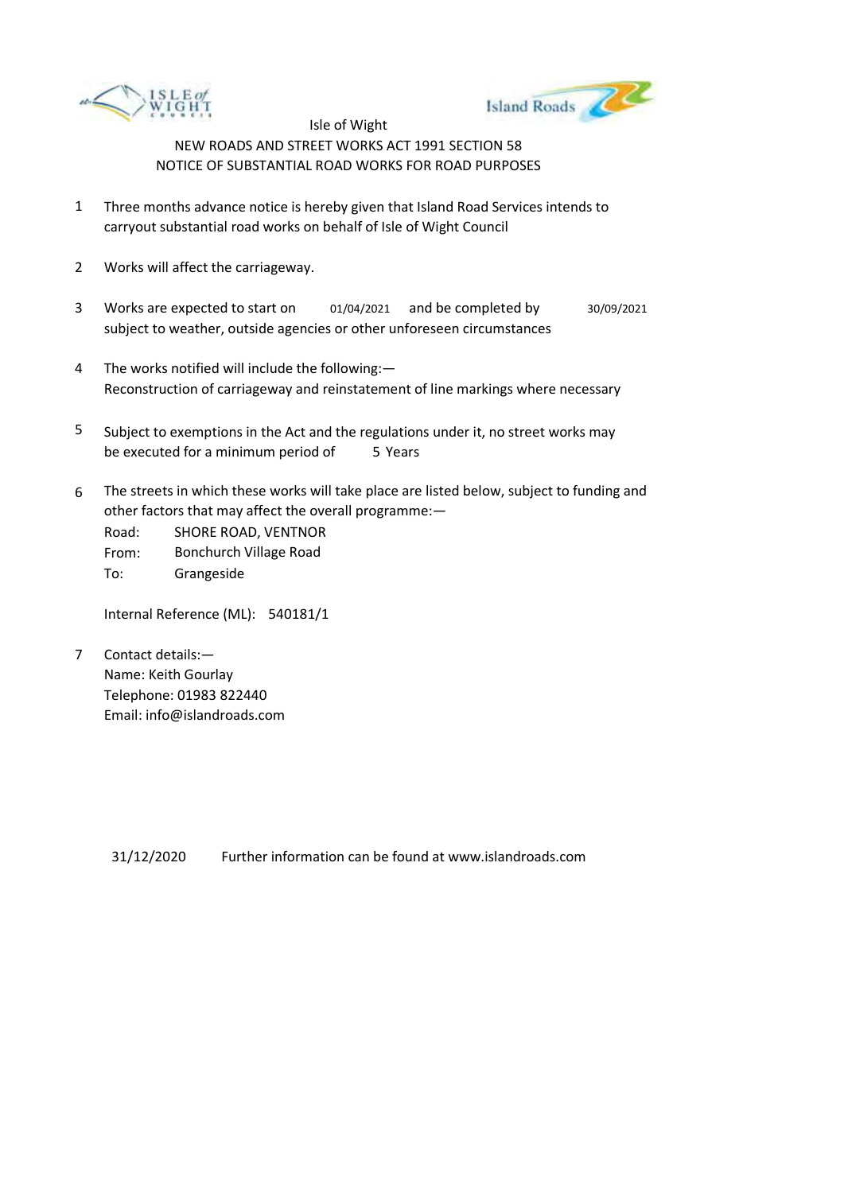



- 1 Three months advance notice is hereby given that Island Road Services intends to carryout substantial road works on behalf of Isle of Wight Council
- 2 Works will affect the carriageway.
- 3 Works are expected to start on subject to weather, outside agencies or other unforeseen circumstances 01/04/2021 and be completed by 30/09/2021
- 4 The works notified will include the following:— Reconstruction of carriageway and reinstatement of line markings where necessary
- 5 be executed for a minimum period of 5 Years Subject to exemptions in the Act and the regulations under it, no street works may
- 6 The streets in which these works will take place are listed below, subject to funding and other factors that may affect the overall programme:—

Road: From: To: SHORE ROAD, VENTNOR Bonchurch Village Road Grangeside

Internal Reference (ML): 540181/1

7 Contact details:— Name: Keith Gourlay Telephone: 01983 822440 Email: info@islandroads.com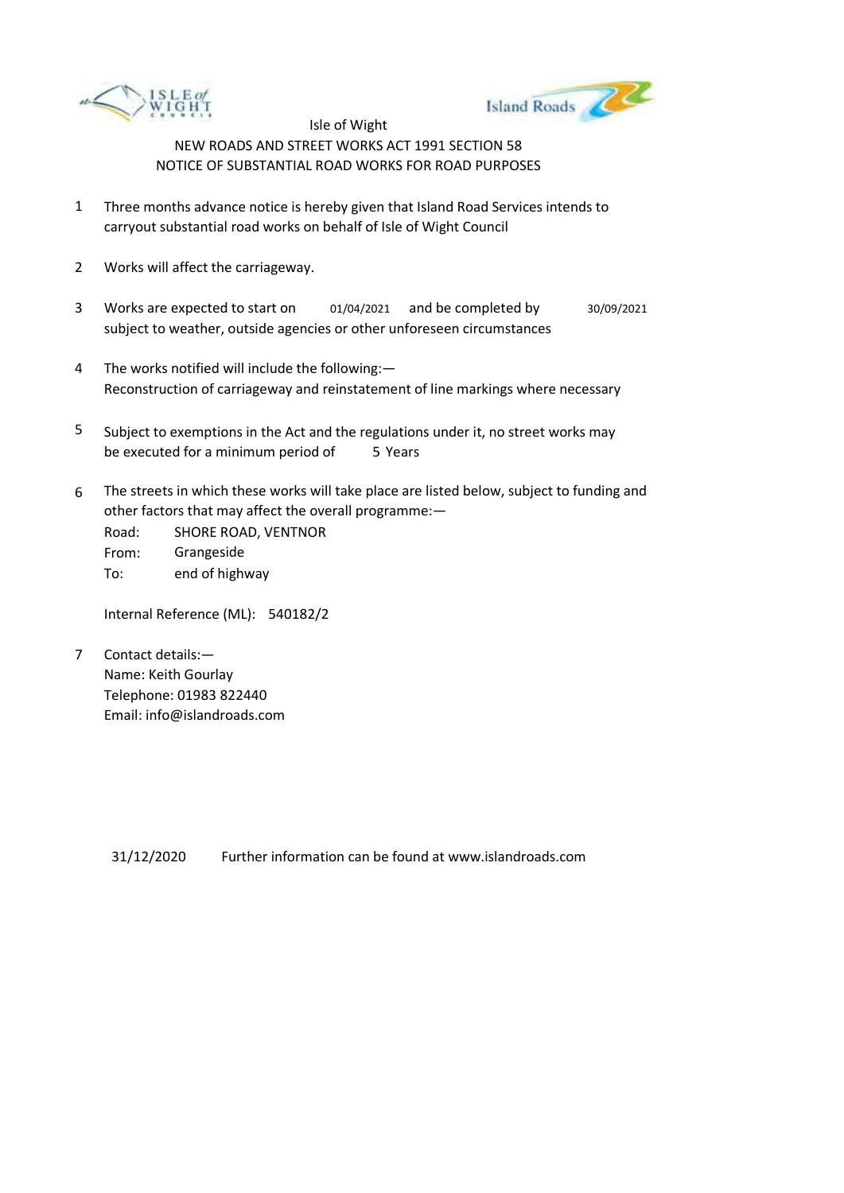



- 1 Three months advance notice is hereby given that Island Road Services intends to carryout substantial road works on behalf of Isle of Wight Council
- 2 Works will affect the carriageway.
- 3 Works are expected to start on subject to weather, outside agencies or other unforeseen circumstances 01/04/2021 and be completed by 30/09/2021
- 4 The works notified will include the following:— Reconstruction of carriageway and reinstatement of line markings where necessary
- 5 be executed for a minimum period of 5 Years Subject to exemptions in the Act and the regulations under it, no street works may
- 6 The streets in which these works will take place are listed below, subject to funding and other factors that may affect the overall programme:—

Road: From: To: SHORE ROAD, VENTNOR Grangeside end of highway

Internal Reference (ML): 540182/2

7 Contact details:— Name: Keith Gourlay Telephone: 01983 822440 Email: info@islandroads.com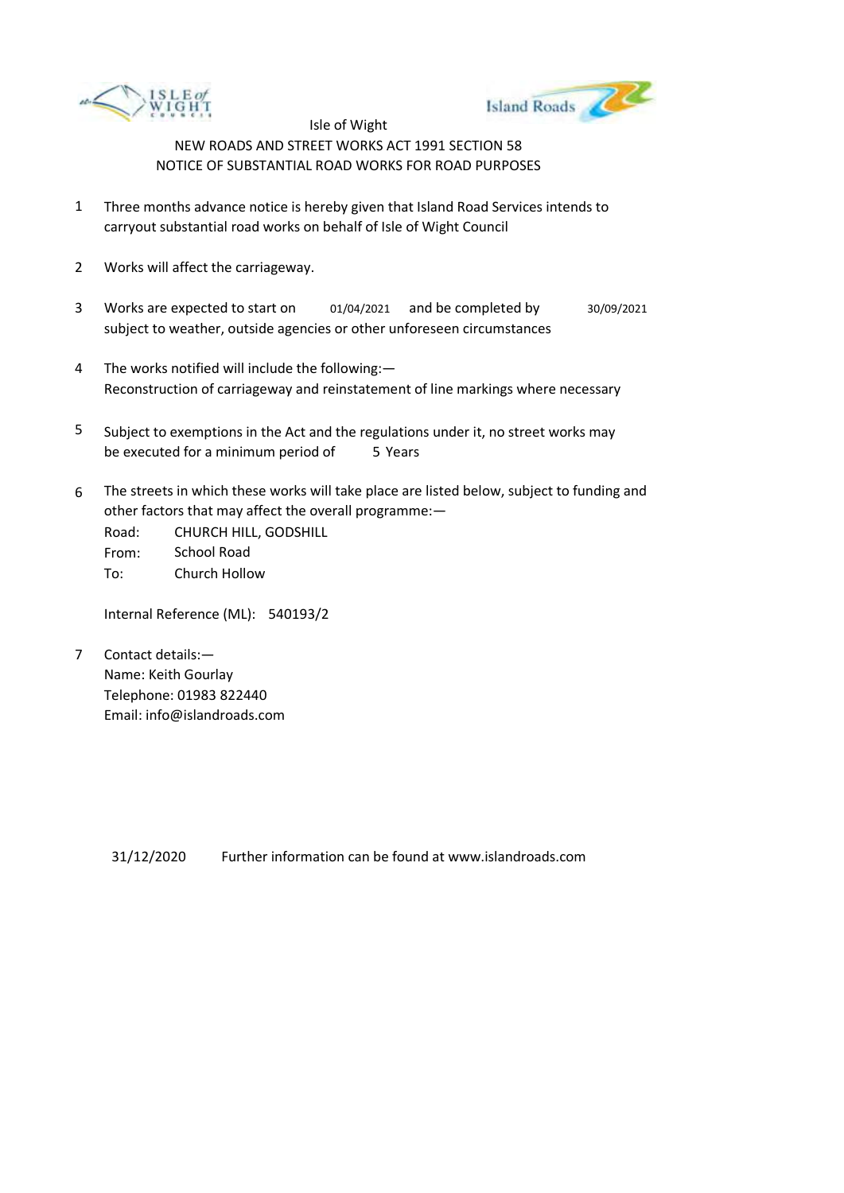



- 1 Three months advance notice is hereby given that Island Road Services intends to carryout substantial road works on behalf of Isle of Wight Council
- 2 Works will affect the carriageway.
- 3 Works are expected to start on subject to weather, outside agencies or other unforeseen circumstances 01/04/2021 and be completed by 30/09/2021
- 4 The works notified will include the following:— Reconstruction of carriageway and reinstatement of line markings where necessary
- 5 be executed for a minimum period of 5 Years Subject to exemptions in the Act and the regulations under it, no street works may
- 6 The streets in which these works will take place are listed below, subject to funding and other factors that may affect the overall programme:—

Road: From: To: CHURCH HILL, GODSHILL School Road Church Hollow

Internal Reference (ML): 540193/2

7 Contact details:— Name: Keith Gourlay Telephone: 01983 822440 Email: info@islandroads.com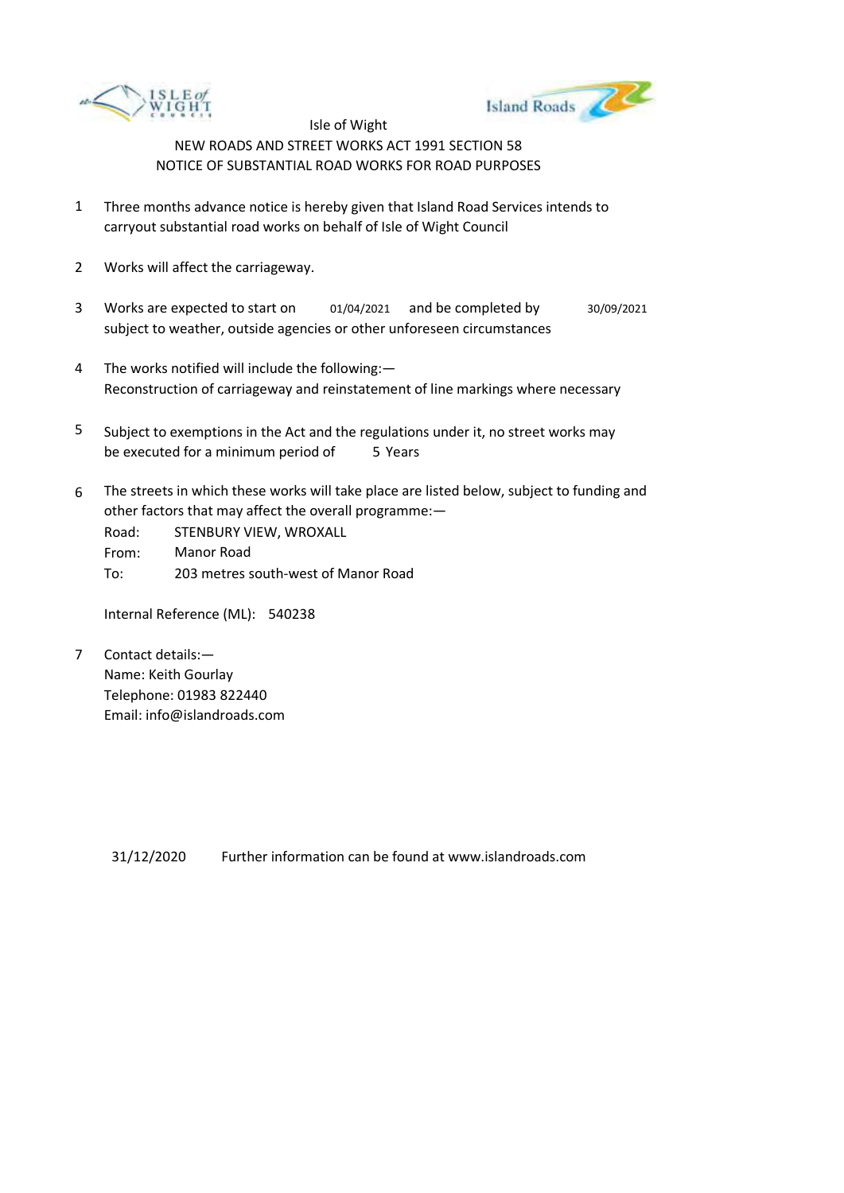



- 1 Three months advance notice is hereby given that Island Road Services intends to carryout substantial road works on behalf of Isle of Wight Council
- 2 Works will affect the carriageway.
- 3 Works are expected to start on subject to weather, outside agencies or other unforeseen circumstances 01/04/2021 and be completed by 30/09/2021
- 4 The works notified will include the following:— Reconstruction of carriageway and reinstatement of line markings where necessary
- 5 be executed for a minimum period of 5 Years Subject to exemptions in the Act and the regulations under it, no street works may
- 6 The streets in which these works will take place are listed below, subject to funding and other factors that may affect the overall programme:—

Road: From: To: STENBURY VIEW, WROXALL Manor Road 203 metres south-west of Manor Road

Internal Reference (ML): 540238

7 Contact details:— Name: Keith Gourlay Telephone: 01983 822440 Email: info@islandroads.com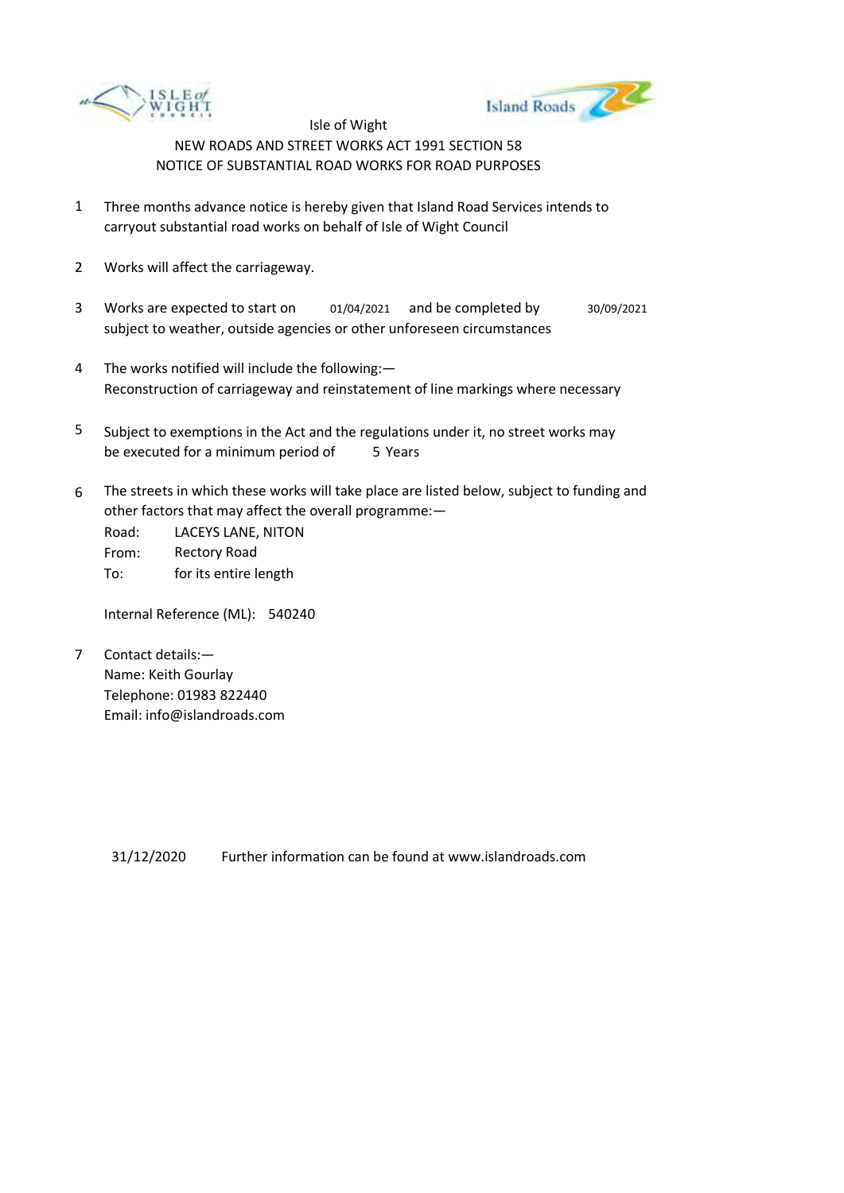



- 1 Three months advance notice is hereby given that Island Road Services intends to carryout substantial road works on behalf of Isle of Wight Council
- 2 Works will affect the carriageway.
- 3 Works are expected to start on subject to weather, outside agencies or other unforeseen circumstances 01/04/2021 and be completed by 30/09/2021
- 4 The works notified will include the following:— Reconstruction of carriageway and reinstatement of line markings where necessary
- 5 be executed for a minimum period of 5 Years Subject to exemptions in the Act and the regulations under it, no street works may
- 6 The streets in which these works will take place are listed below, subject to funding and other factors that may affect the overall programme:—

Road: From: To: LACEYS LANE, NITON Rectory Road for its entire length

Internal Reference (ML): 540240

7 Contact details:— Name: Keith Gourlay Telephone: 01983 822440 Email: info@islandroads.com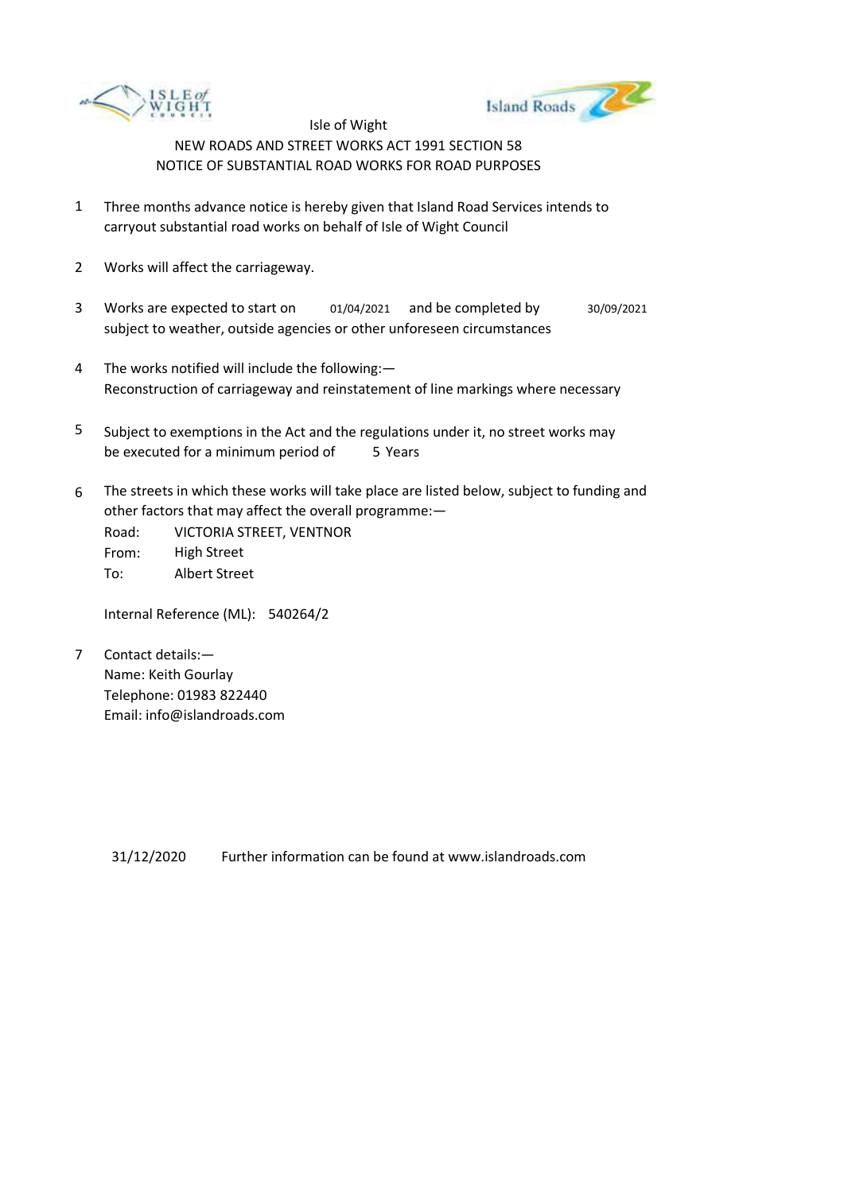



- 1 Three months advance notice is hereby given that Island Road Services intends to carryout substantial road works on behalf of Isle of Wight Council
- 2 Works will affect the carriageway.
- 3 Works are expected to start on subject to weather, outside agencies or other unforeseen circumstances 01/04/2021 and be completed by 30/09/2021
- 4 The works notified will include the following:— Reconstruction of carriageway and reinstatement of line markings where necessary
- 5 be executed for a minimum period of 5 Years Subject to exemptions in the Act and the regulations under it, no street works may
- 6 The streets in which these works will take place are listed below, subject to funding and other factors that may affect the overall programme:—

Road: From: To: VICTORIA STREET, VENTNOR High Street Albert Street

Internal Reference (ML): 540264/2

7 Contact details:— Name: Keith Gourlay Telephone: 01983 822440 Email: info@islandroads.com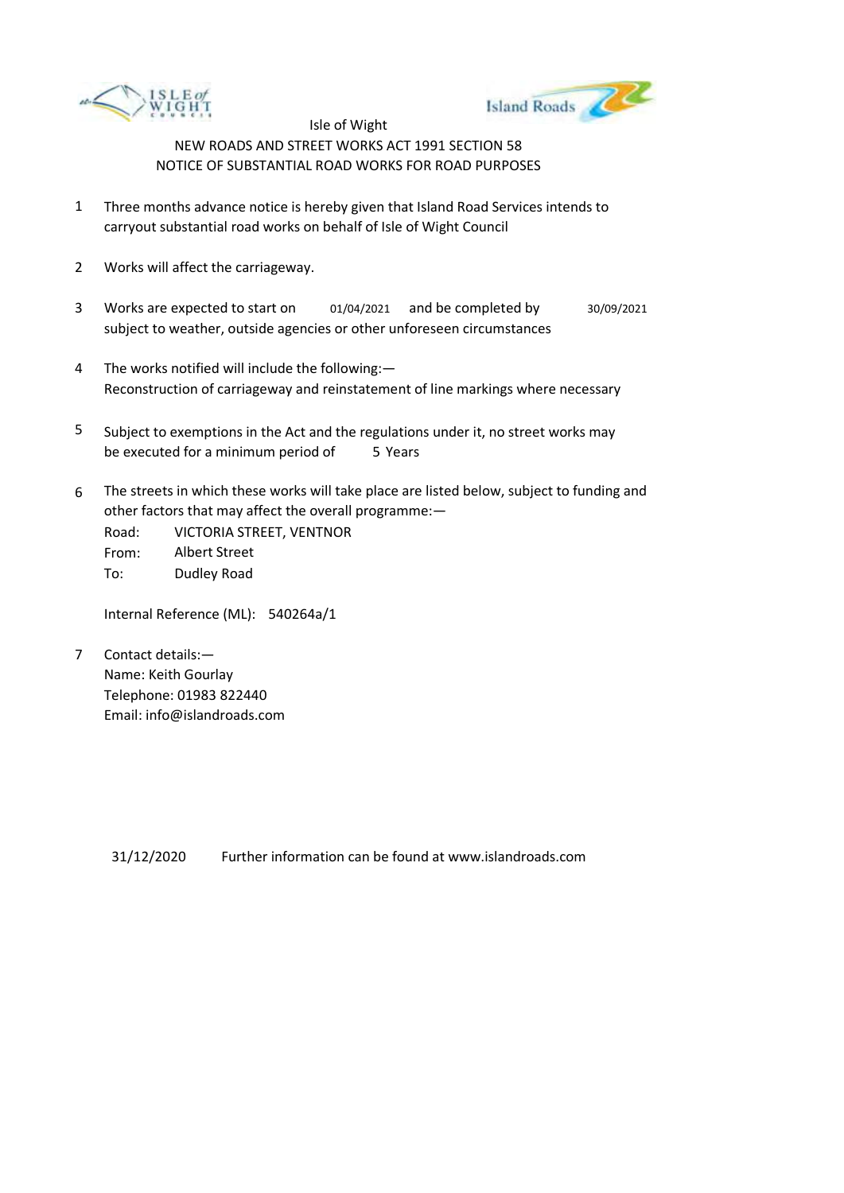



- 1 Three months advance notice is hereby given that Island Road Services intends to carryout substantial road works on behalf of Isle of Wight Council
- 2 Works will affect the carriageway.
- 3 Works are expected to start on subject to weather, outside agencies or other unforeseen circumstances 01/04/2021 and be completed by 30/09/2021
- 4 The works notified will include the following:— Reconstruction of carriageway and reinstatement of line markings where necessary
- 5 be executed for a minimum period of 5 Years Subject to exemptions in the Act and the regulations under it, no street works may
- 6 The streets in which these works will take place are listed below, subject to funding and other factors that may affect the overall programme:—

Road: From: To: VICTORIA STREET, VENTNOR Albert Street Dudley Road

Internal Reference (ML): 540264a/1

7 Contact details:— Name: Keith Gourlay Telephone: 01983 822440 Email: info@islandroads.com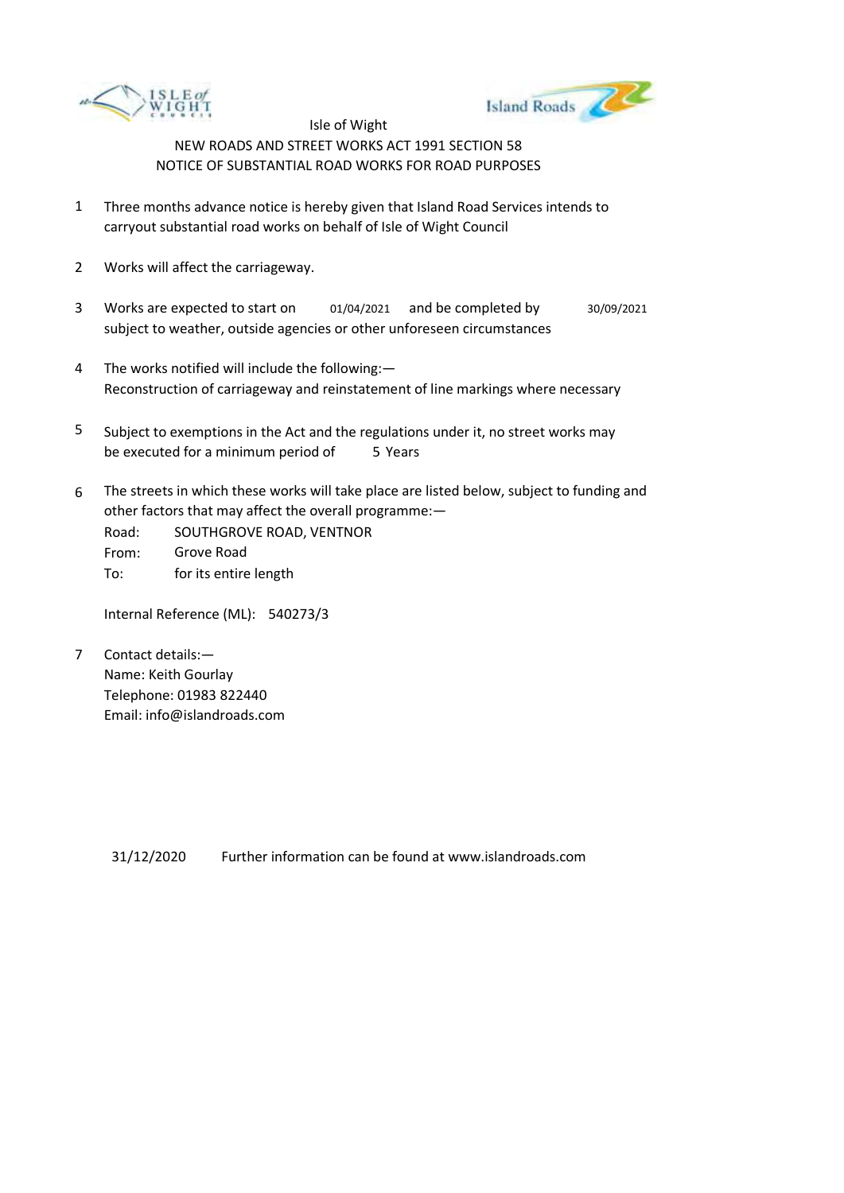



- 1 Three months advance notice is hereby given that Island Road Services intends to carryout substantial road works on behalf of Isle of Wight Council
- 2 Works will affect the carriageway.
- 3 Works are expected to start on subject to weather, outside agencies or other unforeseen circumstances 01/04/2021 and be completed by 30/09/2021
- 4 The works notified will include the following:— Reconstruction of carriageway and reinstatement of line markings where necessary
- 5 be executed for a minimum period of 5 Years Subject to exemptions in the Act and the regulations under it, no street works may
- 6 The streets in which these works will take place are listed below, subject to funding and other factors that may affect the overall programme:—
	- Road: From: To: SOUTHGROVE ROAD, VENTNOR Grove Road for its entire length

Internal Reference (ML): 540273/3

7 Contact details:— Name: Keith Gourlay Telephone: 01983 822440 Email: info@islandroads.com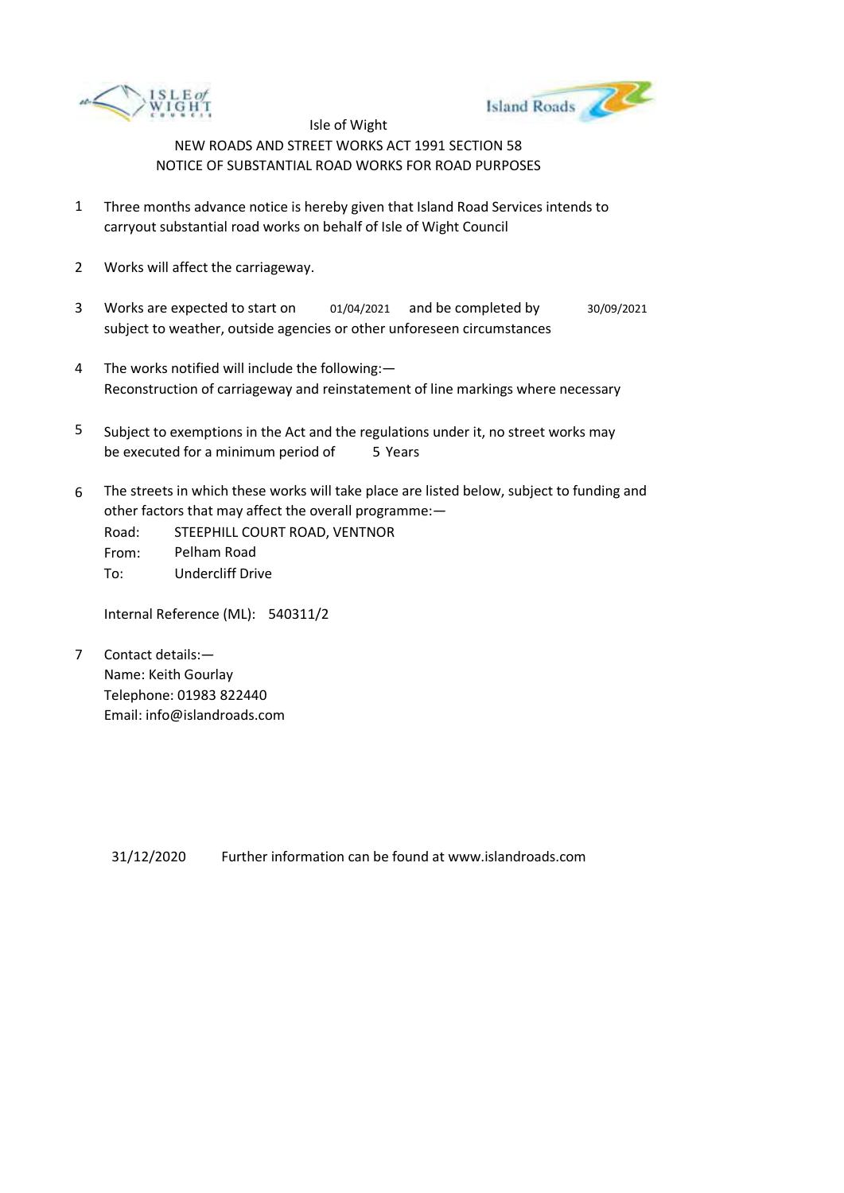



- 1 Three months advance notice is hereby given that Island Road Services intends to carryout substantial road works on behalf of Isle of Wight Council
- 2 Works will affect the carriageway.
- 3 Works are expected to start on subject to weather, outside agencies or other unforeseen circumstances 01/04/2021 and be completed by 30/09/2021
- 4 The works notified will include the following:— Reconstruction of carriageway and reinstatement of line markings where necessary
- 5 be executed for a minimum period of 5 Years Subject to exemptions in the Act and the regulations under it, no street works may
- 6 The streets in which these works will take place are listed below, subject to funding and other factors that may affect the overall programme:—

Road: From: To: STEEPHILL COURT ROAD, VENTNOR Pelham Road Undercliff Drive

Internal Reference (ML): 540311/2

7 Contact details:— Name: Keith Gourlay Telephone: 01983 822440 Email: info@islandroads.com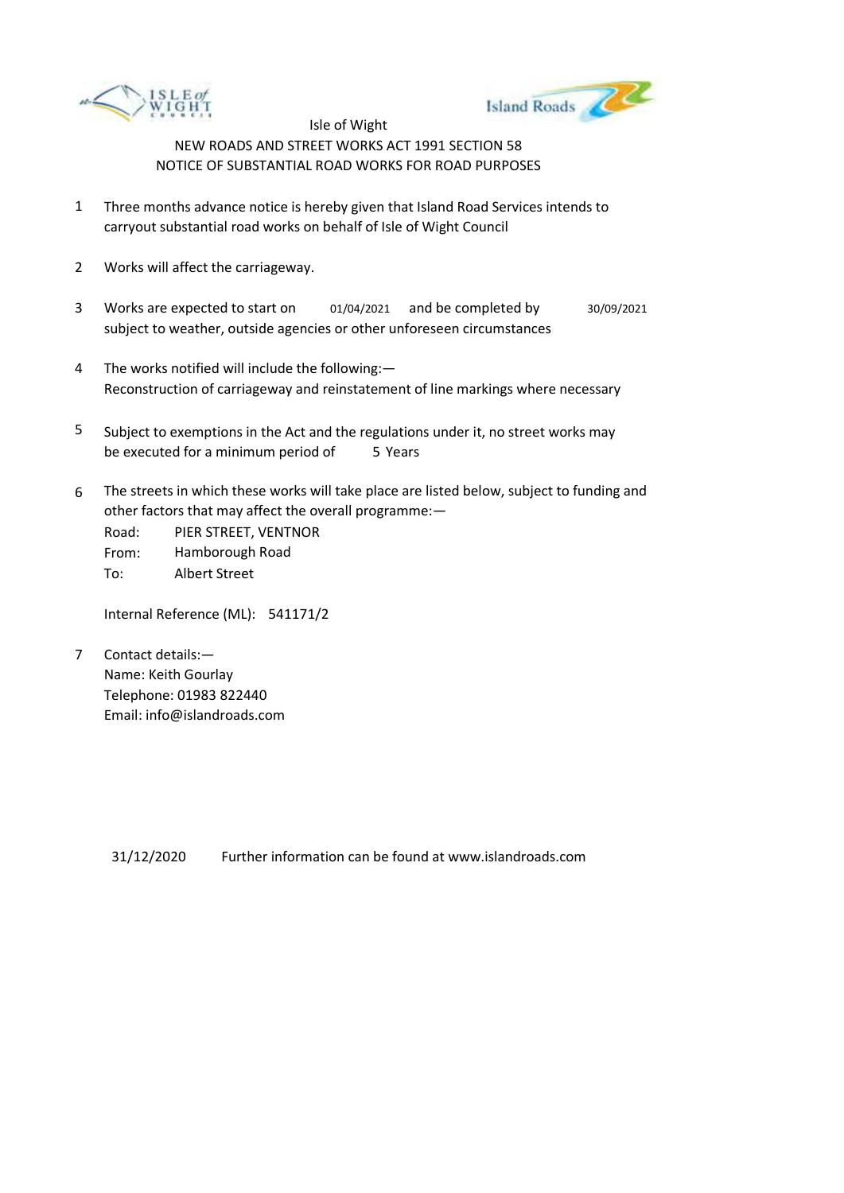



- 1 Three months advance notice is hereby given that Island Road Services intends to carryout substantial road works on behalf of Isle of Wight Council
- 2 Works will affect the carriageway.
- 3 Works are expected to start on subject to weather, outside agencies or other unforeseen circumstances 01/04/2021 and be completed by 30/09/2021
- 4 The works notified will include the following:— Reconstruction of carriageway and reinstatement of line markings where necessary
- 5 be executed for a minimum period of 5 Years Subject to exemptions in the Act and the regulations under it, no street works may
- 6 The streets in which these works will take place are listed below, subject to funding and other factors that may affect the overall programme:—

Road: From: To: PIER STREET, VENTNOR Hamborough Road Albert Street

Internal Reference (ML): 541171/2

7 Contact details:— Name: Keith Gourlay Telephone: 01983 822440 Email: info@islandroads.com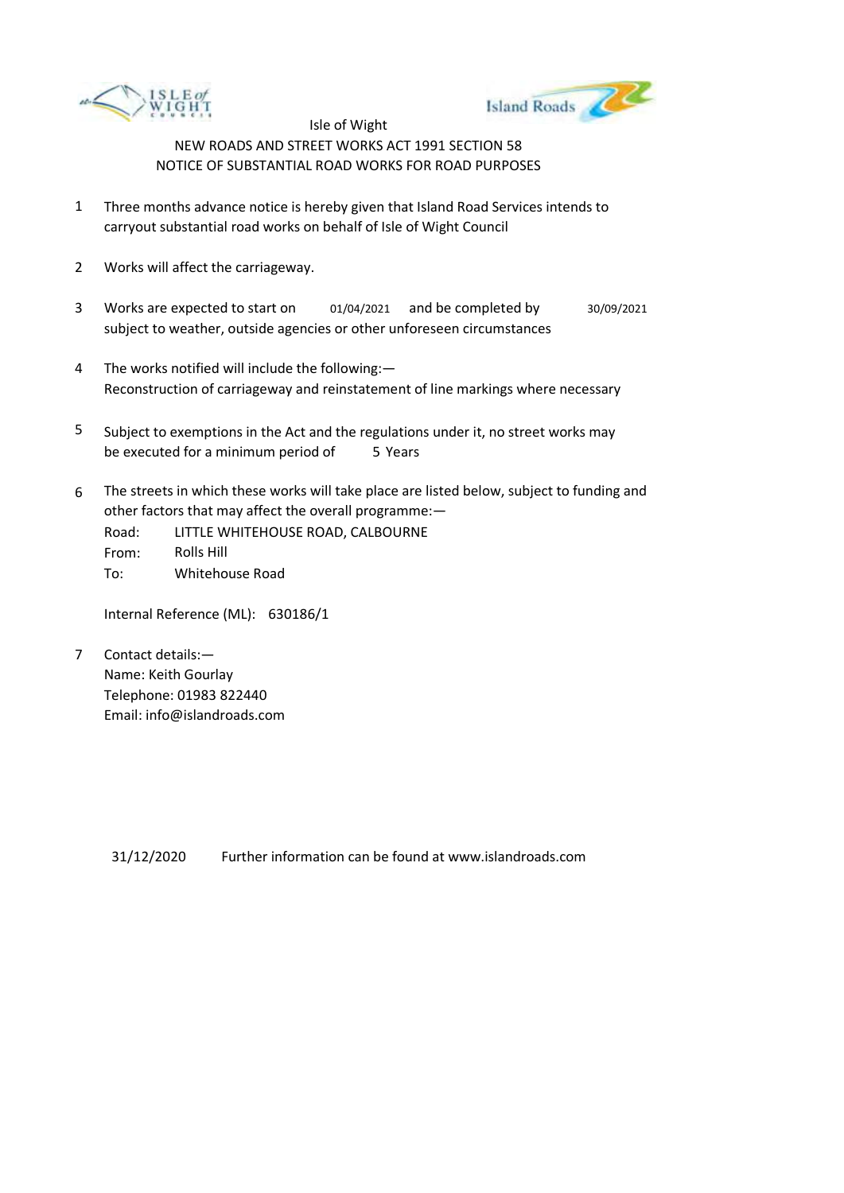



- 1 Three months advance notice is hereby given that Island Road Services intends to carryout substantial road works on behalf of Isle of Wight Council
- 2 Works will affect the carriageway.
- 3 Works are expected to start on subject to weather, outside agencies or other unforeseen circumstances 01/04/2021 and be completed by 30/09/2021
- 4 The works notified will include the following:— Reconstruction of carriageway and reinstatement of line markings where necessary
- 5 be executed for a minimum period of 5 Years Subject to exemptions in the Act and the regulations under it, no street works may
- 6 The streets in which these works will take place are listed below, subject to funding and other factors that may affect the overall programme:—
	- Road: From: To: LITTLE WHITEHOUSE ROAD, CALBOURNE Rolls Hill Whitehouse Road

Internal Reference (ML): 630186/1

7 Contact details:— Name: Keith Gourlay Telephone: 01983 822440 Email: info@islandroads.com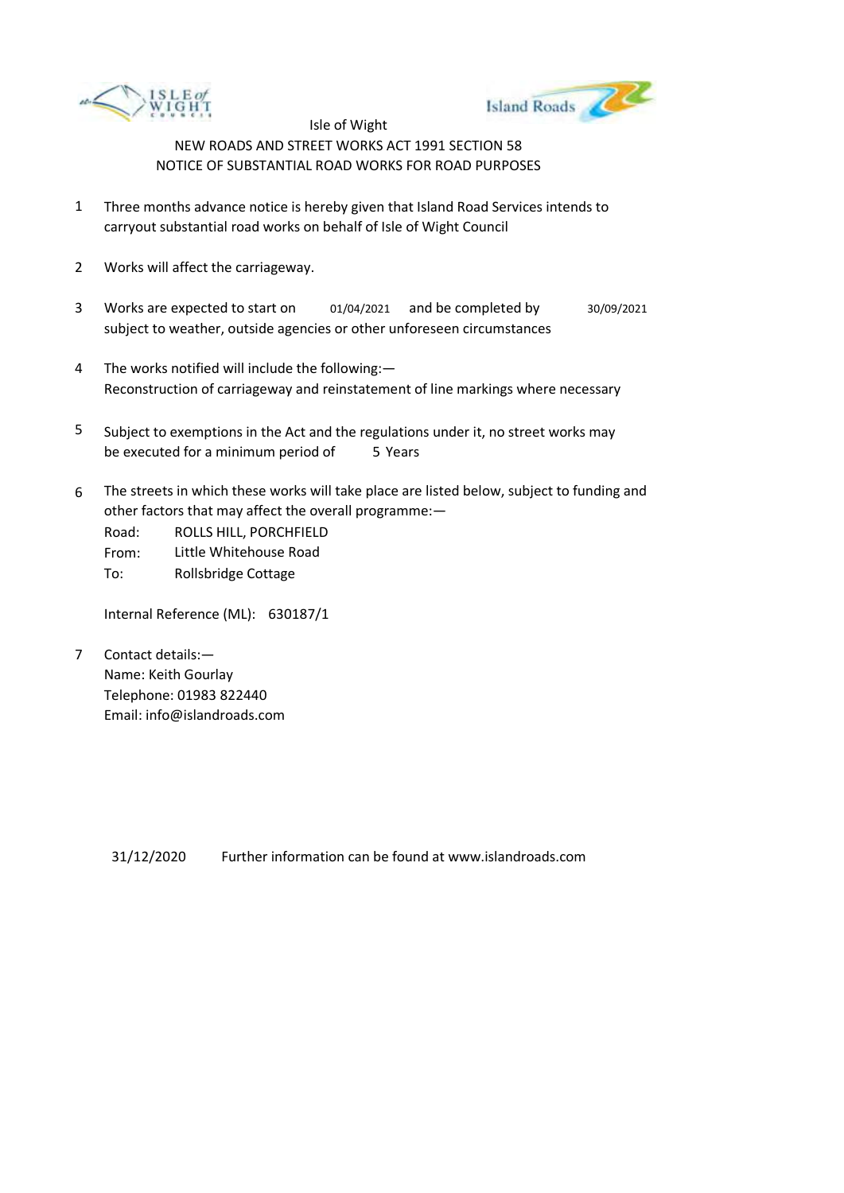



- 1 Three months advance notice is hereby given that Island Road Services intends to carryout substantial road works on behalf of Isle of Wight Council
- 2 Works will affect the carriageway.
- 3 Works are expected to start on subject to weather, outside agencies or other unforeseen circumstances 01/04/2021 and be completed by 30/09/2021
- 4 The works notified will include the following:— Reconstruction of carriageway and reinstatement of line markings where necessary
- 5 be executed for a minimum period of 5 Years Subject to exemptions in the Act and the regulations under it, no street works may
- 6 The streets in which these works will take place are listed below, subject to funding and other factors that may affect the overall programme:—

Road: From: To: ROLLS HILL, PORCHFIELD Little Whitehouse Road Rollsbridge Cottage

Internal Reference (ML): 630187/1

7 Contact details:— Name: Keith Gourlay Telephone: 01983 822440 Email: info@islandroads.com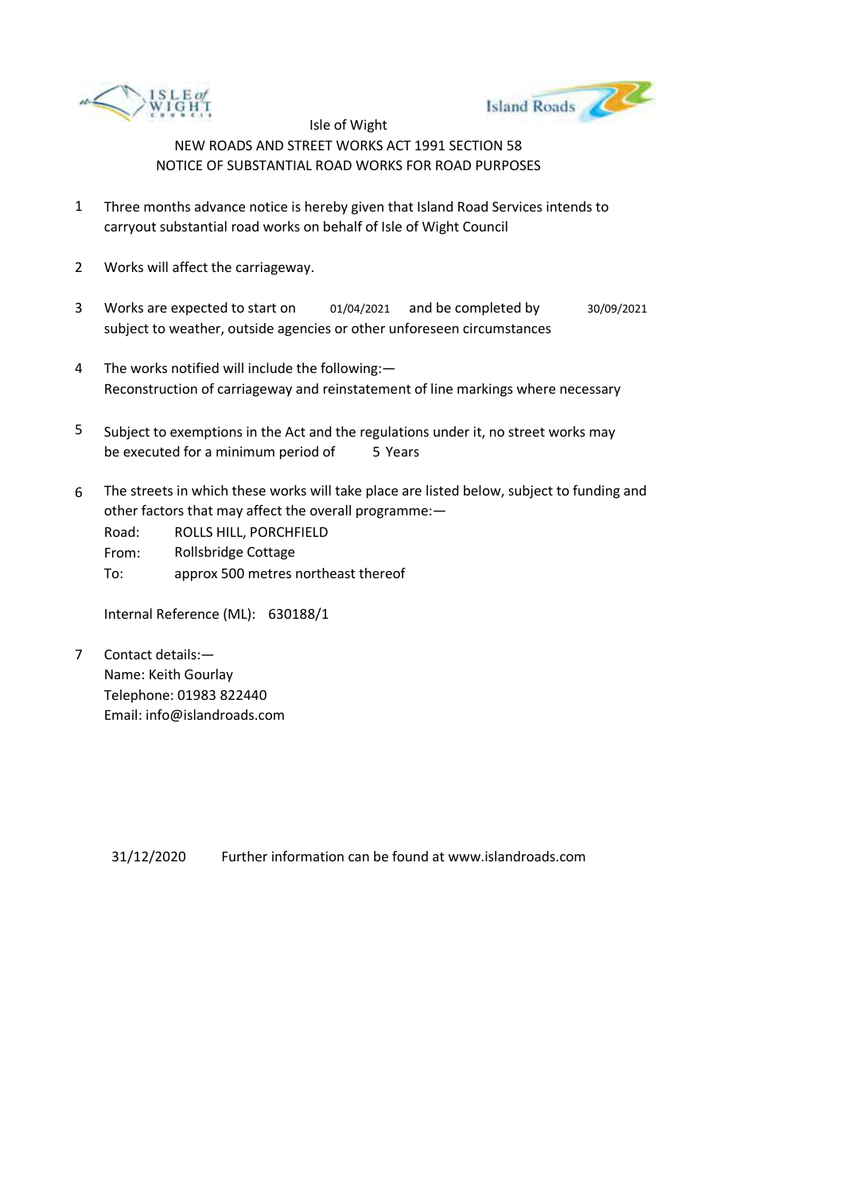



- 1 Three months advance notice is hereby given that Island Road Services intends to carryout substantial road works on behalf of Isle of Wight Council
- 2 Works will affect the carriageway.
- 3 Works are expected to start on subject to weather, outside agencies or other unforeseen circumstances 01/04/2021 and be completed by 30/09/2021
- 4 The works notified will include the following:— Reconstruction of carriageway and reinstatement of line markings where necessary
- 5 be executed for a minimum period of 5 Years Subject to exemptions in the Act and the regulations under it, no street works may
- 6 The streets in which these works will take place are listed below, subject to funding and other factors that may affect the overall programme:—

Road: From: To: ROLLS HILL, PORCHFIELD Rollsbridge Cottage approx 500 metres northeast thereof

Internal Reference (ML): 630188/1

7 Contact details:— Name: Keith Gourlay Telephone: 01983 822440 Email: info@islandroads.com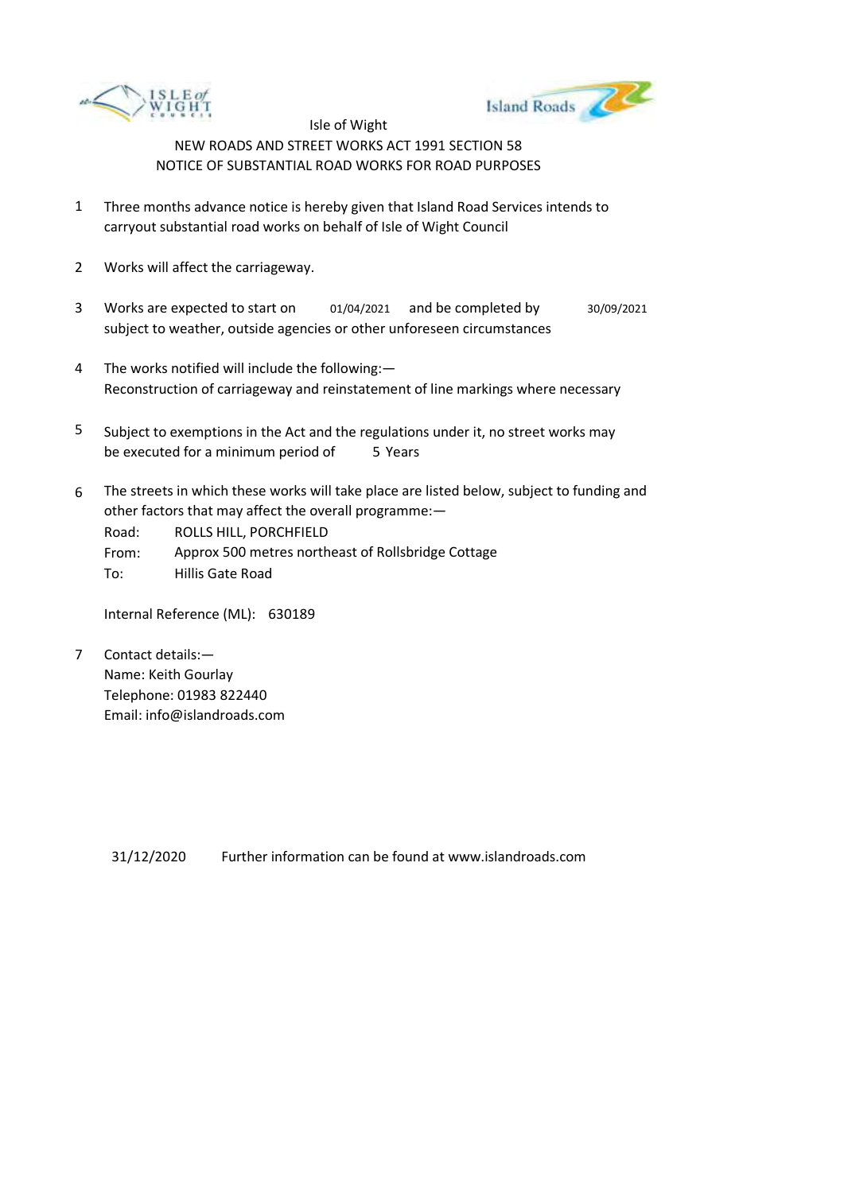



- 1 Three months advance notice is hereby given that Island Road Services intends to carryout substantial road works on behalf of Isle of Wight Council
- 2 Works will affect the carriageway.
- 3 Works are expected to start on subject to weather, outside agencies or other unforeseen circumstances 01/04/2021 and be completed by 30/09/2021
- 4 The works notified will include the following:— Reconstruction of carriageway and reinstatement of line markings where necessary
- 5 be executed for a minimum period of 5 Years Subject to exemptions in the Act and the regulations under it, no street works may
- 6 The streets in which these works will take place are listed below, subject to funding and other factors that may affect the overall programme:—

Road: ROLLS HILL, PORCHFIELD

From: Approx 500 metres northeast of Rollsbridge Cottage

To: Hillis Gate Road

Internal Reference (ML): 630189

7 Contact details:— Name: Keith Gourlay Telephone: 01983 822440 Email: info@islandroads.com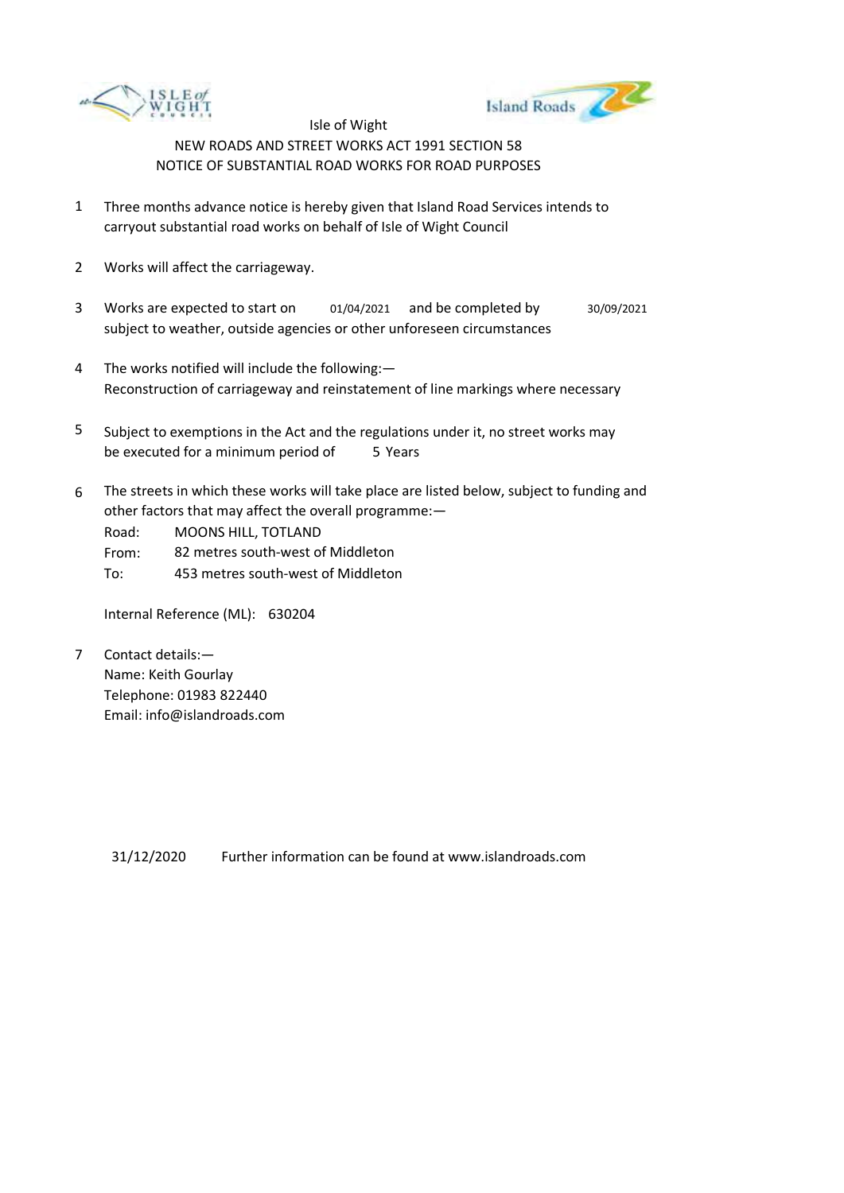



- 1 Three months advance notice is hereby given that Island Road Services intends to carryout substantial road works on behalf of Isle of Wight Council
- 2 Works will affect the carriageway.
- 3 Works are expected to start on subject to weather, outside agencies or other unforeseen circumstances 01/04/2021 and be completed by 30/09/2021
- 4 The works notified will include the following:— Reconstruction of carriageway and reinstatement of line markings where necessary
- 5 be executed for a minimum period of 5 Years Subject to exemptions in the Act and the regulations under it, no street works may
- 6 The streets in which these works will take place are listed below, subject to funding and other factors that may affect the overall programme:—

Road: MOONS HILL, TOTLAND

- From: 82 metres south-west of Middleton
- To: 453 metres south-west of Middleton

Internal Reference (ML): 630204

7 Contact details:— Name: Keith Gourlay Telephone: 01983 822440 Email: info@islandroads.com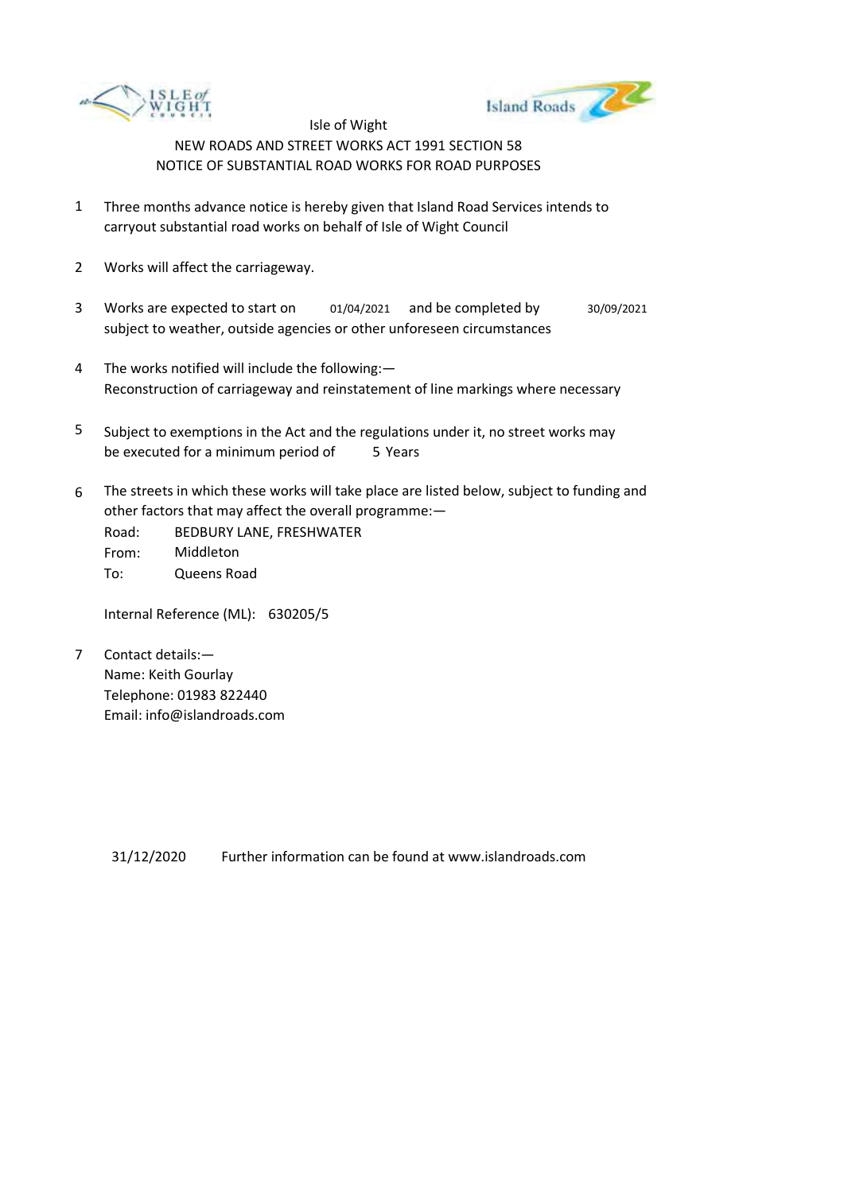



- 1 Three months advance notice is hereby given that Island Road Services intends to carryout substantial road works on behalf of Isle of Wight Council
- 2 Works will affect the carriageway.
- 3 Works are expected to start on subject to weather, outside agencies or other unforeseen circumstances 01/04/2021 and be completed by 30/09/2021
- 4 The works notified will include the following:— Reconstruction of carriageway and reinstatement of line markings where necessary
- 5 be executed for a minimum period of 5 Years Subject to exemptions in the Act and the regulations under it, no street works may
- 6 The streets in which these works will take place are listed below, subject to funding and other factors that may affect the overall programme:—
	- Road: From: To: BEDBURY LANE, FRESHWATER Middleton Queens Road

Internal Reference (ML): 630205/5

7 Contact details:— Name: Keith Gourlay Telephone: 01983 822440 Email: info@islandroads.com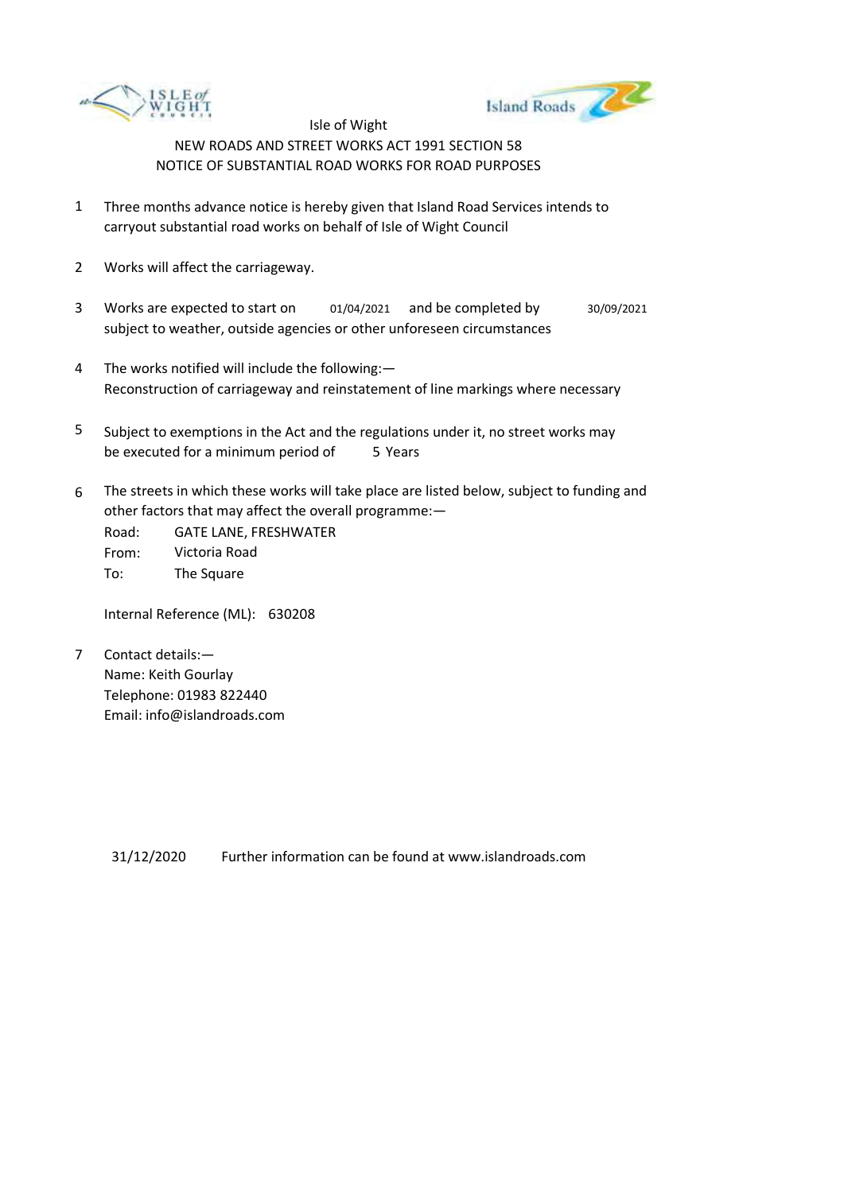



- 1 Three months advance notice is hereby given that Island Road Services intends to carryout substantial road works on behalf of Isle of Wight Council
- 2 Works will affect the carriageway.
- 3 Works are expected to start on subject to weather, outside agencies or other unforeseen circumstances 01/04/2021 and be completed by 30/09/2021
- 4 The works notified will include the following:— Reconstruction of carriageway and reinstatement of line markings where necessary
- 5 be executed for a minimum period of 5 Years Subject to exemptions in the Act and the regulations under it, no street works may
- 6 The streets in which these works will take place are listed below, subject to funding and other factors that may affect the overall programme:—

Road: From: To: GATE LANE, FRESHWATER Victoria Road The Square

Internal Reference (ML): 630208

7 Contact details:— Name: Keith Gourlay Telephone: 01983 822440 Email: info@islandroads.com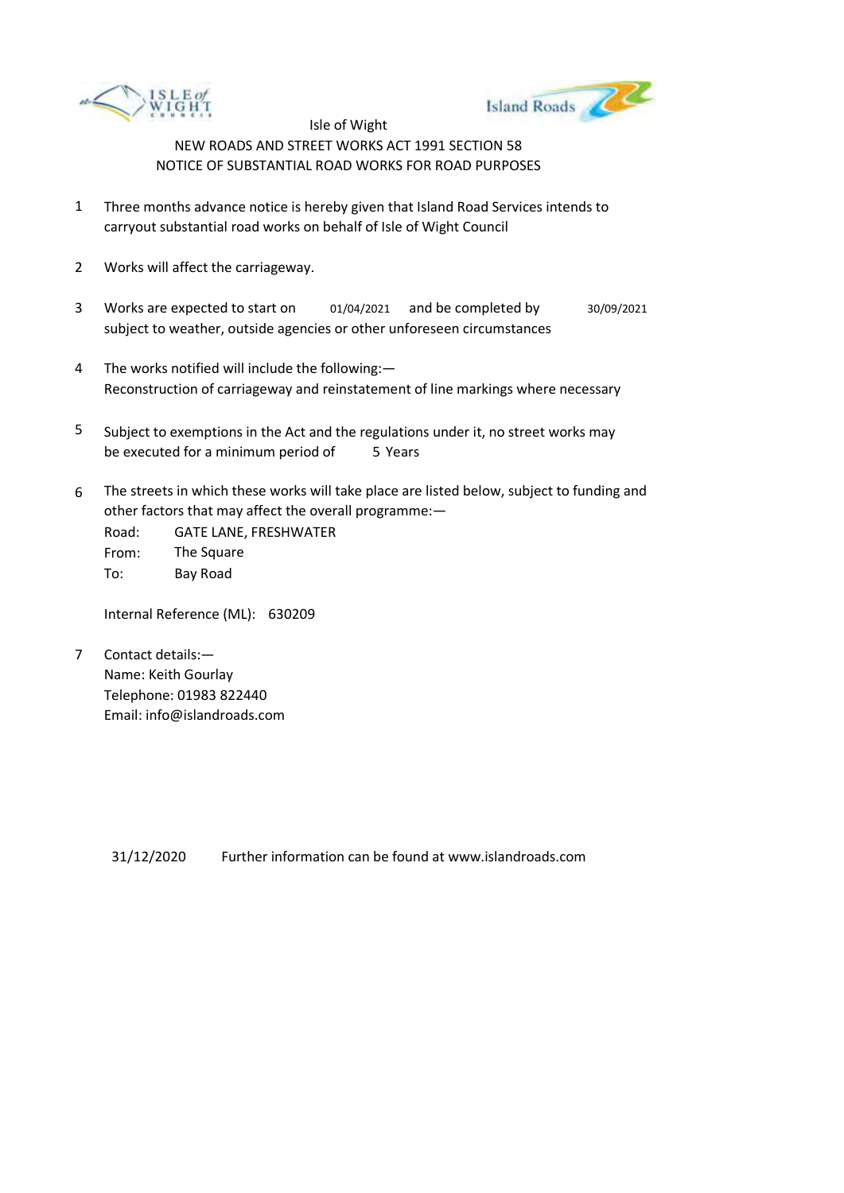



- 1 Three months advance notice is hereby given that Island Road Services intends to carryout substantial road works on behalf of Isle of Wight Council
- 2 Works will affect the carriageway.
- 3 Works are expected to start on subject to weather, outside agencies or other unforeseen circumstances 01/04/2021 and be completed by 30/09/2021
- 4 The works notified will include the following:— Reconstruction of carriageway and reinstatement of line markings where necessary
- 5 be executed for a minimum period of 5 Years Subject to exemptions in the Act and the regulations under it, no street works may
- 6 The streets in which these works will take place are listed below, subject to funding and other factors that may affect the overall programme:—

Road: From: To: GATE LANE, FRESHWATER The Square Bay Road

Internal Reference (ML): 630209

7 Contact details:— Name: Keith Gourlay Telephone: 01983 822440 Email: info@islandroads.com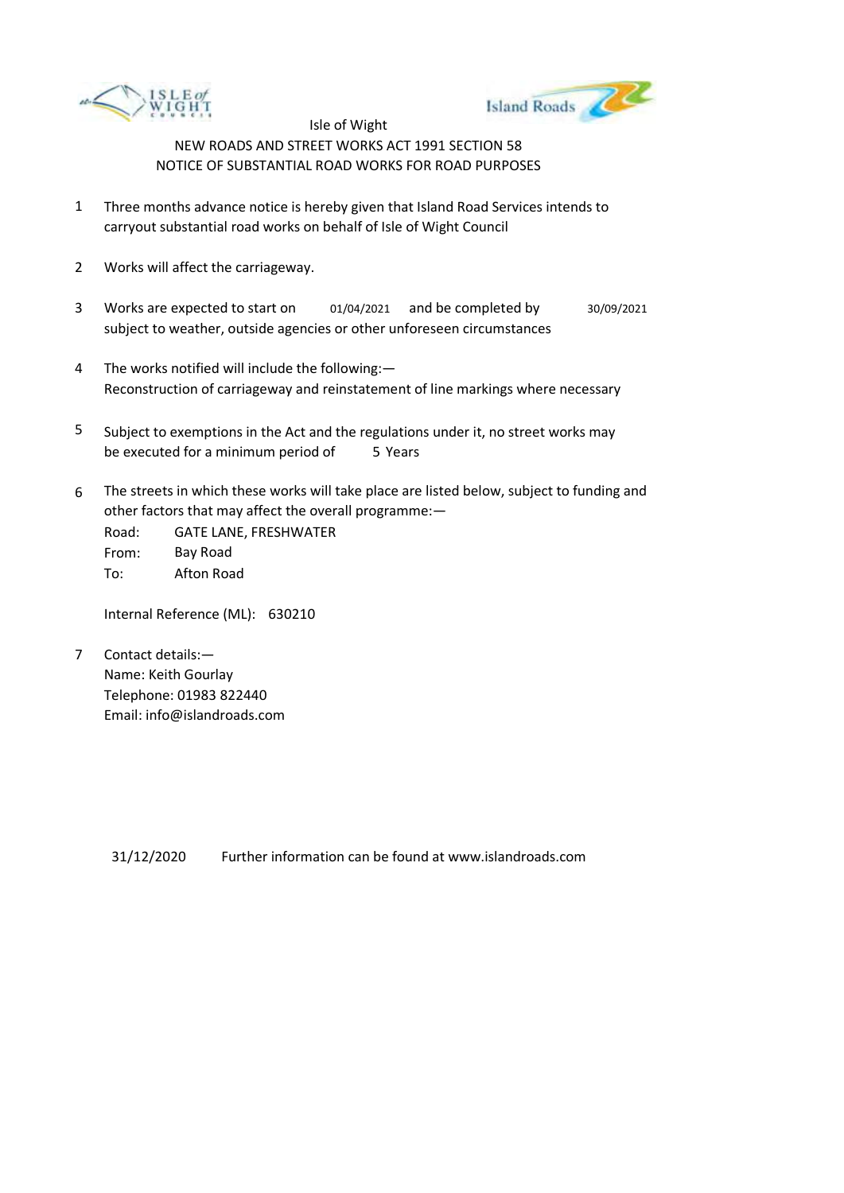



- 1 Three months advance notice is hereby given that Island Road Services intends to carryout substantial road works on behalf of Isle of Wight Council
- 2 Works will affect the carriageway.
- 3 Works are expected to start on subject to weather, outside agencies or other unforeseen circumstances 01/04/2021 and be completed by 30/09/2021
- 4 The works notified will include the following:— Reconstruction of carriageway and reinstatement of line markings where necessary
- 5 be executed for a minimum period of 5 Years Subject to exemptions in the Act and the regulations under it, no street works may
- 6 The streets in which these works will take place are listed below, subject to funding and other factors that may affect the overall programme:—

Road: From: To: GATE LANE, FRESHWATER Bay Road Afton Road

Internal Reference (ML): 630210

7 Contact details:— Name: Keith Gourlay Telephone: 01983 822440 Email: info@islandroads.com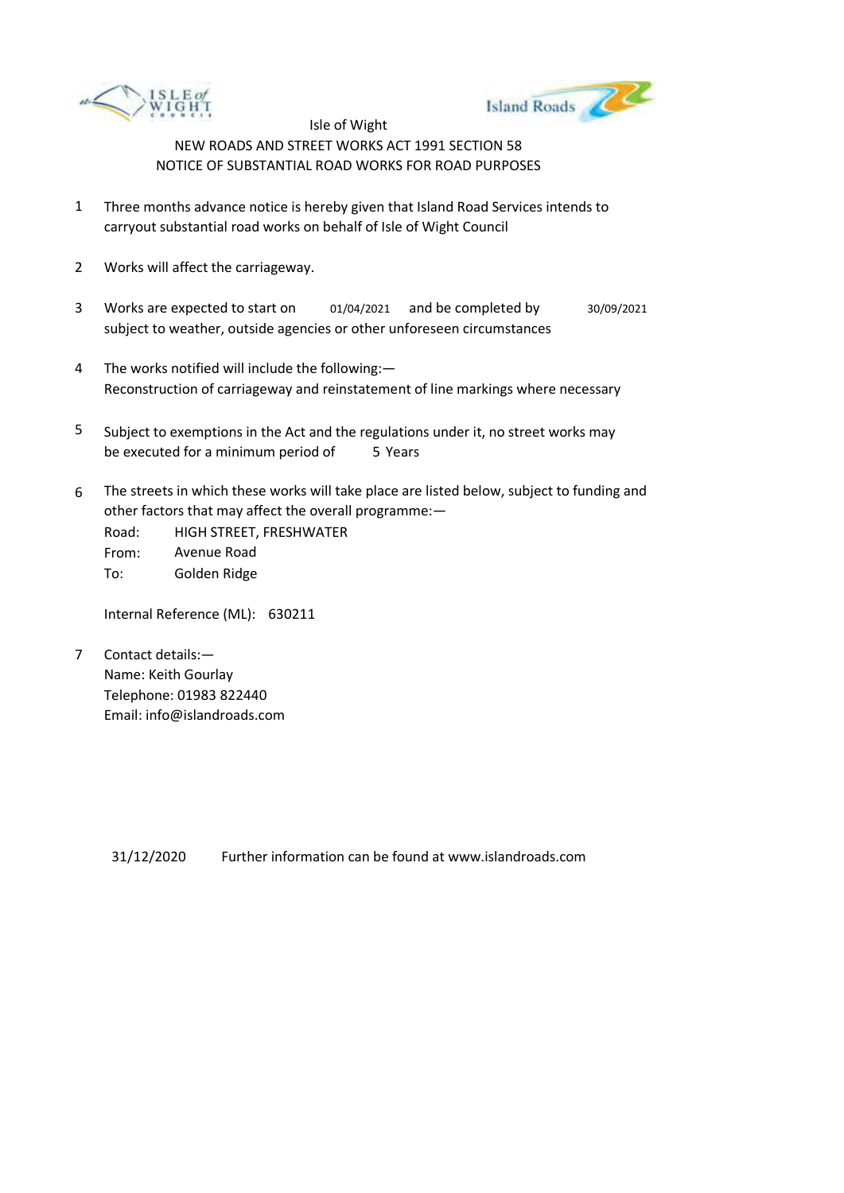



- 1 Three months advance notice is hereby given that Island Road Services intends to carryout substantial road works on behalf of Isle of Wight Council
- 2 Works will affect the carriageway.
- 3 Works are expected to start on subject to weather, outside agencies or other unforeseen circumstances 01/04/2021 and be completed by 30/09/2021
- 4 The works notified will include the following:— Reconstruction of carriageway and reinstatement of line markings where necessary
- 5 be executed for a minimum period of 5 Years Subject to exemptions in the Act and the regulations under it, no street works may
- 6 The streets in which these works will take place are listed below, subject to funding and other factors that may affect the overall programme:—

Road: From: To: HIGH STREET, FRESHWATER Avenue Road Golden Ridge

Internal Reference (ML): 630211

7 Contact details:— Name: Keith Gourlay Telephone: 01983 822440 Email: info@islandroads.com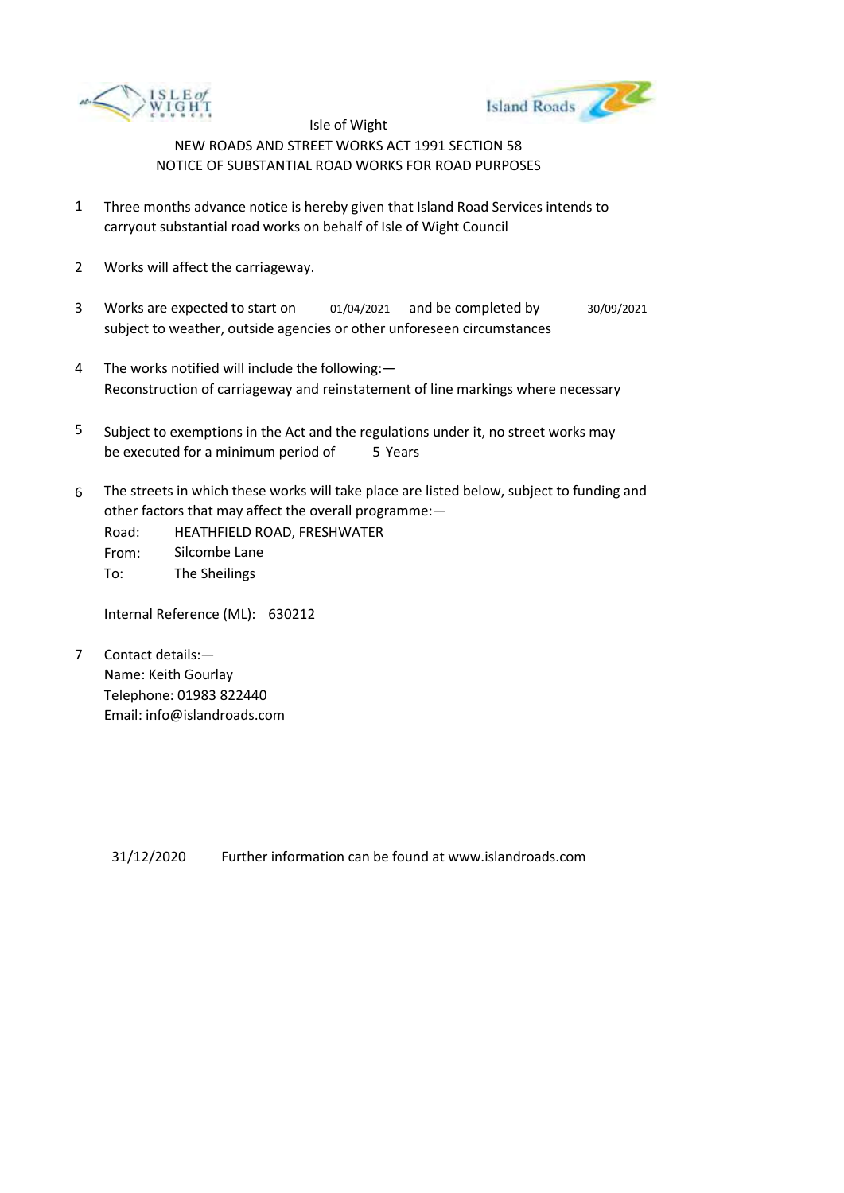



- 1 Three months advance notice is hereby given that Island Road Services intends to carryout substantial road works on behalf of Isle of Wight Council
- 2 Works will affect the carriageway.
- 3 Works are expected to start on subject to weather, outside agencies or other unforeseen circumstances 01/04/2021 and be completed by 30/09/2021
- 4 The works notified will include the following:— Reconstruction of carriageway and reinstatement of line markings where necessary
- 5 be executed for a minimum period of 5 Years Subject to exemptions in the Act and the regulations under it, no street works may
- 6 The streets in which these works will take place are listed below, subject to funding and other factors that may affect the overall programme:—

Road: From: To: HEATHFIELD ROAD, FRESHWATER Silcombe Lane The Sheilings

Internal Reference (ML): 630212

7 Contact details:— Name: Keith Gourlay Telephone: 01983 822440 Email: info@islandroads.com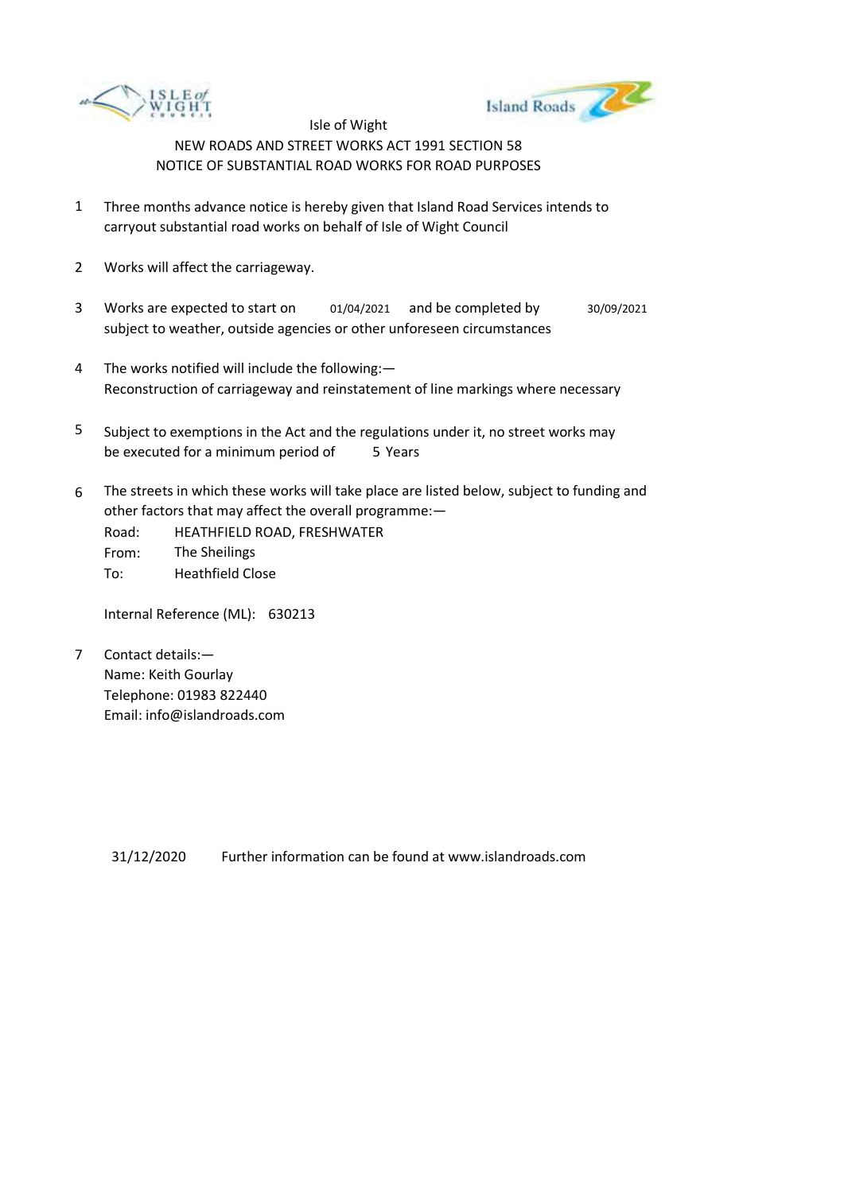



- 1 Three months advance notice is hereby given that Island Road Services intends to carryout substantial road works on behalf of Isle of Wight Council
- 2 Works will affect the carriageway.
- 3 Works are expected to start on subject to weather, outside agencies or other unforeseen circumstances 01/04/2021 and be completed by 30/09/2021
- 4 The works notified will include the following:— Reconstruction of carriageway and reinstatement of line markings where necessary
- 5 be executed for a minimum period of 5 Years Subject to exemptions in the Act and the regulations under it, no street works may
- 6 The streets in which these works will take place are listed below, subject to funding and other factors that may affect the overall programme:—
	- Road: From: To: HEATHFIELD ROAD, FRESHWATER The Sheilings Heathfield Close

Internal Reference (ML): 630213

7 Contact details:— Name: Keith Gourlay Telephone: 01983 822440 Email: info@islandroads.com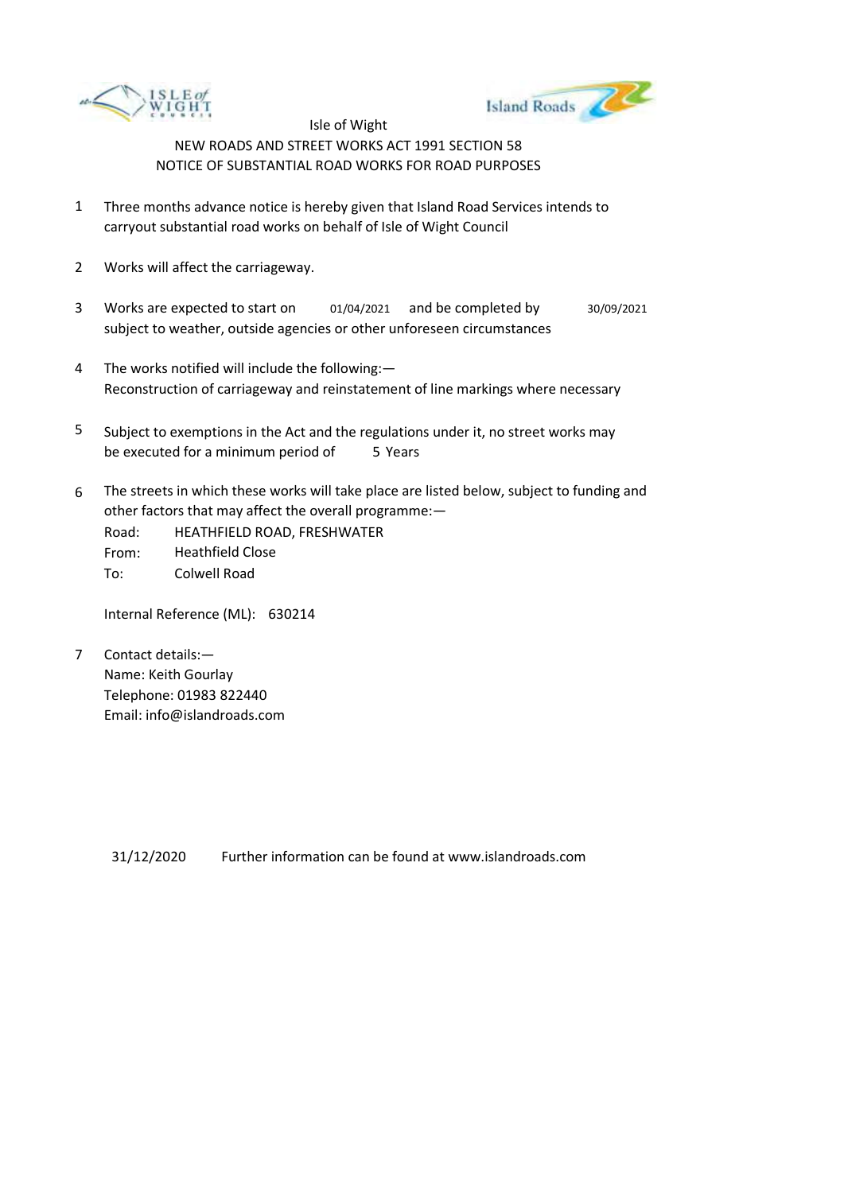



- 1 Three months advance notice is hereby given that Island Road Services intends to carryout substantial road works on behalf of Isle of Wight Council
- 2 Works will affect the carriageway.
- 3 Works are expected to start on subject to weather, outside agencies or other unforeseen circumstances 01/04/2021 and be completed by 30/09/2021
- 4 The works notified will include the following:— Reconstruction of carriageway and reinstatement of line markings where necessary
- 5 be executed for a minimum period of 5 Years Subject to exemptions in the Act and the regulations under it, no street works may
- 6 The streets in which these works will take place are listed below, subject to funding and other factors that may affect the overall programme:—
	- Road: From: To: HEATHFIELD ROAD, FRESHWATER Heathfield Close Colwell Road

Internal Reference (ML): 630214

7 Contact details:— Name: Keith Gourlay Telephone: 01983 822440 Email: info@islandroads.com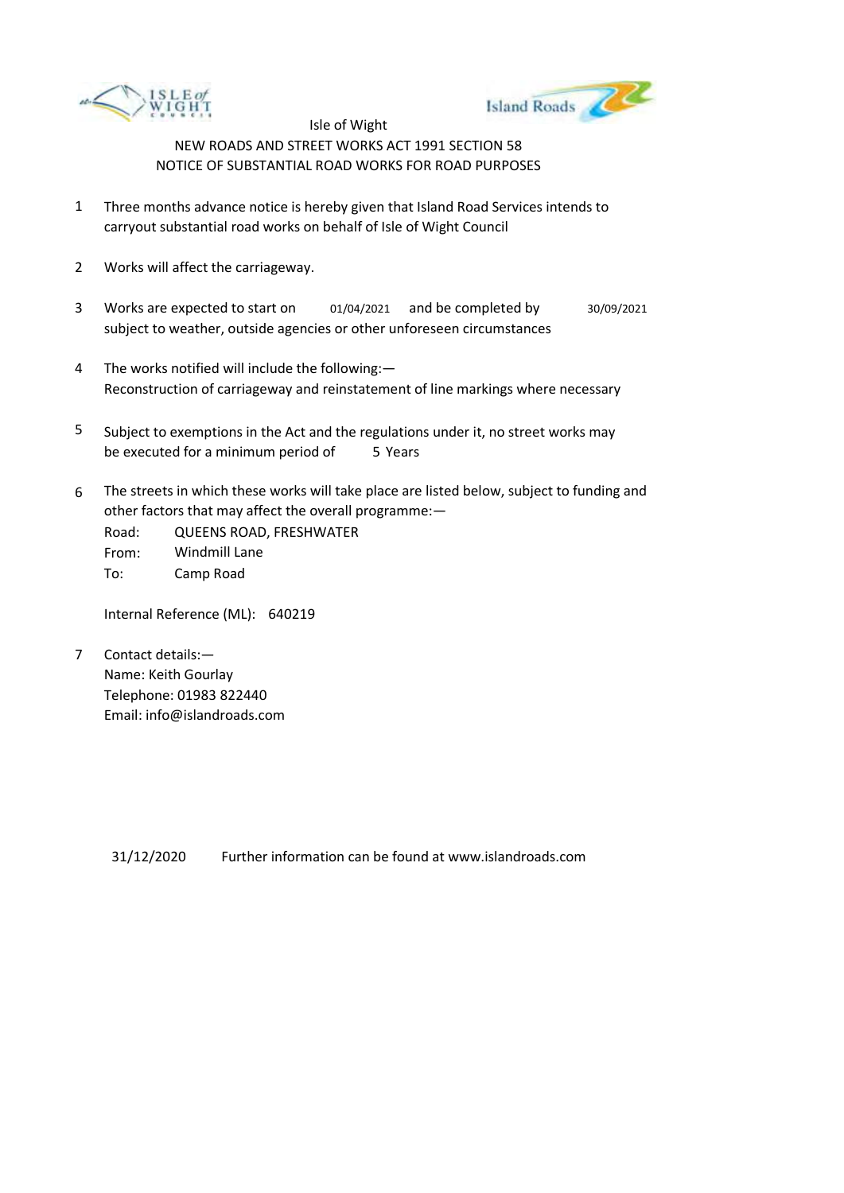



- 1 Three months advance notice is hereby given that Island Road Services intends to carryout substantial road works on behalf of Isle of Wight Council
- 2 Works will affect the carriageway.
- 3 Works are expected to start on subject to weather, outside agencies or other unforeseen circumstances 01/04/2021 and be completed by 30/09/2021
- 4 The works notified will include the following:— Reconstruction of carriageway and reinstatement of line markings where necessary
- 5 be executed for a minimum period of 5 Years Subject to exemptions in the Act and the regulations under it, no street works may
- 6 The streets in which these works will take place are listed below, subject to funding and other factors that may affect the overall programme:—

Road: From: To: QUEENS ROAD, FRESHWATER Windmill Lane Camp Road

Internal Reference (ML): 640219

7 Contact details:— Name: Keith Gourlay Telephone: 01983 822440 Email: info@islandroads.com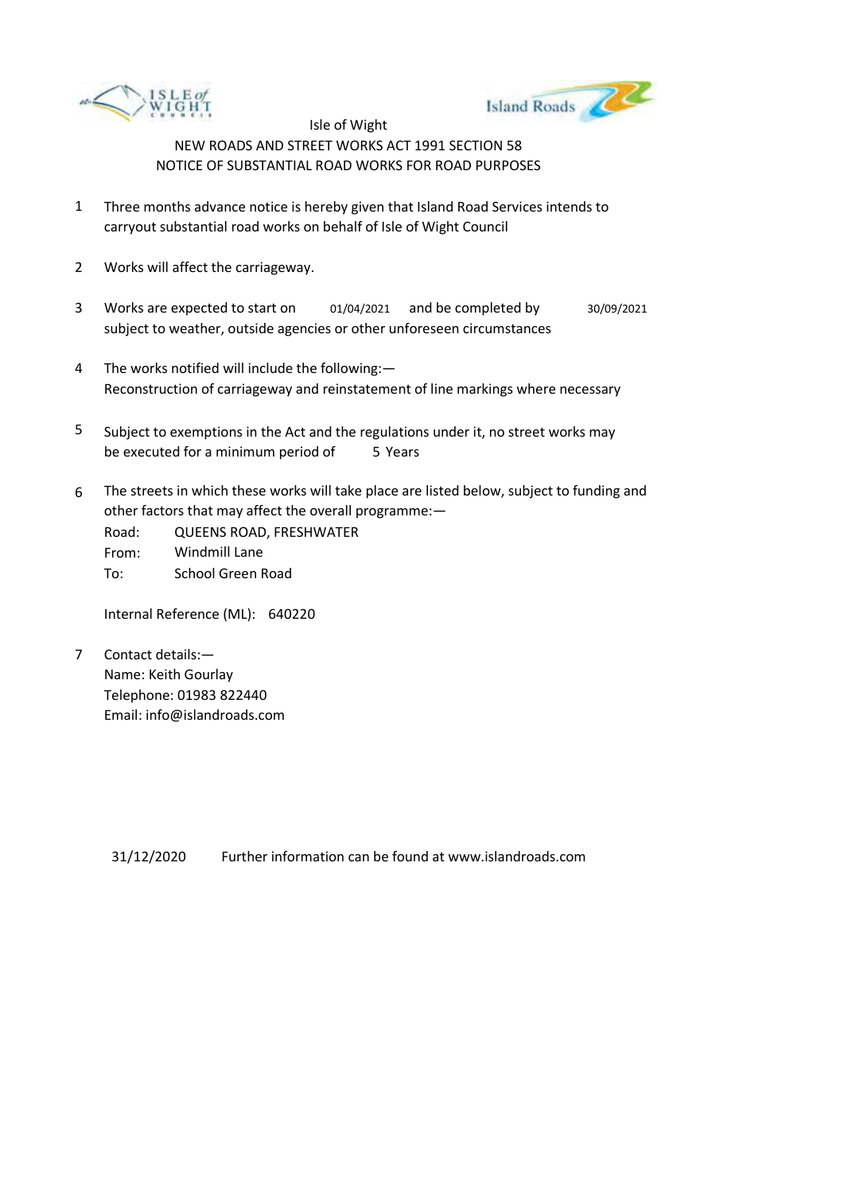



- 1 Three months advance notice is hereby given that Island Road Services intends to carryout substantial road works on behalf of Isle of Wight Council
- 2 Works will affect the carriageway.
- 3 Works are expected to start on subject to weather, outside agencies or other unforeseen circumstances 01/04/2021 and be completed by 30/09/2021
- 4 The works notified will include the following:— Reconstruction of carriageway and reinstatement of line markings where necessary
- 5 be executed for a minimum period of 5 Years Subject to exemptions in the Act and the regulations under it, no street works may
- 6 The streets in which these works will take place are listed below, subject to funding and other factors that may affect the overall programme:—
	- Road: From: To: QUEENS ROAD, FRESHWATER Windmill Lane School Green Road

Internal Reference (ML): 640220

7 Contact details:— Name: Keith Gourlay Telephone: 01983 822440 Email: info@islandroads.com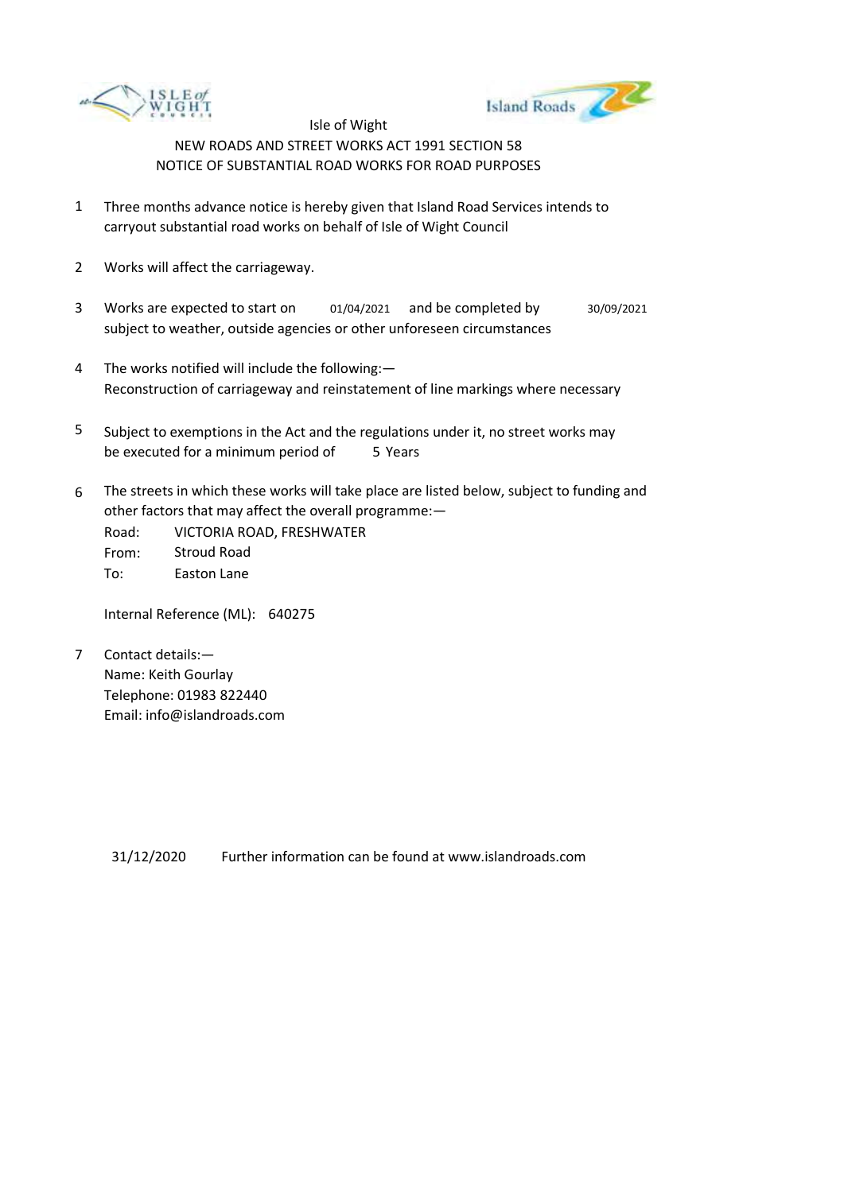



- 1 Three months advance notice is hereby given that Island Road Services intends to carryout substantial road works on behalf of Isle of Wight Council
- 2 Works will affect the carriageway.
- 3 Works are expected to start on subject to weather, outside agencies or other unforeseen circumstances 01/04/2021 and be completed by 30/09/2021
- 4 The works notified will include the following:— Reconstruction of carriageway and reinstatement of line markings where necessary
- 5 be executed for a minimum period of 5 Years Subject to exemptions in the Act and the regulations under it, no street works may
- 6 The streets in which these works will take place are listed below, subject to funding and other factors that may affect the overall programme:—

Road: From: To: VICTORIA ROAD, FRESHWATER Stroud Road Easton Lane

Internal Reference (ML): 640275

7 Contact details:— Name: Keith Gourlay Telephone: 01983 822440 Email: info@islandroads.com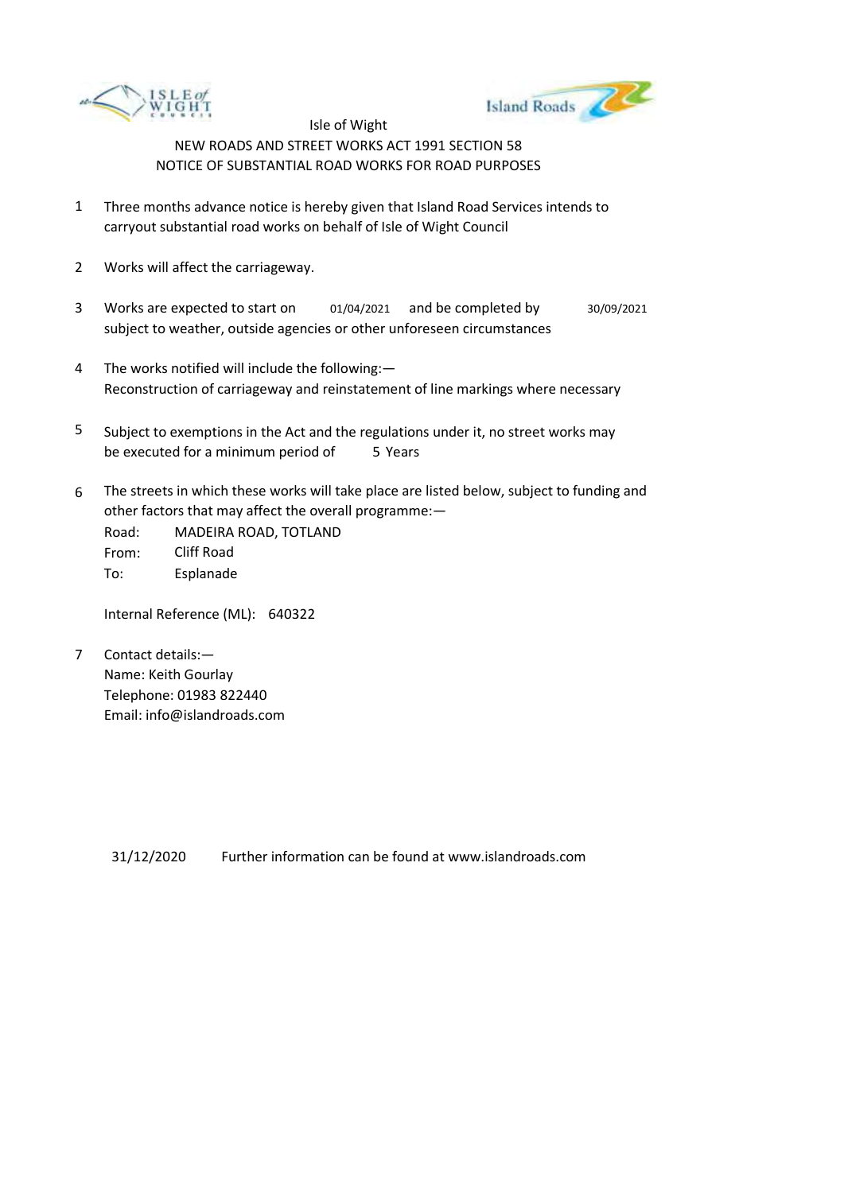



- 1 Three months advance notice is hereby given that Island Road Services intends to carryout substantial road works on behalf of Isle of Wight Council
- 2 Works will affect the carriageway.
- 3 Works are expected to start on subject to weather, outside agencies or other unforeseen circumstances 01/04/2021 and be completed by 30/09/2021
- 4 The works notified will include the following:— Reconstruction of carriageway and reinstatement of line markings where necessary
- 5 be executed for a minimum period of 5 Years Subject to exemptions in the Act and the regulations under it, no street works may
- 6 The streets in which these works will take place are listed below, subject to funding and other factors that may affect the overall programme:—

Road: From: To: MADEIRA ROAD, TOTLAND Cliff Road Esplanade

Internal Reference (ML): 640322

7 Contact details:— Name: Keith Gourlay Telephone: 01983 822440 Email: info@islandroads.com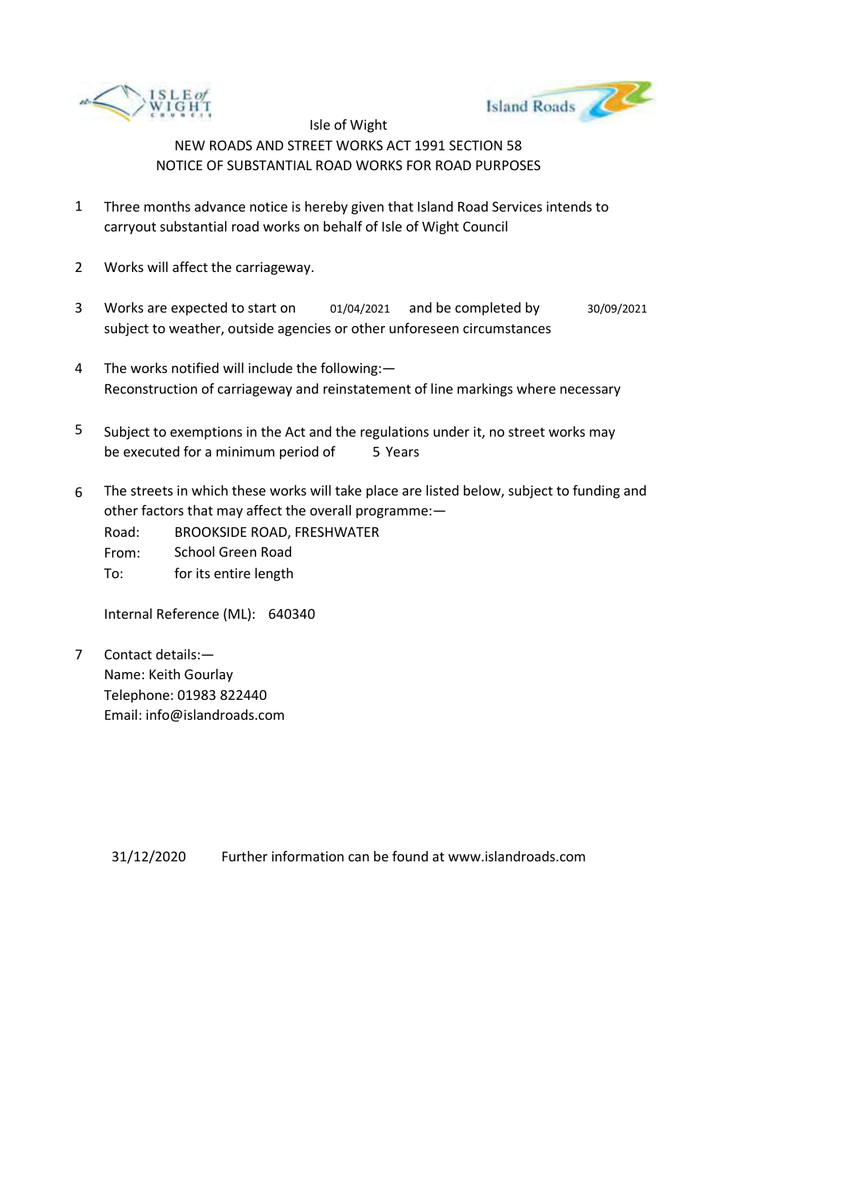



- 1 Three months advance notice is hereby given that Island Road Services intends to carryout substantial road works on behalf of Isle of Wight Council
- 2 Works will affect the carriageway.
- 3 Works are expected to start on subject to weather, outside agencies or other unforeseen circumstances 01/04/2021 and be completed by 30/09/2021
- 4 The works notified will include the following:— Reconstruction of carriageway and reinstatement of line markings where necessary
- 5 be executed for a minimum period of 5 Years Subject to exemptions in the Act and the regulations under it, no street works may
- 6 The streets in which these works will take place are listed below, subject to funding and other factors that may affect the overall programme:—
	- Road: From: BROOKSIDE ROAD, FRESHWATER School Green Road
	- To: for its entire length

Internal Reference (ML): 640340

7 Contact details:— Name: Keith Gourlay Telephone: 01983 822440 Email: info@islandroads.com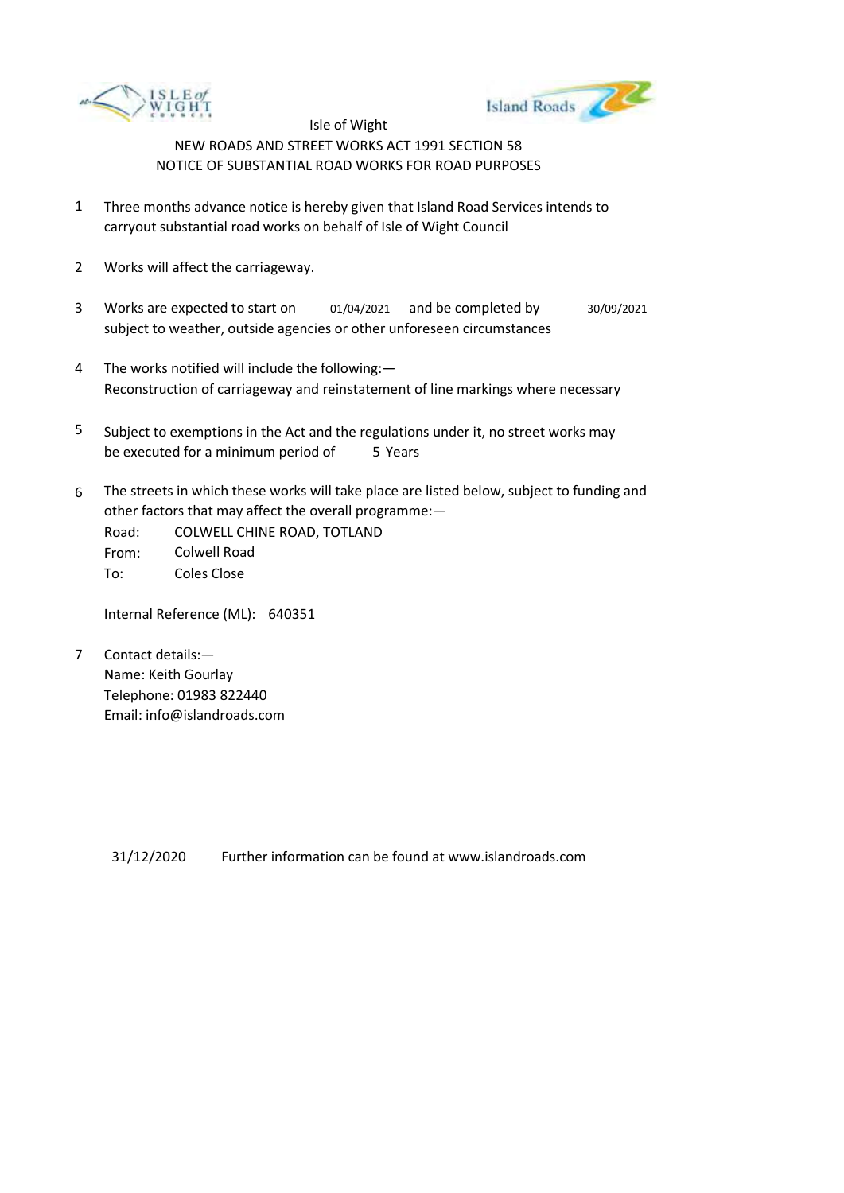



- 1 Three months advance notice is hereby given that Island Road Services intends to carryout substantial road works on behalf of Isle of Wight Council
- 2 Works will affect the carriageway.
- 3 Works are expected to start on subject to weather, outside agencies or other unforeseen circumstances 01/04/2021 and be completed by 30/09/2021
- 4 The works notified will include the following:— Reconstruction of carriageway and reinstatement of line markings where necessary
- 5 be executed for a minimum period of 5 Years Subject to exemptions in the Act and the regulations under it, no street works may
- 6 The streets in which these works will take place are listed below, subject to funding and other factors that may affect the overall programme:—

Road: From: To: COLWELL CHINE ROAD, TOTLAND Colwell Road Coles Close

Internal Reference (ML): 640351

7 Contact details:— Name: Keith Gourlay Telephone: 01983 822440 Email: info@islandroads.com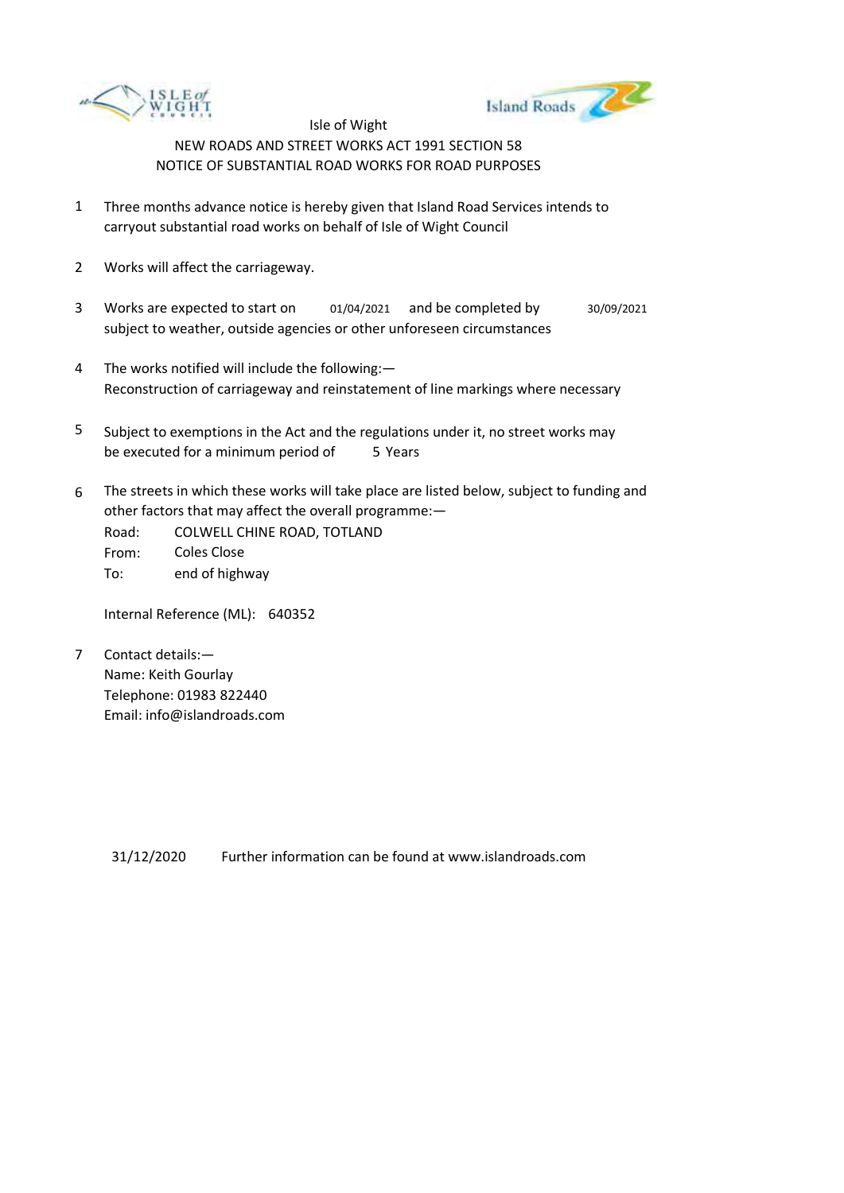



- 1 Three months advance notice is hereby given that Island Road Services intends to carryout substantial road works on behalf of Isle of Wight Council
- 2 Works will affect the carriageway.
- 3 Works are expected to start on subject to weather, outside agencies or other unforeseen circumstances 01/04/2021 and be completed by 30/09/2021
- 4 The works notified will include the following:— Reconstruction of carriageway and reinstatement of line markings where necessary
- 5 be executed for a minimum period of 5 Years Subject to exemptions in the Act and the regulations under it, no street works may
- 6 The streets in which these works will take place are listed below, subject to funding and other factors that may affect the overall programme:—

Road: From: To: COLWELL CHINE ROAD, TOTLAND Coles Close end of highway

Internal Reference (ML): 640352

7 Contact details:— Name: Keith Gourlay Telephone: 01983 822440 Email: info@islandroads.com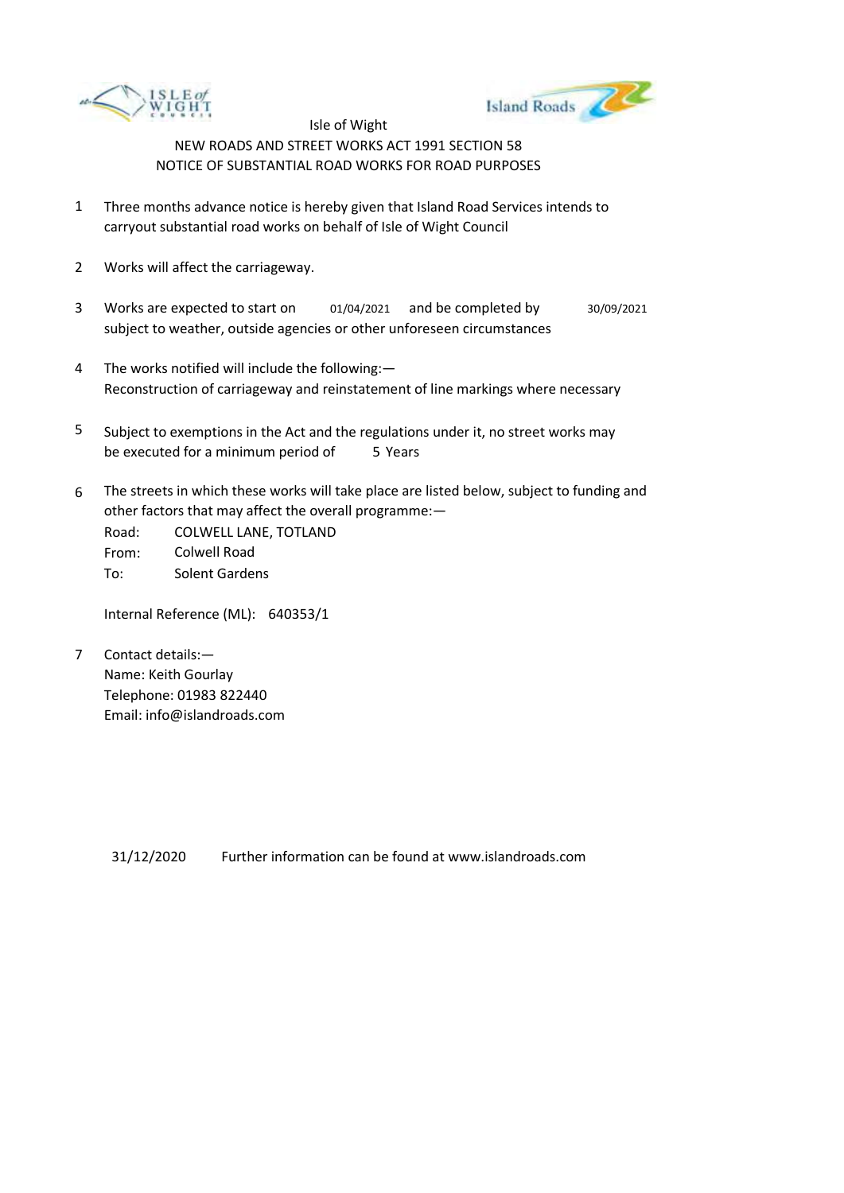



- 1 Three months advance notice is hereby given that Island Road Services intends to carryout substantial road works on behalf of Isle of Wight Council
- 2 Works will affect the carriageway.
- 3 Works are expected to start on subject to weather, outside agencies or other unforeseen circumstances 01/04/2021 and be completed by 30/09/2021
- 4 The works notified will include the following:— Reconstruction of carriageway and reinstatement of line markings where necessary
- 5 be executed for a minimum period of 5 Years Subject to exemptions in the Act and the regulations under it, no street works may
- 6 The streets in which these works will take place are listed below, subject to funding and other factors that may affect the overall programme:—

Road: From: To: COLWELL LANE, TOTLAND Colwell Road Solent Gardens

Internal Reference (ML): 640353/1

7 Contact details:— Name: Keith Gourlay Telephone: 01983 822440 Email: info@islandroads.com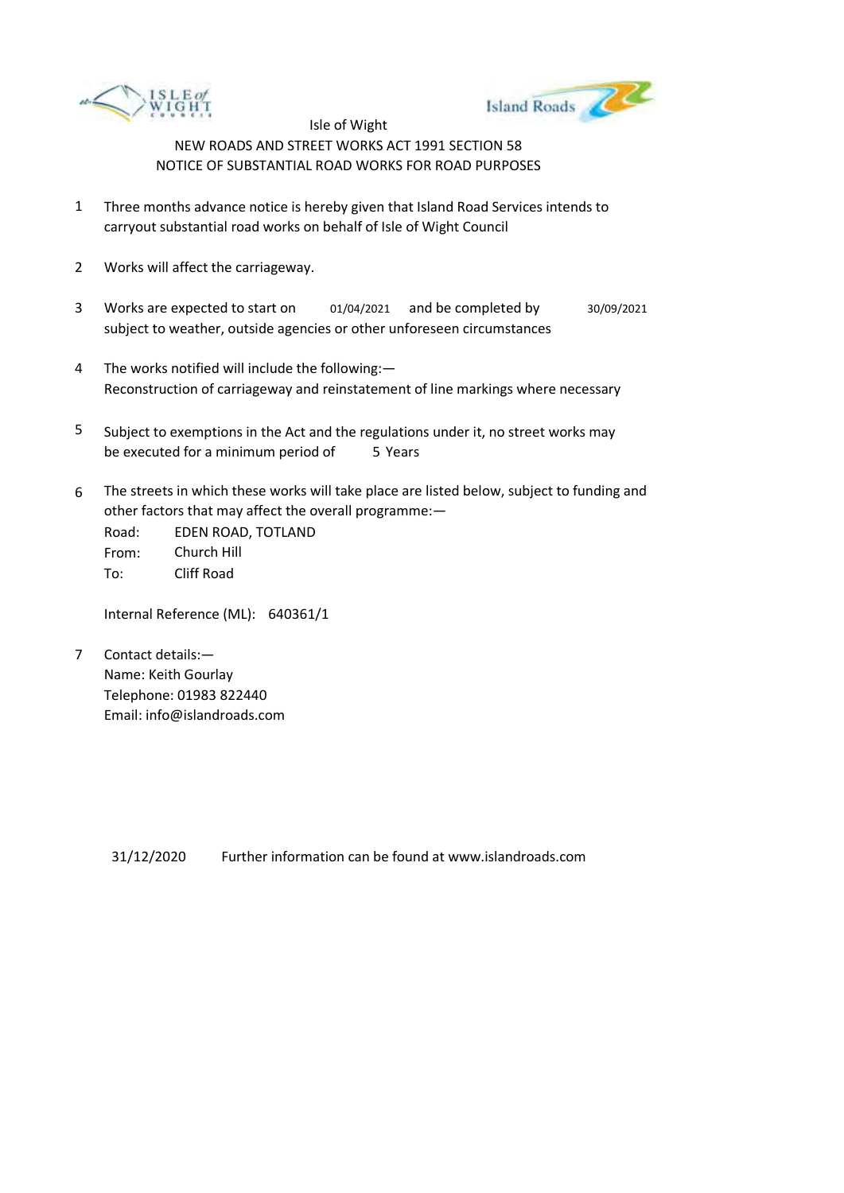



- 1 Three months advance notice is hereby given that Island Road Services intends to carryout substantial road works on behalf of Isle of Wight Council
- 2 Works will affect the carriageway.
- 3 Works are expected to start on subject to weather, outside agencies or other unforeseen circumstances 01/04/2021 and be completed by 30/09/2021
- 4 The works notified will include the following:— Reconstruction of carriageway and reinstatement of line markings where necessary
- 5 be executed for a minimum period of 5 Years Subject to exemptions in the Act and the regulations under it, no street works may
- 6 The streets in which these works will take place are listed below, subject to funding and other factors that may affect the overall programme:—

Road: From: To: EDEN ROAD, TOTLAND Church Hill Cliff Road

Internal Reference (ML): 640361/1

7 Contact details:— Name: Keith Gourlay Telephone: 01983 822440 Email: info@islandroads.com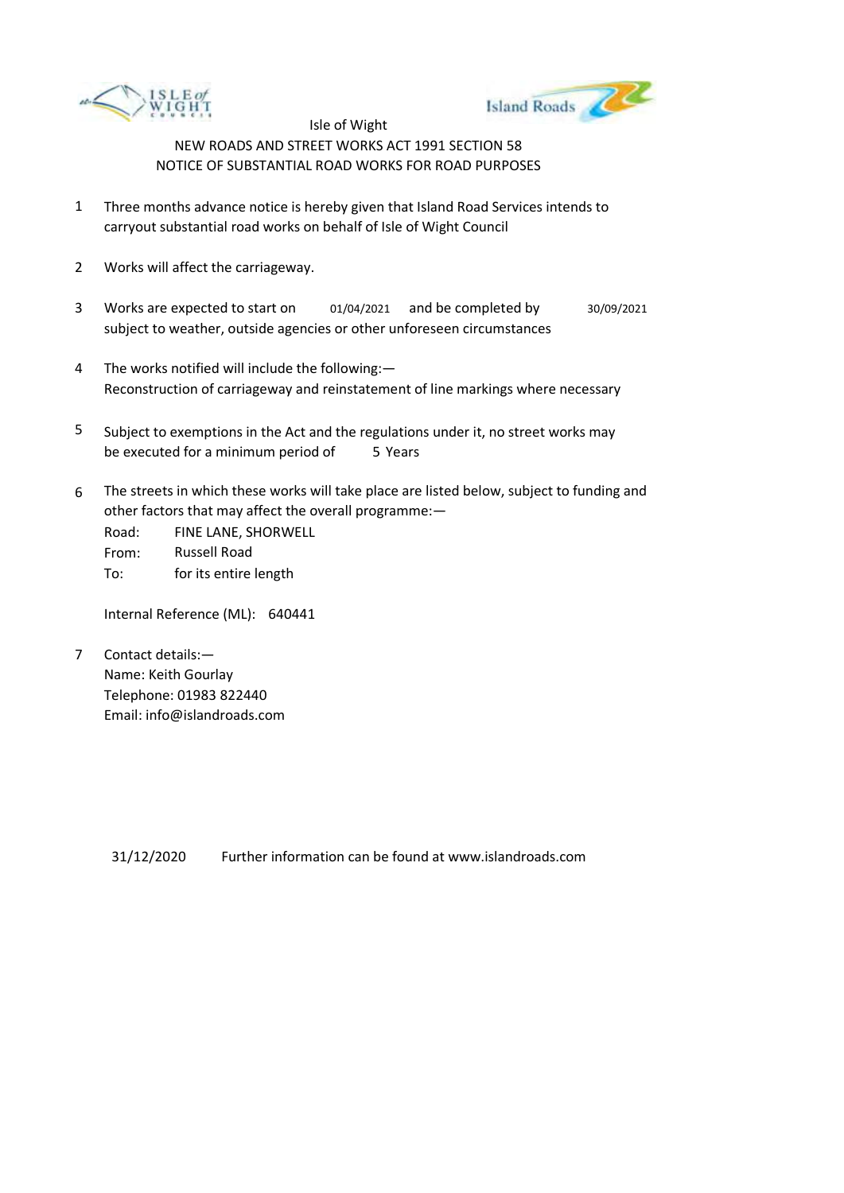



- 1 Three months advance notice is hereby given that Island Road Services intends to carryout substantial road works on behalf of Isle of Wight Council
- 2 Works will affect the carriageway.
- 3 Works are expected to start on subject to weather, outside agencies or other unforeseen circumstances 01/04/2021 and be completed by 30/09/2021
- 4 The works notified will include the following:— Reconstruction of carriageway and reinstatement of line markings where necessary
- 5 be executed for a minimum period of 5 Years Subject to exemptions in the Act and the regulations under it, no street works may
- 6 The streets in which these works will take place are listed below, subject to funding and other factors that may affect the overall programme:—

Road: From: To: FINE LANE, SHORWELL Russell Road for its entire length

Internal Reference (ML): 640441

7 Contact details:— Name: Keith Gourlay Telephone: 01983 822440 Email: info@islandroads.com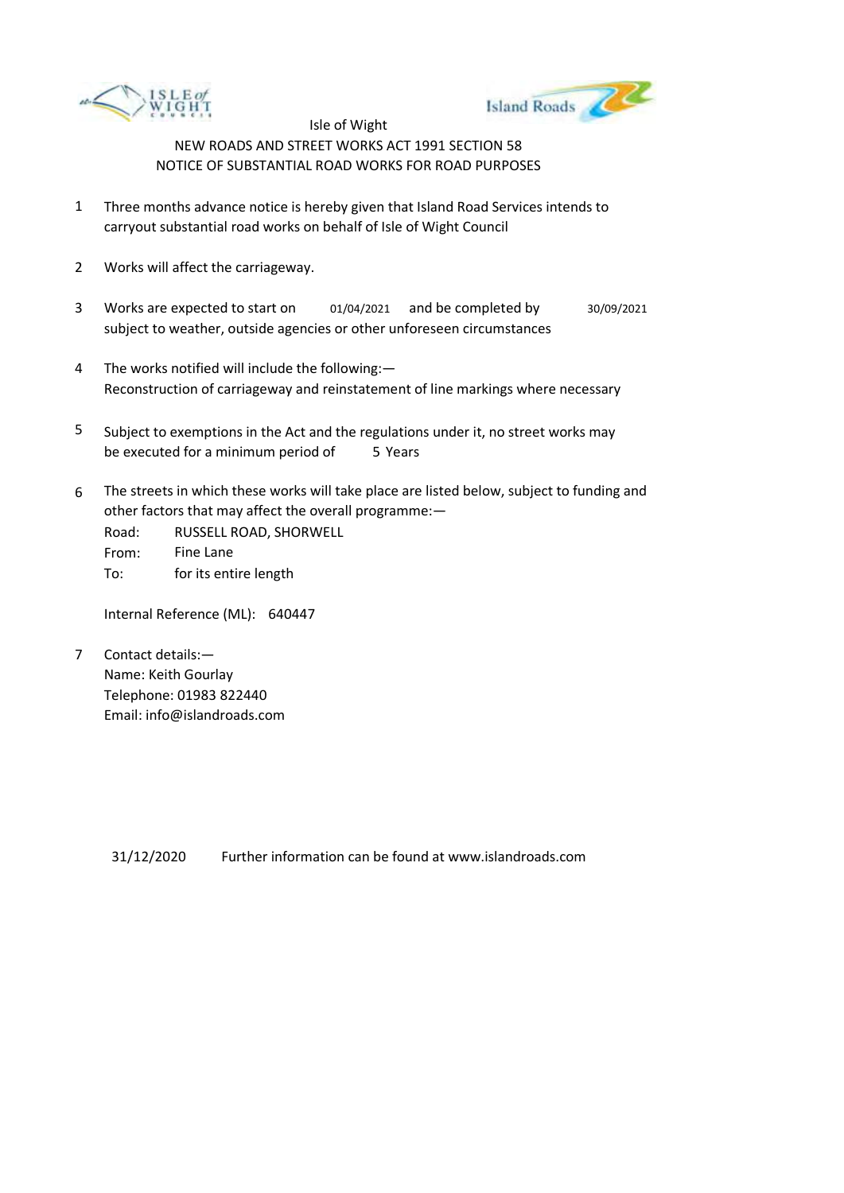



- 1 Three months advance notice is hereby given that Island Road Services intends to carryout substantial road works on behalf of Isle of Wight Council
- 2 Works will affect the carriageway.
- 3 Works are expected to start on subject to weather, outside agencies or other unforeseen circumstances 01/04/2021 and be completed by 30/09/2021
- 4 The works notified will include the following:— Reconstruction of carriageway and reinstatement of line markings where necessary
- 5 be executed for a minimum period of 5 Years Subject to exemptions in the Act and the regulations under it, no street works may
- 6 The streets in which these works will take place are listed below, subject to funding and other factors that may affect the overall programme:—

| Road: | RUSSELL ROAD, SHORWELL |
|-------|------------------------|
| From: | Fine Lane              |
| To:   | for its entire length  |

Internal Reference (ML): 640447

7 Contact details:— Name: Keith Gourlay Telephone: 01983 822440 Email: info@islandroads.com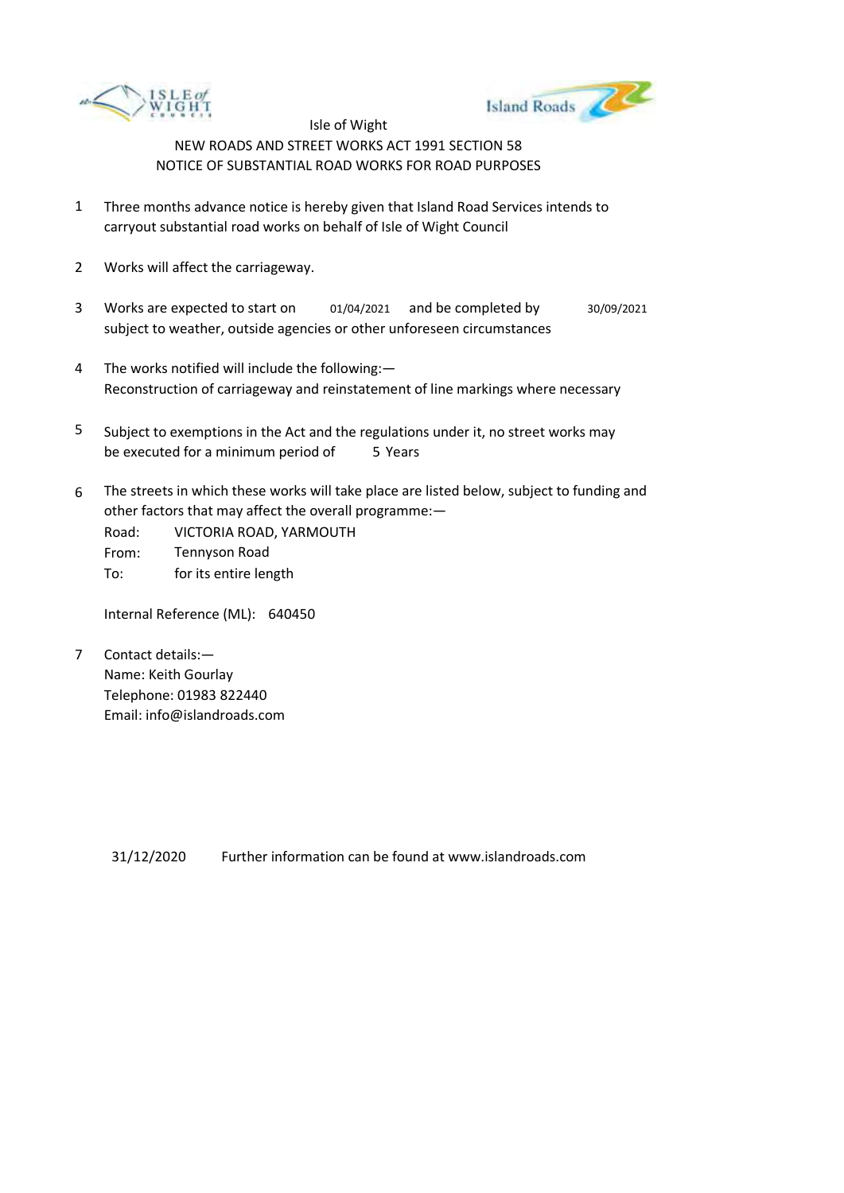



- 1 Three months advance notice is hereby given that Island Road Services intends to carryout substantial road works on behalf of Isle of Wight Council
- 2 Works will affect the carriageway.
- 3 Works are expected to start on subject to weather, outside agencies or other unforeseen circumstances 01/04/2021 and be completed by 30/09/2021
- 4 The works notified will include the following:— Reconstruction of carriageway and reinstatement of line markings where necessary
- 5 be executed for a minimum period of 5 Years Subject to exemptions in the Act and the regulations under it, no street works may
- 6 The streets in which these works will take place are listed below, subject to funding and other factors that may affect the overall programme:—

Road: From: To: VICTORIA ROAD, YARMOUTH Tennyson Road for its entire length

Internal Reference (ML): 640450

7 Contact details:— Name: Keith Gourlay Telephone: 01983 822440 Email: info@islandroads.com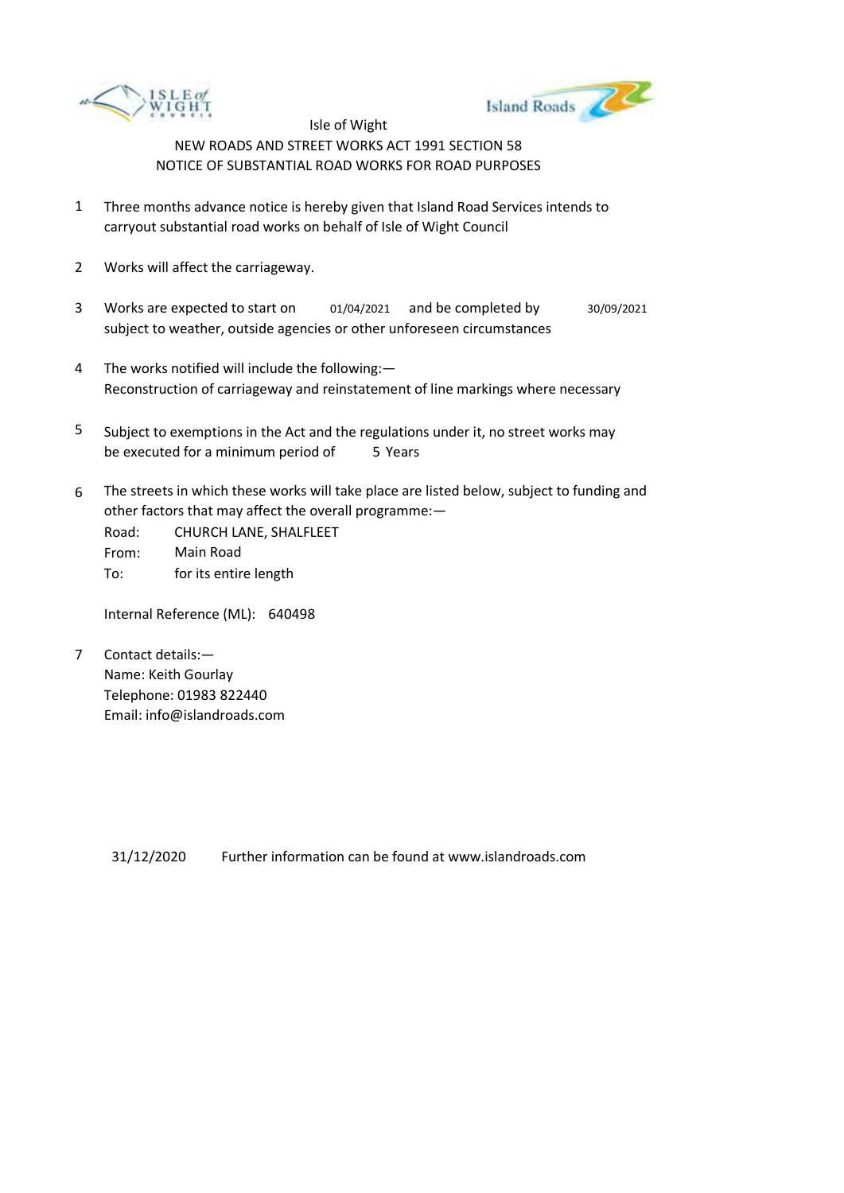



- 1 Three months advance notice is hereby given that Island Road Services intends to carryout substantial road works on behalf of Isle of Wight Council
- 2 Works will affect the carriageway.
- 3 Works are expected to start on subject to weather, outside agencies or other unforeseen circumstances 01/04/2021 and be completed by 30/09/2021
- 4 The works notified will include the following:— Reconstruction of carriageway and reinstatement of line markings where necessary
- 5 be executed for a minimum period of 5 Years Subject to exemptions in the Act and the regulations under it, no street works may
- 6 The streets in which these works will take place are listed below, subject to funding and other factors that may affect the overall programme:—

Road: From: To: CHURCH LANE, SHALFLEET Main Road for its entire length

Internal Reference (ML): 640498

7 Contact details:— Name: Keith Gourlay Telephone: 01983 822440 Email: info@islandroads.com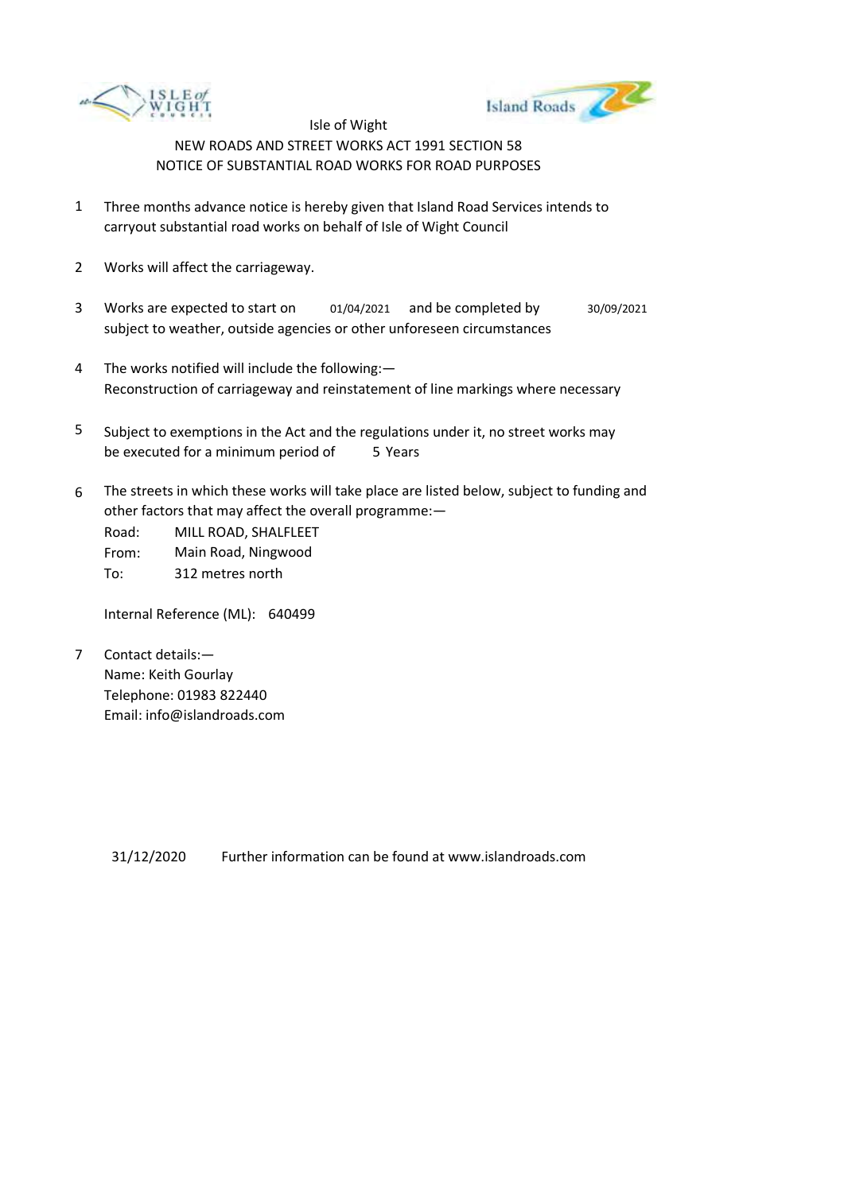



- 1 Three months advance notice is hereby given that Island Road Services intends to carryout substantial road works on behalf of Isle of Wight Council
- 2 Works will affect the carriageway.
- 3 Works are expected to start on subject to weather, outside agencies or other unforeseen circumstances 01/04/2021 and be completed by 30/09/2021
- 4 The works notified will include the following:— Reconstruction of carriageway and reinstatement of line markings where necessary
- 5 be executed for a minimum period of 5 Years Subject to exemptions in the Act and the regulations under it, no street works may
- 6 The streets in which these works will take place are listed below, subject to funding and other factors that may affect the overall programme:—

Road: From: To: MILL ROAD, SHALFLEET Main Road, Ningwood 312 metres north

Internal Reference (ML): 640499

7 Contact details:— Name: Keith Gourlay Telephone: 01983 822440 Email: info@islandroads.com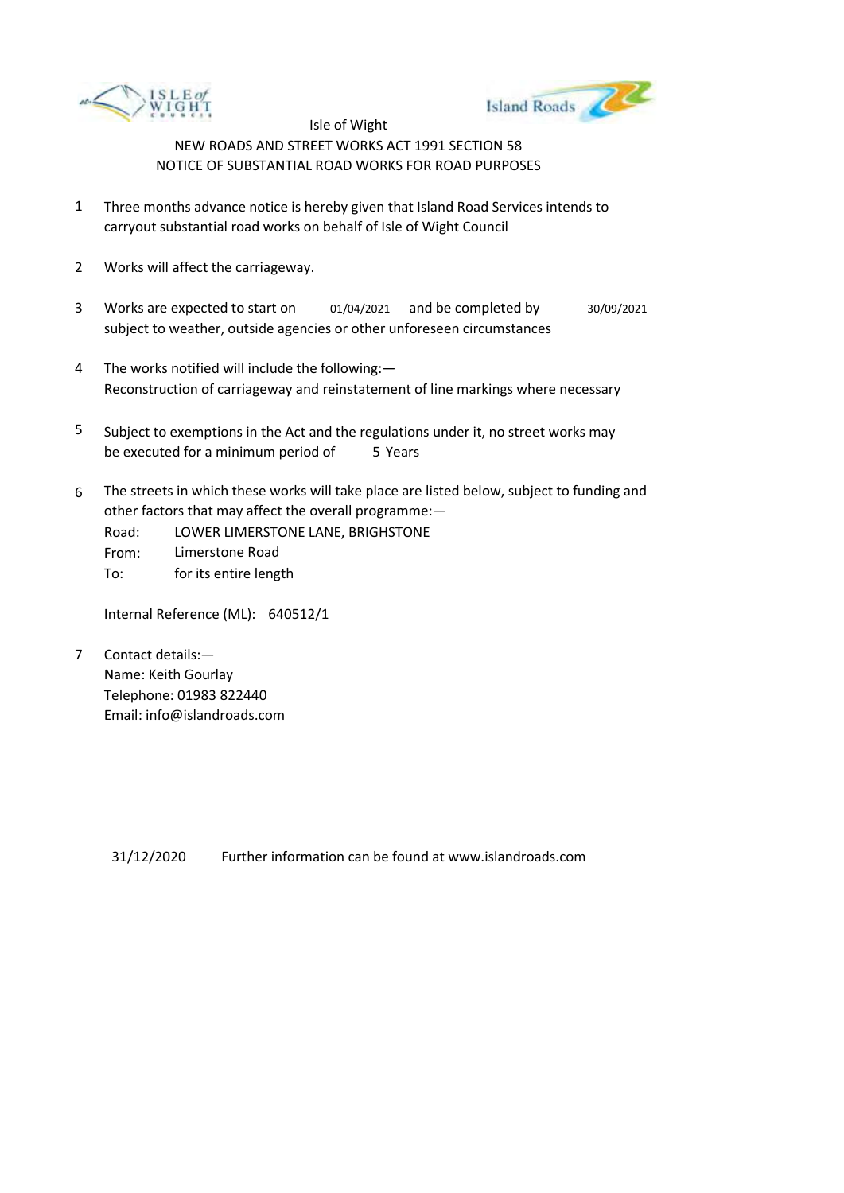



- 1 Three months advance notice is hereby given that Island Road Services intends to carryout substantial road works on behalf of Isle of Wight Council
- 2 Works will affect the carriageway.
- 3 Works are expected to start on subject to weather, outside agencies or other unforeseen circumstances 01/04/2021 and be completed by 30/09/2021
- 4 The works notified will include the following:— Reconstruction of carriageway and reinstatement of line markings where necessary
- 5 be executed for a minimum period of 5 Years Subject to exemptions in the Act and the regulations under it, no street works may
- 6 The streets in which these works will take place are listed below, subject to funding and other factors that may affect the overall programme:—
	- Road: LOWER LIMERSTONE LANE, BRIGHSTONE
	- From: Limerstone Road
	- To: for its entire length

Internal Reference (ML): 640512/1

7 Contact details:— Name: Keith Gourlay Telephone: 01983 822440 Email: info@islandroads.com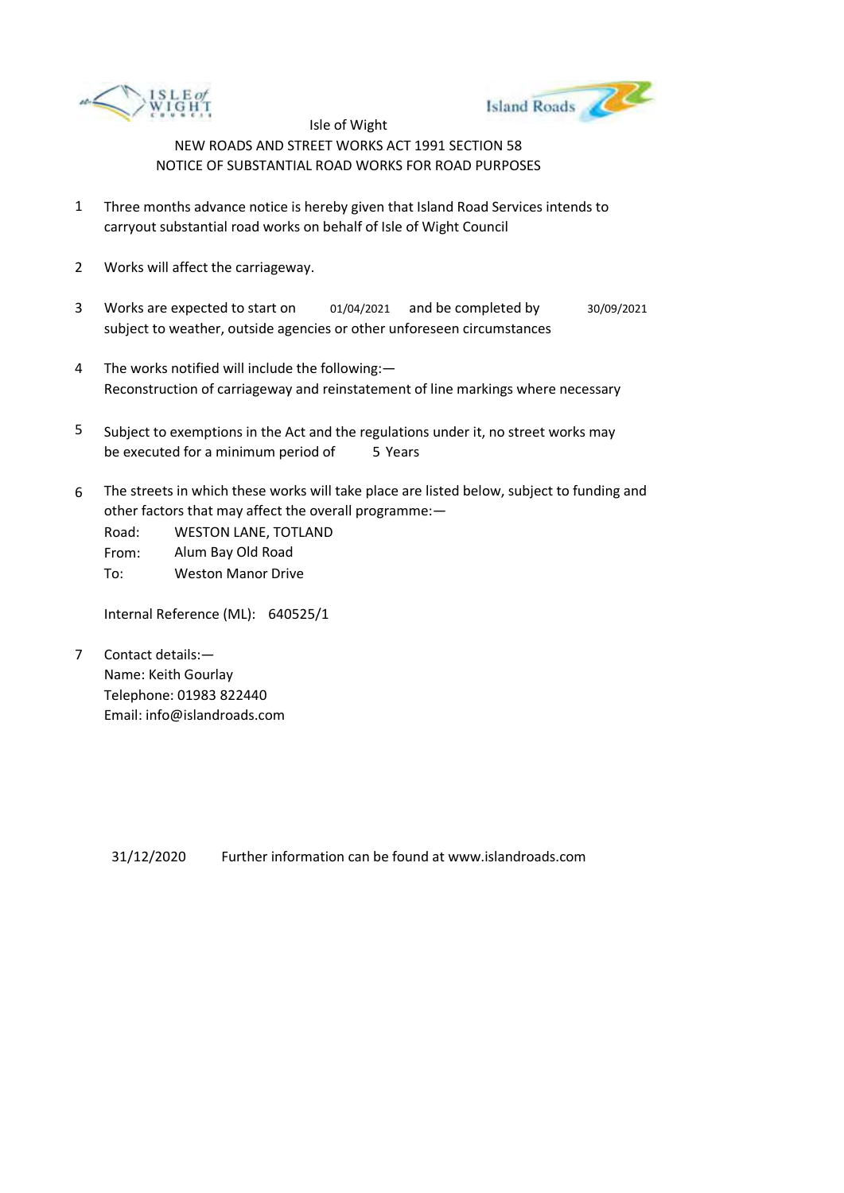



- 1 Three months advance notice is hereby given that Island Road Services intends to carryout substantial road works on behalf of Isle of Wight Council
- 2 Works will affect the carriageway.
- 3 Works are expected to start on subject to weather, outside agencies or other unforeseen circumstances 01/04/2021 and be completed by 30/09/2021
- 4 The works notified will include the following:— Reconstruction of carriageway and reinstatement of line markings where necessary
- 5 be executed for a minimum period of 5 Years Subject to exemptions in the Act and the regulations under it, no street works may
- 6 The streets in which these works will take place are listed below, subject to funding and other factors that may affect the overall programme:—

Road: From: To: WESTON LANE, TOTLAND Alum Bay Old Road Weston Manor Drive

Internal Reference (ML): 640525/1

7 Contact details:— Name: Keith Gourlay Telephone: 01983 822440 Email: info@islandroads.com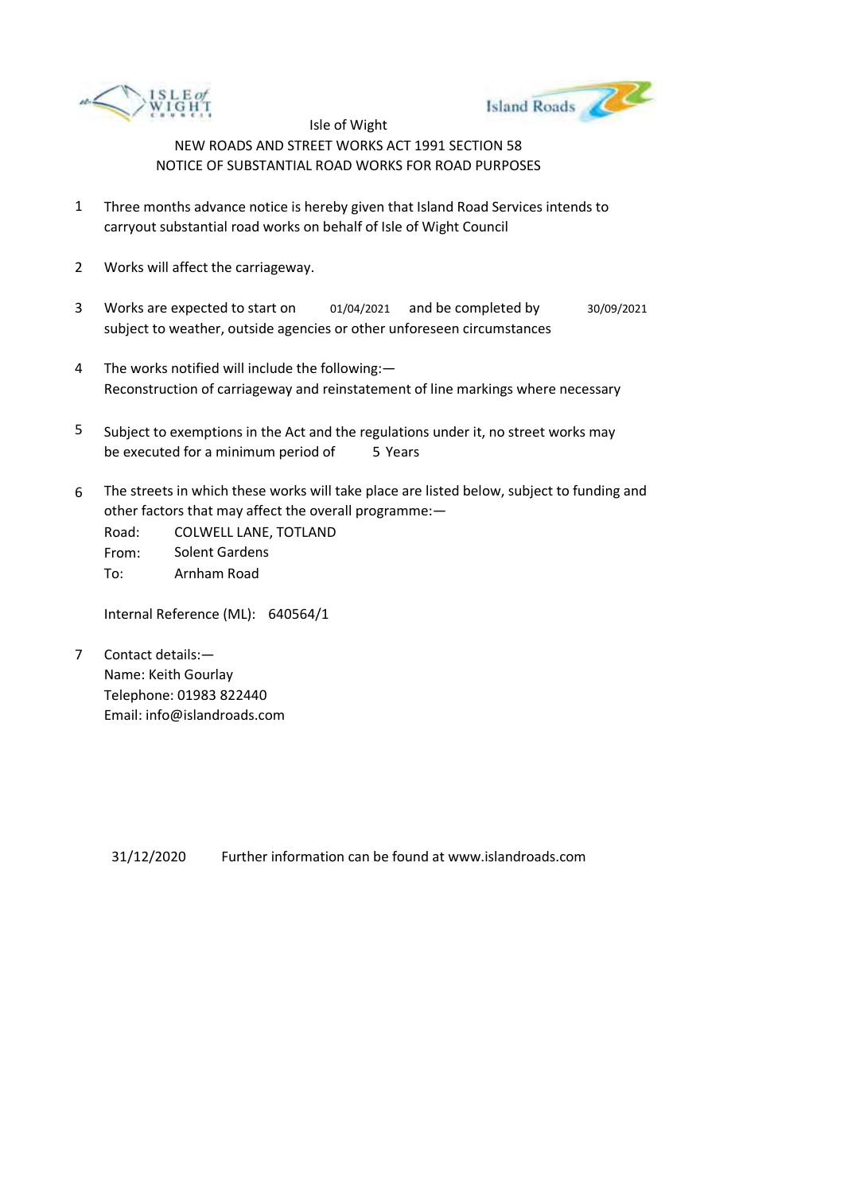



- 1 Three months advance notice is hereby given that Island Road Services intends to carryout substantial road works on behalf of Isle of Wight Council
- 2 Works will affect the carriageway.
- 3 Works are expected to start on subject to weather, outside agencies or other unforeseen circumstances 01/04/2021 and be completed by 30/09/2021
- 4 The works notified will include the following:— Reconstruction of carriageway and reinstatement of line markings where necessary
- 5 be executed for a minimum period of 5 Years Subject to exemptions in the Act and the regulations under it, no street works may
- 6 The streets in which these works will take place are listed below, subject to funding and other factors that may affect the overall programme:—

Road: From: To: COLWELL LANE, TOTLAND Solent Gardens Arnham Road

Internal Reference (ML): 640564/1

7 Contact details:— Name: Keith Gourlay Telephone: 01983 822440 Email: info@islandroads.com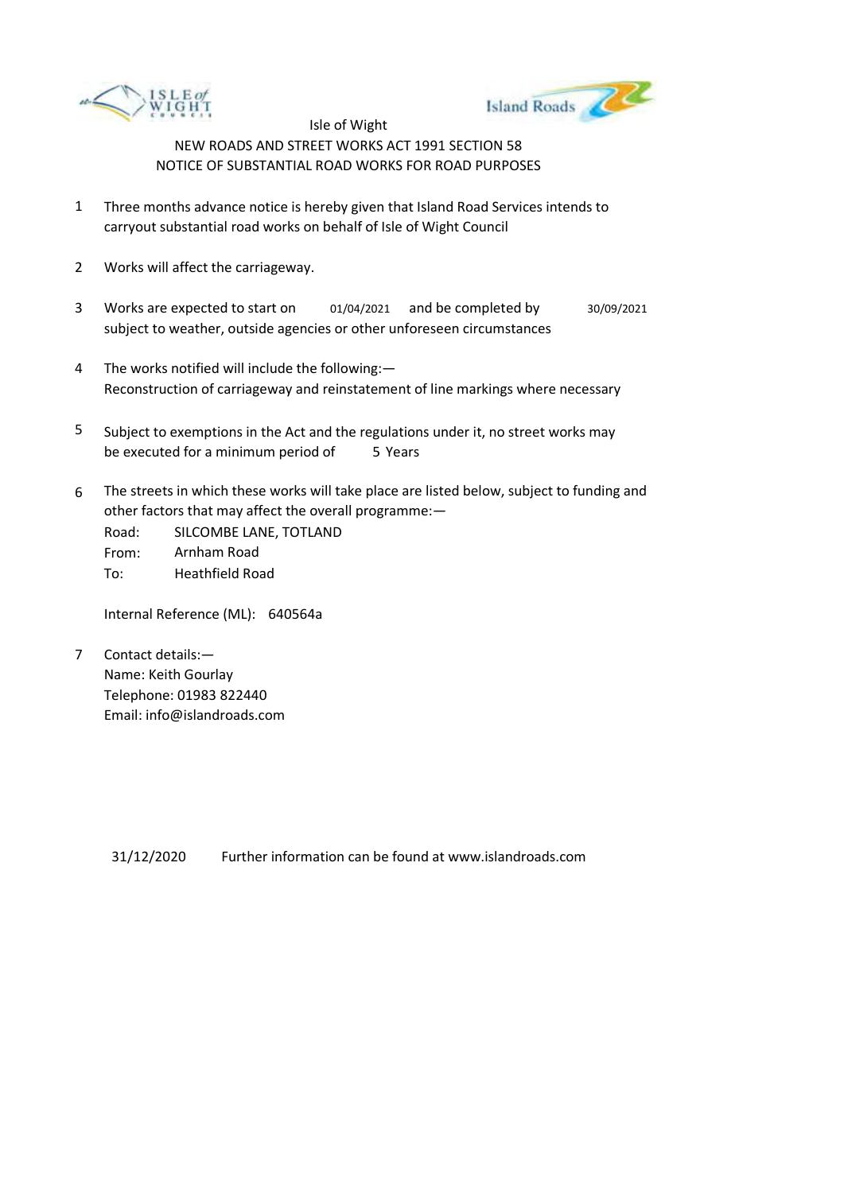



- 1 Three months advance notice is hereby given that Island Road Services intends to carryout substantial road works on behalf of Isle of Wight Council
- 2 Works will affect the carriageway.
- 3 Works are expected to start on subject to weather, outside agencies or other unforeseen circumstances 01/04/2021 and be completed by 30/09/2021
- 4 The works notified will include the following:— Reconstruction of carriageway and reinstatement of line markings where necessary
- 5 be executed for a minimum period of 5 Years Subject to exemptions in the Act and the regulations under it, no street works may
- 6 The streets in which these works will take place are listed below, subject to funding and other factors that may affect the overall programme:—

Road: From: To: SILCOMBE LANE, TOTLAND Arnham Road Heathfield Road

Internal Reference (ML): 640564a

7 Contact details:— Name: Keith Gourlay Telephone: 01983 822440 Email: info@islandroads.com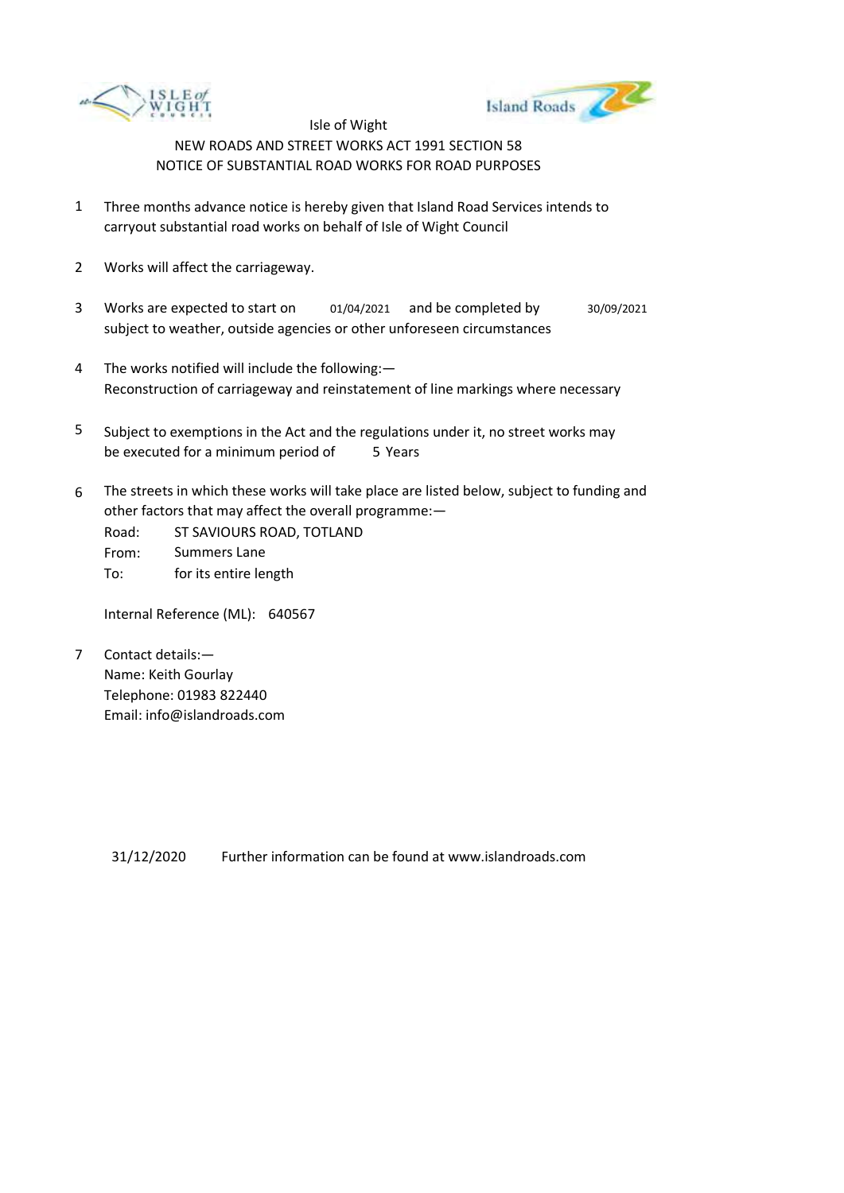



- 1 Three months advance notice is hereby given that Island Road Services intends to carryout substantial road works on behalf of Isle of Wight Council
- 2 Works will affect the carriageway.
- 3 Works are expected to start on subject to weather, outside agencies or other unforeseen circumstances 01/04/2021 and be completed by 30/09/2021
- 4 The works notified will include the following:— Reconstruction of carriageway and reinstatement of line markings where necessary
- 5 be executed for a minimum period of 5 Years Subject to exemptions in the Act and the regulations under it, no street works may
- 6 The streets in which these works will take place are listed below, subject to funding and other factors that may affect the overall programme:—
	- Road: From: To: ST SAVIOURS ROAD, TOTLAND Summers Lane for its entire length

Internal Reference (ML): 640567

7 Contact details:— Name: Keith Gourlay Telephone: 01983 822440 Email: info@islandroads.com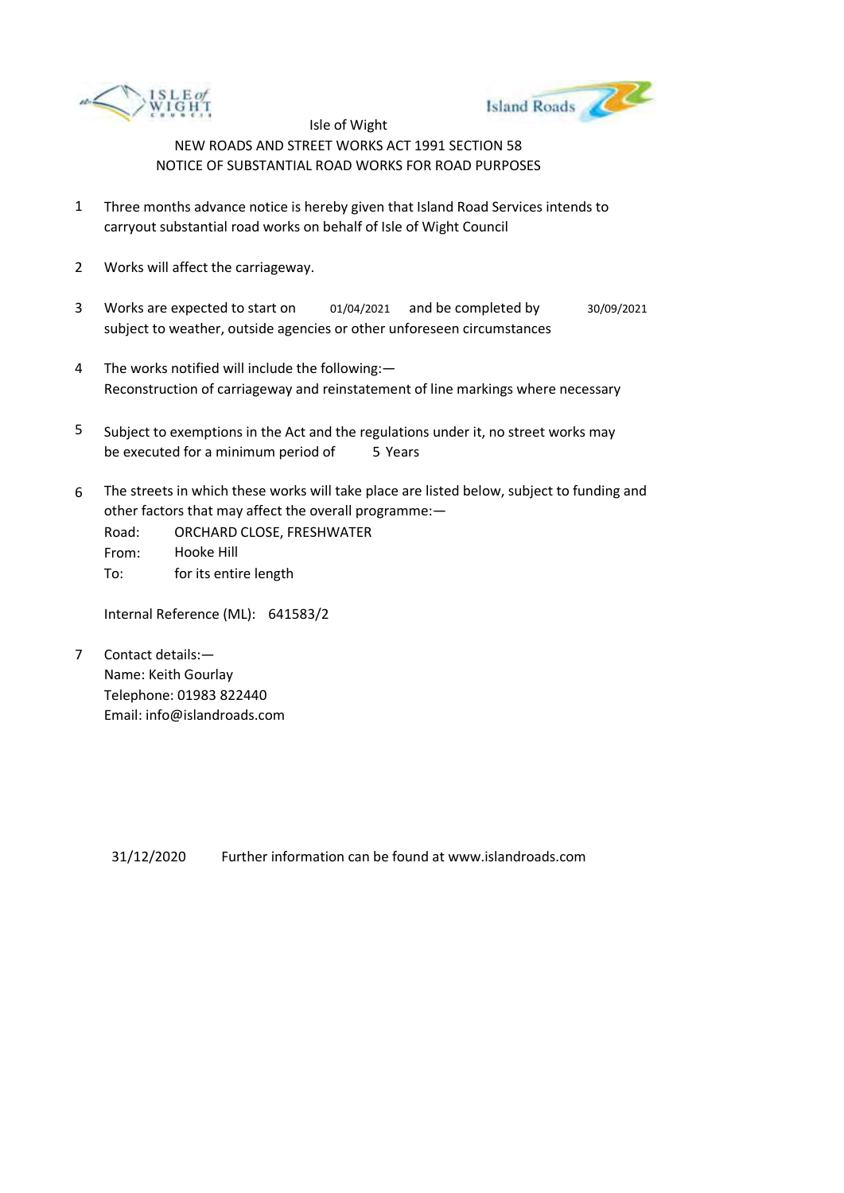



- 1 Three months advance notice is hereby given that Island Road Services intends to carryout substantial road works on behalf of Isle of Wight Council
- 2 Works will affect the carriageway.
- 3 Works are expected to start on subject to weather, outside agencies or other unforeseen circumstances 01/04/2021 and be completed by 30/09/2021
- 4 The works notified will include the following:— Reconstruction of carriageway and reinstatement of line markings where necessary
- 5 be executed for a minimum period of 5 Years Subject to exemptions in the Act and the regulations under it, no street works may
- 6 The streets in which these works will take place are listed below, subject to funding and other factors that may affect the overall programme:—
	- Road: From: To: ORCHARD CLOSE, FRESHWATER Hooke Hill for its entire length

Internal Reference (ML): 641583/2

7 Contact details:— Name: Keith Gourlay Telephone: 01983 822440 Email: info@islandroads.com